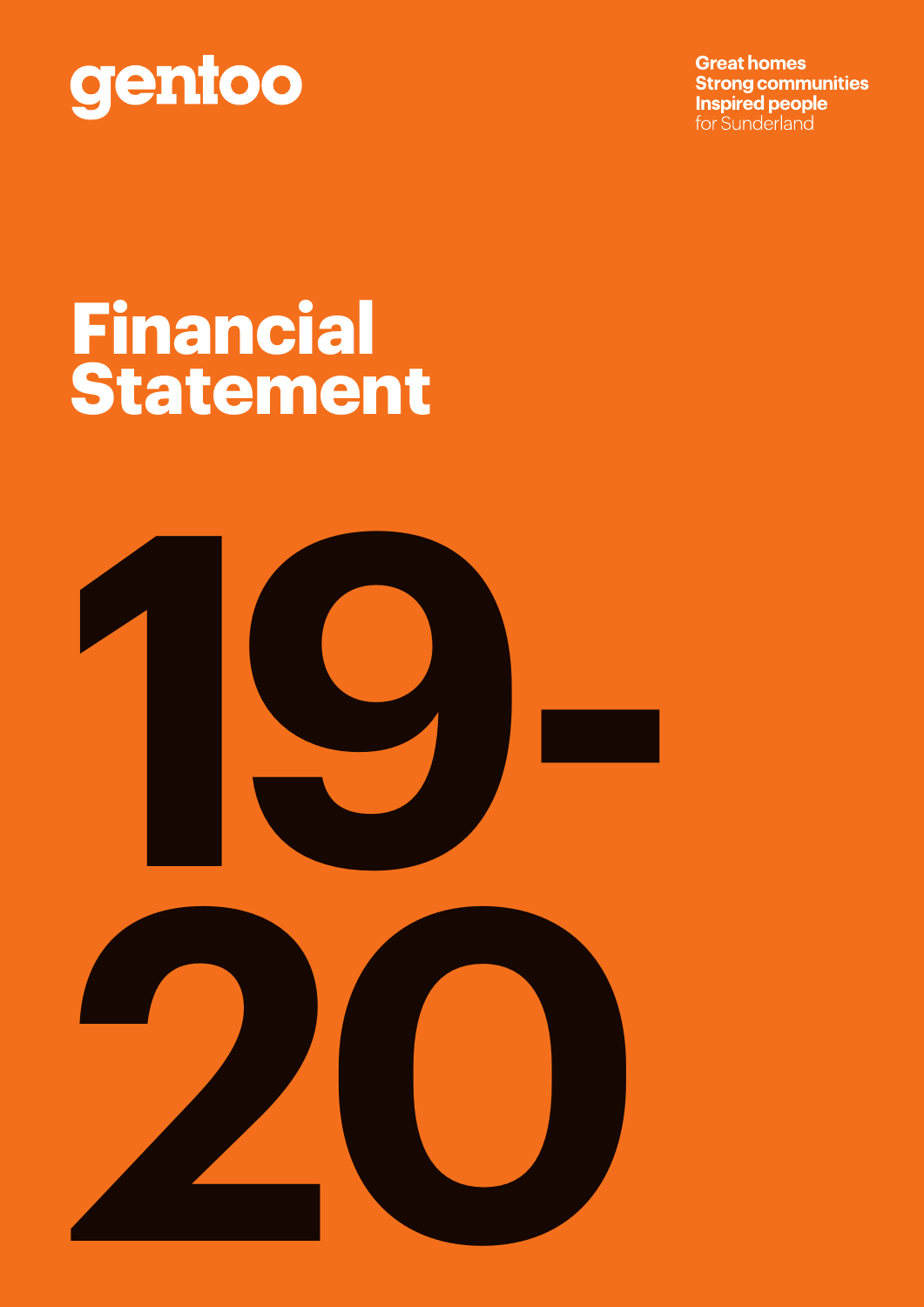

**Great homes Strong communities Inspired people** for Sunderland

### **Financial Statement**



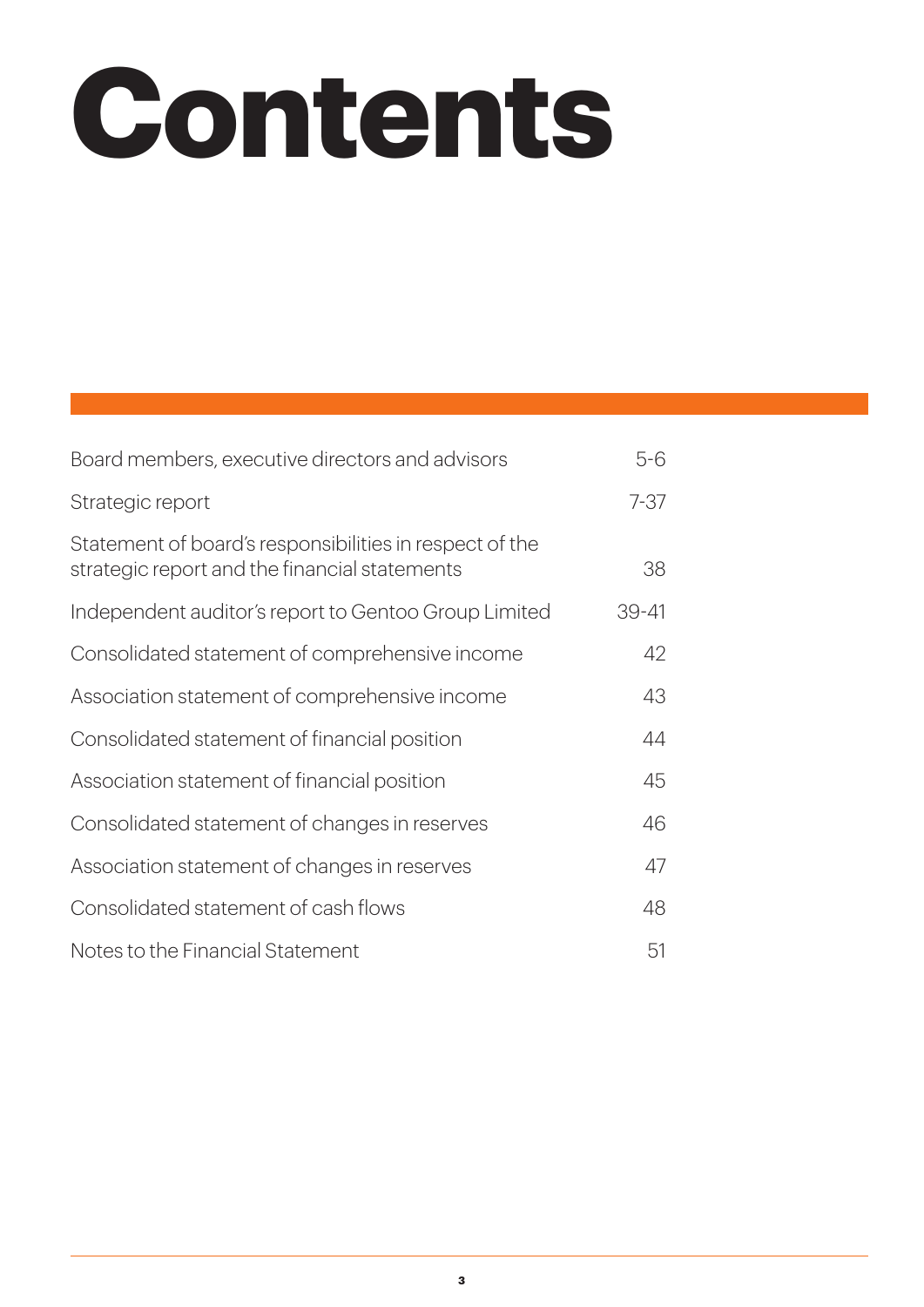## **Contents**

| Board members, executive directors and advisors                                                          | $5 - 6$   |
|----------------------------------------------------------------------------------------------------------|-----------|
| Strategic report                                                                                         | $7 - 37$  |
| Statement of board's responsibilities in respect of the<br>strategic report and the financial statements | 38        |
| Independent auditor's report to Gentoo Group Limited                                                     | $39 - 41$ |
| Consolidated statement of comprehensive income                                                           | 42        |
| Association statement of comprehensive income                                                            | 43        |
| Consolidated statement of financial position                                                             | 44        |
| Association statement of financial position                                                              | 45        |
| Consolidated statement of changes in reserves                                                            | 46        |
| Association statement of changes in reserves                                                             | 47        |
| Consolidated statement of cash flows                                                                     | 48        |
| Notes to the Financial Statement                                                                         | 51        |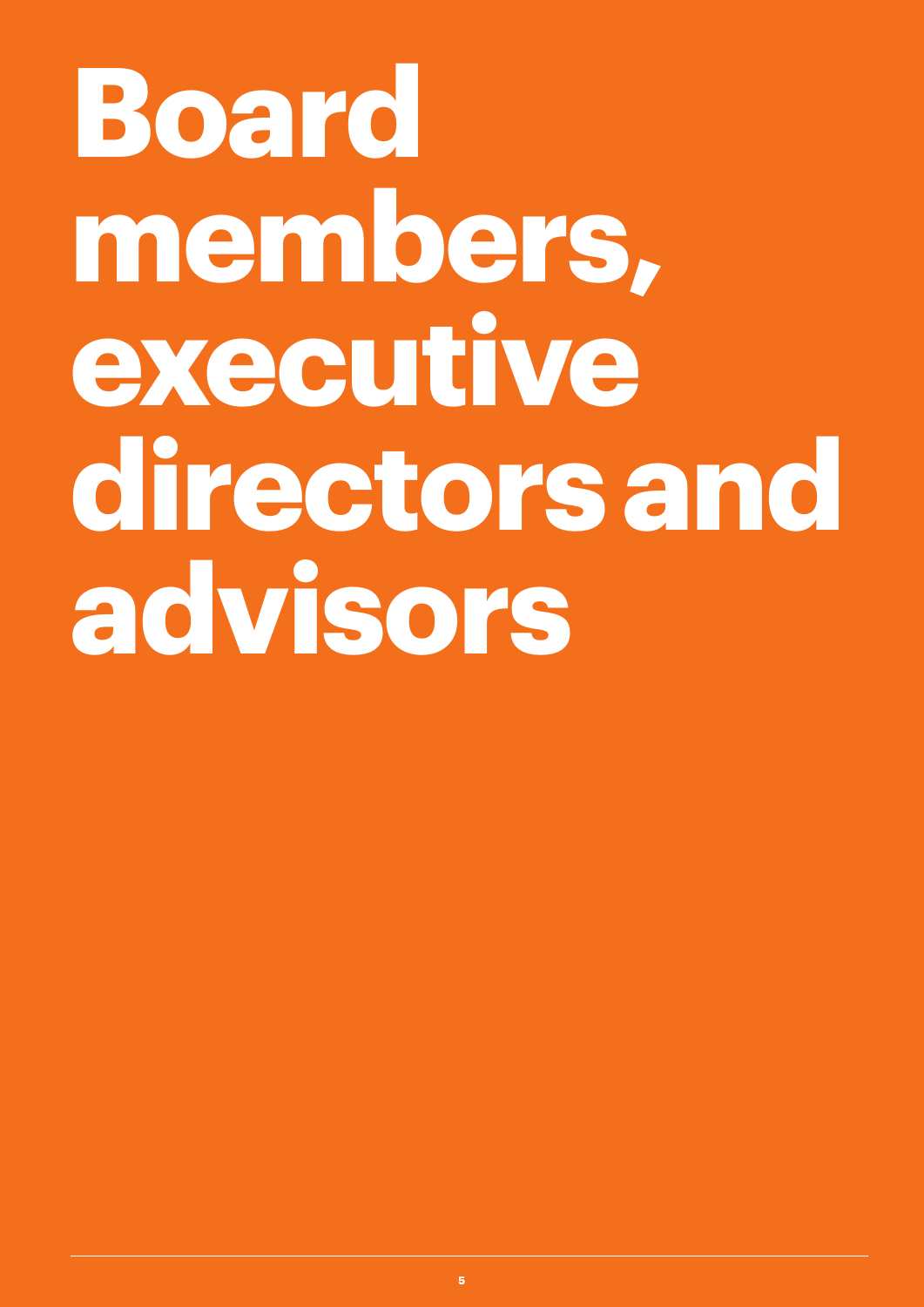## **Board members, executive directors and advisors**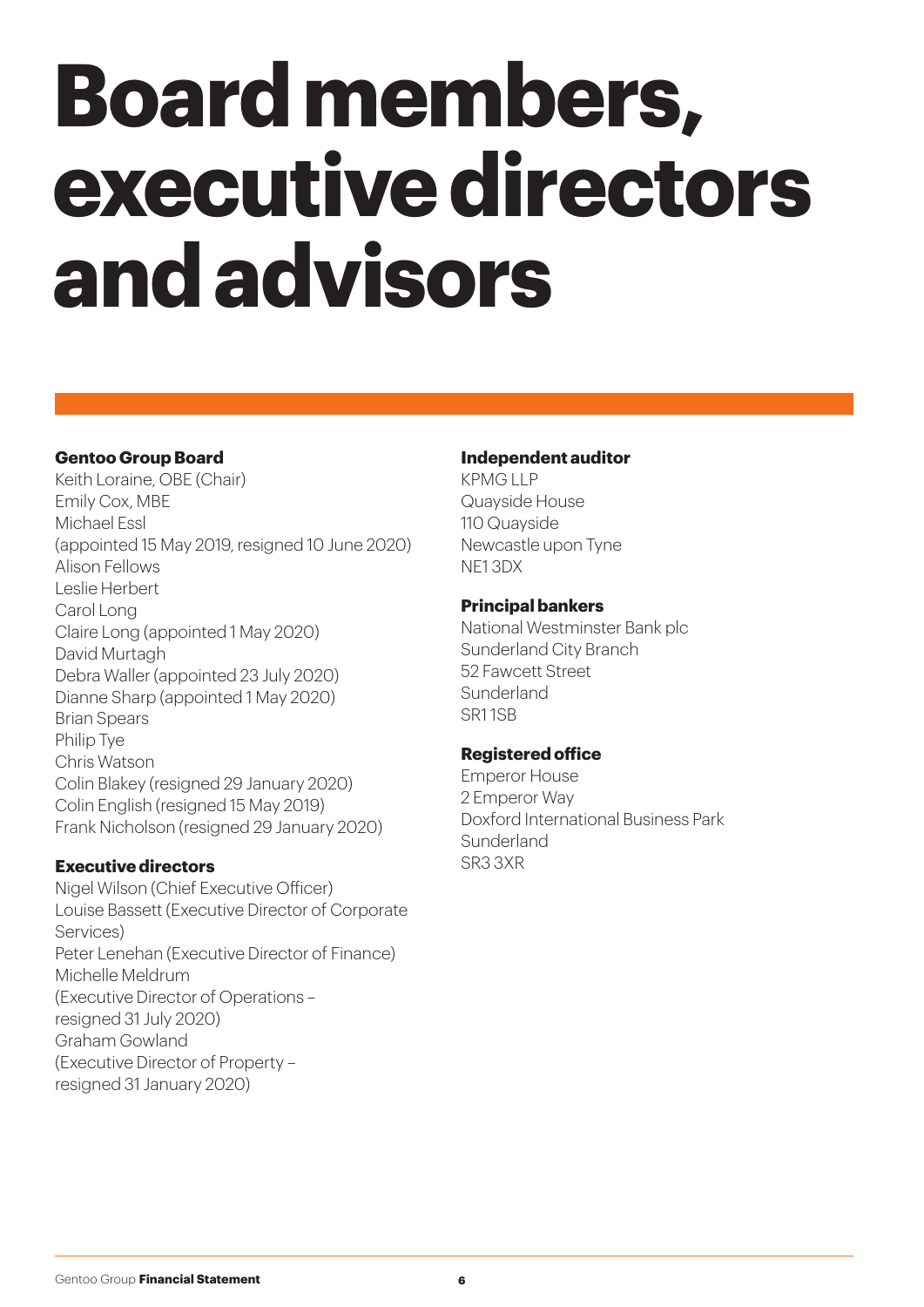## **Board members, executive directors and advisors**

#### **Gentoo Group Board**

Keith Loraine, OBE (Chair) Emily Cox, MBE Michael Essl (appointed 15 May 2019, resigned 10 June 2020) Alison Fellows Leslie Herbert Carol Long Claire Long (appointed 1 May 2020) David Murtagh Debra Waller (appointed 23 July 2020) Dianne Sharp (appointed 1 May 2020) Brian Spears Philip Tye Chris Watson Colin Blakey (resigned 29 January 2020) Colin English (resigned 15 May 2019) Frank Nicholson (resigned 29 January 2020)

#### **Executive directors**

Nigel Wilson (Chief Executive Officer) Louise Bassett (Executive Director of Corporate Services) Peter Lenehan (Executive Director of Finance) Michelle Meldrum (Executive Director of Operations – resigned 31 July 2020) Graham Gowland (Executive Director of Property – resigned 31 January 2020)

#### **Independent auditor**

KPMG LLP Quayside House 110 Quayside Newcastle upon Tyne NE1 3DX

#### **Principal bankers**

National Westminster Bank plc Sunderland City Branch 52 Fawcett Street Sunderland SR1 1SB

#### **Registered office**

Emperor House 2 Emperor Way Doxford International Business Park Sunderland SR3 3XR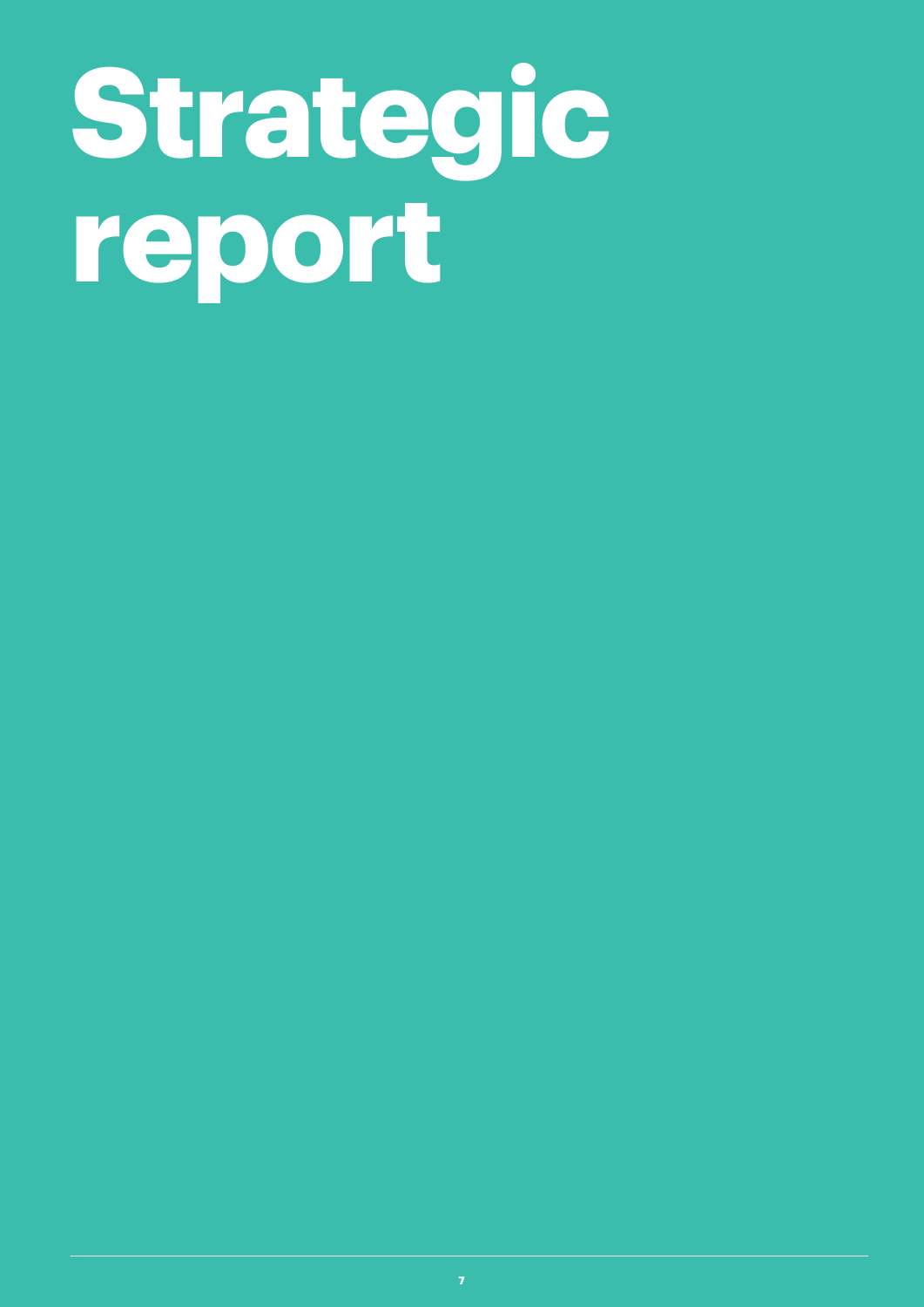## **Strategic report**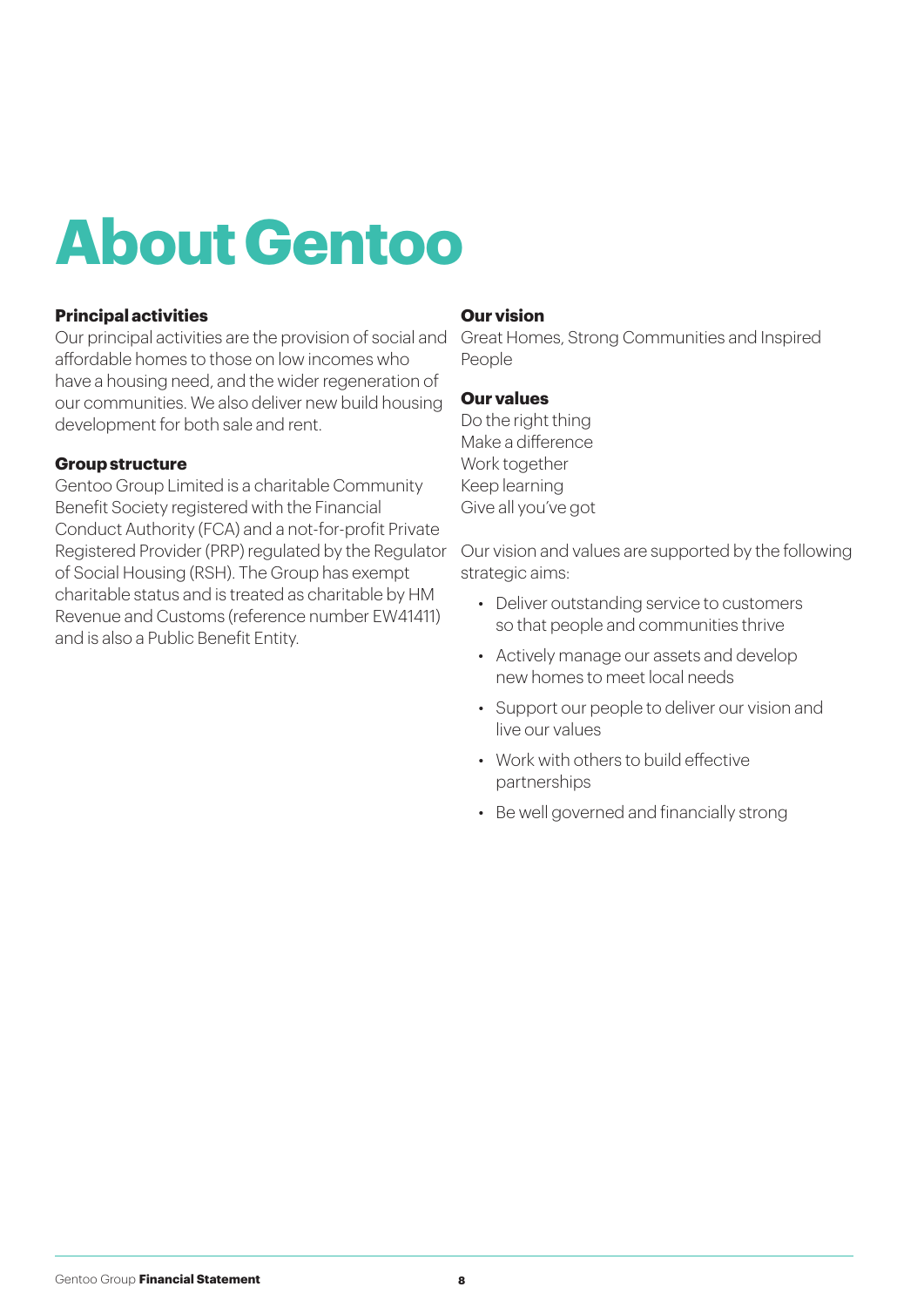### **About Gentoo**

#### **Principal activities**

Our principal activities are the provision of social and Great Homes, Strong Communities and Inspired affordable homes to those on low incomes who have a housing need, and the wider regeneration of our communities. We also deliver new build housing development for both sale and rent.

#### **Group structure**

Gentoo Group Limited is a charitable Community Benefit Society registered with the Financial Conduct Authority (FCA) and a not-for-profit Private Registered Provider (PRP) regulated by the Regulator Our vision and values are supported by the following of Social Housing (RSH). The Group has exempt charitable status and is treated as charitable by HM Revenue and Customs (reference number EW41411) and is also a Public Benefit Entity.

#### **Our vision**

People

#### **Our values**

Do the right thing Make a difference Work together Keep learning Give all you've got

strategic aims:

- Deliver outstanding service to customers so that people and communities thrive
- Actively manage our assets and develop new homes to meet local needs
- Support our people to deliver our vision and live our values
- Work with others to build effective partnerships
- Be well governed and financially strong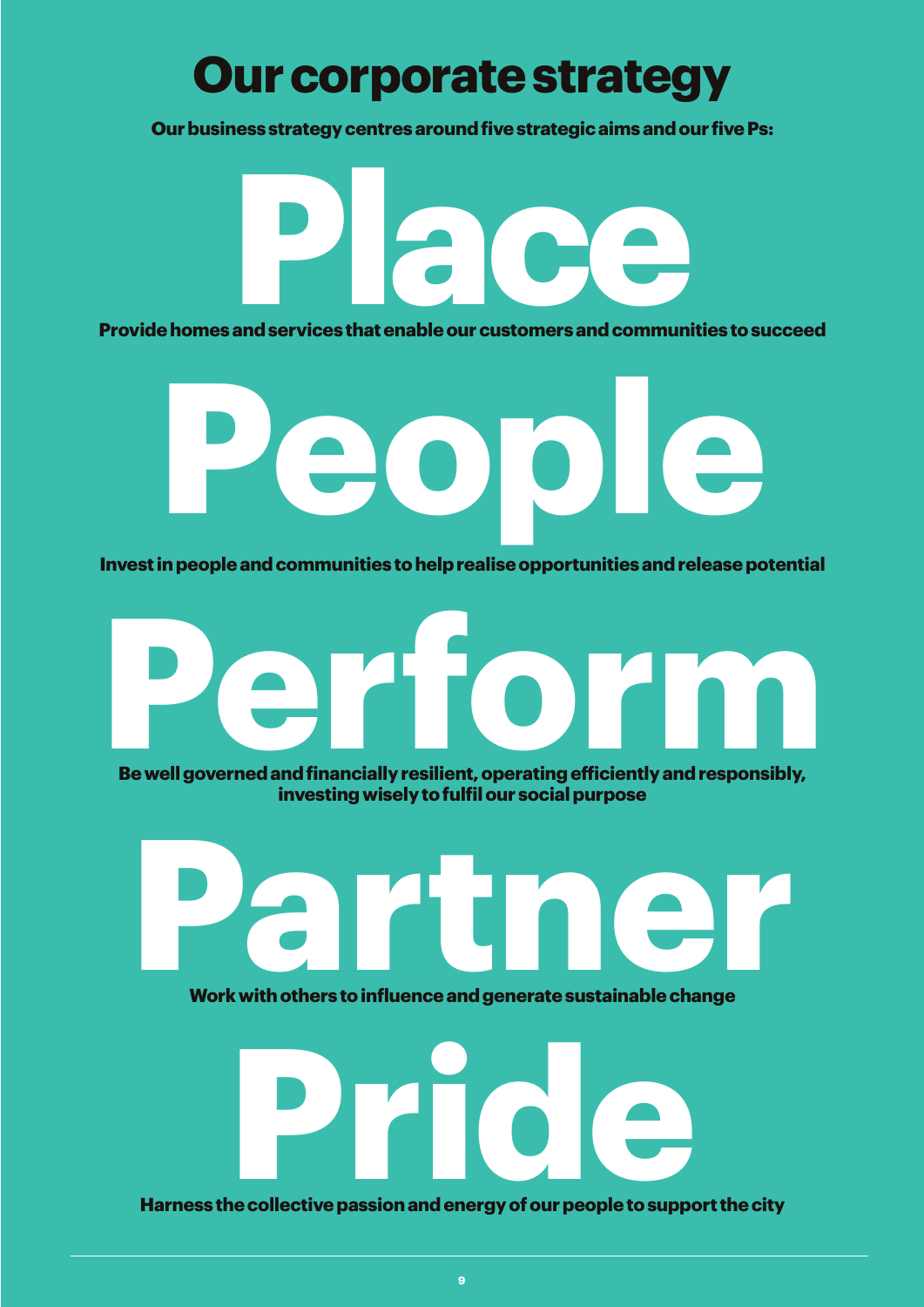### **Our corporate strategy**

**Our business strategy centres around five strategic aims and our five Ps:**

**Provide homes and services that enable our customers and communities to succeed Place Legation Contract Contract On the Contract On the Contract On the Contract On the Contract On the Contract On the Contract On the Contract On the Contract On the Contract On the Contract On the Contract On the Contr** 

**Invest in people and communities to help realise opportunities and release potential**

**People**

# **Perform**

**Be well governed and financially resilient, operating efficiently and responsibly, investing wisely to fulfil our social purpose**



**Work with others to influence and generate sustainable change**



**Harness the collective passion and energy of our people to support the city**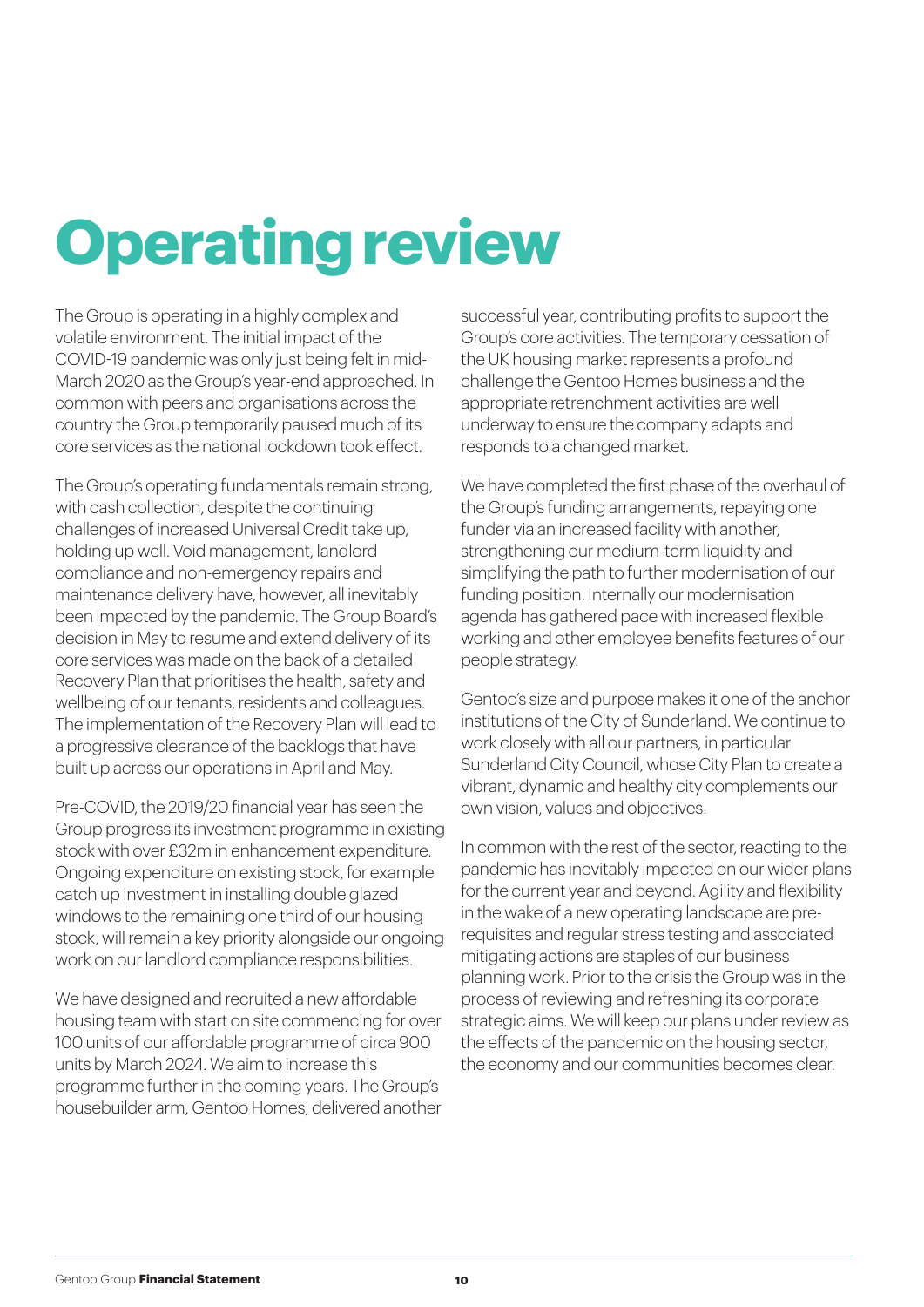### **Operating review**

The Group is operating in a highly complex and volatile environment. The initial impact of the COVID-19 pandemic was only just being felt in mid-March 2020 as the Group's year-end approached. In common with peers and organisations across the country the Group temporarily paused much of its core services as the national lockdown took effect.

The Group's operating fundamentals remain strong, with cash collection, despite the continuing challenges of increased Universal Credit take up, holding up well. Void management, landlord compliance and non-emergency repairs and maintenance delivery have, however, all inevitably been impacted by the pandemic. The Group Board's decision in May to resume and extend delivery of its core services was made on the back of a detailed Recovery Plan that prioritises the health, safety and wellbeing of our tenants, residents and colleagues. The implementation of the Recovery Plan will lead to a progressive clearance of the backlogs that have built up across our operations in April and May.

Pre-COVID, the 2019/20 financial year has seen the Group progress its investment programme in existing stock with over £32m in enhancement expenditure. Ongoing expenditure on existing stock, for example catch up investment in installing double glazed windows to the remaining one third of our housing stock, will remain a key priority alongside our ongoing work on our landlord compliance responsibilities.

We have designed and recruited a new affordable housing team with start on site commencing for over 100 units of our affordable programme of circa 900 units by March 2024. We aim to increase this programme further in the coming years. The Group's housebuilder arm, Gentoo Homes, delivered another

successful year, contributing profits to support the Group's core activities. The temporary cessation of the UK housing market represents a profound challenge the Gentoo Homes business and the appropriate retrenchment activities are well underway to ensure the company adapts and responds to a changed market.

We have completed the first phase of the overhaul of the Group's funding arrangements, repaying one funder via an increased facility with another, strengthening our medium-term liquidity and simplifying the path to further modernisation of our funding position. Internally our modernisation agenda has gathered pace with increased flexible working and other employee benefits features of our people strategy.

Gentoo's size and purpose makes it one of the anchor institutions of the City of Sunderland. We continue to work closely with all our partners, in particular Sunderland City Council, whose City Plan to create a vibrant, dynamic and healthy city complements our own vision, values and objectives.

In common with the rest of the sector, reacting to the pandemic has inevitably impacted on our wider plans for the current year and beyond. Agility and flexibility in the wake of a new operating landscape are prerequisites and regular stress testing and associated mitigating actions are staples of our business planning work. Prior to the crisis the Group was in the process of reviewing and refreshing its corporate strategic aims. We will keep our plans under review as the effects of the pandemic on the housing sector, the economy and our communities becomes clear.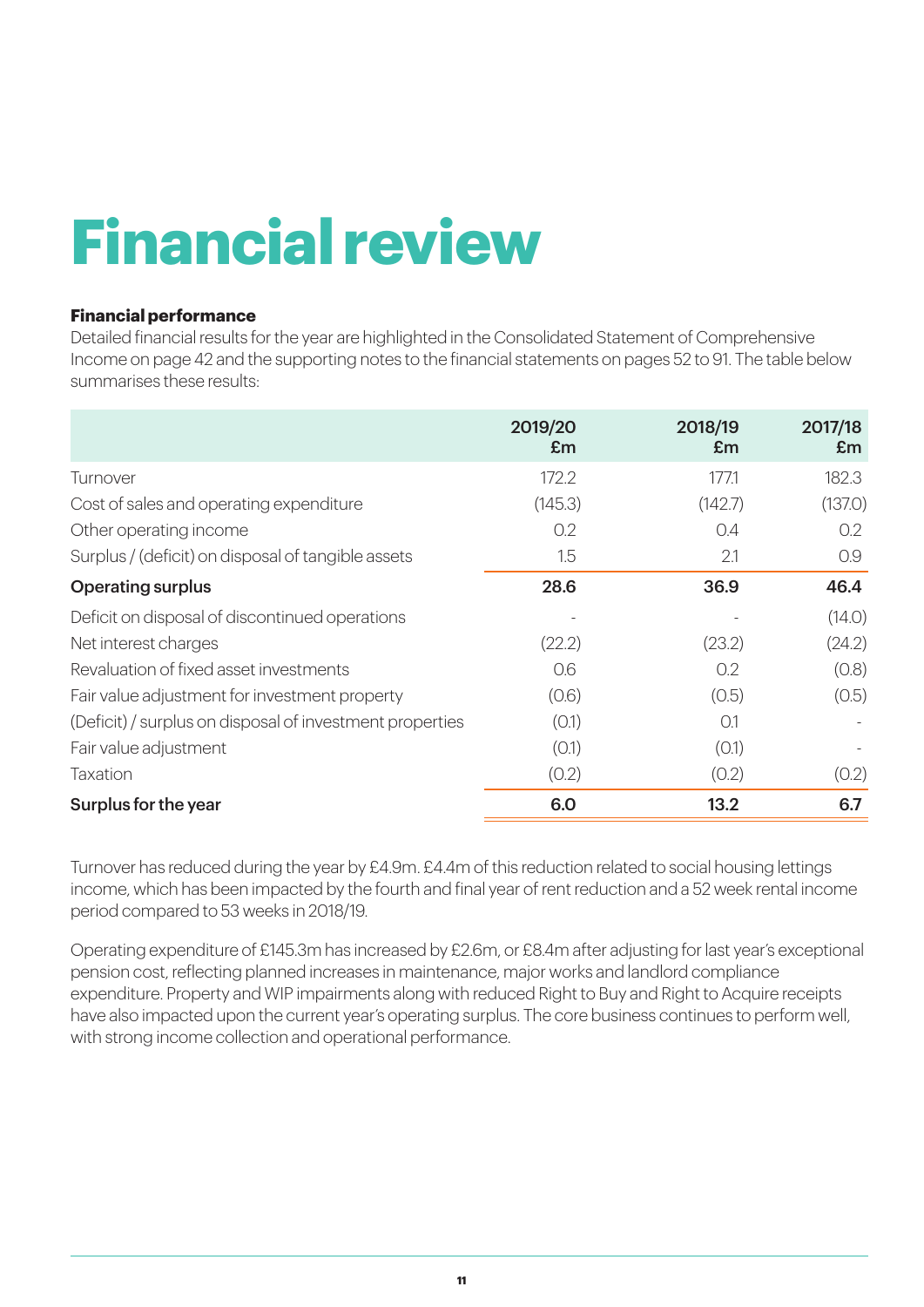### **Financial review**

#### **Financial performance**

Detailed financial results for the year are highlighted in the Consolidated Statement of Comprehensive Income on page 42 and the supporting notes to the financial statements on pages 52 to 91. The table below summarises these results:

|                                                          | 2019/20<br>Em | 2018/19<br>Em | 2017/18<br>Em |
|----------------------------------------------------------|---------------|---------------|---------------|
| Turnover                                                 | 172.2         | 177.1         | 182.3         |
| Cost of sales and operating expenditure                  | (145.3)       | (142.7)       | (137.0)       |
| Other operating income                                   | 0.2           | 0.4           | 0.2           |
| Surplus / (deficit) on disposal of tangible assets       | 1.5           | 2.1           | 0.9           |
| <b>Operating surplus</b>                                 | 28.6          | 36.9          | 46.4          |
| Deficit on disposal of discontinued operations           |               |               | (14.0)        |
| Net interest charges                                     | (22.2)        | (23.2)        | (24.2)        |
| Revaluation of fixed asset investments                   | 0.6           | 0.2           | (0.8)         |
| Fair value adjustment for investment property            | (0.6)         | (0.5)         | (0.5)         |
| (Deficit) / surplus on disposal of investment properties | (0.1)         | O.1           |               |
| Fair value adjustment                                    | (0.1)         | (0.1)         |               |
| Taxation                                                 | (0.2)         | (0.2)         | (0.2)         |
| Surplus for the year                                     | 6.0           | 13.2          | 6.7           |

Turnover has reduced during the year by £4.9m. £4.4m of this reduction related to social housing lettings income, which has been impacted by the fourth and final year of rent reduction and a 52 week rental income period compared to 53 weeks in 2018/19.

Operating expenditure of £145.3m has increased by £2.6m, or £8.4m after adjusting for last year's exceptional pension cost, reflecting planned increases in maintenance, major works and landlord compliance expenditure. Property and WIP impairments along with reduced Right to Buy and Right to Acquire receipts have also impacted upon the current year's operating surplus. The core business continues to perform well, with strong income collection and operational performance.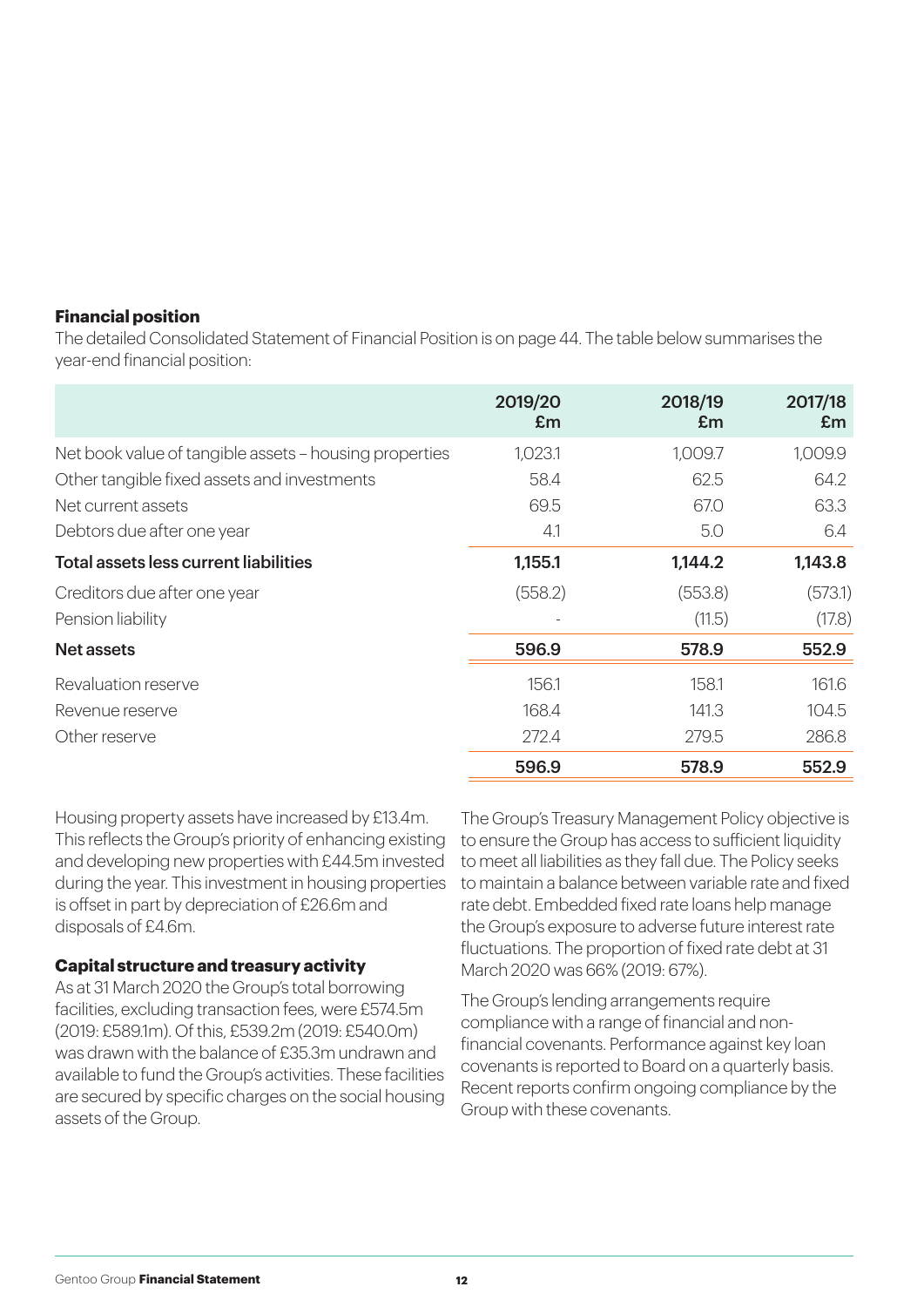#### **Financial position**

The detailed Consolidated Statement of Financial Position is on page 44. The table below summarises the year-end financial position:

|                                                        | 2019/20<br>Em | 2018/19<br>Em | 2017/18<br>Em |
|--------------------------------------------------------|---------------|---------------|---------------|
| Net book value of tangible assets - housing properties | 1,023.1       | 1,009.7       | 1,009.9       |
| Other tangible fixed assets and investments            | 58.4          | 62.5          | 64.2          |
| Net current assets                                     | 69.5          | 67.0          | 63.3          |
| Debtors due after one year                             | 4.1           | 5.0           | 6.4           |
| Total assets less current liabilities                  | 1,155.1       | 1,144.2       | 1,143.8       |
| Creditors due after one year                           | (558.2)       | (553.8)       | (573.1)       |
| Pension liability                                      |               | (11.5)        | (17.8)        |
| <b>Net assets</b>                                      | 596.9         | 578.9         | 552.9         |
| Revaluation reserve                                    | 156.1         | 158.1         | 161.6         |
| Revenue reserve                                        | 168.4         | 141.3         | 104.5         |
| Other reserve                                          | 272.4         | 279.5         | 286.8         |
|                                                        | 596.9         | 578.9         | 552.9         |

Housing property assets have increased by £13.4m. This reflects the Group's priority of enhancing existing and developing new properties with £44.5m invested during the year. This investment in housing properties is offset in part by depreciation of £26.6m and disposals of £4.6m.

#### **Capital structure and treasury activity**

As at 31 March 2020 the Group's total borrowing facilities, excluding transaction fees, were £574.5m (2019: £589.1m). Of this, £539.2m (2019: £540.0m) was drawn with the balance of £35.3m undrawn and available to fund the Group's activities. These facilities are secured by specific charges on the social housing assets of the Group.

The Group's Treasury Management Policy objective is to ensure the Group has access to sufficient liquidity to meet all liabilities as they fall due. The Policy seeks to maintain a balance between variable rate and fixed rate debt. Embedded fixed rate loans help manage the Group's exposure to adverse future interest rate fluctuations. The proportion of fixed rate debt at 31 March 2020 was 66% (2019: 67%).

The Group's lending arrangements require compliance with a range of financial and nonfinancial covenants. Performance against key loan covenants is reported to Board on a quarterly basis. Recent reports confirm ongoing compliance by the Group with these covenants.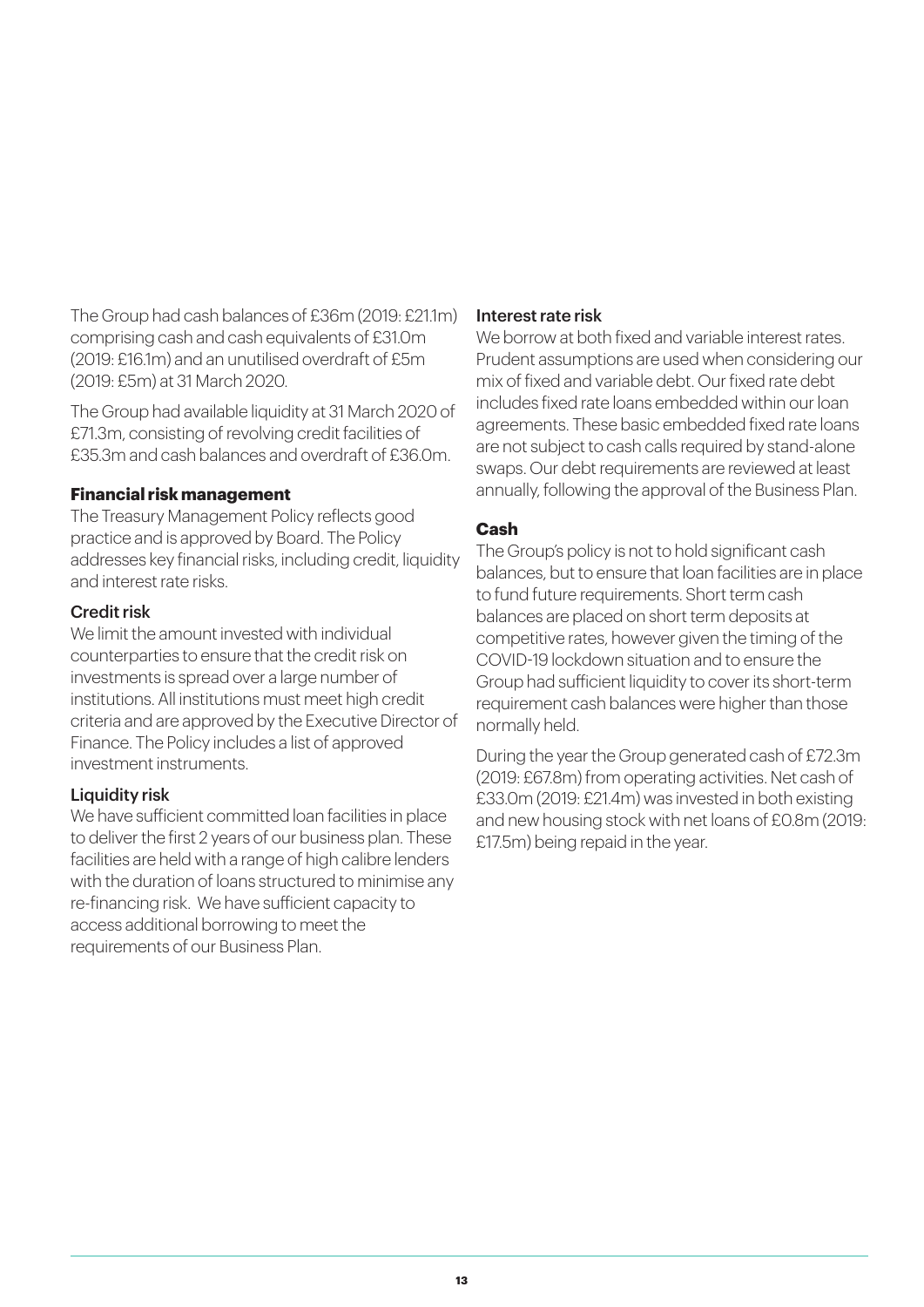The Group had cash balances of £36m (2019: £21.1m) comprising cash and cash equivalents of £31.0m (2019: £16.1m) and an unutilised overdraft of £5m (2019: £5m) at 31 March 2020.

The Group had available liquidity at 31 March 2020 of £71.3m, consisting of revolving credit facilities of £35.3m and cash balances and overdraft of £36.0m.

#### **Financial risk management**

The Treasury Management Policy reflects good practice and is approved by Board. The Policy addresses key financial risks, including credit, liquidity and interest rate risks.

#### Credit risk

We limit the amount invested with individual counterparties to ensure that the credit risk on investments is spread over a large number of institutions. All institutions must meet high credit criteria and are approved by the Executive Director of Finance. The Policy includes a list of approved investment instruments.

#### Liquidity risk

We have sufficient committed loan facilities in place to deliver the first 2 years of our business plan. These facilities are held with a range of high calibre lenders with the duration of loans structured to minimise any re-financing risk. We have sufficient capacity to access additional borrowing to meet the requirements of our Business Plan.

#### Interest rate risk

We borrow at both fixed and variable interest rates. Prudent assumptions are used when considering our mix of fixed and variable debt. Our fixed rate debt includes fixed rate loans embedded within our loan agreements. These basic embedded fixed rate loans are not subject to cash calls required by stand-alone swaps. Our debt requirements are reviewed at least annually, following the approval of the Business Plan.

### **Cash**

The Group's policy is not to hold significant cash balances, but to ensure that loan facilities are in place to fund future requirements. Short term cash balances are placed on short term deposits at competitive rates, however given the timing of the COVID-19 lockdown situation and to ensure the Group had sufficient liquidity to cover its short-term requirement cash balances were higher than those normally held.

During the year the Group generated cash of £72.3m (2019: £67.8m) from operating activities. Net cash of £33.0m (2019: £21.4m) was invested in both existing and new housing stock with net loans of £0.8m (2019: £17.5m) being repaid in the year.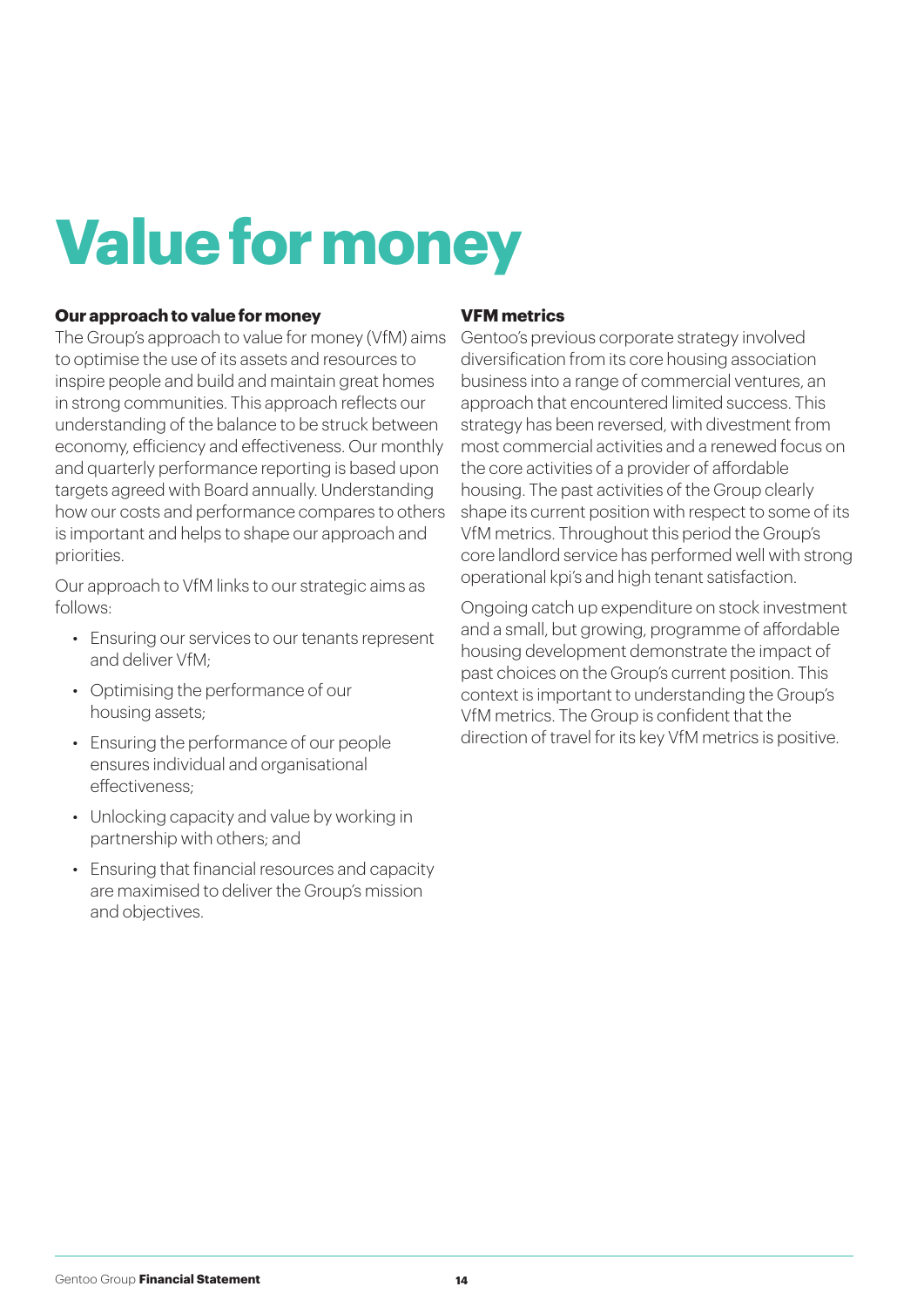### **Value for money**

#### **Our approach to value for money**

The Group's approach to value for money (VfM) aims to optimise the use of its assets and resources to inspire people and build and maintain great homes in strong communities. This approach reflects our understanding of the balance to be struck between economy, efficiency and effectiveness. Our monthly and quarterly performance reporting is based upon targets agreed with Board annually. Understanding how our costs and performance compares to others is important and helps to shape our approach and priorities.

Our approach to VfM links to our strategic aims as follows:

- Ensuring our services to our tenants represent and deliver VfM;
- Optimising the performance of our housing assets;
- Ensuring the performance of our people ensures individual and organisational effectiveness;
- Unlocking capacity and value by working in partnership with others; and
- Ensuring that financial resources and capacity are maximised to deliver the Group's mission and objectives.

#### **VFM metrics**

Gentoo's previous corporate strategy involved diversification from its core housing association business into a range of commercial ventures, an approach that encountered limited success. This strategy has been reversed, with divestment from most commercial activities and a renewed focus on the core activities of a provider of affordable housing. The past activities of the Group clearly shape its current position with respect to some of its VfM metrics. Throughout this period the Group's core landlord service has performed well with strong operational kpi's and high tenant satisfaction.

Ongoing catch up expenditure on stock investment and a small, but growing, programme of affordable housing development demonstrate the impact of past choices on the Group's current position. This context is important to understanding the Group's VfM metrics. The Group is confident that the direction of travel for its key VfM metrics is positive.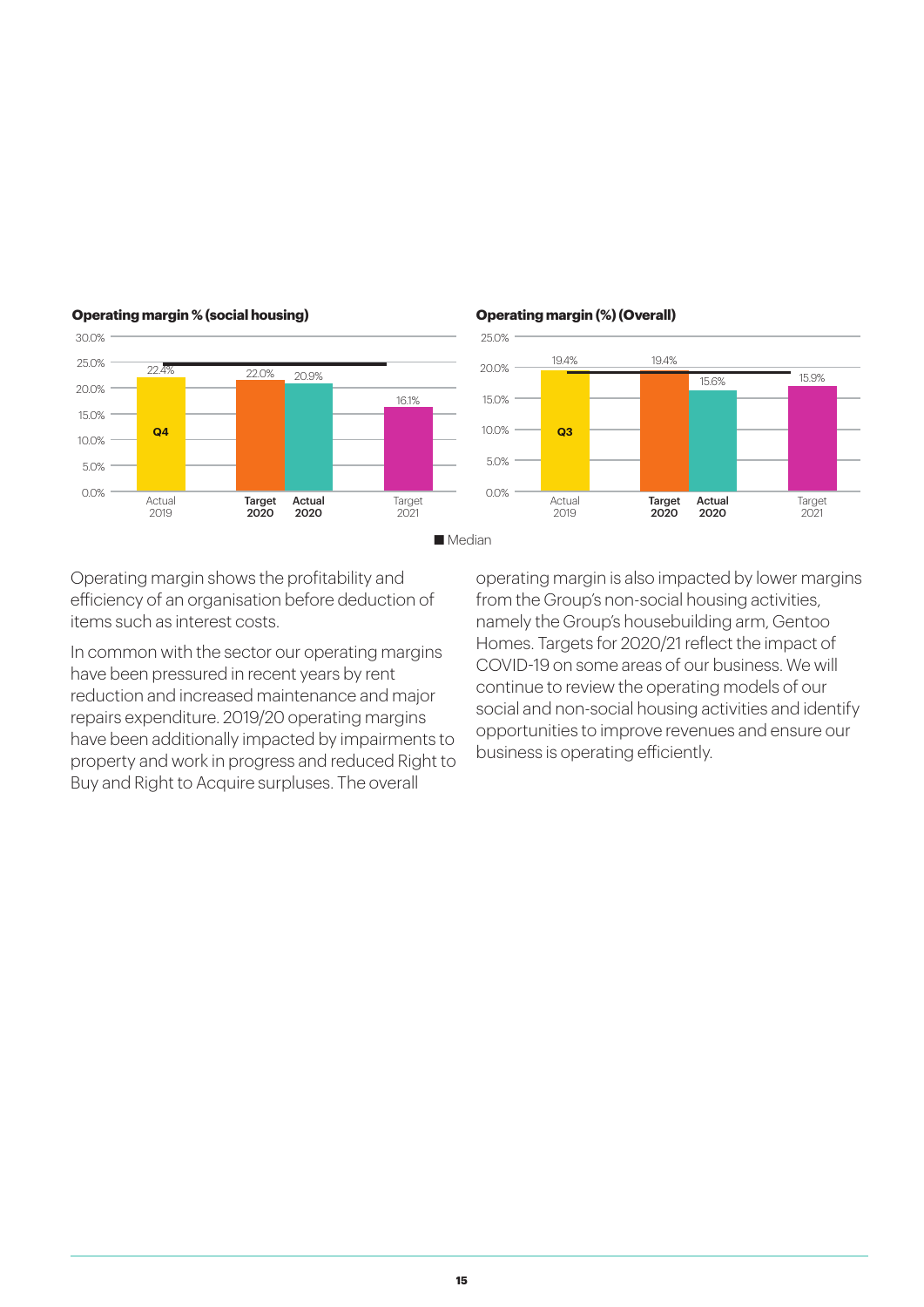

25.0%

**Operating margin (%) (Overall)**

#### **Operating margin % (social housing)**

30.0%

Operating margin shows the profitability and efficiency of an organisation before deduction of items such as interest costs.

In common with the sector our operating margins have been pressured in recent years by rent reduction and increased maintenance and major repairs expenditure. 2019/20 operating margins have been additionally impacted by impairments to property and work in progress and reduced Right to Buy and Right to Acquire surpluses. The overall

operating margin is also impacted by lower margins from the Group's non-social housing activities, namely the Group's housebuilding arm, Gentoo Homes. Targets for 2020/21 reflect the impact of COVID-19 on some areas of our business. We will continue to review the operating models of our social and non-social housing activities and identify opportunities to improve revenues and ensure our business is operating efficiently.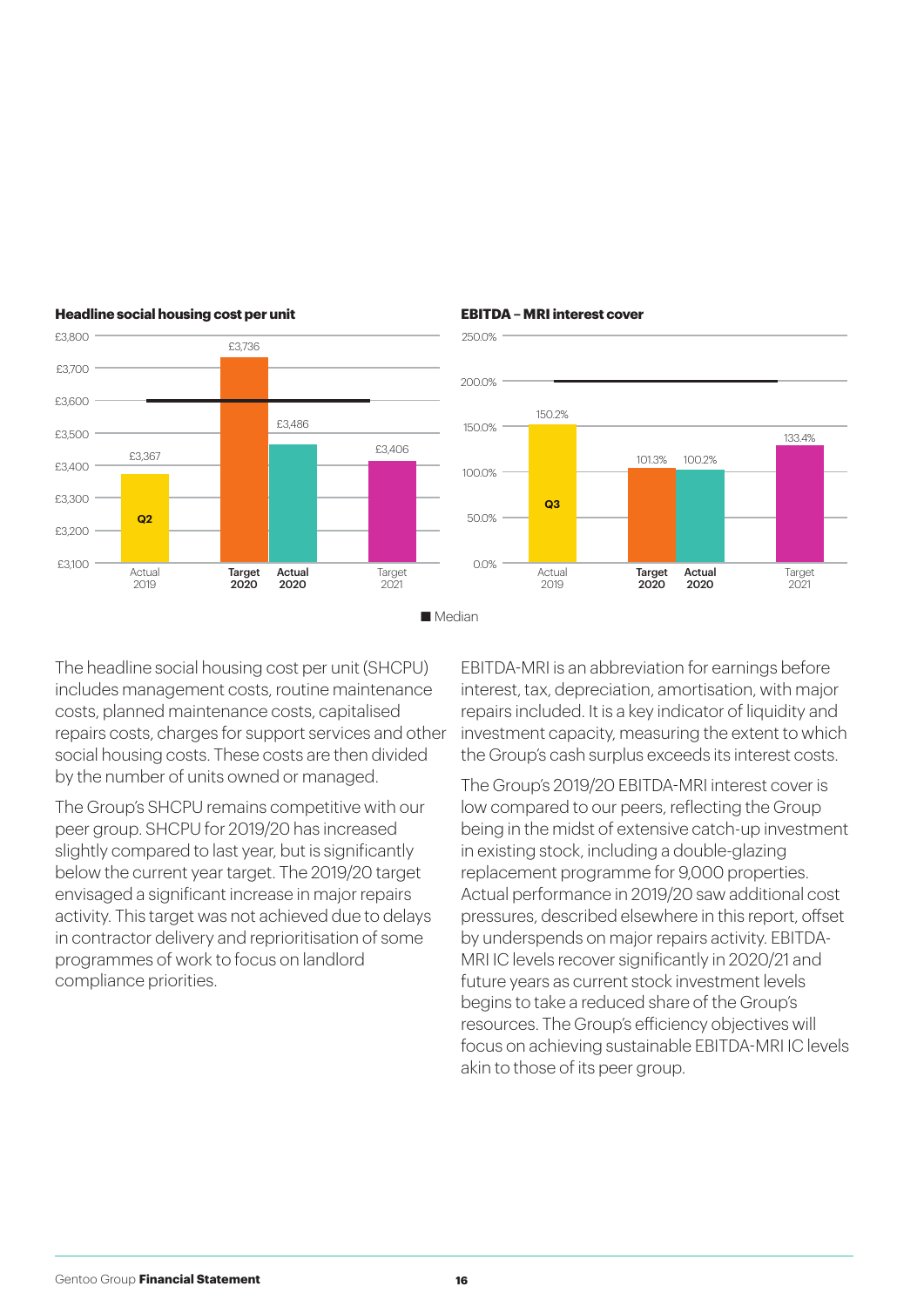

#### **Headline social housing cost per unit**



#### **EBITDA – MRI interest cover**

 $7019$ 

The headline social housing cost per unit (SHCPU) includes management costs, routine maintenance costs, planned maintenance costs, capitalised repairs costs, charges for support services and other social housing costs. These costs are then divided by the number of units owned or managed.

The Group's SHCPU remains competitive with our peer group. SHCPU for 2019/20 has increased slightly compared to last year, but is significantly below the current year target. The 2019/20 target envisaged a significant increase in major repairs activity. This target was not achieved due to delays in contractor delivery and reprioritisation of some programmes of work to focus on landlord compliance priorities.

EBITDA-MRI is an abbreviation for earnings before interest, tax, depreciation, amortisation, with major repairs included. It is a key indicator of liquidity and investment capacity, measuring the extent to which the Group's cash surplus exceeds its interest costs.

2020

2020

 $2021$ 

The Group's 2019/20 EBITDA-MRI interest cover is low compared to our peers, reflecting the Group being in the midst of extensive catch-up investment in existing stock, including a double-glazing replacement programme for 9,000 properties. Actual performance in 2019/20 saw additional cost pressures, described elsewhere in this report, offset by underspends on major repairs activity. EBITDA-MRI IC levels recover significantly in 2020/21 and future years as current stock investment levels begins to take a reduced share of the Group's resources. The Group's efficiency objectives will focus on achieving sustainable EBITDA-MRI IC levels akin to those of its peer group.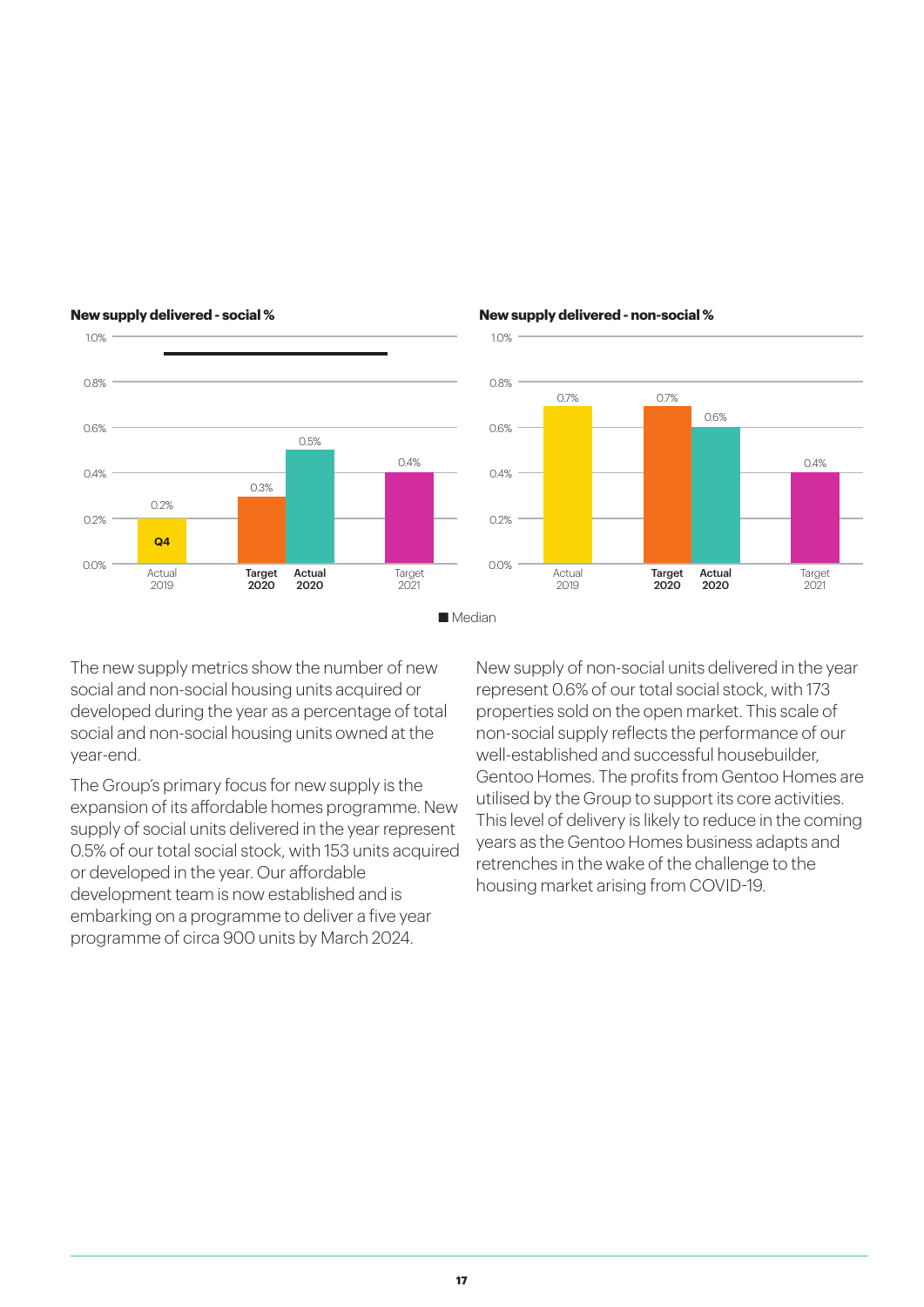

#### **New supply delivered - social %**

#### **New supply delivered - non-social %**



The new supply metrics show the number of new social and non-social housing units acquired or developed during the year as a percentage of total social and non-social housing units owned at the year-end.

The Group's primary focus for new supply is the expansion of its affordable homes programme. New supply of social units delivered in the year represent 0.5% of our total social stock, with 153 units acquired or developed in the year. Our affordable development team is now established and is embarking on a programme to deliver a five year programme of circa 900 units by March 2024.

New supply of non-social units delivered in the year represent 0.6% of our total social stock, with 173 properties sold on the open market. This scale of non-social supply reflects the performance of our well-established and successful housebuilder, Gentoo Homes. The profits from Gentoo Homes are utilised by the Group to support its core activities. This level of delivery is likely to reduce in the coming years as the Gentoo Homes business adapts and retrenches in the wake of the challenge to the housing market arising from COVID-19.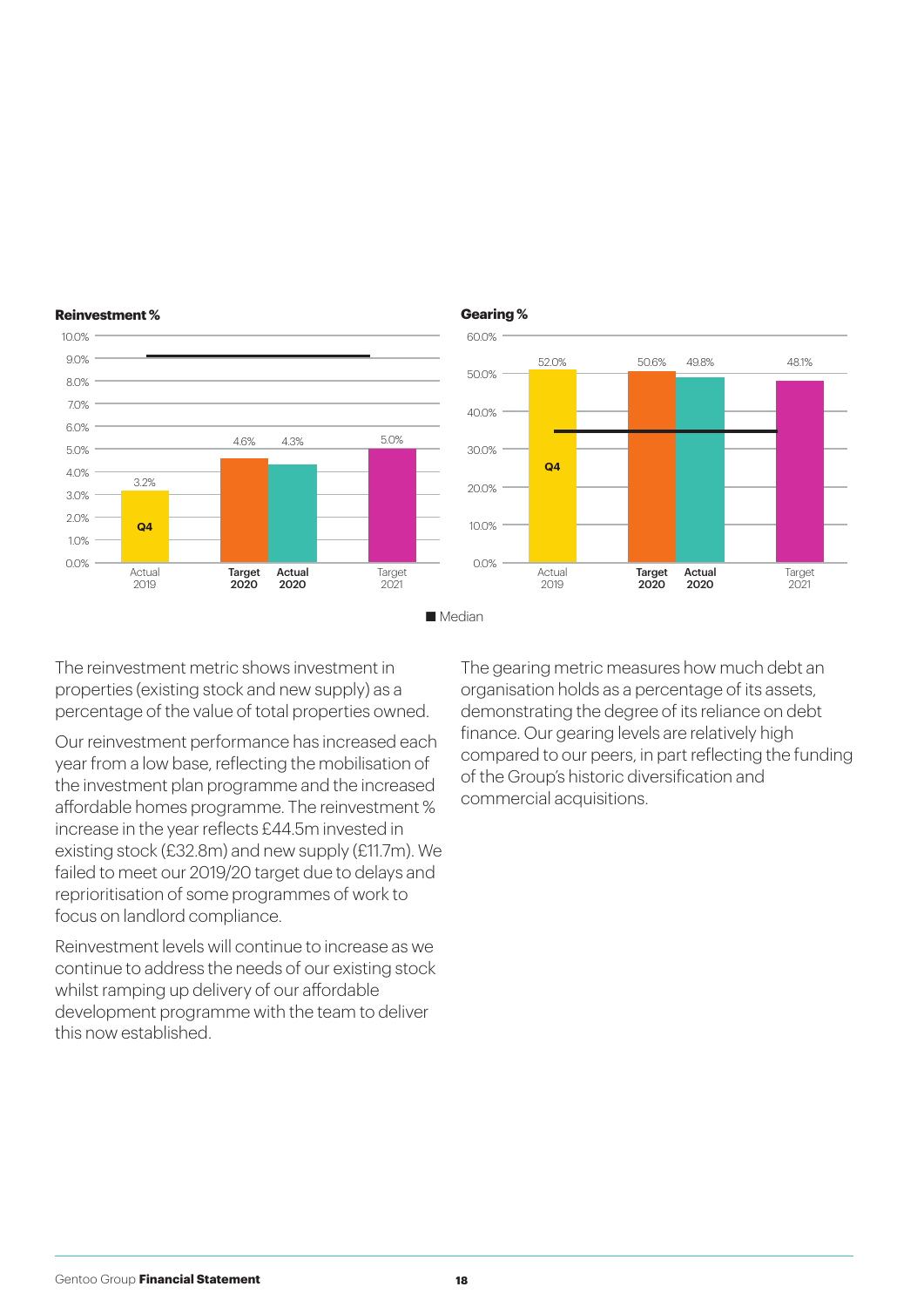

### **Reinvestment %**



The reinvestment metric shows investment in properties (existing stock and new supply) as a percentage of the value of total properties owned.

Our reinvestment performance has increased each year from a low base, reflecting the mobilisation of the investment plan programme and the increased affordable homes programme. The reinvestment % increase in the year reflects £44.5m invested in existing stock (£32.8m) and new supply (£11.7m). We failed to meet our 2019/20 target due to delays and reprioritisation of some programmes of work to focus on landlord compliance.

Reinvestment levels will continue to increase as we continue to address the needs of our existing stock whilst ramping up delivery of our affordable development programme with the team to deliver this now established.

The gearing metric measures how much debt an organisation holds as a percentage of its assets, demonstrating the degree of its reliance on debt finance. Our gearing levels are relatively high compared to our peers, in part reflecting the funding of the Group's historic diversification and commercial acquisitions.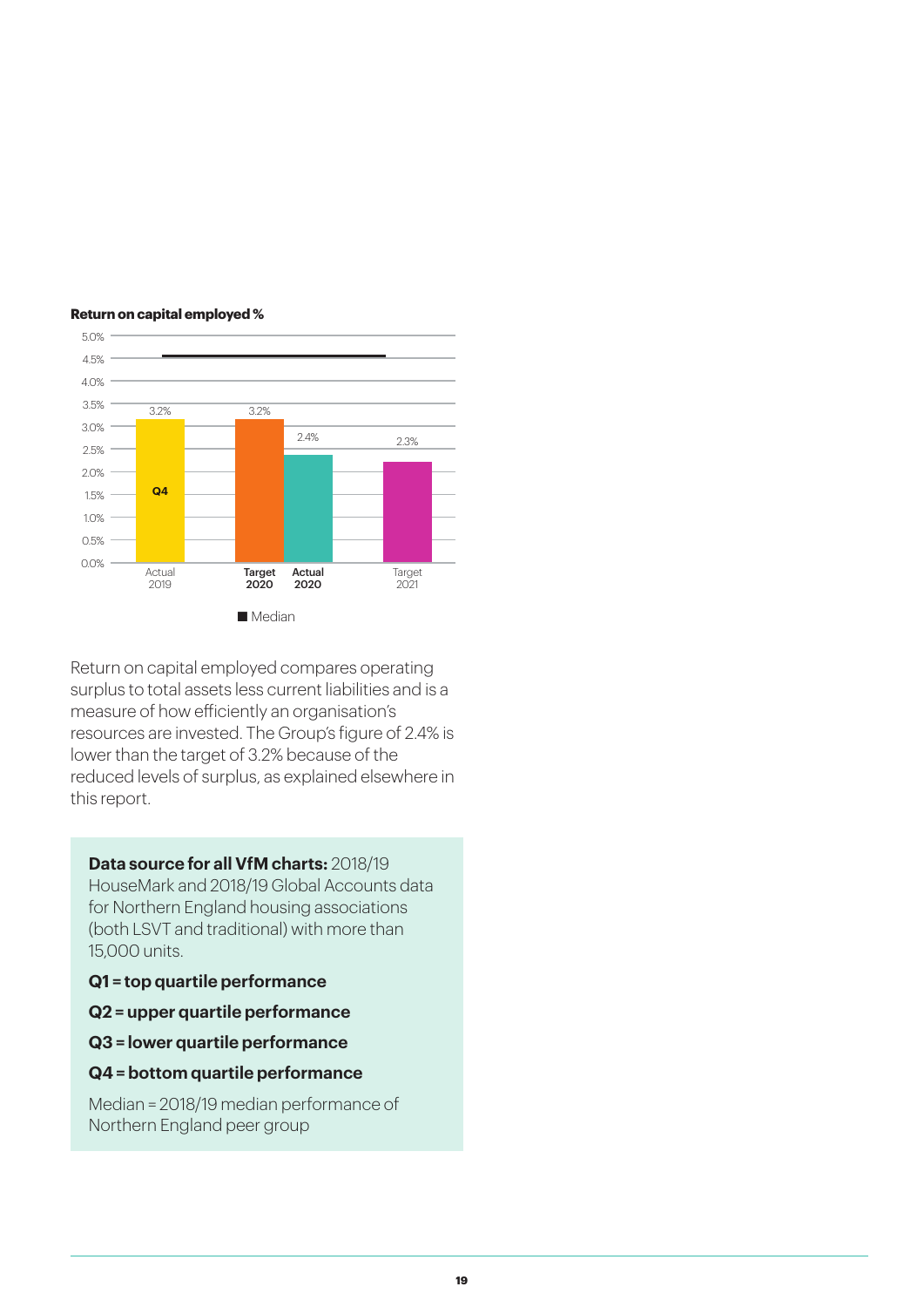

#### **Return on capital employed %**

Return on capital employed compares operating surplus to total assets less current liabilities and is a measure of how efficiently an organisation's resources are invested. The Group's figure of 2.4% is lower than the target of 3.2% because of the reduced levels of surplus, as explained elsewhere in this report.

#### **Data source for all VfM charts:** 2018/19

HouseMark and 2018/19 Global Accounts data for Northern England housing associations (both LSVT and traditional) with more than 15,000 units.

- **Q1 = top quartile performance**
- **Q2 = upper quartile performance**
- **Q3 = lower quartile performance**
- **Q4 = bottom quartile performance**

Median = 2018/19 median performance of Northern England peer group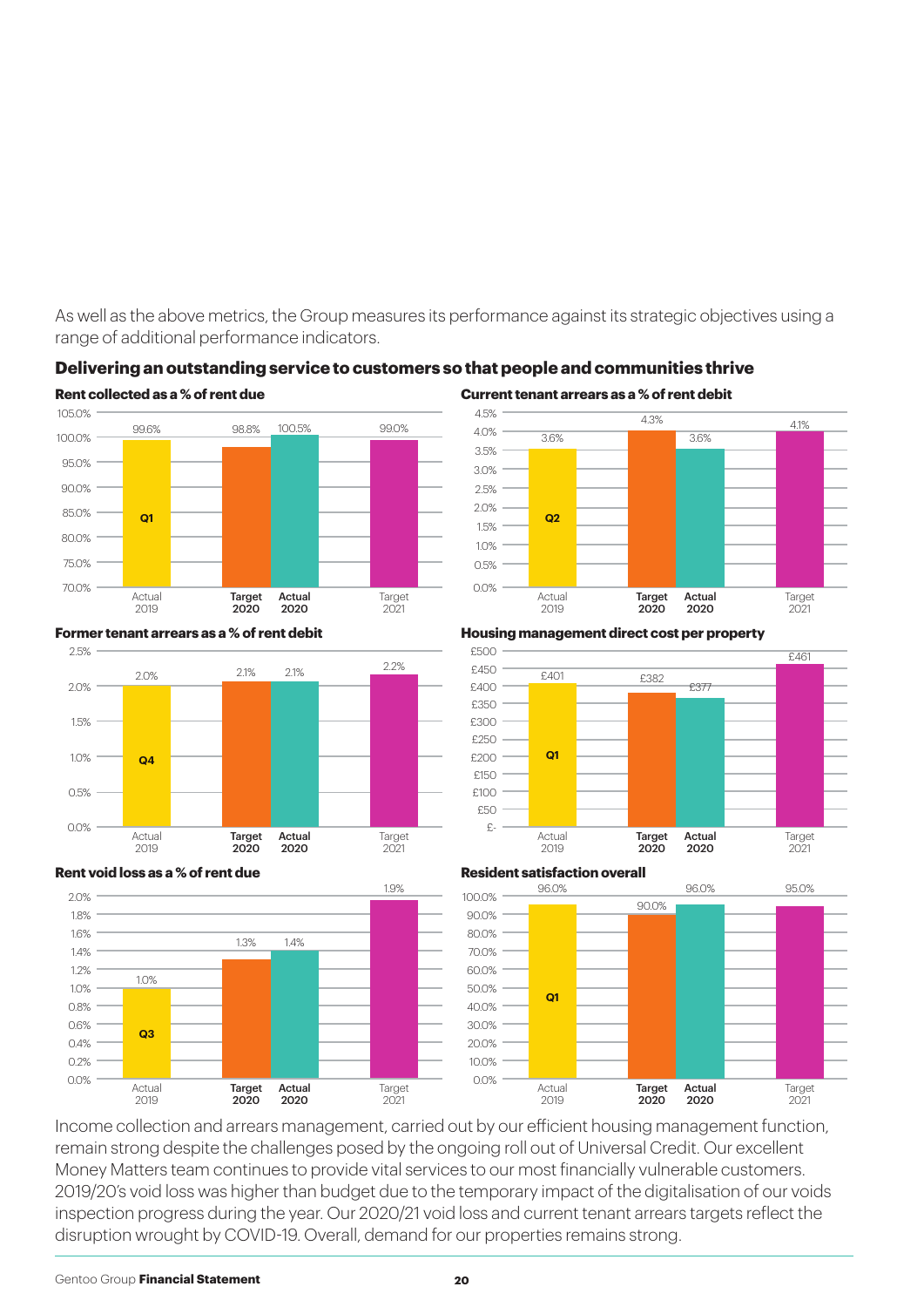As well as the above metrics, the Group measures its performance against its strategic objectives using a range of additional performance indicators.



#### **Delivering an outstanding service to customers so that people and communities thrive**



#### **Former tenant arrears as a % of rent debit**



**Housing management direct cost per property**





#### **Resident satisfaction overall**



Income collection and arrears management, carried out by our efficient housing management function, remain strong despite the challenges posed by the ongoing roll out of Universal Credit. Our excellent Money Matters team continues to provide vital services to our most financially vulnerable customers. 2019/20's void loss was higher than budget due to the temporary impact of the digitalisation of our voids inspection progress during the year. Our 2020/21 void loss and current tenant arrears targets reflect the disruption wrought by COVID-19. Overall, demand for our properties remains strong.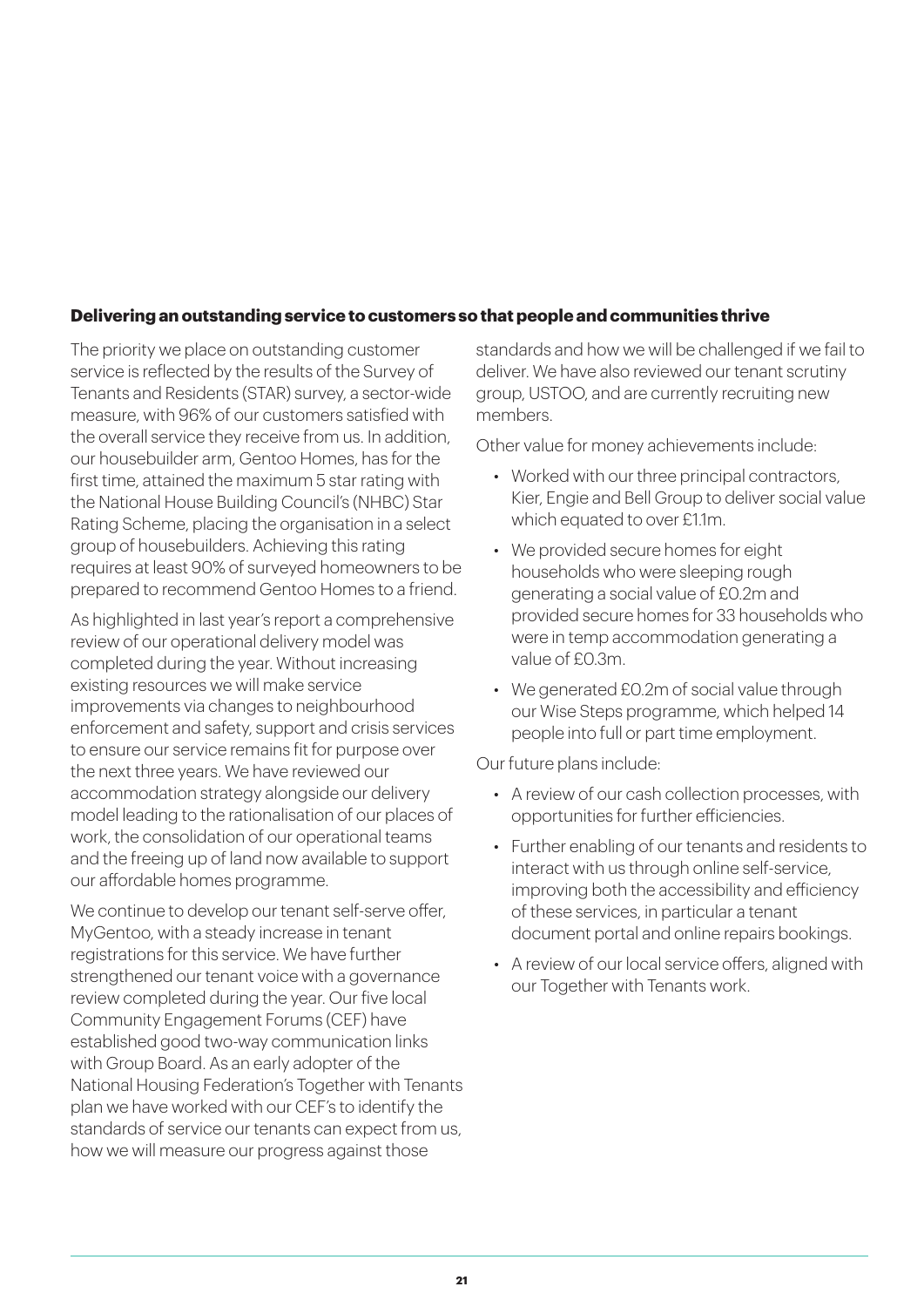#### **Delivering an outstanding service to customers so that people and communities thrive**

The priority we place on outstanding customer service is reflected by the results of the Survey of Tenants and Residents (STAR) survey, a sector-wide measure, with 96% of our customers satisfied with the overall service they receive from us. In addition, our housebuilder arm, Gentoo Homes, has for the first time, attained the maximum 5 star rating with the National House Building Council's (NHBC) Star Rating Scheme, placing the organisation in a select group of housebuilders. Achieving this rating requires at least 90% of surveyed homeowners to be prepared to recommend Gentoo Homes to a friend.

As highlighted in last year's report a comprehensive review of our operational delivery model was completed during the year. Without increasing existing resources we will make service improvements via changes to neighbourhood enforcement and safety, support and crisis services to ensure our service remains fit for purpose over the next three years. We have reviewed our accommodation strategy alongside our delivery model leading to the rationalisation of our places of work, the consolidation of our operational teams and the freeing up of land now available to support our affordable homes programme.

We continue to develop our tenant self-serve offer, MyGentoo, with a steady increase in tenant registrations for this service. We have further strengthened our tenant voice with a governance review completed during the year. Our five local Community Engagement Forums (CEF) have established good two-way communication links with Group Board. As an early adopter of the National Housing Federation's Together with Tenants plan we have worked with our CEF's to identify the standards of service our tenants can expect from us, how we will measure our progress against those

standards and how we will be challenged if we fail to deliver. We have also reviewed our tenant scrutiny group, USTOO, and are currently recruiting new members.

Other value for money achievements include:

- Worked with our three principal contractors, Kier, Engie and Bell Group to deliver social value which equated to over £1.1m.
- We provided secure homes for eight households who were sleeping rough generating a social value of £0.2m and provided secure homes for 33 households who were in temp accommodation generating a value of £0.3m.
- We generated £0.2m of social value through our Wise Steps programme, which helped 14 people into full or part time employment.

Our future plans include:

- A review of our cash collection processes, with opportunities for further efficiencies.
- Further enabling of our tenants and residents to interact with us through online self-service, improving both the accessibility and efficiency of these services, in particular a tenant document portal and online repairs bookings.
- A review of our local service offers, aligned with our Together with Tenants work.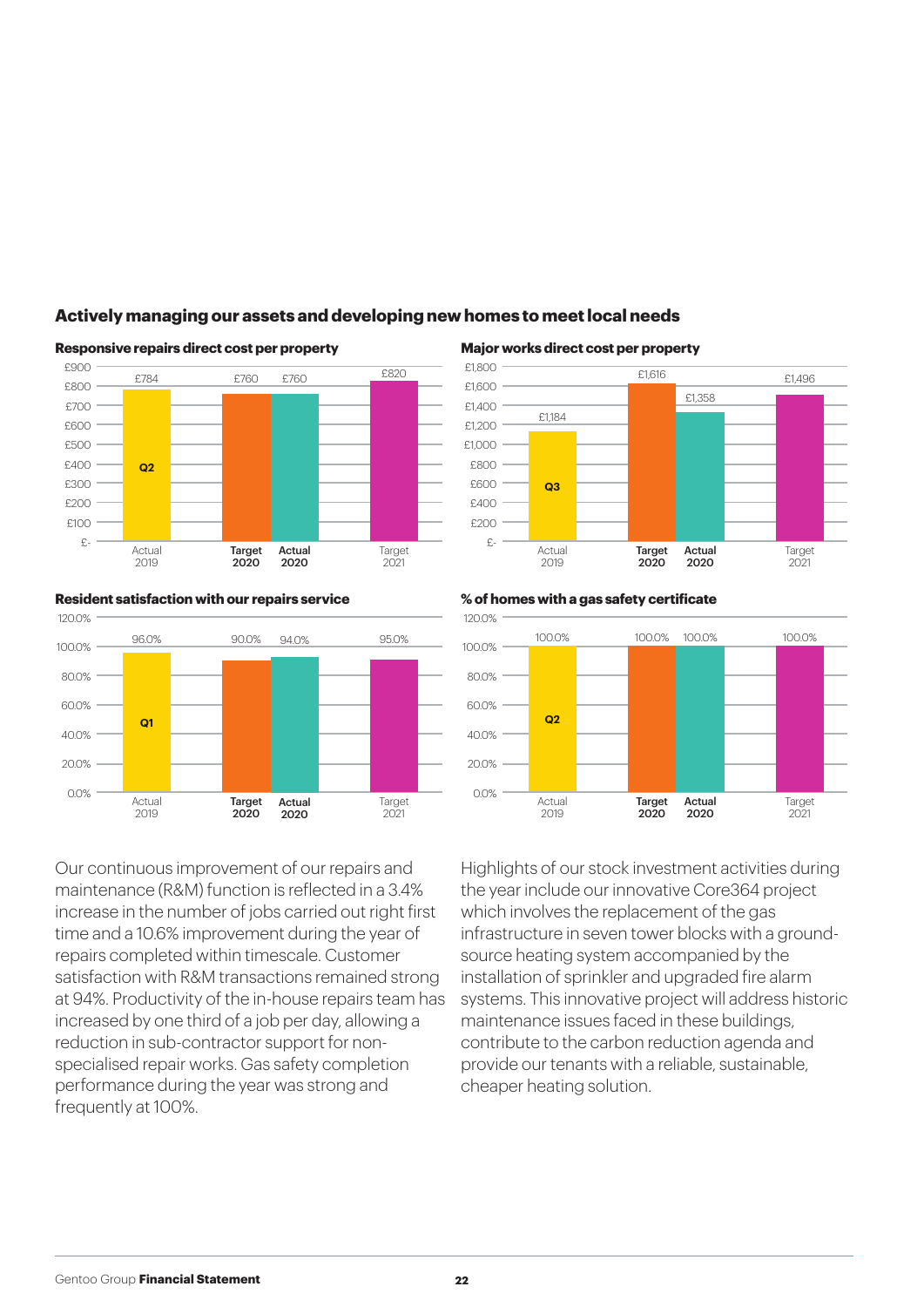

#### **Actively managing our assets and developing new homes to meet local needs**

Actual 2019 £1,184 **Q3** Target 2021 £820 £1,496 £1,616 Target 2020 £1,358 Actual 2020

#### **Resident satisfaction with our repairs service % of homes with a gas safety certificate**



Our continuous improvement of our repairs and maintenance (R&M) function is reflected in a 3.4% increase in the number of jobs carried out right first time and a 10.6% improvement during the year of repairs completed within timescale. Customer satisfaction with R&M transactions remained strong at 94%. Productivity of the in-house repairs team has increased by one third of a job per day, allowing a reduction in sub-contractor support for nonspecialised repair works. Gas safety completion performance during the year was strong and frequently at 100%.



Highlights of our stock investment activities during the year include our innovative Core364 project which involves the replacement of the gas infrastructure in seven tower blocks with a groundsource heating system accompanied by the installation of sprinkler and upgraded fire alarm systems. This innovative project will address historic maintenance issues faced in these buildings, contribute to the carbon reduction agenda and provide our tenants with a reliable, sustainable, cheaper heating solution.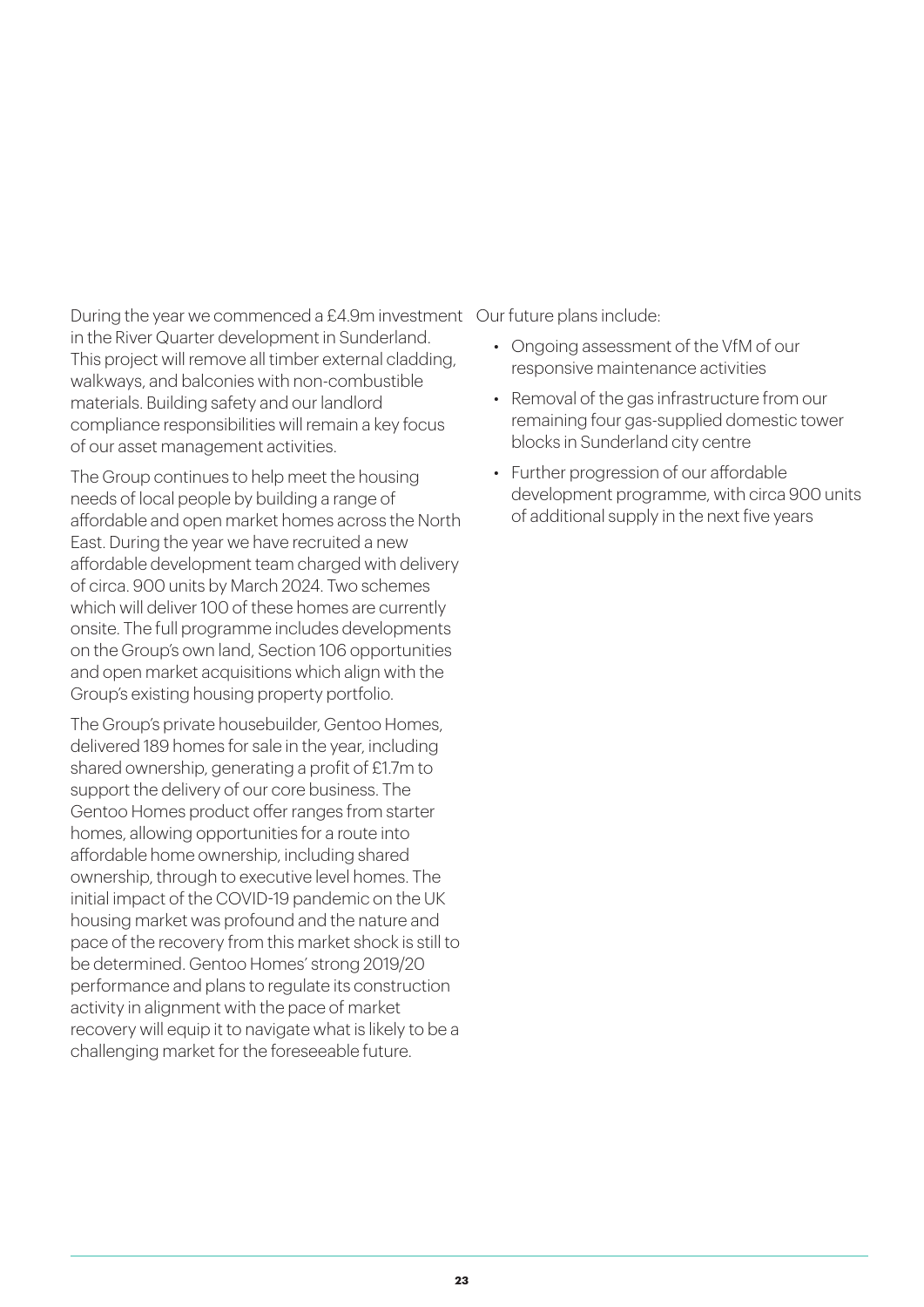During the year we commenced a £4.9m investment Our future plans include: in the River Quarter development in Sunderland. This project will remove all timber external cladding, walkways, and balconies with non-combustible materials. Building safety and our landlord compliance responsibilities will remain a key focus of our asset management activities.

The Group continues to help meet the housing needs of local people by building a range of affordable and open market homes across the North East. During the year we have recruited a new affordable development team charged with delivery of circa. 900 units by March 2024. Two schemes which will deliver 100 of these homes are currently onsite. The full programme includes developments on the Group's own land, Section 106 opportunities and open market acquisitions which align with the Group's existing housing property portfolio.

The Group's private housebuilder, Gentoo Homes, delivered 189 homes for sale in the year, including shared ownership, generating a profit of £1.7m to support the delivery of our core business. The Gentoo Homes product offer ranges from starter homes, allowing opportunities for a route into affordable home ownership, including shared ownership, through to executive level homes. The initial impact of the COVID-19 pandemic on the UK housing market was profound and the nature and pace of the recovery from this market shock is still to be determined. Gentoo Homes' strong 2019/20 performance and plans to regulate its construction activity in alignment with the pace of market recovery will equip it to navigate what is likely to be a challenging market for the foreseeable future.

- Ongoing assessment of the VfM of our responsive maintenance activities
- Removal of the gas infrastructure from our remaining four gas-supplied domestic tower blocks in Sunderland city centre
- Further progression of our affordable development programme, with circa 900 units of additional supply in the next five years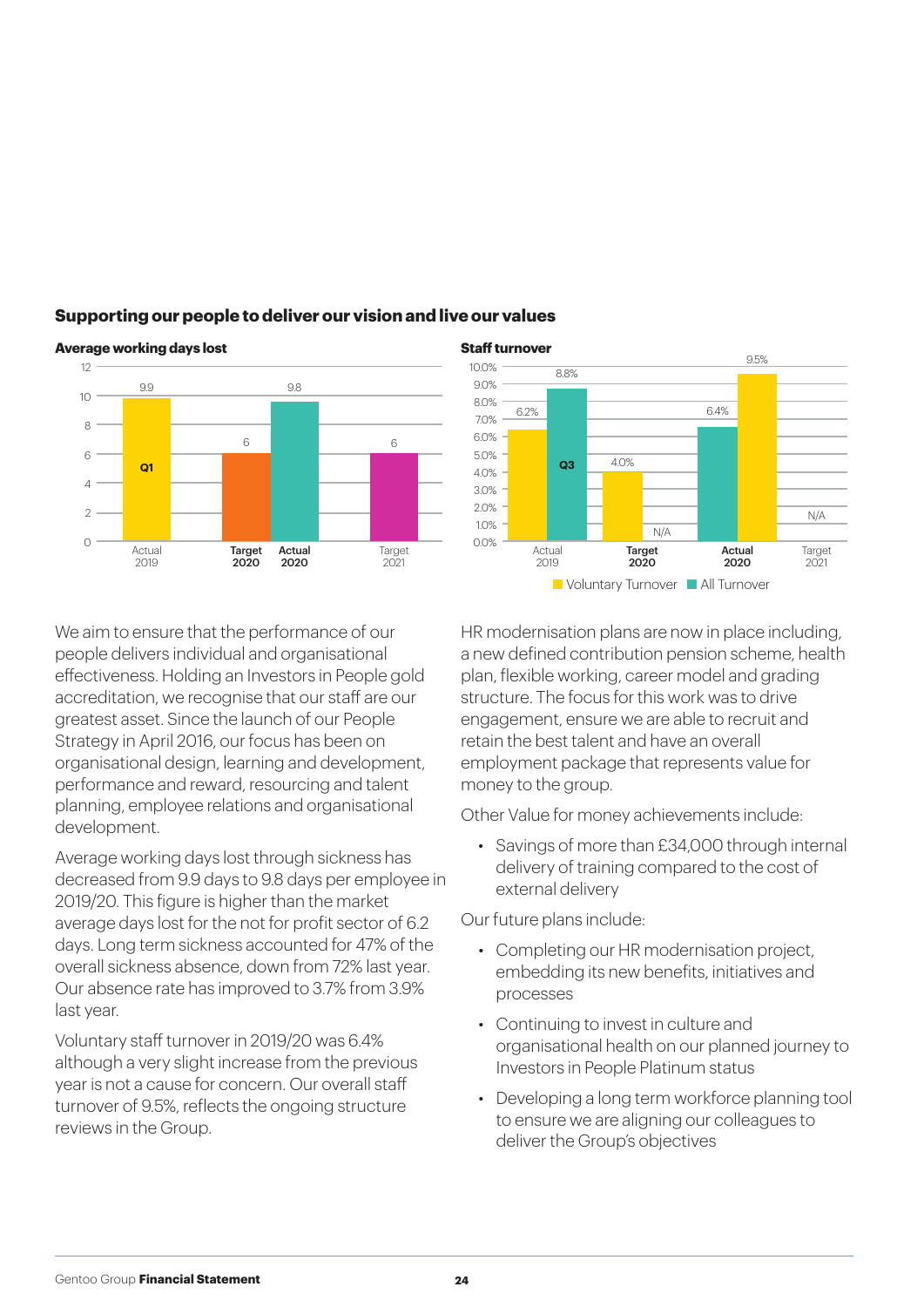

#### **Supporting our people to deliver our vision and live our values**



#### **Average working days lost Staff turnover**

We aim to ensure that the performance of our people delivers individual and organisational effectiveness. Holding an Investors in People gold accreditation, we recognise that our staff are our greatest asset. Since the launch of our People Strategy in April 2016, our focus has been on organisational design, learning and development, performance and reward, resourcing and talent planning, employee relations and organisational development.

Average working days lost through sickness has decreased from 9.9 days to 9.8 days per employee in 2019/20. This figure is higher than the market average days lost for the not for profit sector of 6.2 days. Long term sickness accounted for 47% of the overall sickness absence, down from 72% last year. Our absence rate has improved to 3.7% from 3.9% last year.

Voluntary staff turnover in 2019/20 was 6.4% although a very slight increase from the previous year is not a cause for concern. Our overall staff turnover of 9.5%, reflects the ongoing structure reviews in the Group.

HR modernisation plans are now in place including, a new defined contribution pension scheme, health plan, flexible working, career model and grading structure. The focus for this work was to drive engagement, ensure we are able to recruit and retain the best talent and have an overall employment package that represents value for money to the group.

Other Value for money achievements include:

• Savings of more than £34,000 through internal delivery of training compared to the cost of external delivery

Our future plans include:

- Completing our HR modernisation project, embedding its new benefits, initiatives and processes
- Continuing to invest in culture and organisational health on our planned journey to Investors in People Platinum status
- Developing a long term workforce planning tool to ensure we are aligning our colleagues to deliver the Group's objectives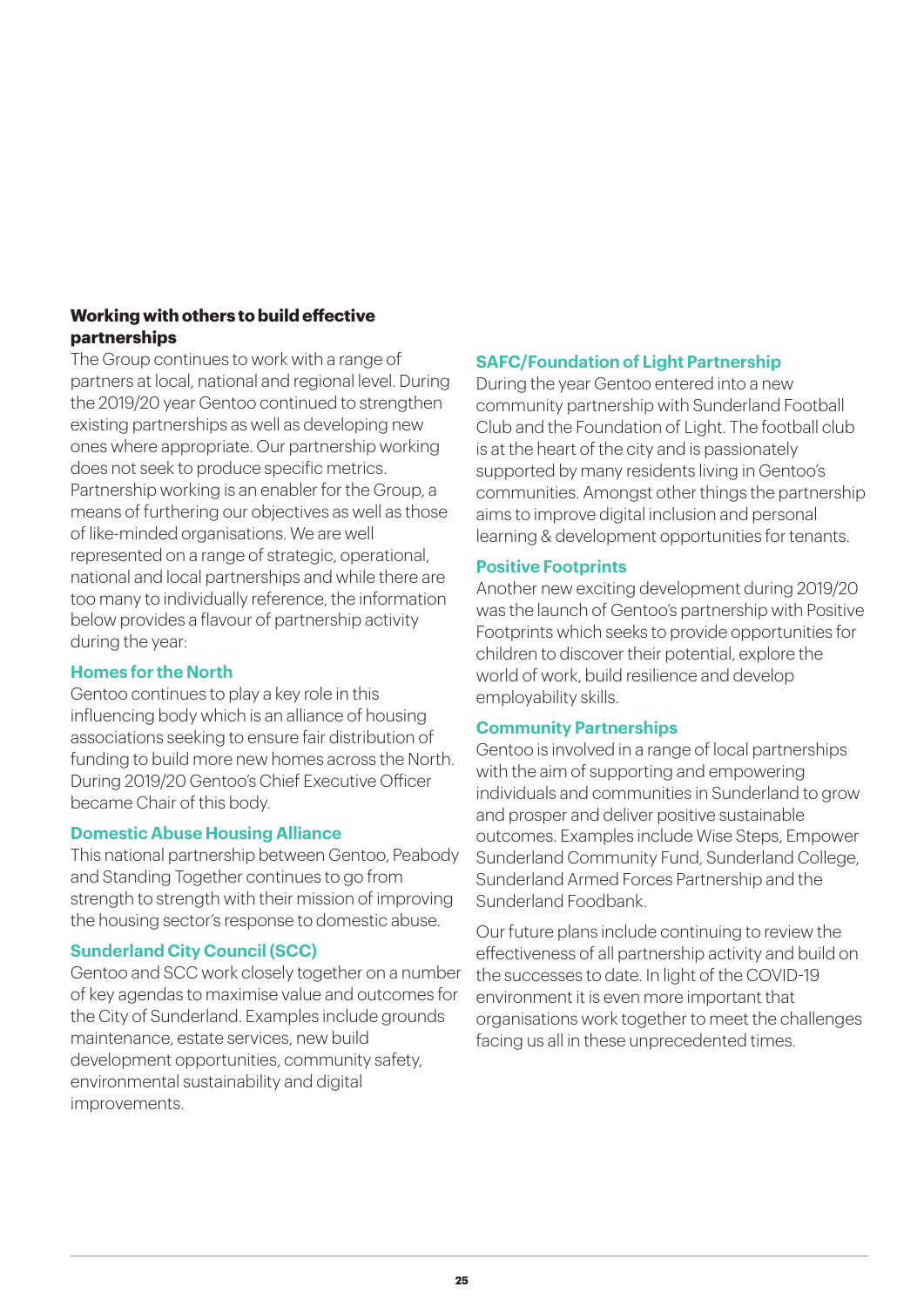#### **Working with others to build effective partnerships**

The Group continues to work with a range of partners at local, national and regional level. During the 2019/20 year Gentoo continued to strengthen existing partnerships as well as developing new ones where appropriate. Our partnership working does not seek to produce specific metrics. Partnership working is an enabler for the Group, a means of furthering our objectives as well as those of like-minded organisations. We are well represented on a range of strategic, operational, national and local partnerships and while there are too many to individually reference, the information below provides a flavour of partnership activity during the year:

#### **Homes for the North**

Gentoo continues to play a key role in this influencing body which is an alliance of housing associations seeking to ensure fair distribution of funding to build more new homes across the North. During 2019/20 Gentoo's Chief Executive Officer became Chair of this body.

#### **Domestic Abuse Housing Alliance**

This national partnership between Gentoo, Peabody and Standing Together continues to go from strength to strength with their mission of improving the housing sector's response to domestic abuse.

#### **Sunderland City Council (SCC)**

Gentoo and SCC work closely together on a number of key agendas to maximise value and outcomes for the City of Sunderland. Examples include grounds maintenance, estate services, new build development opportunities, community safety, environmental sustainability and digital improvements.

#### **SAFC/Foundation of Light Partnership**

During the year Gentoo entered into a new community partnership with Sunderland Football Club and the Foundation of Light. The football club is at the heart of the city and is passionately supported by many residents living in Gentoo's communities. Amongst other things the partnership aims to improve digital inclusion and personal learning & development opportunities for tenants.

#### **Positive Footprints**

Another new exciting development during 2019/20 was the launch of Gentoo's partnership with Positive Footprints which seeks to provide opportunities for children to discover their potential, explore the world of work, build resilience and develop employability skills.

#### **Community Partnerships**

Gentoo is involved in a range of local partnerships with the aim of supporting and empowering individuals and communities in Sunderland to grow and prosper and deliver positive sustainable outcomes. Examples include Wise Steps, Empower Sunderland Community Fund, Sunderland College, Sunderland Armed Forces Partnership and the Sunderland Foodbank.

Our future plans include continuing to review the effectiveness of all partnership activity and build on the successes to date. In light of the COVID-19 environment it is even more important that organisations work together to meet the challenges facing us all in these unprecedented times.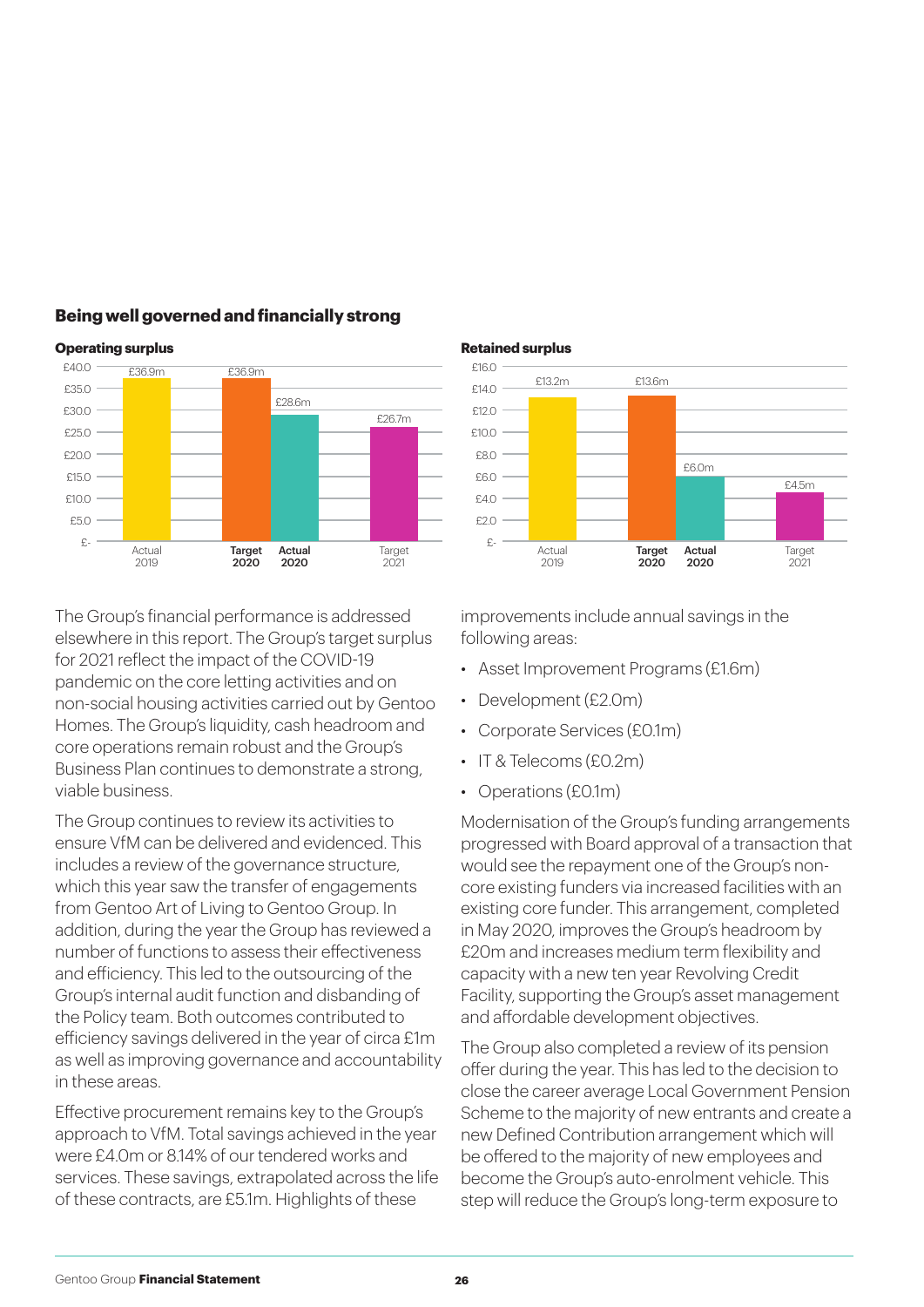

#### **Being well governed and financially strong**

The Group's financial performance is addressed elsewhere in this report. The Group's target surplus for 2021 reflect the impact of the COVID-19 pandemic on the core letting activities and on non-social housing activities carried out by Gentoo Homes. The Group's liquidity, cash headroom and core operations remain robust and the Group's Business Plan continues to demonstrate a strong, viable business.

The Group continues to review its activities to ensure VfM can be delivered and evidenced. This includes a review of the governance structure, which this year saw the transfer of engagements from Gentoo Art of Living to Gentoo Group. In addition, during the year the Group has reviewed a number of functions to assess their effectiveness and efficiency. This led to the outsourcing of the Group's internal audit function and disbanding of the Policy team. Both outcomes contributed to efficiency savings delivered in the year of circa £1m as well as improving governance and accountability in these areas.

Effective procurement remains key to the Group's approach to VfM. Total savings achieved in the year were £4.0m or 8.14% of our tendered works and services. These savings, extrapolated across the life of these contracts, are £5.1m. Highlights of these



improvements include annual savings in the following areas:

- Asset Improvement Programs (£1.6m)
- Development (£2.0m)
- Corporate Services (£0.1m)
- IT & Telecoms (£0.2m)
- Operations (£0.1m)

Modernisation of the Group's funding arrangements progressed with Board approval of a transaction that would see the repayment one of the Group's noncore existing funders via increased facilities with an existing core funder. This arrangement, completed in May 2020, improves the Group's headroom by £20m and increases medium term flexibility and capacity with a new ten year Revolving Credit Facility, supporting the Group's asset management and affordable development objectives.

The Group also completed a review of its pension offer during the year. This has led to the decision to close the career average Local Government Pension Scheme to the majority of new entrants and create a new Defined Contribution arrangement which will be offered to the majority of new employees and become the Group's auto-enrolment vehicle. This step will reduce the Group's long-term exposure to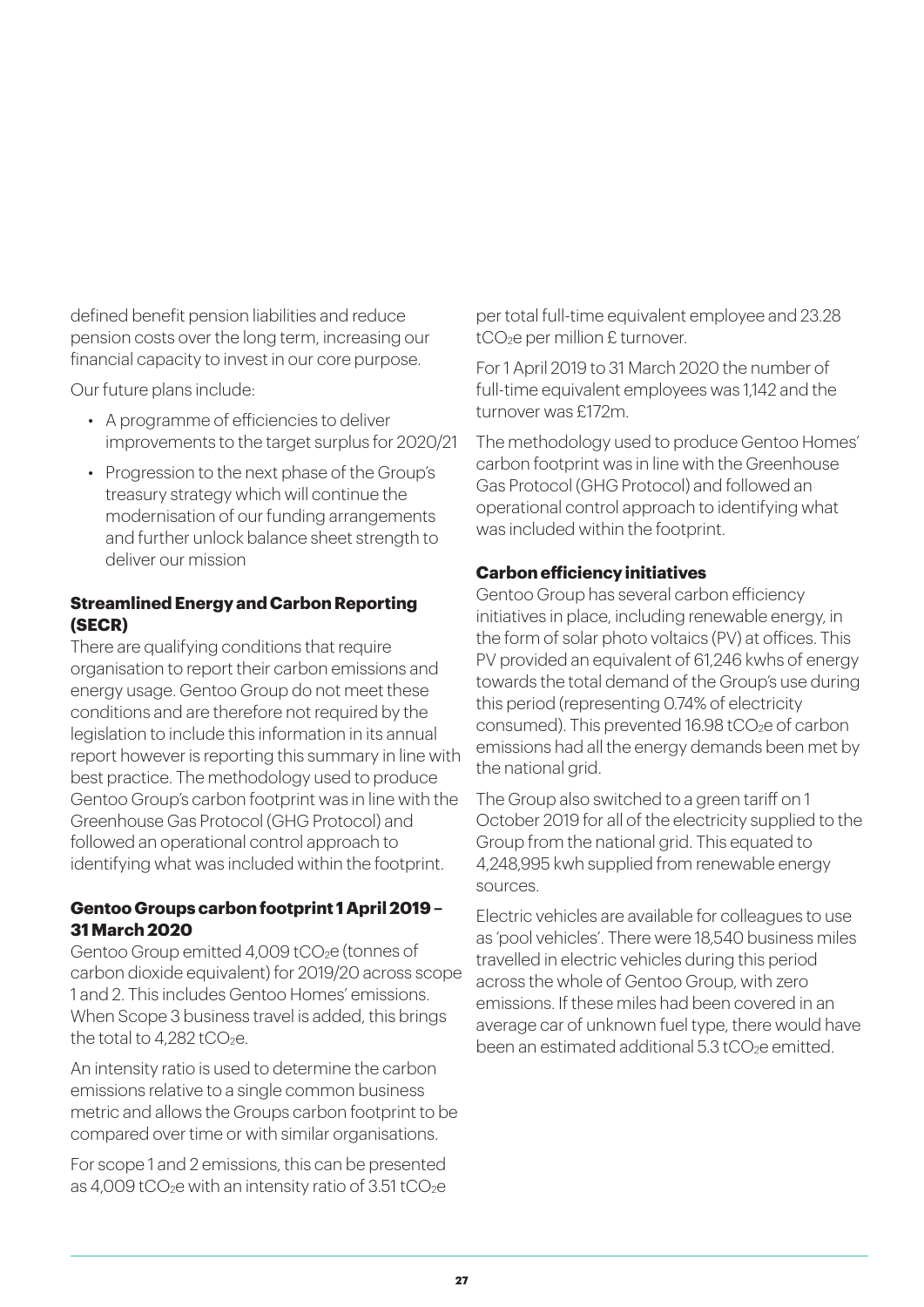defined benefit pension liabilities and reduce pension costs over the long term, increasing our financial capacity to invest in our core purpose.

Our future plans include:

- A programme of efficiencies to deliver improvements to the target surplus for 2020/21
- Progression to the next phase of the Group's treasury strategy which will continue the modernisation of our funding arrangements and further unlock balance sheet strength to deliver our mission

#### **Streamlined Energy and Carbon Reporting (SECR)**

There are qualifying conditions that require organisation to report their carbon emissions and energy usage. Gentoo Group do not meet these conditions and are therefore not required by the legislation to include this information in its annual report however is reporting this summary in line with best practice. The methodology used to produce Gentoo Group's carbon footprint was in line with the Greenhouse Gas Protocol (GHG Protocol) and followed an operational control approach to identifying what was included within the footprint.

#### **Gentoo Groups carbon footprint 1 April 2019 – 31 March 2020**

Gentoo Group emitted 4,009 tCO<sub>2</sub>e (tonnes of carbon dioxide equivalent) for 2019/20 across scope 1 and 2. This includes Gentoo Homes' emissions. When Scope 3 business travel is added, this brings the total to  $4.282$  tCO<sub>2</sub>e.

An intensity ratio is used to determine the carbon emissions relative to a single common business metric and allows the Groups carbon footprint to be compared over time or with similar organisations.

For scope 1 and 2 emissions, this can be presented as 4,009 tCO<sub>2</sub>e with an intensity ratio of  $3.51$  tCO<sub>2</sub>e

per total full-time equivalent employee and 23.28 tCO<sub>2</sub>e per million £ turnover.

For 1 April 2019 to 31 March 2020 the number of full-time equivalent employees was 1,142 and the turnover was £172m.

The methodology used to produce Gentoo Homes' carbon footprint was in line with the Greenhouse Gas Protocol (GHG Protocol) and followed an operational control approach to identifying what was included within the footprint.

#### **Carbon efficiency initiatives**

Gentoo Group has several carbon efficiency initiatives in place, including renewable energy, in the form of solar photo voltaics (PV) at offices. This PV provided an equivalent of 61,246 kwhs of energy towards the total demand of the Group's use during this period (representing 0.74% of electricity consumed). This prevented  $16.98$  tCO<sub>2</sub>e of carbon emissions had all the energy demands been met by the national grid.

The Group also switched to a green tariff on 1 October 2019 for all of the electricity supplied to the Group from the national grid. This equated to 4,248,995 kwh supplied from renewable energy sources.

Electric vehicles are available for colleagues to use as 'pool vehicles'. There were 18,540 business miles travelled in electric vehicles during this period across the whole of Gentoo Group, with zero emissions. If these miles had been covered in an average car of unknown fuel type, there would have been an estimated additional 5.3 tCO<sub>2</sub>e emitted.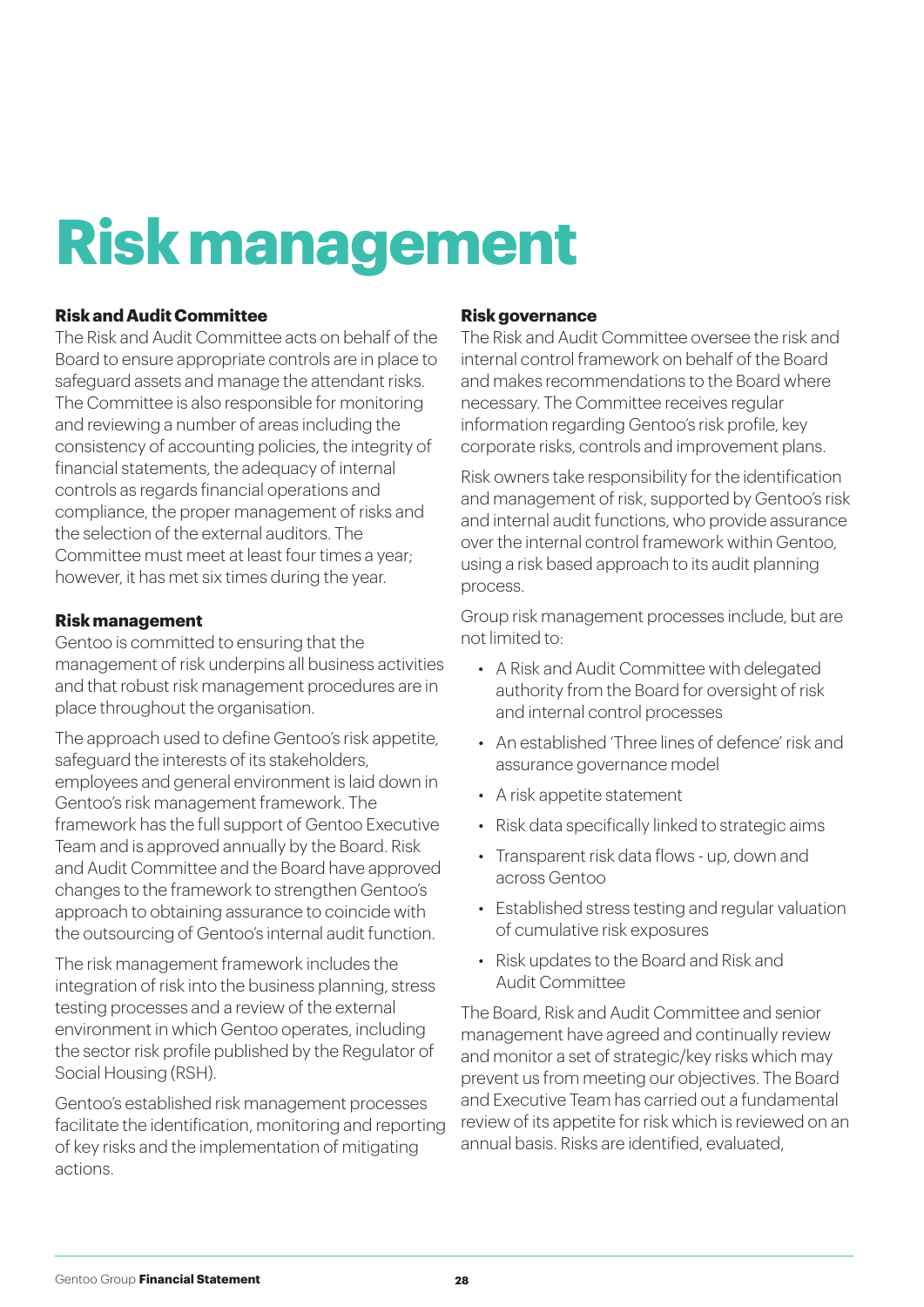### **Risk management**

#### **Risk and Audit Committee**

The Risk and Audit Committee acts on behalf of the Board to ensure appropriate controls are in place to safeguard assets and manage the attendant risks. The Committee is also responsible for monitoring and reviewing a number of areas including the consistency of accounting policies, the integrity of financial statements, the adequacy of internal controls as regards financial operations and compliance, the proper management of risks and the selection of the external auditors. The Committee must meet at least four times a year; however, it has met six times during the year.

#### **Risk management**

Gentoo is committed to ensuring that the management of risk underpins all business activities and that robust risk management procedures are in place throughout the organisation.

The approach used to define Gentoo's risk appetite, safeguard the interests of its stakeholders, employees and general environment is laid down in Gentoo's risk management framework. The framework has the full support of Gentoo Executive Team and is approved annually by the Board. Risk and Audit Committee and the Board have approved changes to the framework to strengthen Gentoo's approach to obtaining assurance to coincide with the outsourcing of Gentoo's internal audit function.

The risk management framework includes the integration of risk into the business planning, stress testing processes and a review of the external environment in which Gentoo operates, including the sector risk profile published by the Regulator of Social Housing (RSH).

Gentoo's established risk management processes facilitate the identification, monitoring and reporting of key risks and the implementation of mitigating actions.

#### **Risk governance**

The Risk and Audit Committee oversee the risk and internal control framework on behalf of the Board and makes recommendations to the Board where necessary. The Committee receives regular information regarding Gentoo's risk profile, key corporate risks, controls and improvement plans.

Risk owners take responsibility for the identification and management of risk, supported by Gentoo's risk and internal audit functions, who provide assurance over the internal control framework within Gentoo, using a risk based approach to its audit planning process.

Group risk management processes include, but are not limited to:

- A Risk and Audit Committee with delegated authority from the Board for oversight of risk and internal control processes
- An established 'Three lines of defence' risk and assurance governance model
- A risk appetite statement
- Risk data specifically linked to strategic aims
- Transparent risk data flows up, down and across Gentoo
- Established stress testing and regular valuation of cumulative risk exposures
- Risk updates to the Board and Risk and Audit Committee

The Board, Risk and Audit Committee and senior management have agreed and continually review and monitor a set of strategic/key risks which may prevent us from meeting our objectives. The Board and Executive Team has carried out a fundamental review of its appetite for risk which is reviewed on an annual basis. Risks are identified, evaluated,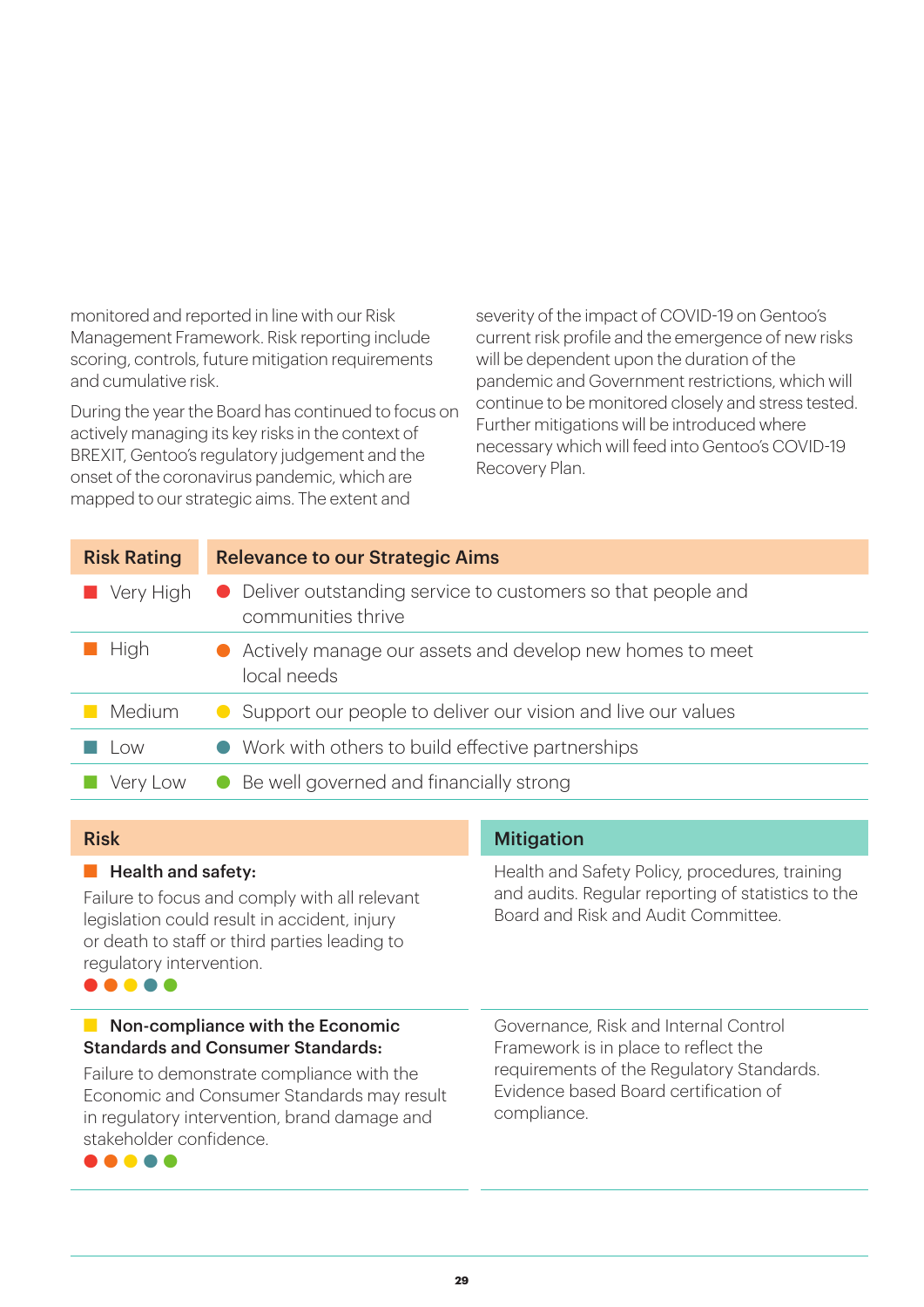monitored and reported in line with our Risk Management Framework. Risk reporting include scoring, controls, future mitigation requirements and cumulative risk.

During the year the Board has continued to focus on actively managing its key risks in the context of BREXIT, Gentoo's regulatory judgement and the onset of the coronavirus pandemic, which are mapped to our strategic aims. The extent and

severity of the impact of COVID-19 on Gentoo's current risk profile and the emergence of new risks will be dependent upon the duration of the pandemic and Government restrictions, which will continue to be monitored closely and stress tested. Further mitigations will be introduced where necessary which will feed into Gentoo's COVID-19 Recovery Plan.

| <b>Risk Rating</b> | <b>Relevance to our Strategic Aims</b>                                              |
|--------------------|-------------------------------------------------------------------------------------|
| Very High          | • Deliver outstanding service to customers so that people and<br>communities thrive |
| High               | Actively manage our assets and develop new homes to meet<br>local needs             |
| Medium             | Support our people to deliver our vision and live our values                        |
| l ow               | • Work with others to build effective partnerships                                  |
| Very Low           | Be well governed and financially strong<br>$\bullet$                                |

| <b>Risk</b>                                                                                                                                                                                                  | <b>Mitigation</b>                                                                                                                           |  |  |
|--------------------------------------------------------------------------------------------------------------------------------------------------------------------------------------------------------------|---------------------------------------------------------------------------------------------------------------------------------------------|--|--|
| <b>Health and safety:</b><br>Failure to focus and comply with all relevant<br>legislation could result in accident, injury<br>or death to staff or third parties leading to<br>regulatory intervention.<br>. | Health and Safety Policy, procedures, training<br>and audits. Regular reporting of statistics to the<br>Board and Risk and Audit Committee. |  |  |
| $\blacksquare$ Non-compliance with the Economic<br><b>Standards and Consumer Standards:</b>                                                                                                                  | Governance, Risk and Internal Control<br>Framework is in place to reflect the                                                               |  |  |
| Failure to demonstrate compliance with the<br>Economic and Consumer Standards may result<br>in regulatory intervention, brand damage and<br>stakeholder confidence.                                          | requirements of the Regulatory Standards.<br>Evidence based Board certification of<br>compliance.                                           |  |  |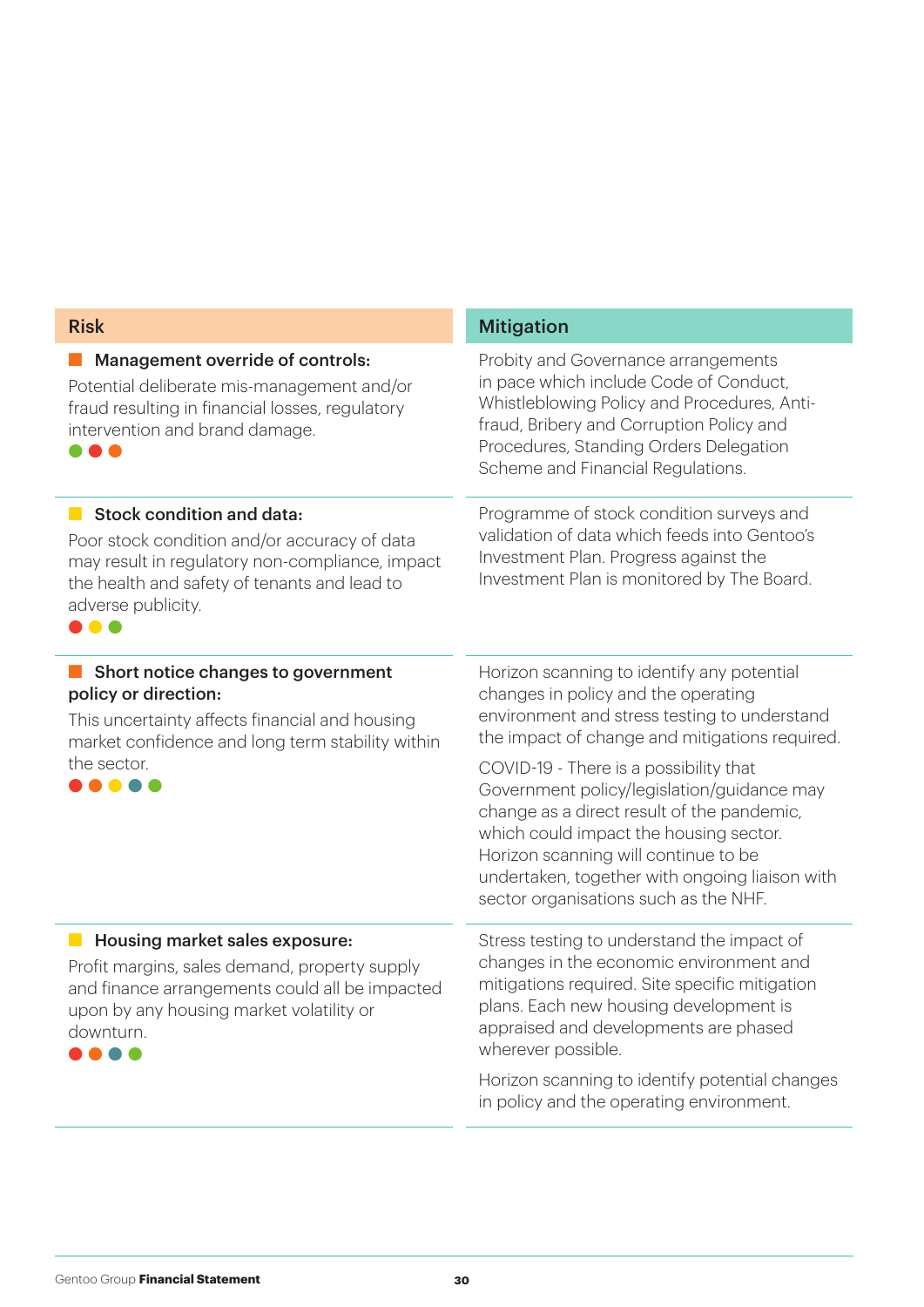| <b>Risk</b>                                                                                                                                                                                                    | <b>Mitigation</b>                                                                                                                                                                                                                                                                                                                                                                                                                                                                                      |  |  |
|----------------------------------------------------------------------------------------------------------------------------------------------------------------------------------------------------------------|--------------------------------------------------------------------------------------------------------------------------------------------------------------------------------------------------------------------------------------------------------------------------------------------------------------------------------------------------------------------------------------------------------------------------------------------------------------------------------------------------------|--|--|
| Management override of controls:<br>Potential deliberate mis-management and/or<br>fraud resulting in financial losses, regulatory<br>intervention and brand damage.                                            | Probity and Governance arrangements<br>in pace which include Code of Conduct,<br>Whistleblowing Policy and Procedures, Anti-<br>fraud, Bribery and Corruption Policy and<br>Procedures, Standing Orders Delegation<br>Scheme and Financial Regulations.                                                                                                                                                                                                                                                |  |  |
| Stock condition and data:<br>Poor stock condition and/or accuracy of data<br>may result in regulatory non-compliance, impact<br>the health and safety of tenants and lead to<br>adverse publicity.<br><b>.</b> | Programme of stock condition surveys and<br>validation of data which feeds into Gentoo's<br>Investment Plan. Progress against the<br>Investment Plan is monitored by The Board.                                                                                                                                                                                                                                                                                                                        |  |  |
| Short notice changes to government<br>policy or direction:<br>This uncertainty affects financial and housing<br>market confidence and long term stability within<br>the sector.                                | Horizon scanning to identify any potential<br>changes in policy and the operating<br>environment and stress testing to understand<br>the impact of change and mitigations required.<br>COVID-19 - There is a possibility that<br>Government policy/legislation/guidance may<br>change as a direct result of the pandemic,<br>which could impact the housing sector.<br>Horizon scanning will continue to be<br>undertaken, together with ongoing liaison with<br>sector organisations such as the NHF. |  |  |
| Housing market sales exposure:<br>Profit margins, sales demand, property supply<br>and finance arrangements could all be impacted<br>upon by any housing market volatility or<br>downturn.                     | Stress testing to understand the impact of<br>changes in the economic environment and<br>mitigations required. Site specific mitigation<br>plans. Each new housing development is<br>appraised and developments are phased<br>wherever possible.<br>Horizon scanning to identify potential changes<br>in policy and the operating environment.                                                                                                                                                         |  |  |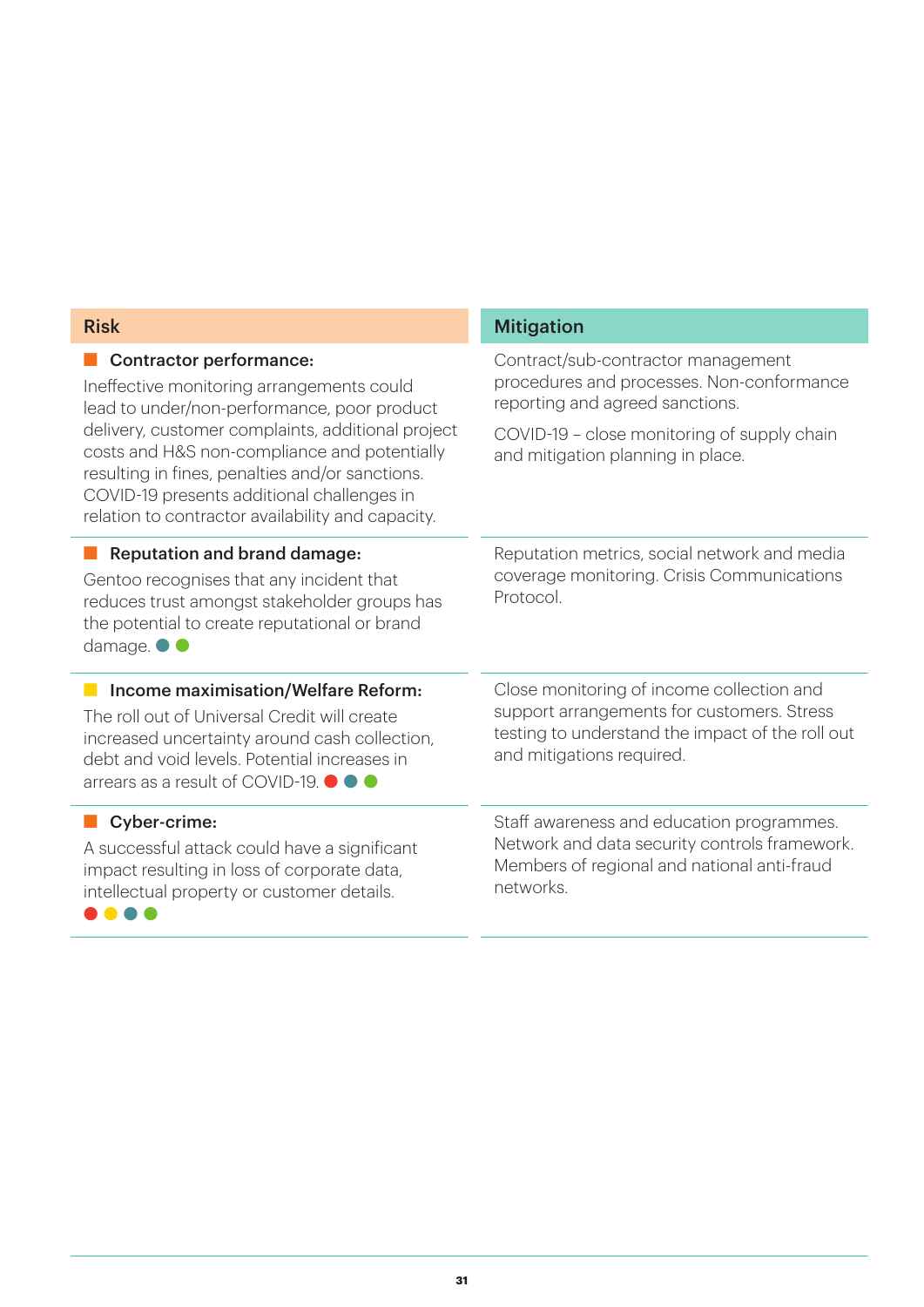| <b>Risk</b>                                                                                                                                                                                                                                                                                                                                                                           | <b>Mitigation</b>                                                                                                                                                                                      |  |  |
|---------------------------------------------------------------------------------------------------------------------------------------------------------------------------------------------------------------------------------------------------------------------------------------------------------------------------------------------------------------------------------------|--------------------------------------------------------------------------------------------------------------------------------------------------------------------------------------------------------|--|--|
| <b>Contractor performance:</b><br>Ineffective monitoring arrangements could<br>lead to under/non-performance, poor product<br>delivery, customer complaints, additional project<br>costs and H&S non-compliance and potentially<br>resulting in fines, penalties and/or sanctions.<br>COVID-19 presents additional challenges in<br>relation to contractor availability and capacity. | Contract/sub-contractor management<br>procedures and processes. Non-conformance<br>reporting and agreed sanctions.<br>COVID-19 - close monitoring of supply chain<br>and mitigation planning in place. |  |  |
| <b>Reputation and brand damage:</b><br>Gentoo recognises that any incident that<br>reduces trust amongst stakeholder groups has<br>the potential to create reputational or brand<br>damage. $\bullet$                                                                                                                                                                                 | Reputation metrics, social network and media<br>coverage monitoring. Crisis Communications<br>Protocol.                                                                                                |  |  |
| Income maximisation/Welfare Reform:<br>The roll out of Universal Credit will create<br>increased uncertainty around cash collection,<br>debt and void levels. Potential increases in<br>arrears as a result of COVID-19. <sup>1</sup>                                                                                                                                                 | Close monitoring of income collection and<br>support arrangements for customers. Stress<br>testing to understand the impact of the roll out<br>and mitigations required.                               |  |  |
| Cyber-crime:<br>A successful attack could have a significant<br>impact resulting in loss of corporate data,<br>intellectual property or customer details.                                                                                                                                                                                                                             | Staff awareness and education programmes.<br>Network and data security controls framework.<br>Members of regional and national anti-fraud<br>networks.                                                 |  |  |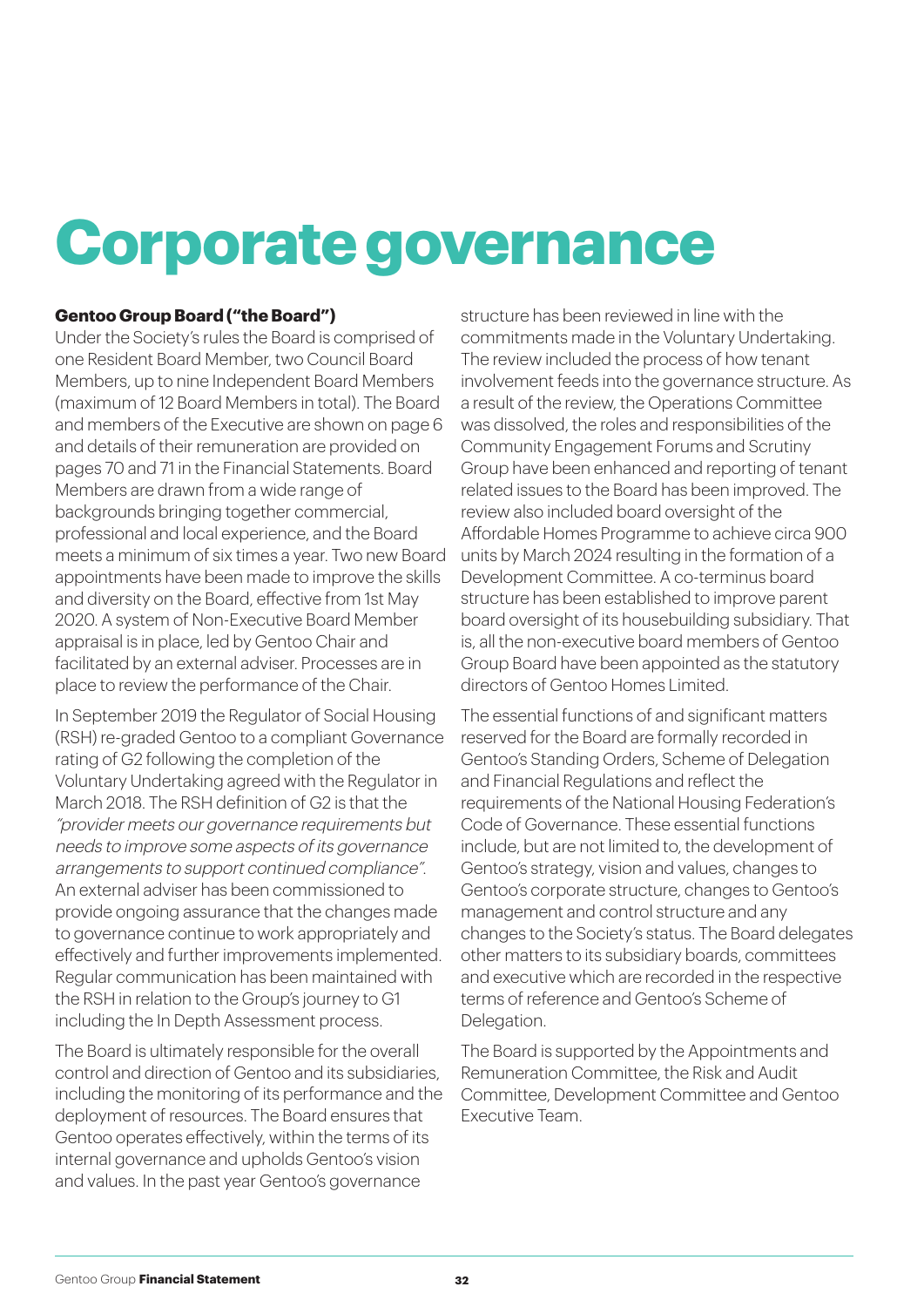### **Corporate governance**

#### **Gentoo Group Board ("the Board")**

Under the Society's rules the Board is comprised of one Resident Board Member, two Council Board Members, up to nine Independent Board Members (maximum of 12 Board Members in total). The Board and members of the Executive are shown on page 6 and details of their remuneration are provided on pages 70 and 71 in the Financial Statements. Board Members are drawn from a wide range of backgrounds bringing together commercial, professional and local experience, and the Board meets a minimum of six times a year. Two new Board appointments have been made to improve the skills and diversity on the Board, effective from 1st May 2020. A system of Non-Executive Board Member appraisal is in place, led by Gentoo Chair and facilitated by an external adviser. Processes are in place to review the performance of the Chair.

In September 2019 the Regulator of Social Housing (RSH) re-graded Gentoo to a compliant Governance rating of G2 following the completion of the Voluntary Undertaking agreed with the Regulator in March 2018. The RSH definition of G2 is that the "provider meets our governance requirements but needs to improve some aspects of its governance arrangements to support continued compliance". An external adviser has been commissioned to provide ongoing assurance that the changes made to governance continue to work appropriately and effectively and further improvements implemented. Regular communication has been maintained with the RSH in relation to the Group's journey to G1 including the In Depth Assessment process.

The Board is ultimately responsible for the overall control and direction of Gentoo and its subsidiaries, including the monitoring of its performance and the deployment of resources. The Board ensures that Gentoo operates effectively, within the terms of its internal governance and upholds Gentoo's vision and values. In the past year Gentoo's governance

structure has been reviewed in line with the commitments made in the Voluntary Undertaking. The review included the process of how tenant involvement feeds into the governance structure. As a result of the review, the Operations Committee was dissolved, the roles and responsibilities of the Community Engagement Forums and Scrutiny Group have been enhanced and reporting of tenant related issues to the Board has been improved. The review also included board oversight of the Affordable Homes Programme to achieve circa 900 units by March 2024 resulting in the formation of a Development Committee. A co-terminus board structure has been established to improve parent board oversight of its housebuilding subsidiary. That is, all the non-executive board members of Gentoo Group Board have been appointed as the statutory directors of Gentoo Homes Limited.

The essential functions of and significant matters reserved for the Board are formally recorded in Gentoo's Standing Orders, Scheme of Delegation and Financial Regulations and reflect the requirements of the National Housing Federation's Code of Governance. These essential functions include, but are not limited to, the development of Gentoo's strategy, vision and values, changes to Gentoo's corporate structure, changes to Gentoo's management and control structure and any changes to the Society's status. The Board delegates other matters to its subsidiary boards, committees and executive which are recorded in the respective terms of reference and Gentoo's Scheme of Delegation.

The Board is supported by the Appointments and Remuneration Committee, the Risk and Audit Committee, Development Committee and Gentoo Executive Team.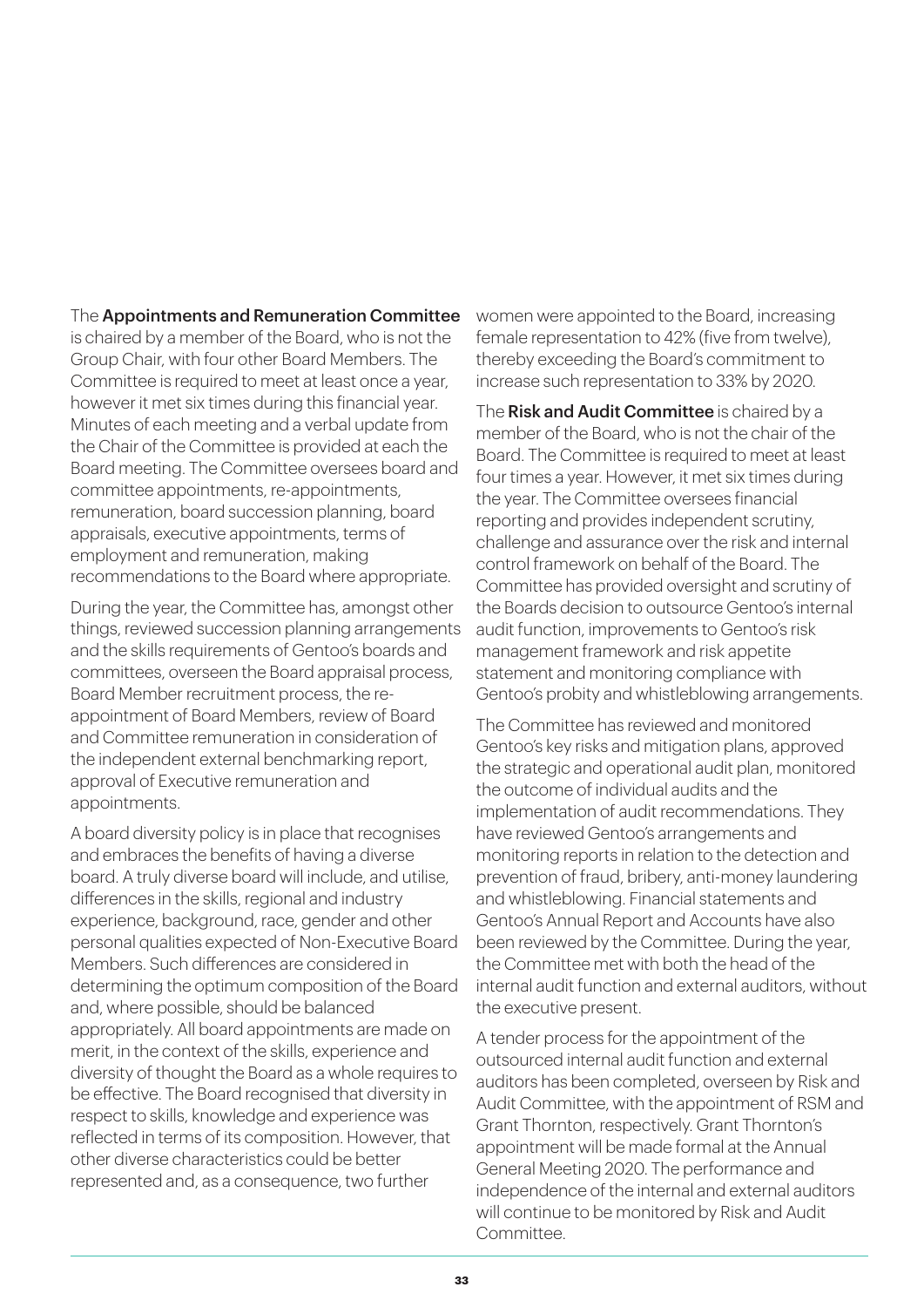#### The Appointments and Remuneration Committee

is chaired by a member of the Board, who is not the Group Chair, with four other Board Members. The Committee is required to meet at least once a year, however it met six times during this financial year. Minutes of each meeting and a verbal update from the Chair of the Committee is provided at each the Board meeting. The Committee oversees board and committee appointments, re-appointments, remuneration, board succession planning, board appraisals, executive appointments, terms of employment and remuneration, making recommendations to the Board where appropriate.

During the year, the Committee has, amongst other things, reviewed succession planning arrangements and the skills requirements of Gentoo's boards and committees, overseen the Board appraisal process, Board Member recruitment process, the reappointment of Board Members, review of Board and Committee remuneration in consideration of the independent external benchmarking report, approval of Executive remuneration and appointments.

A board diversity policy is in place that recognises and embraces the benefits of having a diverse board. A truly diverse board will include, and utilise, differences in the skills, regional and industry experience, background, race, gender and other personal qualities expected of Non-Executive Board Members. Such differences are considered in determining the optimum composition of the Board and, where possible, should be balanced appropriately. All board appointments are made on merit, in the context of the skills, experience and diversity of thought the Board as a whole requires to be effective. The Board recognised that diversity in respect to skills, knowledge and experience was reflected in terms of its composition. However, that other diverse characteristics could be better represented and, as a consequence, two further

women were appointed to the Board, increasing female representation to 42% (five from twelve), thereby exceeding the Board's commitment to increase such representation to 33% by 2020.

The Risk and Audit Committee is chaired by a member of the Board, who is not the chair of the Board. The Committee is required to meet at least four times a year. However, it met six times during the year. The Committee oversees financial reporting and provides independent scrutiny, challenge and assurance over the risk and internal control framework on behalf of the Board. The Committee has provided oversight and scrutiny of the Boards decision to outsource Gentoo's internal audit function, improvements to Gentoo's risk management framework and risk appetite statement and monitoring compliance with Gentoo's probity and whistleblowing arrangements.

The Committee has reviewed and monitored Gentoo's key risks and mitigation plans, approved the strategic and operational audit plan, monitored the outcome of individual audits and the implementation of audit recommendations. They have reviewed Gentoo's arrangements and monitoring reports in relation to the detection and prevention of fraud, bribery, anti-money laundering and whistleblowing. Financial statements and Gentoo's Annual Report and Accounts have also been reviewed by the Committee. During the year, the Committee met with both the head of the internal audit function and external auditors, without the executive present.

A tender process for the appointment of the outsourced internal audit function and external auditors has been completed, overseen by Risk and Audit Committee, with the appointment of RSM and Grant Thornton, respectively. Grant Thornton's appointment will be made formal at the Annual General Meeting 2020. The performance and independence of the internal and external auditors will continue to be monitored by Risk and Audit **Committee**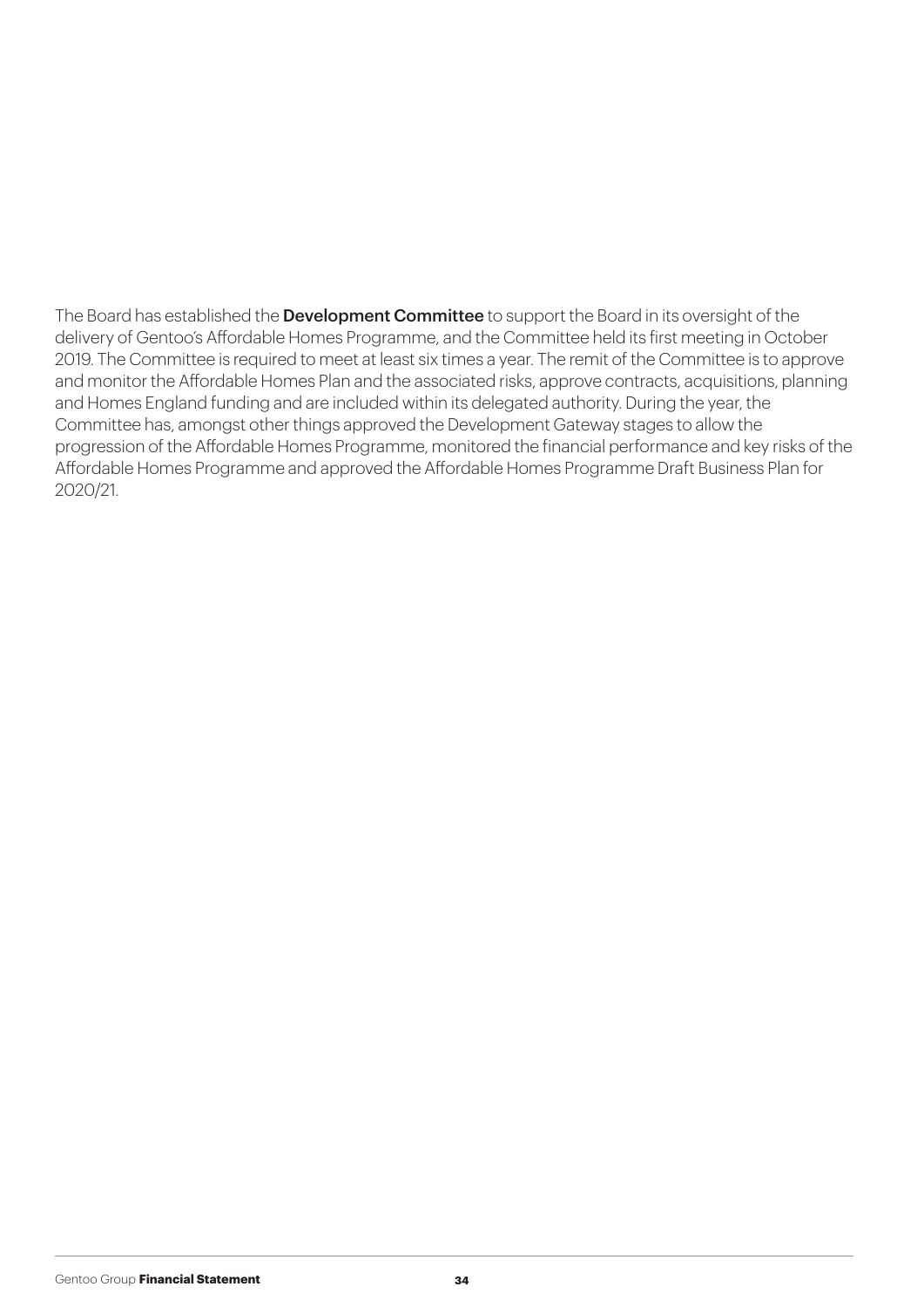The Board has established the **Development Committee** to support the Board in its oversight of the delivery of Gentoo's Affordable Homes Programme, and the Committee held its first meeting in October 2019. The Committee is required to meet at least six times a year. The remit of the Committee is to approve and monitor the Affordable Homes Plan and the associated risks, approve contracts, acquisitions, planning and Homes England funding and are included within its delegated authority. During the year, the Committee has, amongst other things approved the Development Gateway stages to allow the progression of the Affordable Homes Programme, monitored the financial performance and key risks of the Affordable Homes Programme and approved the Affordable Homes Programme Draft Business Plan for 2020/21.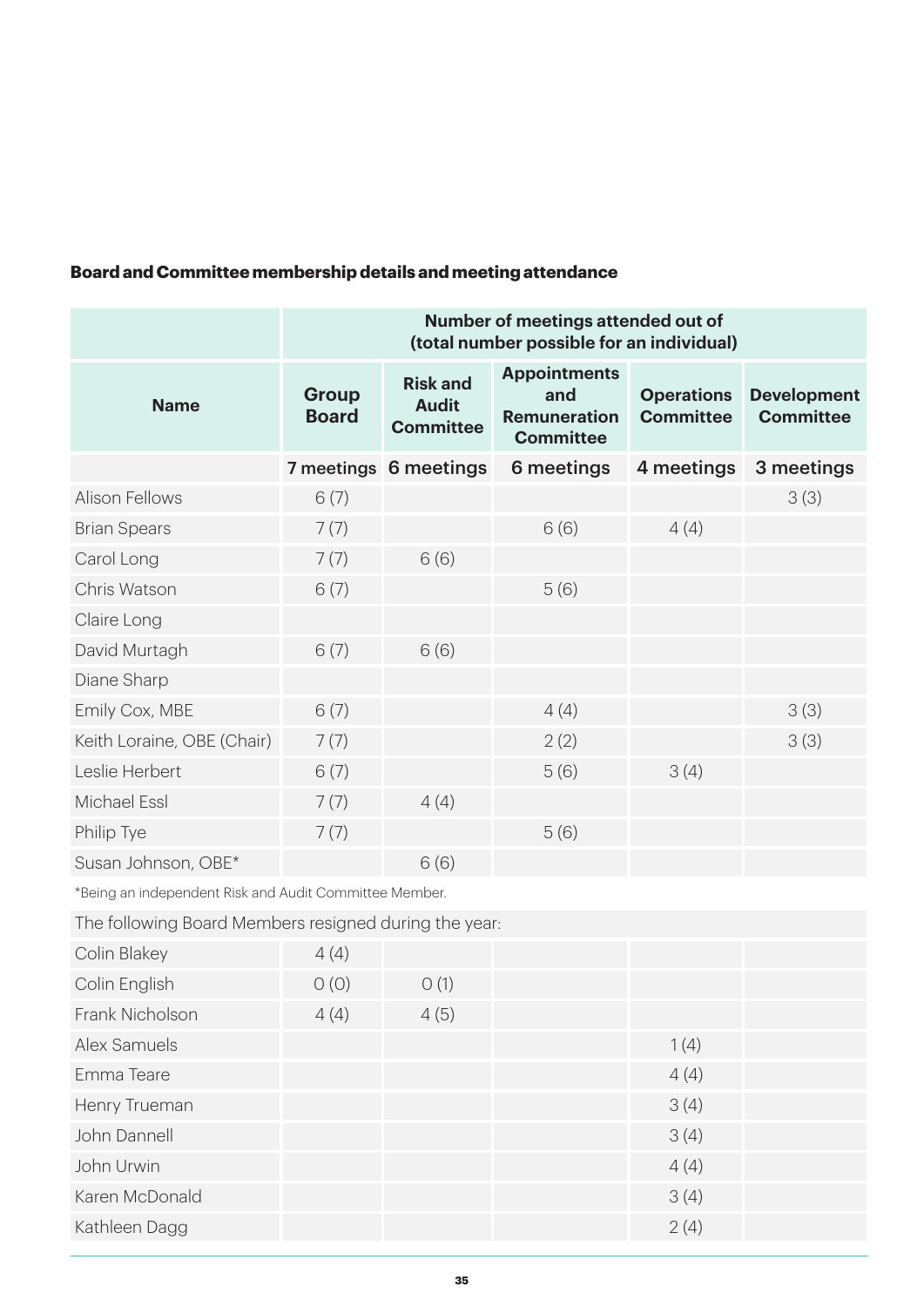#### **Board and Committee membership details and meeting attendance**

|                                                       | Number of meetings attended out of<br>(total number possible for an individual) |                                                     |                                                                       |                                       |                                        |
|-------------------------------------------------------|---------------------------------------------------------------------------------|-----------------------------------------------------|-----------------------------------------------------------------------|---------------------------------------|----------------------------------------|
| <b>Name</b>                                           | Group<br><b>Board</b>                                                           | <b>Risk and</b><br><b>Audit</b><br><b>Committee</b> | <b>Appointments</b><br>and<br><b>Remuneration</b><br><b>Committee</b> | <b>Operations</b><br><b>Committee</b> | <b>Development</b><br><b>Committee</b> |
|                                                       |                                                                                 | 7 meetings 6 meetings                               | 6 meetings                                                            | 4 meetings                            | 3 meetings                             |
| <b>Alison Fellows</b>                                 | 6(7)                                                                            |                                                     |                                                                       |                                       | 3(3)                                   |
| <b>Brian Spears</b>                                   | 7(7)                                                                            |                                                     | 6(6)                                                                  | 4(4)                                  |                                        |
| Carol Long                                            | 7(7)                                                                            | 6(6)                                                |                                                                       |                                       |                                        |
| Chris Watson                                          | 6(7)                                                                            |                                                     | 5(6)                                                                  |                                       |                                        |
| Claire Long                                           |                                                                                 |                                                     |                                                                       |                                       |                                        |
| David Murtagh                                         | 6(7)                                                                            | 6(6)                                                |                                                                       |                                       |                                        |
| Diane Sharp                                           |                                                                                 |                                                     |                                                                       |                                       |                                        |
| Emily Cox, MBE                                        | 6(7)                                                                            |                                                     | 4(4)                                                                  |                                       | 3(3)                                   |
| Keith Loraine, OBE (Chair)                            | 7(7)                                                                            |                                                     | 2(2)                                                                  |                                       | 3(3)                                   |
| Leslie Herbert                                        | 6(7)                                                                            |                                                     | 5(6)                                                                  | 3(4)                                  |                                        |
| Michael Essl                                          | 7(7)                                                                            | 4(4)                                                |                                                                       |                                       |                                        |
| Philip Tye                                            | 7(7)                                                                            |                                                     | 5(6)                                                                  |                                       |                                        |
| Susan Johnson, OBE*                                   |                                                                                 | 6(6)                                                |                                                                       |                                       |                                        |
| *Peing en independent Diek and Audit Committee Member |                                                                                 |                                                     |                                                                       |                                       |                                        |

\*Being an independent Risk and Audit Committee Member.

The following Board Members resigned during the year:

| Colin Blakey    | 4(4) |      |      |  |
|-----------------|------|------|------|--|
| Colin English   | O(0) | O(1) |      |  |
| Frank Nicholson | 4(4) | 4(5) |      |  |
| Alex Samuels    |      |      | 1(4) |  |
| Emma Teare      |      |      | 4(4) |  |
| Henry Trueman   |      |      | 3(4) |  |
| John Dannell    |      |      | 3(4) |  |
| John Urwin      |      |      | 4(4) |  |
| Karen McDonald  |      |      | 3(4) |  |
| Kathleen Dagg   |      |      | 2(4) |  |
|                 |      |      |      |  |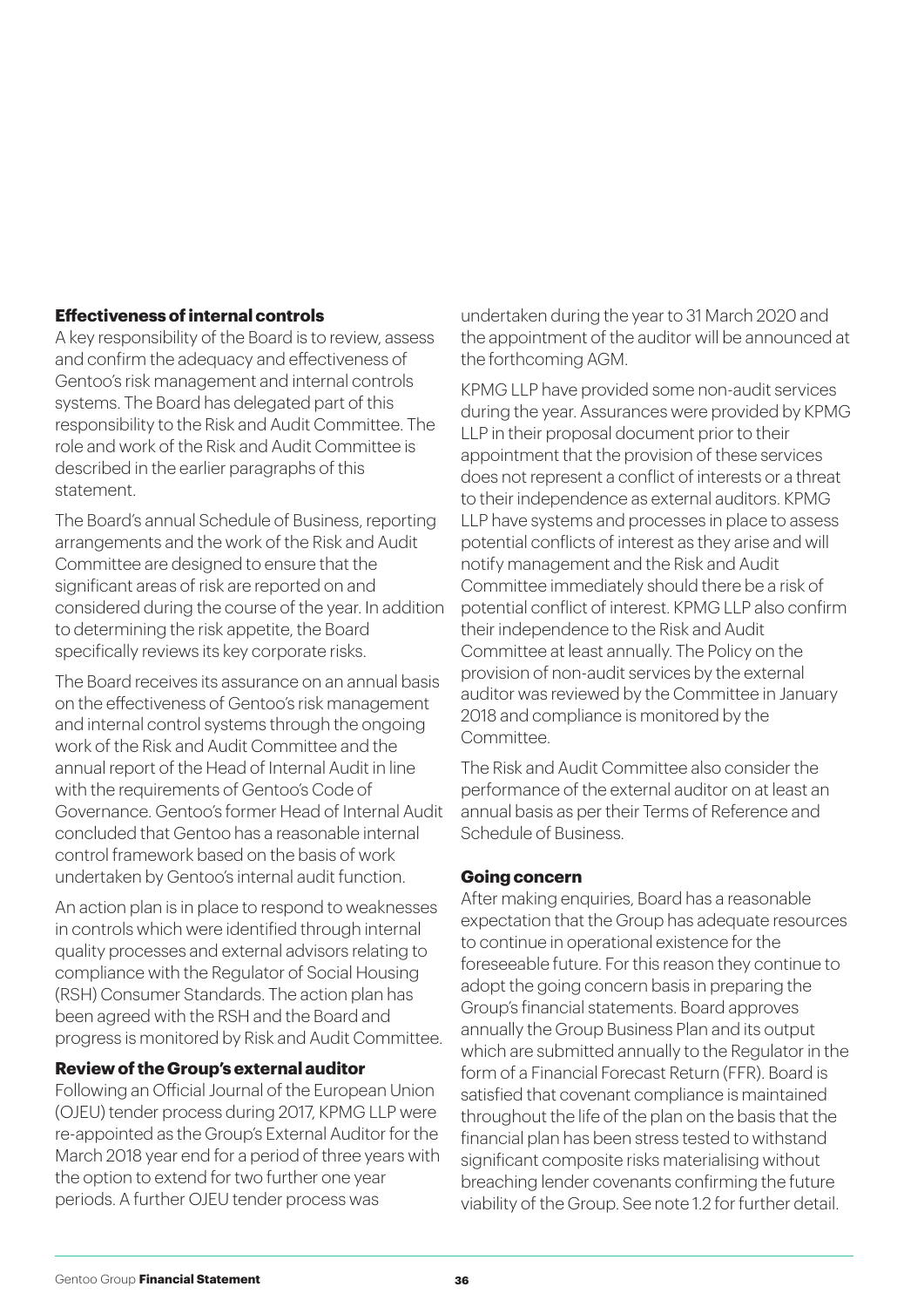#### **Effectiveness of internal controls**

A key responsibility of the Board is to review, assess and confirm the adequacy and effectiveness of Gentoo's risk management and internal controls systems. The Board has delegated part of this responsibility to the Risk and Audit Committee. The role and work of the Risk and Audit Committee is described in the earlier paragraphs of this statement.

The Board's annual Schedule of Business, reporting arrangements and the work of the Risk and Audit Committee are designed to ensure that the significant areas of risk are reported on and considered during the course of the year. In addition to determining the risk appetite, the Board specifically reviews its key corporate risks.

The Board receives its assurance on an annual basis on the effectiveness of Gentoo's risk management and internal control systems through the ongoing work of the Risk and Audit Committee and the annual report of the Head of Internal Audit in line with the requirements of Gentoo's Code of Governance. Gentoo's former Head of Internal Audit concluded that Gentoo has a reasonable internal control framework based on the basis of work undertaken by Gentoo's internal audit function.

An action plan is in place to respond to weaknesses in controls which were identified through internal quality processes and external advisors relating to compliance with the Regulator of Social Housing (RSH) Consumer Standards. The action plan has been agreed with the RSH and the Board and progress is monitored by Risk and Audit Committee.

#### **Review of the Group's external auditor**

Following an Official Journal of the European Union (OJEU) tender process during 2017, KPMG LLP were re-appointed as the Group's External Auditor for the March 2018 year end for a period of three years with the option to extend for two further one year periods. A further OJEU tender process was

undertaken during the year to 31 March 2020 and the appointment of the auditor will be announced at the forthcoming AGM.

KPMG LLP have provided some non-audit services during the year. Assurances were provided by KPMG LLP in their proposal document prior to their appointment that the provision of these services does not represent a conflict of interests or a threat to their independence as external auditors. KPMG LLP have systems and processes in place to assess potential conflicts of interest as they arise and will notify management and the Risk and Audit Committee immediately should there be a risk of potential conflict of interest. KPMG LLP also confirm their independence to the Risk and Audit Committee at least annually. The Policy on the provision of non-audit services by the external auditor was reviewed by the Committee in January 2018 and compliance is monitored by the Committee.

The Risk and Audit Committee also consider the performance of the external auditor on at least an annual basis as per their Terms of Reference and Schedule of Business.

#### **Going concern**

After making enquiries, Board has a reasonable expectation that the Group has adequate resources to continue in operational existence for the foreseeable future. For this reason they continue to adopt the going concern basis in preparing the Group's financial statements. Board approves annually the Group Business Plan and its output which are submitted annually to the Regulator in the form of a Financial Forecast Return (FFR). Board is satisfied that covenant compliance is maintained throughout the life of the plan on the basis that the financial plan has been stress tested to withstand significant composite risks materialising without breaching lender covenants confirming the future viability of the Group. See note 1.2 for further detail.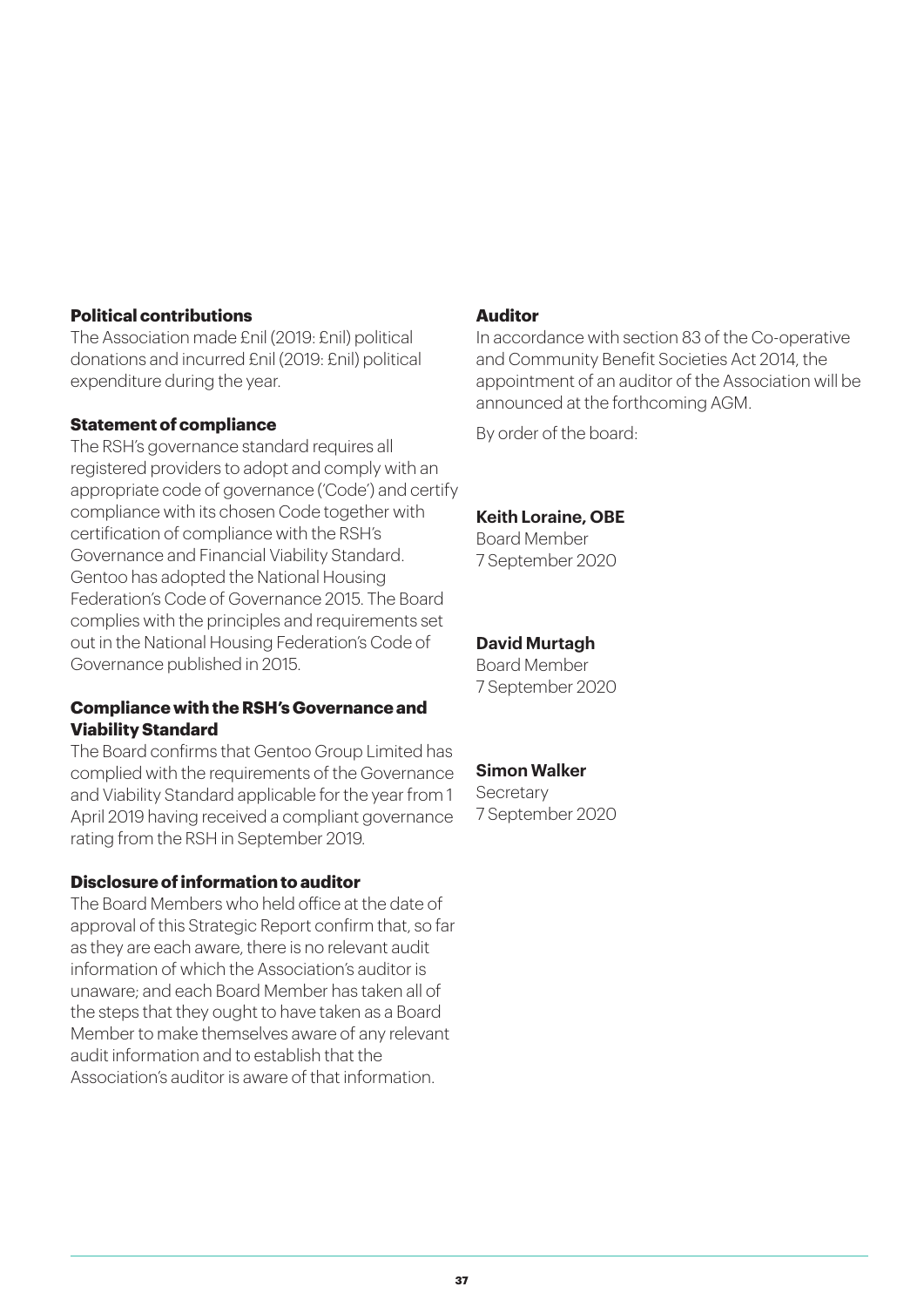#### **Political contributions**

The Association made £nil (2019: £nil) political donations and incurred £nil (2019: £nil) political expenditure during the year.

#### **Statement of compliance**

The RSH's governance standard requires all registered providers to adopt and comply with an appropriate code of governance ('Code') and certify compliance with its chosen Code together with certification of compliance with the RSH's Governance and Financial Viability Standard. Gentoo has adopted the National Housing Federation's Code of Governance 2015. The Board complies with the principles and requirements set out in the National Housing Federation's Code of Governance published in 2015.

#### **Compliance with the RSH's Governance and Viability Standard**

The Board confirms that Gentoo Group Limited has complied with the requirements of the Governance and Viability Standard applicable for the year from 1 April 2019 having received a compliant governance rating from the RSH in September 2019.

#### **Disclosure of information to auditor**

The Board Members who held office at the date of approval of this Strategic Report confirm that, so far as they are each aware, there is no relevant audit information of which the Association's auditor is unaware; and each Board Member has taken all of the steps that they ought to have taken as a Board Member to make themselves aware of any relevant audit information and to establish that the Association's auditor is aware of that information.

#### **Auditor**

In accordance with section 83 of the Co-operative and Community Benefit Societies Act 2014, the appointment of an auditor of the Association will be announced at the forthcoming AGM.

By order of the board:

#### **Keith Loraine, OBE**

Board Member 7 September 2020

#### **David Murtagh**

Board Member 7 September 2020

#### **Simon Walker**

**Secretary** 7 September 2020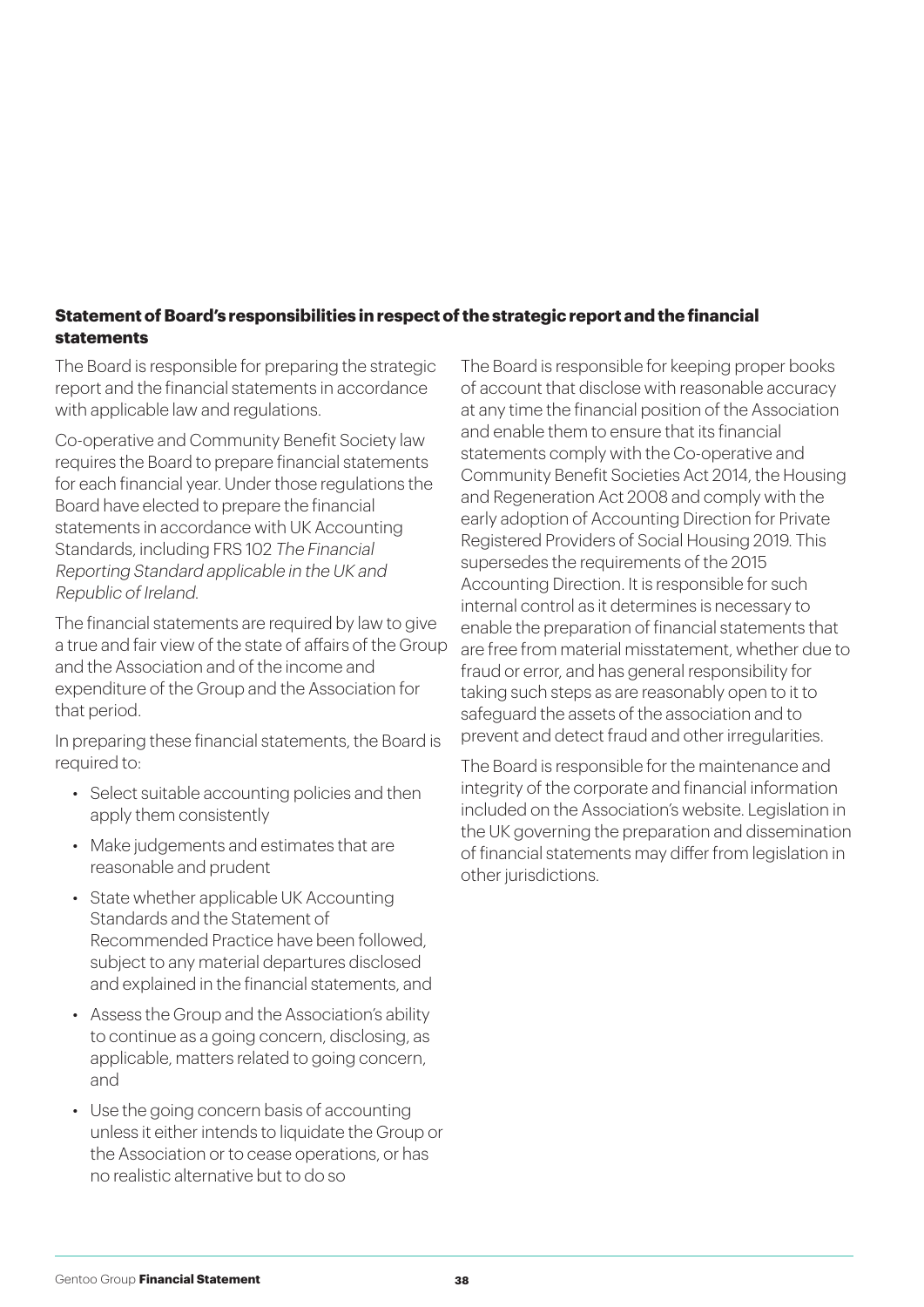#### **Statement of Board's responsibilities in respect of the strategic report and the financial statements**

The Board is responsible for preparing the strategic report and the financial statements in accordance with applicable law and regulations.

Co-operative and Community Benefit Society law requires the Board to prepare financial statements for each financial year. Under those regulations the Board have elected to prepare the financial statements in accordance with UK Accounting Standards, including FRS 102 The Financial Reporting Standard applicable in the UK and Republic of Ireland.

The financial statements are required by law to give a true and fair view of the state of affairs of the Group and the Association and of the income and expenditure of the Group and the Association for that period.

In preparing these financial statements, the Board is required to:

- Select suitable accounting policies and then apply them consistently
- Make judgements and estimates that are reasonable and prudent
- State whether applicable UK Accounting Standards and the Statement of Recommended Practice have been followed, subject to any material departures disclosed and explained in the financial statements, and
- Assess the Group and the Association's ability to continue as a going concern, disclosing, as applicable, matters related to going concern, and
- Use the going concern basis of accounting unless it either intends to liquidate the Group or the Association or to cease operations, or has no realistic alternative but to do so

The Board is responsible for keeping proper books of account that disclose with reasonable accuracy at any time the financial position of the Association and enable them to ensure that its financial statements comply with the Co-operative and Community Benefit Societies Act 2014, the Housing and Regeneration Act 2008 and comply with the early adoption of Accounting Direction for Private Registered Providers of Social Housing 2019. This supersedes the requirements of the 2015 Accounting Direction. It is responsible for such internal control as it determines is necessary to enable the preparation of financial statements that are free from material misstatement, whether due to fraud or error, and has general responsibility for taking such steps as are reasonably open to it to safeguard the assets of the association and to prevent and detect fraud and other irregularities.

The Board is responsible for the maintenance and integrity of the corporate and financial information included on the Association's website. Legislation in the UK governing the preparation and dissemination of financial statements may differ from legislation in other jurisdictions.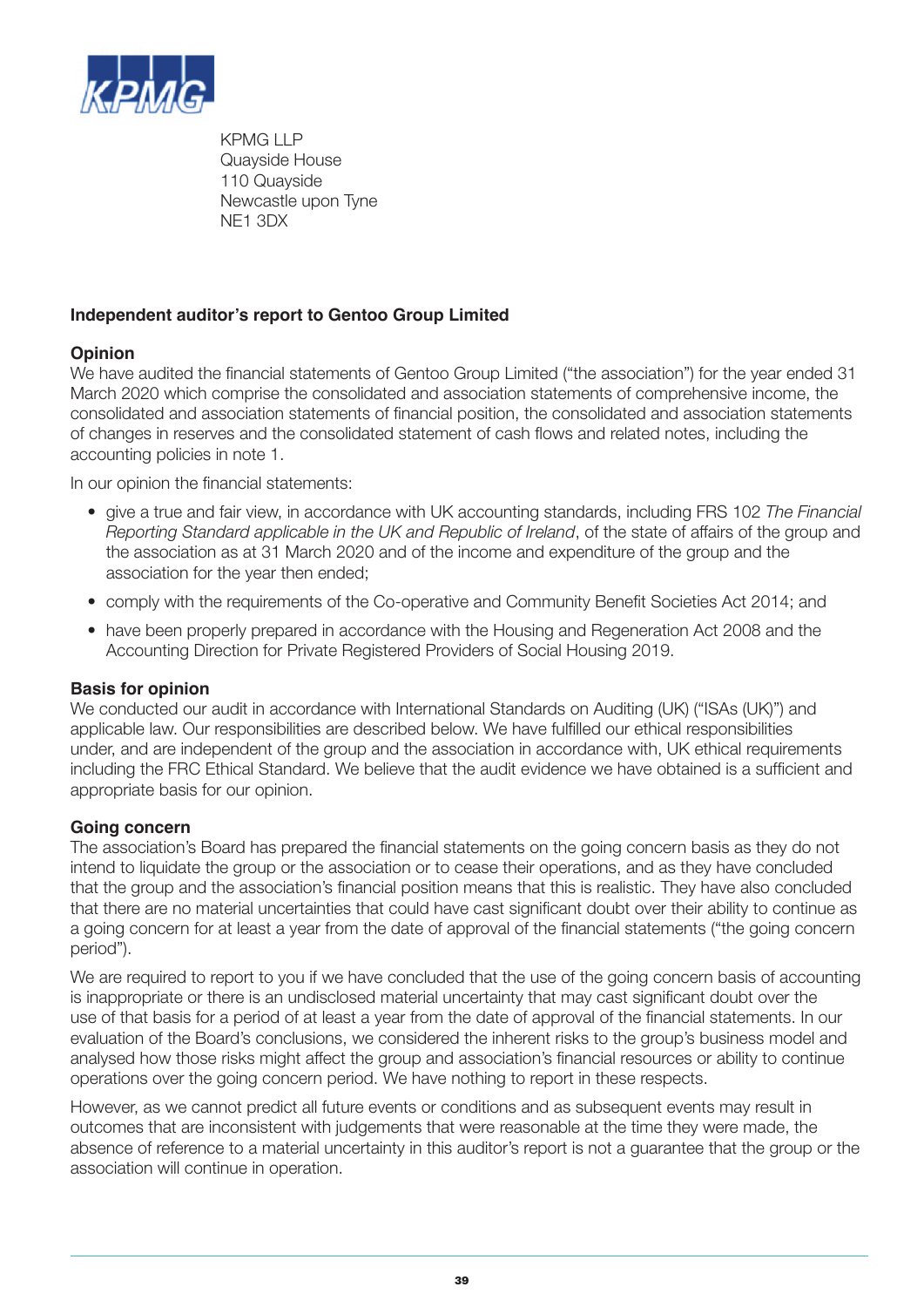

KPMG I I P Quayside House 110 Quayside Newcastle upon Tyne NE1 3DX

#### **Independent auditor's report to Gentoo Group Limited**

#### **Opinion**

We have audited the financial statements of Gentoo Group Limited ("the association") for the year ended 31 March 2020 which comprise the consolidated and association statements of comprehensive income, the consolidated and association statements of financial position, the consolidated and association statements of changes in reserves and the consolidated statement of cash flows and related notes, including the accounting policies in note 1.

In our opinion the financial statements:

- give a true and fair view, in accordance with UK accounting standards, including FRS 102 *The Financial Reporting Standard applicable in the UK and Republic of Ireland*, of the state of affairs of the group and the association as at 31 March 2020 and of the income and expenditure of the group and the association for the year then ended;
- comply with the requirements of the Co-operative and Community Benefit Societies Act 2014; and
- have been properly prepared in accordance with the Housing and Regeneration Act 2008 and the Accounting Direction for Private Registered Providers of Social Housing 2019.

#### **Basis for opinion**

We conducted our audit in accordance with International Standards on Auditing (UK) ("ISAs (UK)") and applicable law. Our responsibilities are described below. We have fulfilled our ethical responsibilities under, and are independent of the group and the association in accordance with, UK ethical requirements including the FRC Ethical Standard. We believe that the audit evidence we have obtained is a sufficient and appropriate basis for our opinion.

#### **Going concern**

The association's Board has prepared the financial statements on the going concern basis as they do not intend to liquidate the group or the association or to cease their operations, and as they have concluded that the group and the association's financial position means that this is realistic. They have also concluded that there are no material uncertainties that could have cast significant doubt over their ability to continue as a going concern for at least a year from the date of approval of the financial statements ("the going concern period").

We are required to report to you if we have concluded that the use of the going concern basis of accounting is inappropriate or there is an undisclosed material uncertainty that may cast significant doubt over the use of that basis for a period of at least a year from the date of approval of the financial statements. In our evaluation of the Board's conclusions, we considered the inherent risks to the group's business model and analysed how those risks might affect the group and association's financial resources or ability to continue operations over the going concern period. We have nothing to report in these respects.

However, as we cannot predict all future events or conditions and as subsequent events may result in outcomes that are inconsistent with judgements that were reasonable at the time they were made, the absence of reference to a material uncertainty in this auditor's report is not a guarantee that the group or the association will continue in operation.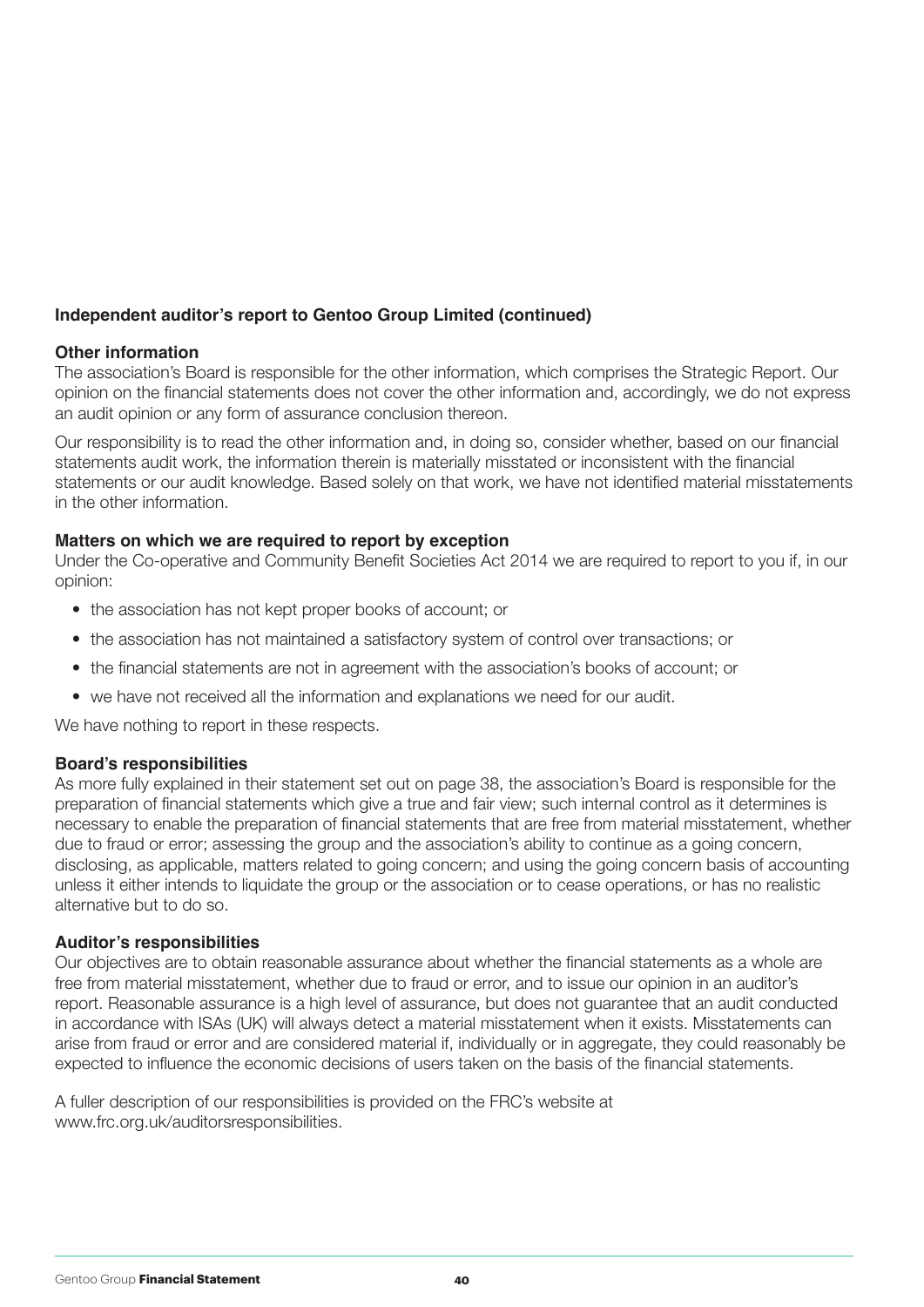#### **Independent auditor's report to Gentoo Group Limited (continued)**

#### **Other information**

The association's Board is responsible for the other information, which comprises the Strategic Report. Our opinion on the financial statements does not cover the other information and, accordingly, we do not express an audit opinion or any form of assurance conclusion thereon.

Our responsibility is to read the other information and, in doing so, consider whether, based on our financial statements audit work, the information therein is materially misstated or inconsistent with the financial statements or our audit knowledge. Based solely on that work, we have not identified material misstatements in the other information.

#### **Matters on which we are required to report by exception**

Under the Co-operative and Community Benefit Societies Act 2014 we are required to report to you if, in our opinion:

- the association has not kept proper books of account; or
- the association has not maintained a satisfactory system of control over transactions; or
- the financial statements are not in agreement with the association's books of account; or
- we have not received all the information and explanations we need for our audit.

We have nothing to report in these respects.

#### **Board's responsibilities**

As more fully explained in their statement set out on page 38, the association's Board is responsible for the preparation of financial statements which give a true and fair view; such internal control as it determines is necessary to enable the preparation of financial statements that are free from material misstatement, whether due to fraud or error; assessing the group and the association's ability to continue as a going concern, disclosing, as applicable, matters related to going concern; and using the going concern basis of accounting unless it either intends to liquidate the group or the association or to cease operations, or has no realistic alternative but to do so.

#### **Auditor's responsibilities**

Our objectives are to obtain reasonable assurance about whether the financial statements as a whole are free from material misstatement, whether due to fraud or error, and to issue our opinion in an auditor's report. Reasonable assurance is a high level of assurance, but does not guarantee that an audit conducted in accordance with ISAs (UK) will always detect a material misstatement when it exists. Misstatements can arise from fraud or error and are considered material if, individually or in aggregate, they could reasonably be expected to influence the economic decisions of users taken on the basis of the financial statements.

A fuller description of our responsibilities is provided on the FRC's website at www.frc.org.uk/auditorsresponsibilities.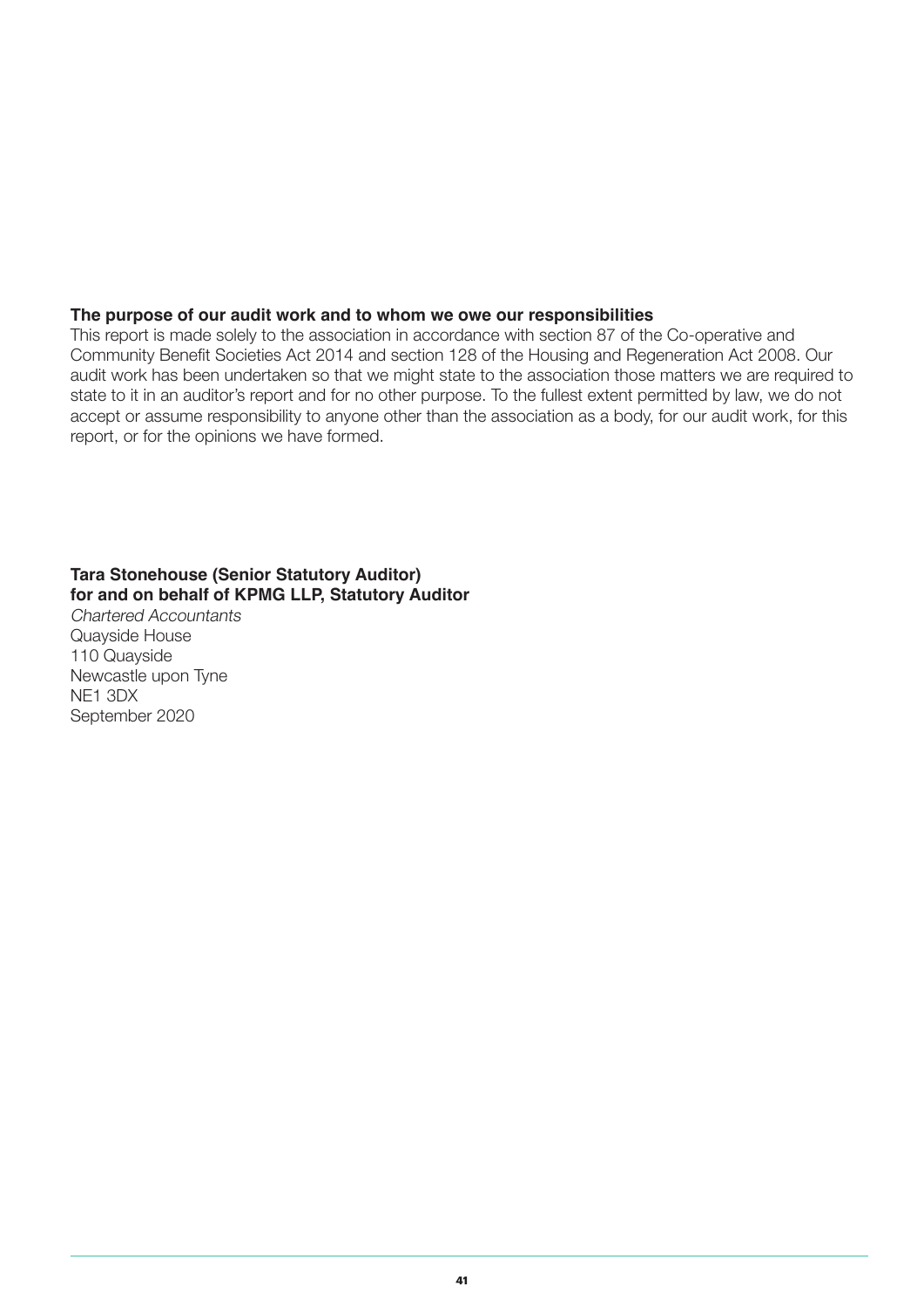#### **The purpose of our audit work and to whom we owe our responsibilities**

This report is made solely to the association in accordance with section 87 of the Co-operative and Community Benefit Societies Act 2014 and section 128 of the Housing and Regeneration Act 2008. Our audit work has been undertaken so that we might state to the association those matters we are required to state to it in an auditor's report and for no other purpose. To the fullest extent permitted by law, we do not accept or assume responsibility to anyone other than the association as a body, for our audit work, for this report, or for the opinions we have formed.

#### **Tara Stonehouse (Senior Statutory Auditor) for and on behalf of KPMG LLP, Statutory Auditor**

Chartered Accountants Quayside House 110 Quayside Newcastle upon Tyne NE1 3DX September 2020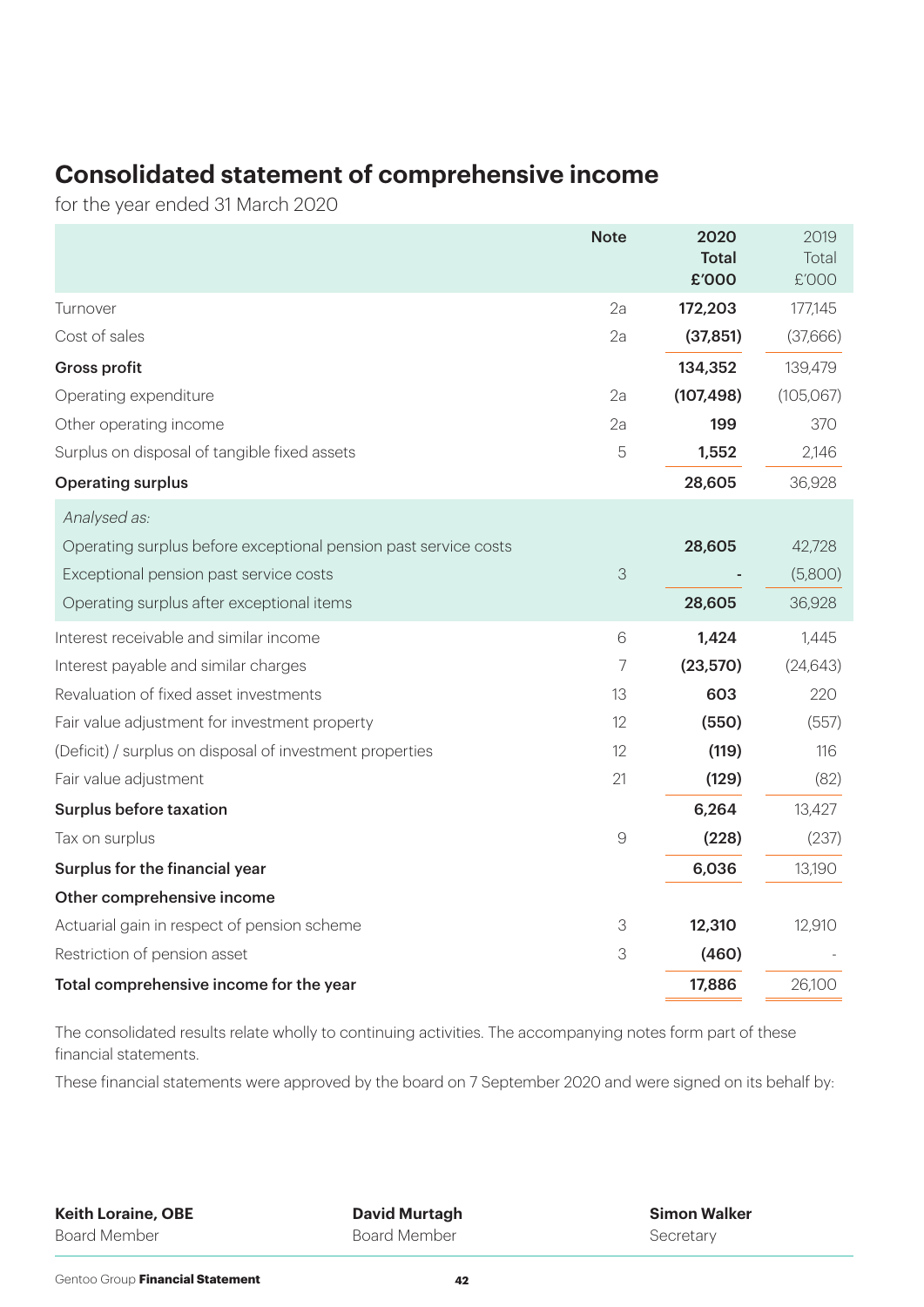## **Consolidated statement of comprehensive income**

for the year ended 31 March 2020

|                                                                 | <b>Note</b>   | 2020                  | 2019           |
|-----------------------------------------------------------------|---------------|-----------------------|----------------|
|                                                                 |               | <b>Total</b><br>£'000 | Total<br>£'000 |
| Turnover                                                        | 2a            | 172,203               | 177,145        |
| Cost of sales                                                   | 2a            | (37, 851)             | (37,666)       |
| <b>Gross profit</b>                                             |               | 134,352               | 139,479        |
|                                                                 | 2a            |                       |                |
| Operating expenditure                                           |               | (107, 498)            | (105, 067)     |
| Other operating income                                          | 2a            | 199                   | 370            |
| Surplus on disposal of tangible fixed assets                    | 5             | 1,552                 | 2,146          |
| <b>Operating surplus</b>                                        |               | 28,605                | 36,928         |
| Analysed as:                                                    |               |                       |                |
| Operating surplus before exceptional pension past service costs |               | 28,605                | 42,728         |
| Exceptional pension past service costs                          | 3             |                       | (5,800)        |
| Operating surplus after exceptional items                       |               | 28,605                | 36,928         |
| Interest receivable and similar income                          | 6             | 1,424                 | 1,445          |
| Interest payable and similar charges                            | 7             | (23,570)              | (24, 643)      |
| Revaluation of fixed asset investments                          | 13            | 603                   | 220            |
| Fair value adjustment for investment property                   | 12            | (550)                 | (557)          |
| (Deficit) / surplus on disposal of investment properties        | 12            | (119)                 | 116            |
| Fair value adjustment                                           | 21            | (129)                 | (82)           |
| Surplus before taxation                                         |               | 6,264                 | 13,427         |
| Tax on surplus                                                  | $\mathcal{G}$ | (228)                 | (237)          |
| Surplus for the financial year                                  |               | 6,036                 | 13,190         |
| Other comprehensive income                                      |               |                       |                |
| Actuarial gain in respect of pension scheme                     | 3             | 12,310                | 12,910         |
| Restriction of pension asset                                    | 3             | (460)                 |                |
| Total comprehensive income for the year                         |               | 17,886                | 26,100         |
|                                                                 |               |                       |                |

The consolidated results relate wholly to continuing activities. The accompanying notes form part of these financial statements.

These financial statements were approved by the board on 7 September 2020 and were signed on its behalf by:

**Keith Loraine, OBE** Board Member

**David Murtagh** Board Member

**Simon Walker Secretary**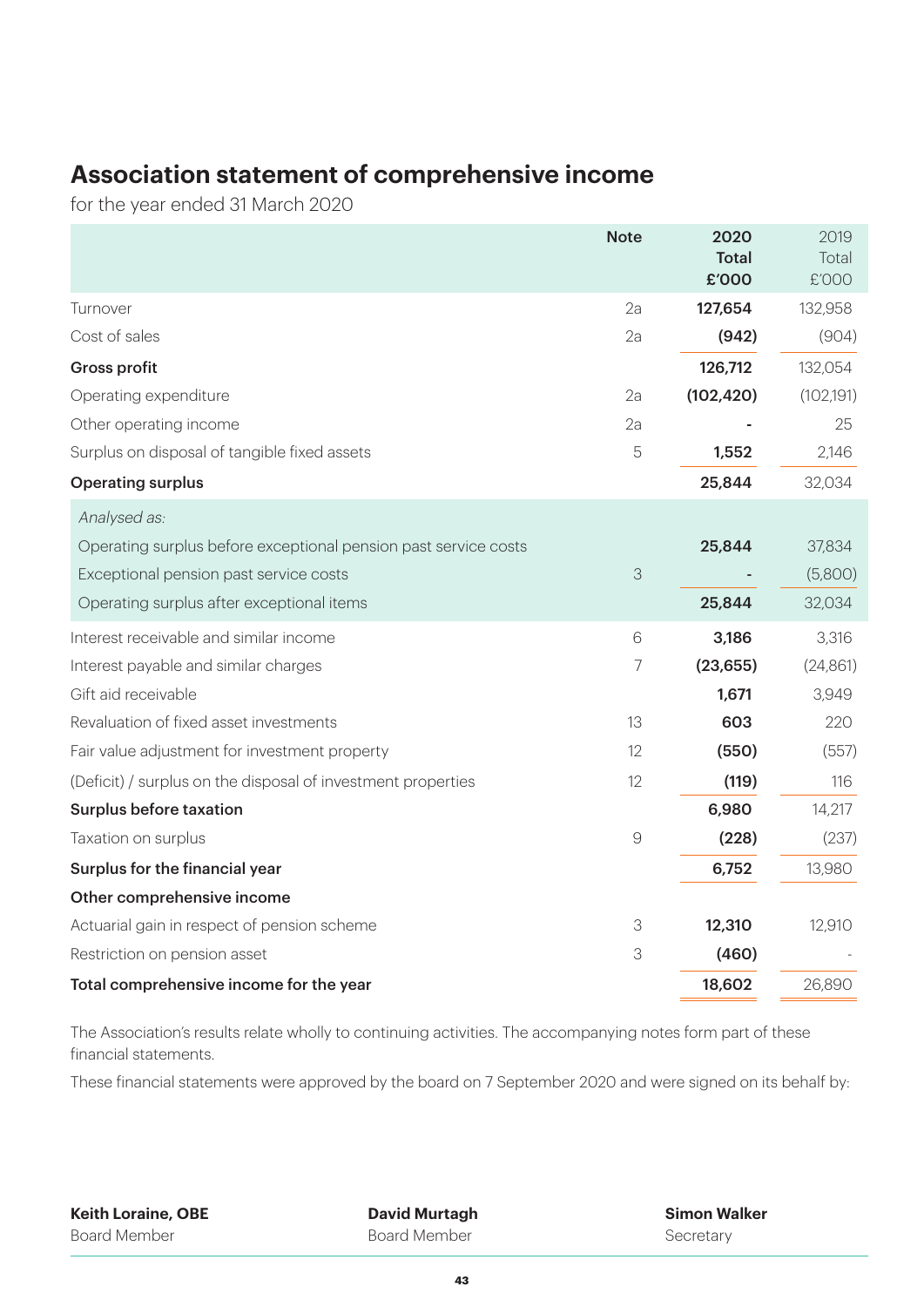### **Association statement of comprehensive income**

for the year ended 31 March 2020

|                                                                 | <b>Note</b>   | 2020         | 2019       |
|-----------------------------------------------------------------|---------------|--------------|------------|
|                                                                 |               | <b>Total</b> | Total      |
|                                                                 |               | £'000        | £'000      |
| Turnover                                                        | 2a            | 127,654      | 132,958    |
| Cost of sales                                                   | 2a            | (942)        | (904)      |
| <b>Gross profit</b>                                             |               | 126,712      | 132,054    |
| Operating expenditure                                           | 2a            | (102, 420)   | (102, 191) |
| Other operating income                                          | 2a            |              | 25         |
| Surplus on disposal of tangible fixed assets                    | 5             | 1,552        | 2,146      |
| <b>Operating surplus</b>                                        |               | 25,844       | 32,034     |
| Analysed as:                                                    |               |              |            |
| Operating surplus before exceptional pension past service costs |               | 25,844       | 37,834     |
| Exceptional pension past service costs                          | $\Im$         |              | (5,800)    |
| Operating surplus after exceptional items                       |               | 25,844       | 32,034     |
| Interest receivable and similar income                          | 6             | 3,186        | 3,316      |
| Interest payable and similar charges                            | 7             | (23, 655)    | (24, 861)  |
| Gift aid receivable                                             |               | 1,671        | 3,949      |
| Revaluation of fixed asset investments                          | 13            | 603          | 220        |
| Fair value adjustment for investment property                   | 12            | (550)        | (557)      |
| (Deficit) / surplus on the disposal of investment properties    | 12            | (119)        | 116        |
| Surplus before taxation                                         |               | 6,980        | 14,217     |
| Taxation on surplus                                             | $\mathcal{G}$ | (228)        | (237)      |
| Surplus for the financial year                                  |               | 6,752        | 13,980     |
| Other comprehensive income                                      |               |              |            |
| Actuarial gain in respect of pension scheme                     | 3             | 12,310       | 12,910     |
| Restriction on pension asset                                    | 3             | (460)        |            |
| Total comprehensive income for the year                         |               | 18,602       | 26,890     |

The Association's results relate wholly to continuing activities. The accompanying notes form part of these financial statements.

These financial statements were approved by the board on 7 September 2020 and were signed on its behalf by:

**Keith Loraine, OBE** Board Member

**David Murtagh** Board Member

**Simon Walker Secretary**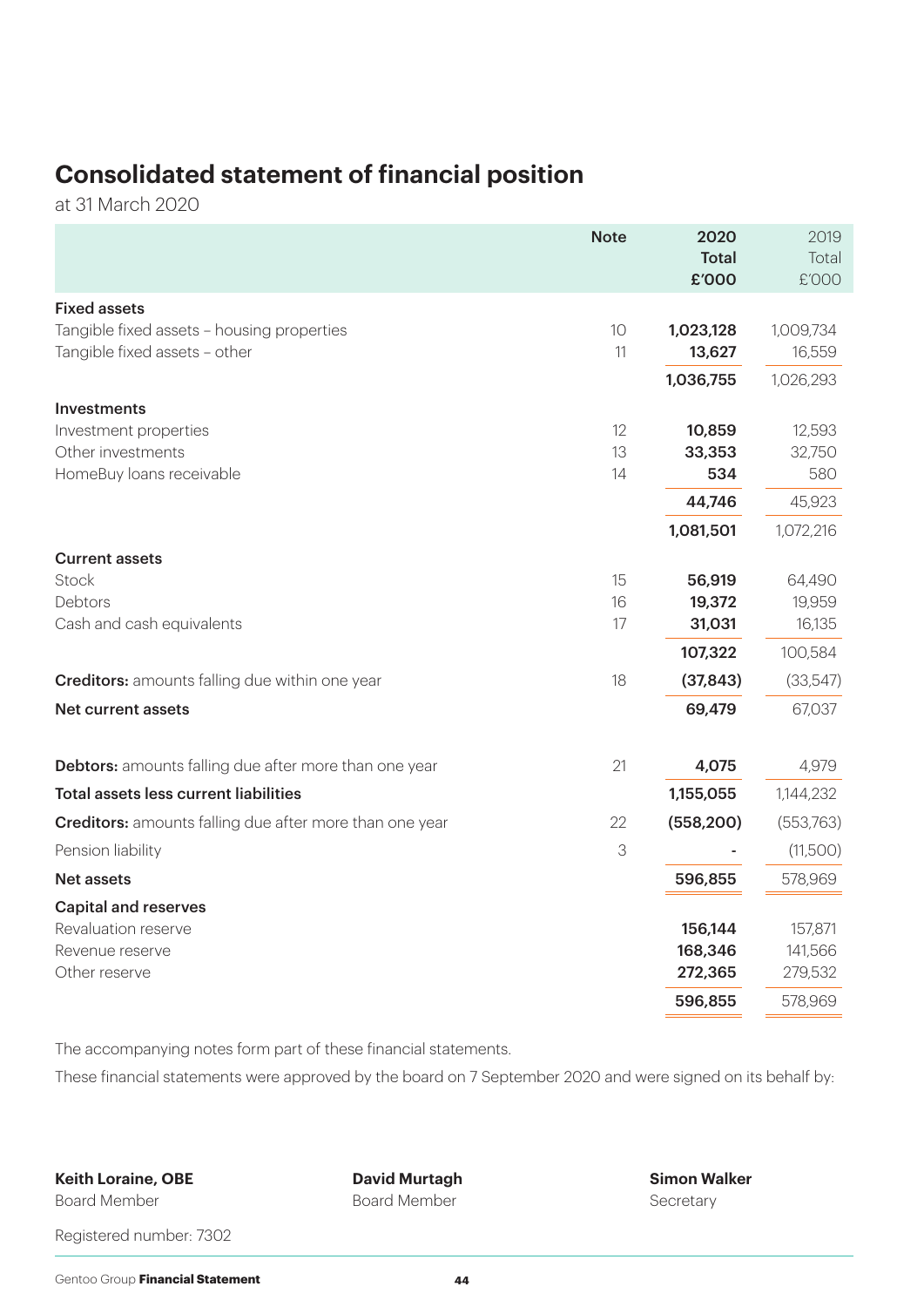# **Consolidated statement of financial position**

at 31 March 2020

|                                                                             | <b>Note</b> | 2020<br><b>Total</b><br>£'000 | 2019<br>Total<br>£'000 |
|-----------------------------------------------------------------------------|-------------|-------------------------------|------------------------|
| <b>Fixed assets</b>                                                         |             |                               |                        |
| Tangible fixed assets - housing properties<br>Tangible fixed assets - other | 10<br>11    | 1,023,128<br>13,627           | 1,009,734<br>16,559    |
|                                                                             |             | 1,036,755                     | 1,026,293              |
| <b>Investments</b>                                                          |             |                               |                        |
| Investment properties                                                       | 12          | 10,859                        | 12,593                 |
| Other investments                                                           | 13          | 33,353                        | 32,750                 |
| HomeBuy loans receivable                                                    | 14          | 534                           | 580                    |
|                                                                             |             | 44,746                        | 45,923                 |
|                                                                             |             | 1,081,501                     | 1,072,216              |
| <b>Current assets</b>                                                       |             |                               |                        |
| Stock                                                                       | 15          | 56,919                        | 64,490                 |
| Debtors                                                                     | 16          | 19,372                        | 19,959                 |
| Cash and cash equivalents                                                   | 17          | 31,031                        | 16,135                 |
|                                                                             |             | 107,322                       | 100,584                |
| <b>Creditors:</b> amounts falling due within one year                       | 18          | (37, 843)                     | (33,547)               |
| Net current assets                                                          |             | 69,479                        | 67,037                 |
| <b>Debtors:</b> amounts falling due after more than one year                | 21          | 4,075                         | 4,979                  |
| <b>Total assets less current liabilities</b>                                |             | 1,155,055                     | 1,144,232              |
| <b>Creditors:</b> amounts falling due after more than one year              | 22          | (558, 200)                    | (553,763)              |
| Pension liability                                                           | 3           |                               | (11,500)               |
| <b>Net assets</b>                                                           |             | 596,855                       | 578,969                |
| <b>Capital and reserves</b>                                                 |             |                               |                        |
| Revaluation reserve                                                         |             | 156,144                       | 157,871                |
| Revenue reserve                                                             |             | 168,346                       | 141,566                |
| Other reserve                                                               |             | 272,365                       | 279,532                |
|                                                                             |             | 596,855                       | 578,969                |

The accompanying notes form part of these financial statements.

These financial statements were approved by the board on 7 September 2020 and were signed on its behalf by:

**Keith Loraine, OBE**

Board Member

**David Murtagh** Board Member

**Simon Walker** Secretary

Registered number: 7302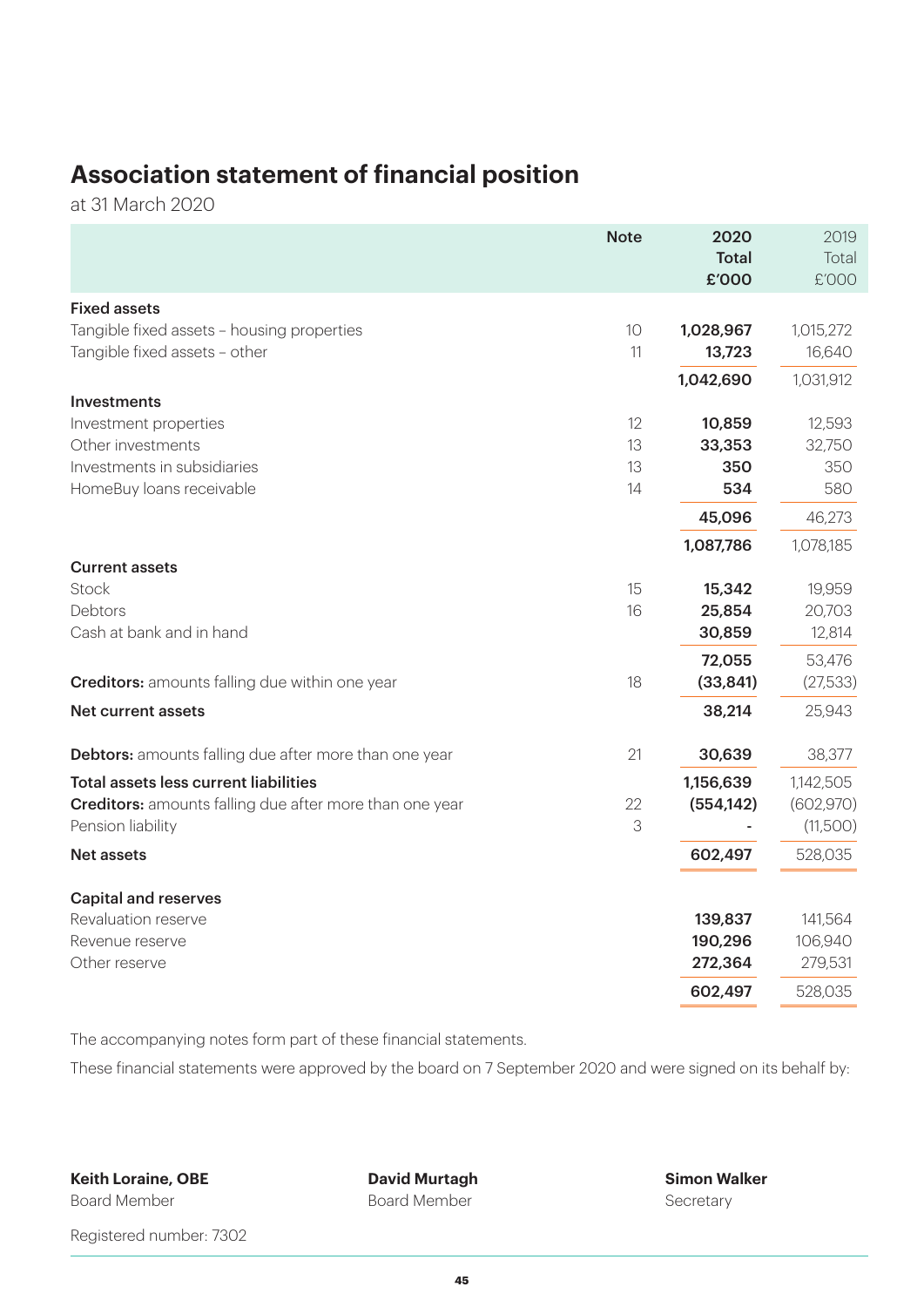# **Association statement of financial position**

at 31 March 2020

|                                                                | <b>Note</b> | 2020         | 2019       |
|----------------------------------------------------------------|-------------|--------------|------------|
|                                                                |             | <b>Total</b> | Total      |
|                                                                |             | £'000        | £'000      |
| <b>Fixed assets</b>                                            |             |              |            |
| Tangible fixed assets - housing properties                     | 10          | 1,028,967    | 1,015,272  |
| Tangible fixed assets - other                                  | 11          | 13,723       | 16,640     |
|                                                                |             | 1,042,690    | 1,031,912  |
| Investments                                                    |             |              |            |
| Investment properties                                          | 12          | 10,859       | 12,593     |
| Other investments                                              | 13          | 33,353       | 32,750     |
| Investments in subsidiaries                                    | 13          | 350          | 350        |
| HomeBuy loans receivable                                       | 14          | 534          | 580        |
|                                                                |             | 45,096       | 46,273     |
|                                                                |             | 1,087,786    | 1,078,185  |
| <b>Current assets</b>                                          |             |              |            |
| <b>Stock</b>                                                   | 15          | 15,342       | 19,959     |
| Debtors                                                        | 16          | 25,854       | 20,703     |
| Cash at bank and in hand                                       |             | 30,859       | 12,814     |
|                                                                |             | 72,055       | 53,476     |
| <b>Creditors:</b> amounts falling due within one year          | 18          | (33, 841)    | (27,533)   |
| Net current assets                                             |             | 38,214       | 25,943     |
| <b>Debtors:</b> amounts falling due after more than one year   | 21          | 30,639       | 38,377     |
| <b>Total assets less current liabilities</b>                   |             | 1,156,639    | 1,142,505  |
| <b>Creditors:</b> amounts falling due after more than one year | 22          | (554, 142)   | (602, 970) |
| Pension liability                                              | 3           |              | (11,500)   |
| <b>Net assets</b>                                              |             | 602,497      | 528,035    |
| <b>Capital and reserves</b>                                    |             |              |            |
| Revaluation reserve                                            |             | 139,837      | 141,564    |
| Revenue reserve                                                |             | 190,296      | 106,940    |
| Other reserve                                                  |             | 272,364      | 279,531    |
|                                                                |             | 602,497      | 528,035    |

The accompanying notes form part of these financial statements.

These financial statements were approved by the board on 7 September 2020 and were signed on its behalf by:

**Keith Loraine, OBE** Board Member

**David Murtagh** Board Member

**Simon Walker** Secretary

Registered number: 7302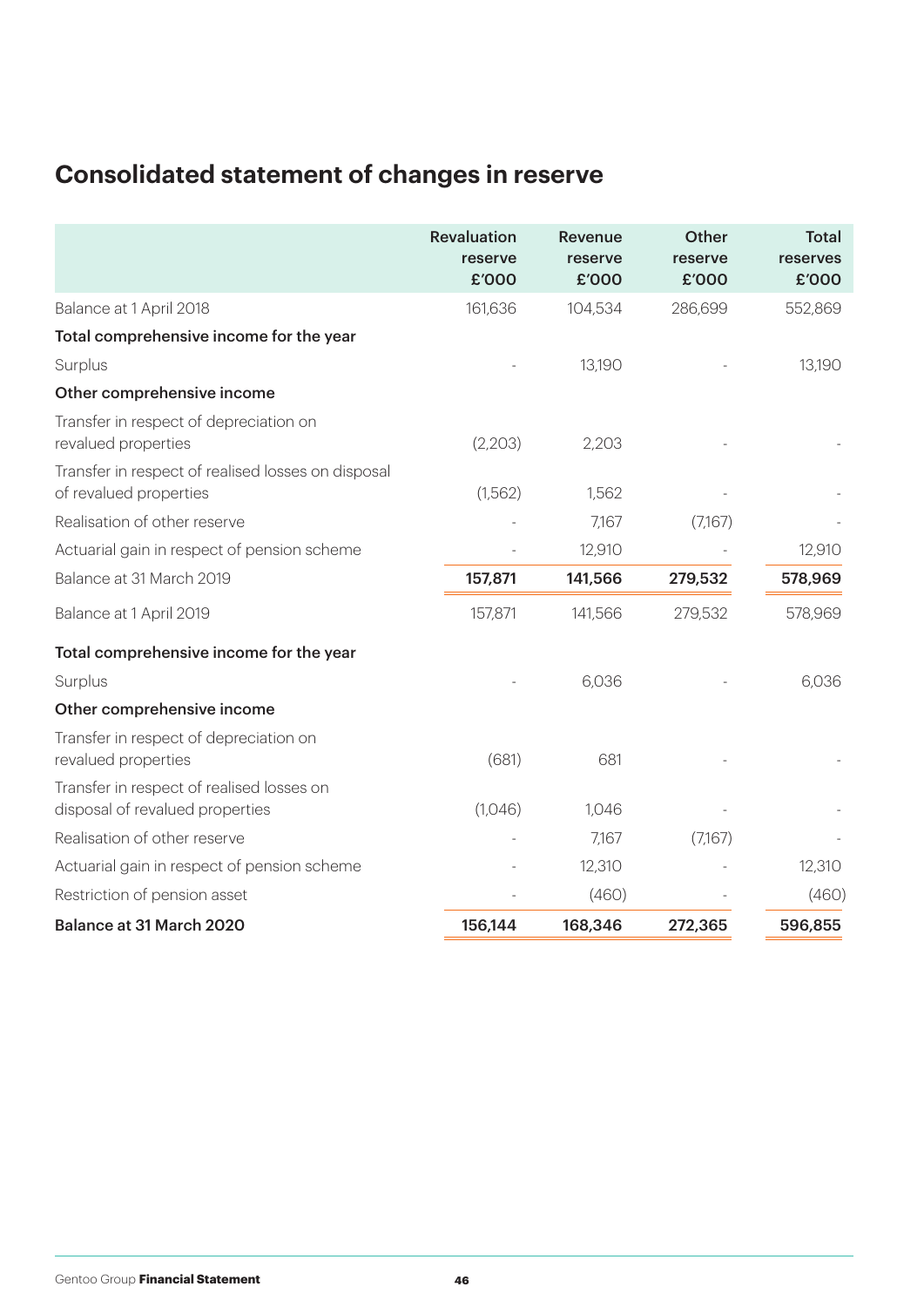# **Consolidated statement of changes in reserve**

|                                                                              | Revaluation<br>reserve<br>£'000 | <b>Revenue</b><br>reserve<br>£'000 | <b>Other</b><br>reserve<br>£'000 | <b>Total</b><br>reserves<br>£'000 |
|------------------------------------------------------------------------------|---------------------------------|------------------------------------|----------------------------------|-----------------------------------|
| Balance at 1 April 2018                                                      | 161,636                         | 104,534                            | 286,699                          | 552,869                           |
| Total comprehensive income for the year                                      |                                 |                                    |                                  |                                   |
| Surplus                                                                      |                                 | 13,190                             |                                  | 13,190                            |
| Other comprehensive income                                                   |                                 |                                    |                                  |                                   |
| Transfer in respect of depreciation on<br>revalued properties                | (2,203)                         | 2,203                              |                                  |                                   |
| Transfer in respect of realised losses on disposal<br>of revalued properties | (1,562)                         | 1,562                              |                                  |                                   |
| Realisation of other reserve                                                 |                                 | 7,167                              | (7,167)                          |                                   |
| Actuarial gain in respect of pension scheme                                  |                                 | 12,910                             |                                  | 12,910                            |
| Balance at 31 March 2019                                                     | 157,871                         | 141,566                            | 279,532                          | 578,969                           |
| Balance at 1 April 2019                                                      | 157,871                         | 141,566                            | 279,532                          | 578,969                           |
| Total comprehensive income for the year                                      |                                 |                                    |                                  |                                   |
| Surplus                                                                      |                                 | 6,036                              |                                  | 6,036                             |
| Other comprehensive income                                                   |                                 |                                    |                                  |                                   |
| Transfer in respect of depreciation on<br>revalued properties                | (681)                           | 681                                |                                  |                                   |
| Transfer in respect of realised losses on<br>disposal of revalued properties | (1,046)                         | 1,046                              |                                  |                                   |
| Realisation of other reserve                                                 |                                 | 7,167                              | (7,167)                          |                                   |
| Actuarial gain in respect of pension scheme                                  |                                 | 12,310                             |                                  | 12,310                            |
| Restriction of pension asset                                                 |                                 | (460)                              |                                  | (460)                             |
| Balance at 31 March 2020                                                     | 156,144                         | 168,346                            | 272,365                          | 596,855                           |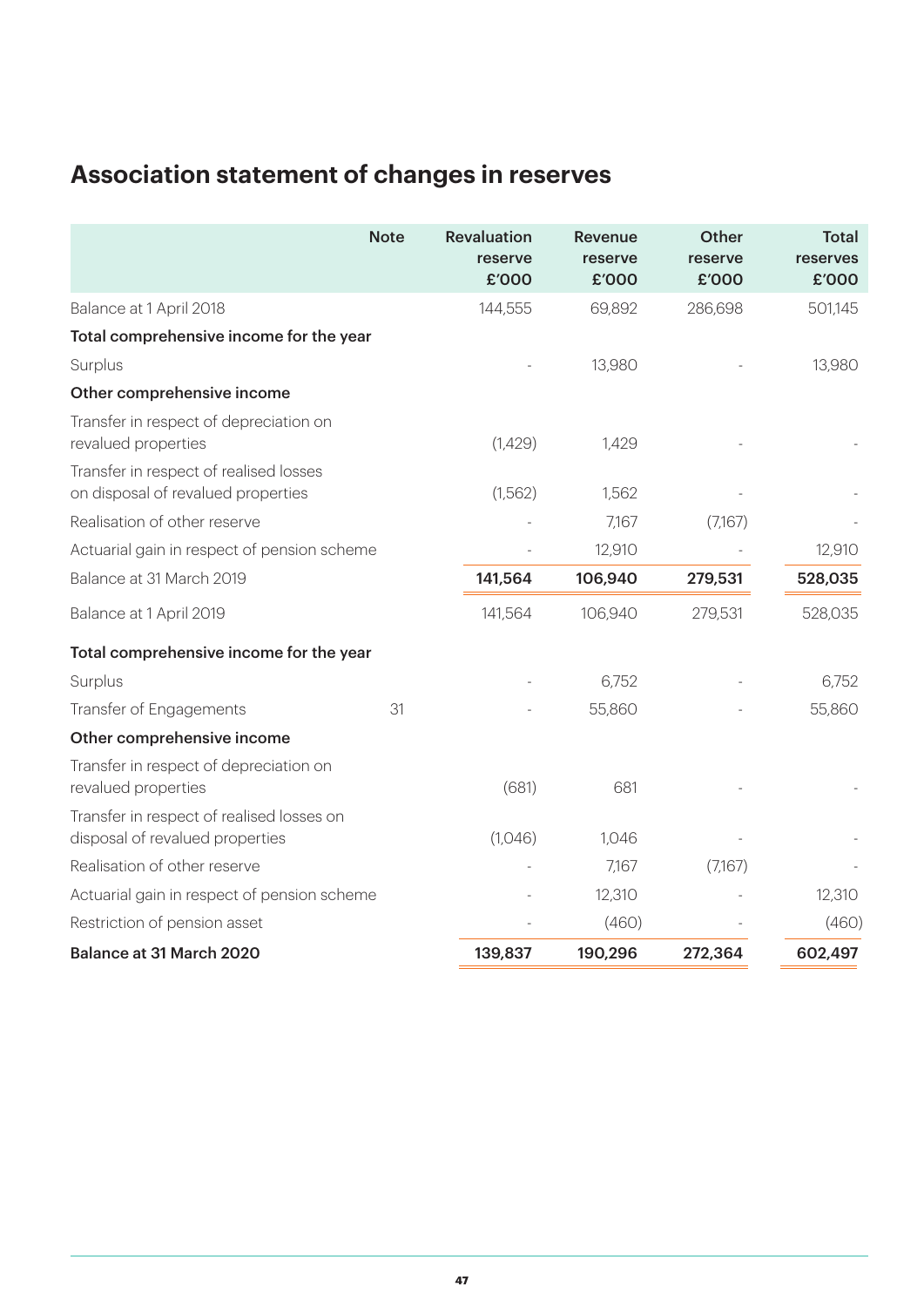# **Association statement of changes in reserves**

|                                                                              | <b>Note</b> | <b>Revaluation</b><br>reserve<br>£'000 | <b>Revenue</b><br>reserve<br>£'000 | <b>Other</b><br>reserve<br>£'000 | Total<br>reserves<br>£'000 |
|------------------------------------------------------------------------------|-------------|----------------------------------------|------------------------------------|----------------------------------|----------------------------|
| Balance at 1 April 2018                                                      |             | 144,555                                | 69,892                             | 286,698                          | 501,145                    |
| Total comprehensive income for the year                                      |             |                                        |                                    |                                  |                            |
| Surplus                                                                      |             |                                        | 13,980                             |                                  | 13,980                     |
| Other comprehensive income                                                   |             |                                        |                                    |                                  |                            |
| Transfer in respect of depreciation on<br>revalued properties                |             | (1,429)                                | 1,429                              |                                  |                            |
| Transfer in respect of realised losses<br>on disposal of revalued properties |             | (1,562)                                | 1,562                              |                                  |                            |
| Realisation of other reserve                                                 |             |                                        | 7,167                              | (7,167)                          |                            |
| Actuarial gain in respect of pension scheme                                  |             |                                        | 12,910                             |                                  | 12,910                     |
| Balance at 31 March 2019                                                     |             | 141,564                                | 106,940                            | 279,531                          | 528,035                    |
| Balance at 1 April 2019                                                      |             | 141,564                                | 106,940                            | 279,531                          | 528,035                    |
| Total comprehensive income for the year                                      |             |                                        |                                    |                                  |                            |
| Surplus                                                                      |             |                                        | 6,752                              |                                  | 6,752                      |
| Transfer of Engagements                                                      | 31          |                                        | 55,860                             |                                  | 55,860                     |
| Other comprehensive income                                                   |             |                                        |                                    |                                  |                            |
| Transfer in respect of depreciation on<br>revalued properties                |             | (681)                                  | 681                                |                                  |                            |
| Transfer in respect of realised losses on<br>disposal of revalued properties |             | (1,046)                                | 1,046                              |                                  |                            |
| Realisation of other reserve                                                 |             |                                        | 7,167                              | (7,167)                          |                            |
| Actuarial gain in respect of pension scheme                                  |             |                                        | 12,310                             |                                  | 12,310                     |
| Restriction of pension asset                                                 |             |                                        | (460)                              |                                  | (460)                      |
| Balance at 31 March 2020                                                     |             | 139,837                                | 190,296                            | 272,364                          | 602,497                    |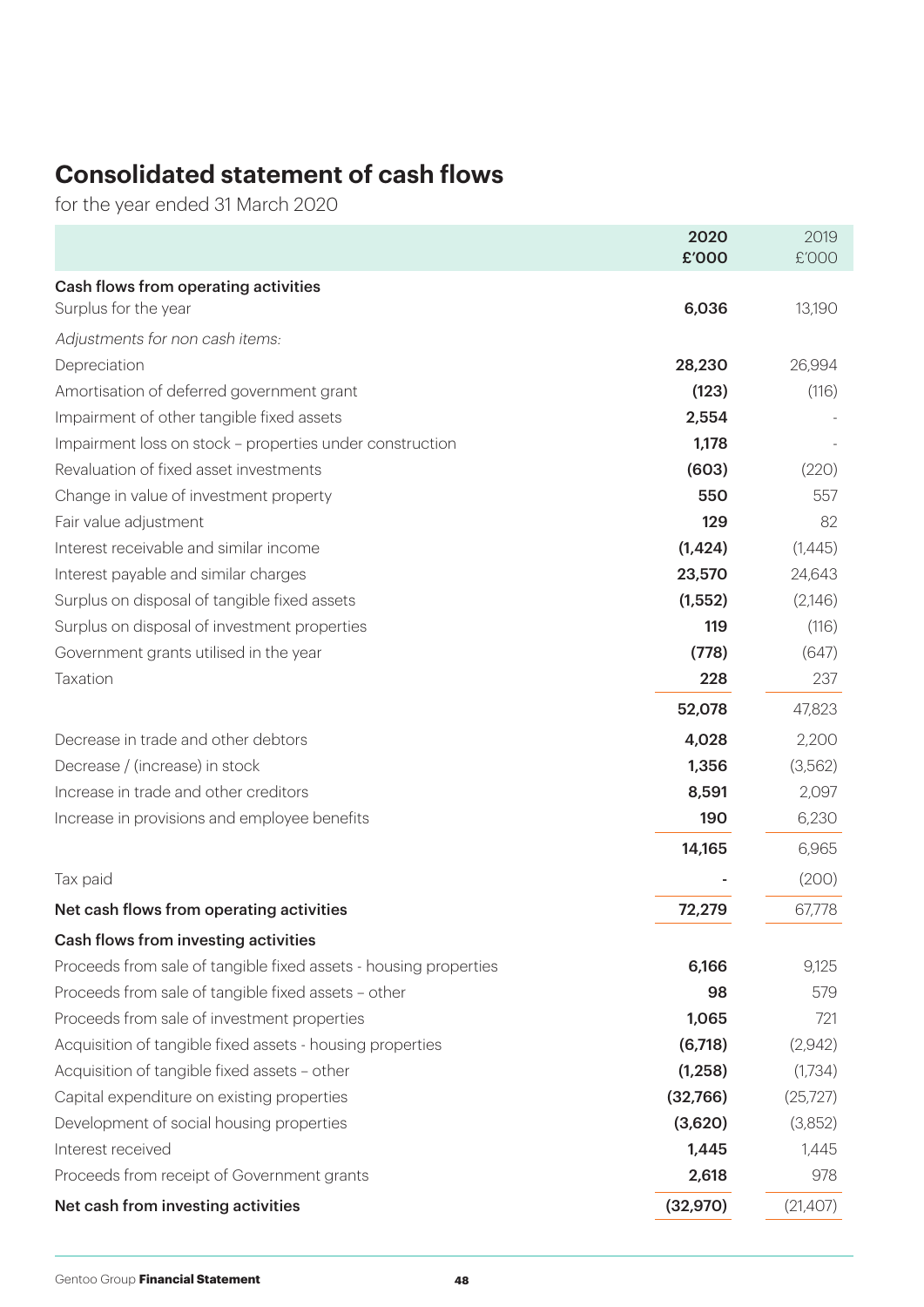# **Consolidated statement of cash flows**

for the year ended 31 March 2020

|                                                                  | 2020<br>£'000 | 2019<br>£'000 |
|------------------------------------------------------------------|---------------|---------------|
| Cash flows from operating activities                             |               |               |
| Surplus for the year                                             | 6,036         | 13,190        |
| Adjustments for non cash items:                                  |               |               |
| Depreciation                                                     | 28,230        | 26,994        |
| Amortisation of deferred government grant                        | (123)         | (116)         |
| Impairment of other tangible fixed assets                        | 2,554         |               |
| Impairment loss on stock - properties under construction         | 1,178         |               |
| Revaluation of fixed asset investments                           | (603)         | (220)         |
| Change in value of investment property                           | 550           | 557           |
| Fair value adjustment                                            | 129           | 82            |
| Interest receivable and similar income                           | (1,424)       | (1,445)       |
| Interest payable and similar charges                             | 23,570        | 24,643        |
| Surplus on disposal of tangible fixed assets                     | (1,552)       | (2,146)       |
| Surplus on disposal of investment properties                     | 119           | (116)         |
| Government grants utilised in the year                           | (778)         | (647)         |
| Taxation                                                         | 228           | 237           |
|                                                                  | 52,078        | 47,823        |
| Decrease in trade and other debtors                              | 4,028         | 2,200         |
| Decrease / (increase) in stock                                   | 1,356         | (3,562)       |
| Increase in trade and other creditors                            | 8,591         | 2,097         |
| Increase in provisions and employee benefits                     | 190           | 6,230         |
|                                                                  | 14,165        | 6,965         |
| Tax paid                                                         |               | (200)         |
| Net cash flows from operating activities                         | 72,279        | 67,778        |
| Cash flows from investing activities                             |               |               |
| Proceeds from sale of tangible fixed assets - housing properties | 6,166         | 9,125         |
| Proceeds from sale of tangible fixed assets - other              | 98            | 579           |
| Proceeds from sale of investment properties                      | 1,065         | 721           |
| Acquisition of tangible fixed assets - housing properties        | (6,718)       | (2,942)       |
| Acquisition of tangible fixed assets - other                     | (1, 258)      | (1,734)       |
| Capital expenditure on existing properties                       | (32,766)      | (25, 727)     |
| Development of social housing properties                         | (3,620)       | (3,852)       |
| Interest received                                                | 1,445         | 1,445         |
| Proceeds from receipt of Government grants                       | 2,618         | 978           |
| Net cash from investing activities                               | (32, 970)     | (21,407)      |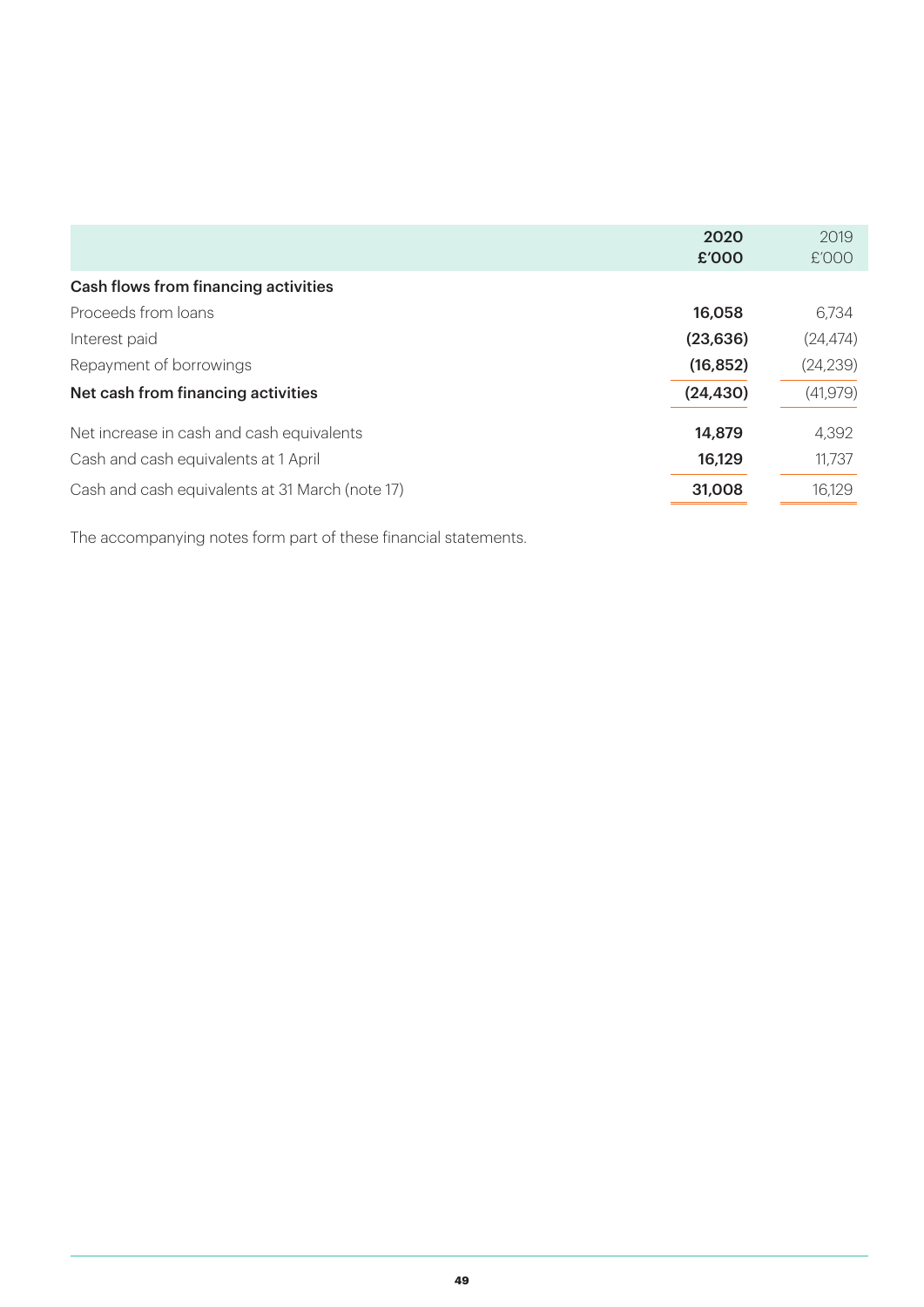|                                                 | 2020      | 2019      |
|-------------------------------------------------|-----------|-----------|
|                                                 | £'000     | £'000     |
| Cash flows from financing activities            |           |           |
| Proceeds from loans                             | 16,058    | 6,734     |
| Interest paid                                   | (23, 636) | (24, 474) |
| Repayment of borrowings                         | (16, 852) | (24, 239) |
| Net cash from financing activities              | (24, 430) | (41, 979) |
| Net increase in cash and cash equivalents       | 14,879    | 4,392     |
| Cash and cash equivalents at 1 April            | 16,129    | 11,737    |
| Cash and cash equivalents at 31 March (note 17) | 31,008    | 16,129    |

The accompanying notes form part of these financial statements.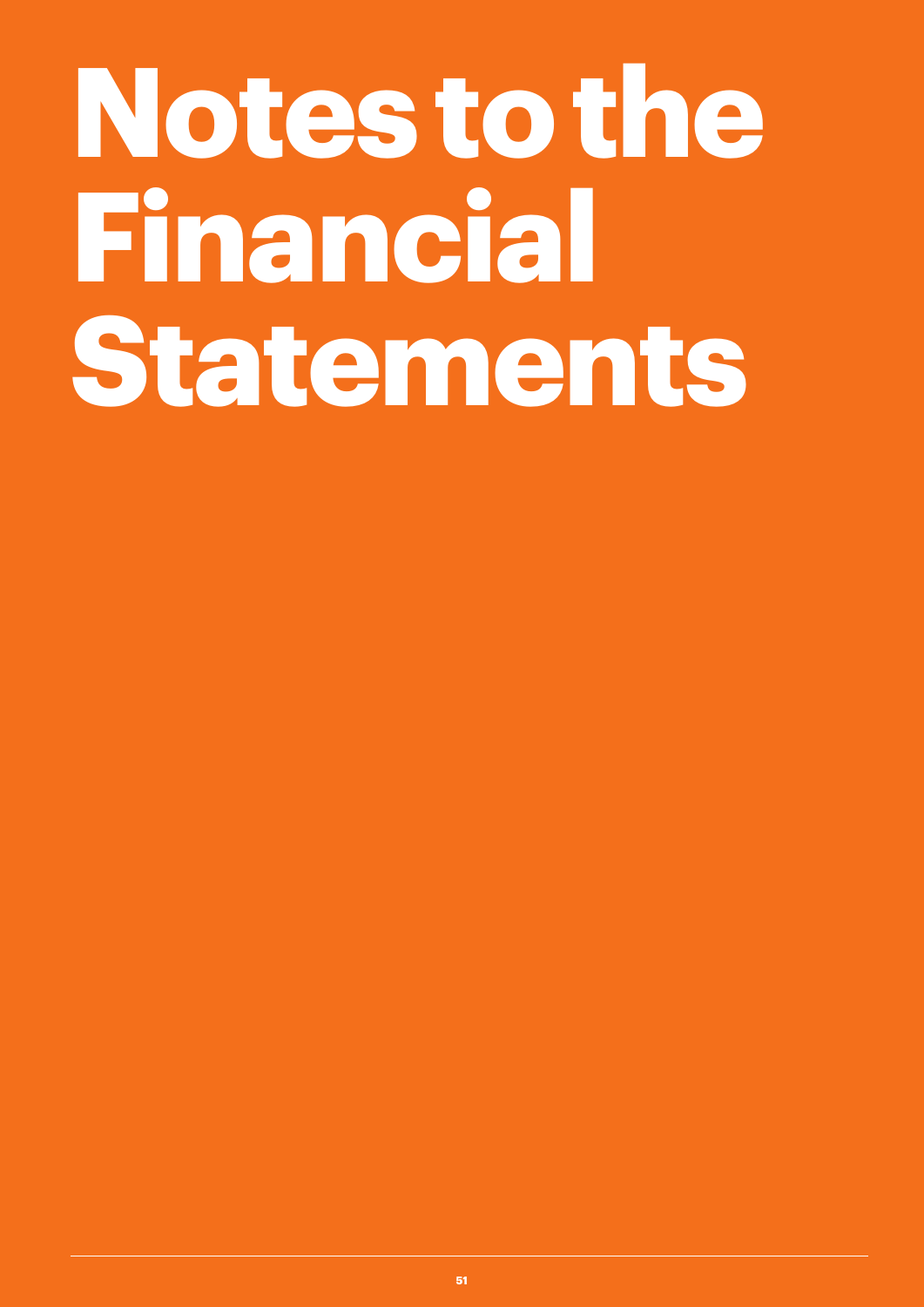# **Notes to the Financial Statements**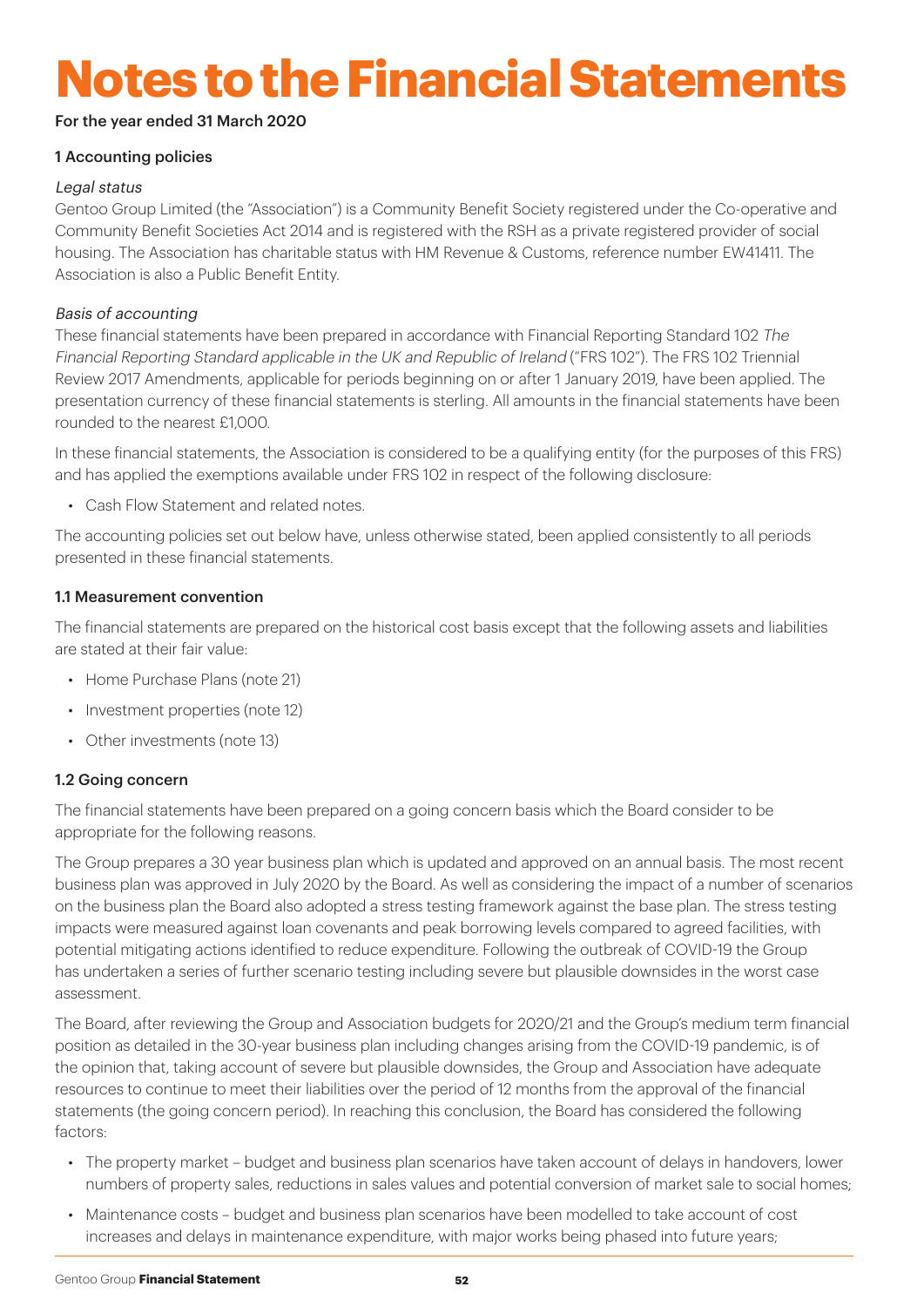# **Notes to the Financial Statements**

#### For the year ended 31 March 2020

#### 1 Accounting policies

#### Legal status

Gentoo Group Limited (the "Association") is a Community Benefit Society registered under the Co-operative and Community Benefit Societies Act 2014 and is registered with the RSH as a private registered provider of social housing. The Association has charitable status with HM Revenue & Customs, reference number EW41411. The Association is also a Public Benefit Entity.

#### Basis of accounting

These financial statements have been prepared in accordance with Financial Reporting Standard 102 The Financial Reporting Standard applicable in the UK and Republic of Ireland ("FRS 102"). The FRS 102 Triennial Review 2017 Amendments, applicable for periods beginning on or after 1 January 2019, have been applied. The presentation currency of these financial statements is sterling. All amounts in the financial statements have been rounded to the nearest £1,000.

In these financial statements, the Association is considered to be a qualifying entity (for the purposes of this FRS) and has applied the exemptions available under FRS 102 in respect of the following disclosure:

• Cash Flow Statement and related notes.

The accounting policies set out below have, unless otherwise stated, been applied consistently to all periods presented in these financial statements.

#### 1.1 Measurement convention

The financial statements are prepared on the historical cost basis except that the following assets and liabilities are stated at their fair value:

- Home Purchase Plans (note 21)
- Investment properties (note 12)
- Other investments (note 13)

#### 1.2 Going concern

The financial statements have been prepared on a going concern basis which the Board consider to be appropriate for the following reasons.

The Group prepares a 30 year business plan which is updated and approved on an annual basis. The most recent business plan was approved in July 2020 by the Board. As well as considering the impact of a number of scenarios on the business plan the Board also adopted a stress testing framework against the base plan. The stress testing impacts were measured against loan covenants and peak borrowing levels compared to agreed facilities, with potential mitigating actions identified to reduce expenditure. Following the outbreak of COVID-19 the Group has undertaken a series of further scenario testing including severe but plausible downsides in the worst case assessment.

The Board, after reviewing the Group and Association budgets for 2020/21 and the Group's medium term financial position as detailed in the 30-year business plan including changes arising from the COVID-19 pandemic, is of the opinion that, taking account of severe but plausible downsides, the Group and Association have adequate resources to continue to meet their liabilities over the period of 12 months from the approval of the financial statements (the going concern period). In reaching this conclusion, the Board has considered the following factors:

- The property market budget and business plan scenarios have taken account of delays in handovers, lower numbers of property sales, reductions in sales values and potential conversion of market sale to social homes;
- Maintenance costs budget and business plan scenarios have been modelled to take account of cost increases and delays in maintenance expenditure, with major works being phased into future years;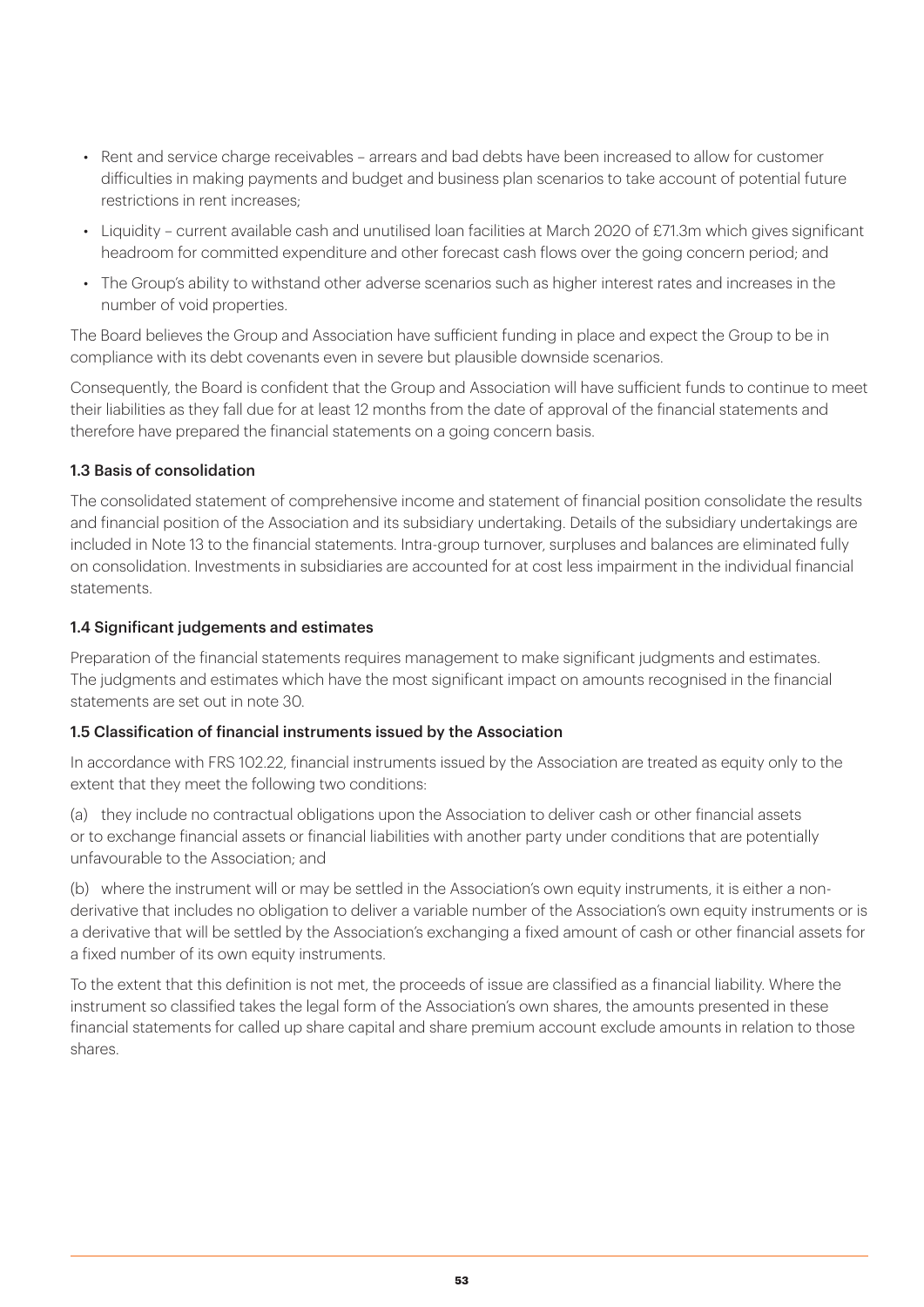- Rent and service charge receivables arrears and bad debts have been increased to allow for customer difficulties in making payments and budget and business plan scenarios to take account of potential future restrictions in rent increases;
- Liquidity current available cash and unutilised loan facilities at March 2020 of £71.3m which gives significant headroom for committed expenditure and other forecast cash flows over the going concern period; and
- The Group's ability to withstand other adverse scenarios such as higher interest rates and increases in the number of void properties.

The Board believes the Group and Association have sufficient funding in place and expect the Group to be in compliance with its debt covenants even in severe but plausible downside scenarios.

Consequently, the Board is confident that the Group and Association will have sufficient funds to continue to meet their liabilities as they fall due for at least 12 months from the date of approval of the financial statements and therefore have prepared the financial statements on a going concern basis.

#### 1.3 Basis of consolidation

The consolidated statement of comprehensive income and statement of financial position consolidate the results and financial position of the Association and its subsidiary undertaking. Details of the subsidiary undertakings are included in Note 13 to the financial statements. Intra-group turnover, surpluses and balances are eliminated fully on consolidation. Investments in subsidiaries are accounted for at cost less impairment in the individual financial statements.

#### 1.4 Significant judgements and estimates

Preparation of the financial statements requires management to make significant judgments and estimates. The judgments and estimates which have the most significant impact on amounts recognised in the financial statements are set out in note 30.

#### 1.5 Classification of financial instruments issued by the Association

In accordance with FRS 102.22, financial instruments issued by the Association are treated as equity only to the extent that they meet the following two conditions:

(a) they include no contractual obligations upon the Association to deliver cash or other financial assets or to exchange financial assets or financial liabilities with another party under conditions that are potentially unfavourable to the Association; and

(b) where the instrument will or may be settled in the Association's own equity instruments, it is either a nonderivative that includes no obligation to deliver a variable number of the Association's own equity instruments or is a derivative that will be settled by the Association's exchanging a fixed amount of cash or other financial assets for a fixed number of its own equity instruments.

To the extent that this definition is not met, the proceeds of issue are classified as a financial liability. Where the instrument so classified takes the legal form of the Association's own shares, the amounts presented in these financial statements for called up share capital and share premium account exclude amounts in relation to those shares.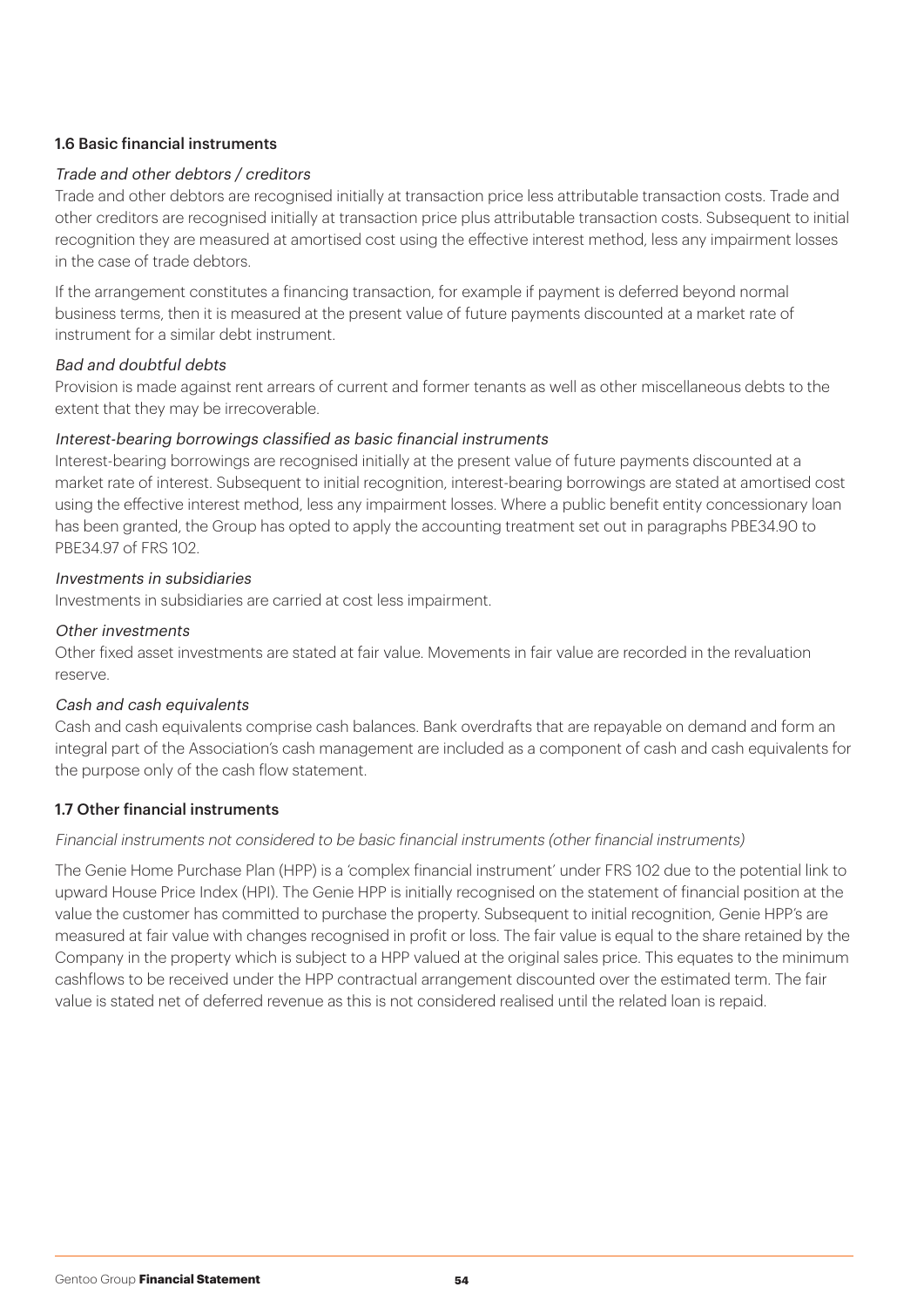#### 1.6 Basic financial instruments

#### Trade and other debtors / creditors

Trade and other debtors are recognised initially at transaction price less attributable transaction costs. Trade and other creditors are recognised initially at transaction price plus attributable transaction costs. Subsequent to initial recognition they are measured at amortised cost using the effective interest method, less any impairment losses in the case of trade debtors.

If the arrangement constitutes a financing transaction, for example if payment is deferred beyond normal business terms, then it is measured at the present value of future payments discounted at a market rate of instrument for a similar debt instrument.

#### Bad and doubtful debts

Provision is made against rent arrears of current and former tenants as well as other miscellaneous debts to the extent that they may be irrecoverable.

#### Interest-bearing borrowings classified as basic financial instruments

Interest-bearing borrowings are recognised initially at the present value of future payments discounted at a market rate of interest. Subsequent to initial recognition, interest-bearing borrowings are stated at amortised cost using the effective interest method, less any impairment losses. Where a public benefit entity concessionary loan has been granted, the Group has opted to apply the accounting treatment set out in paragraphs PBE34.90 to PBE34.97 of FRS 102.

#### Investments in subsidiaries

Investments in subsidiaries are carried at cost less impairment.

#### Other investments

Other fixed asset investments are stated at fair value. Movements in fair value are recorded in the revaluation reserve.

#### Cash and cash equivalents

Cash and cash equivalents comprise cash balances. Bank overdrafts that are repayable on demand and form an integral part of the Association's cash management are included as a component of cash and cash equivalents for the purpose only of the cash flow statement.

#### 1.7 Other financial instruments

#### Financial instruments not considered to be basic financial instruments (other financial instruments)

The Genie Home Purchase Plan (HPP) is a 'complex financial instrument' under FRS 102 due to the potential link to upward House Price Index (HPI). The Genie HPP is initially recognised on the statement of financial position at the value the customer has committed to purchase the property. Subsequent to initial recognition, Genie HPP's are measured at fair value with changes recognised in profit or loss. The fair value is equal to the share retained by the Company in the property which is subject to a HPP valued at the original sales price. This equates to the minimum cashflows to be received under the HPP contractual arrangement discounted over the estimated term. The fair value is stated net of deferred revenue as this is not considered realised until the related loan is repaid.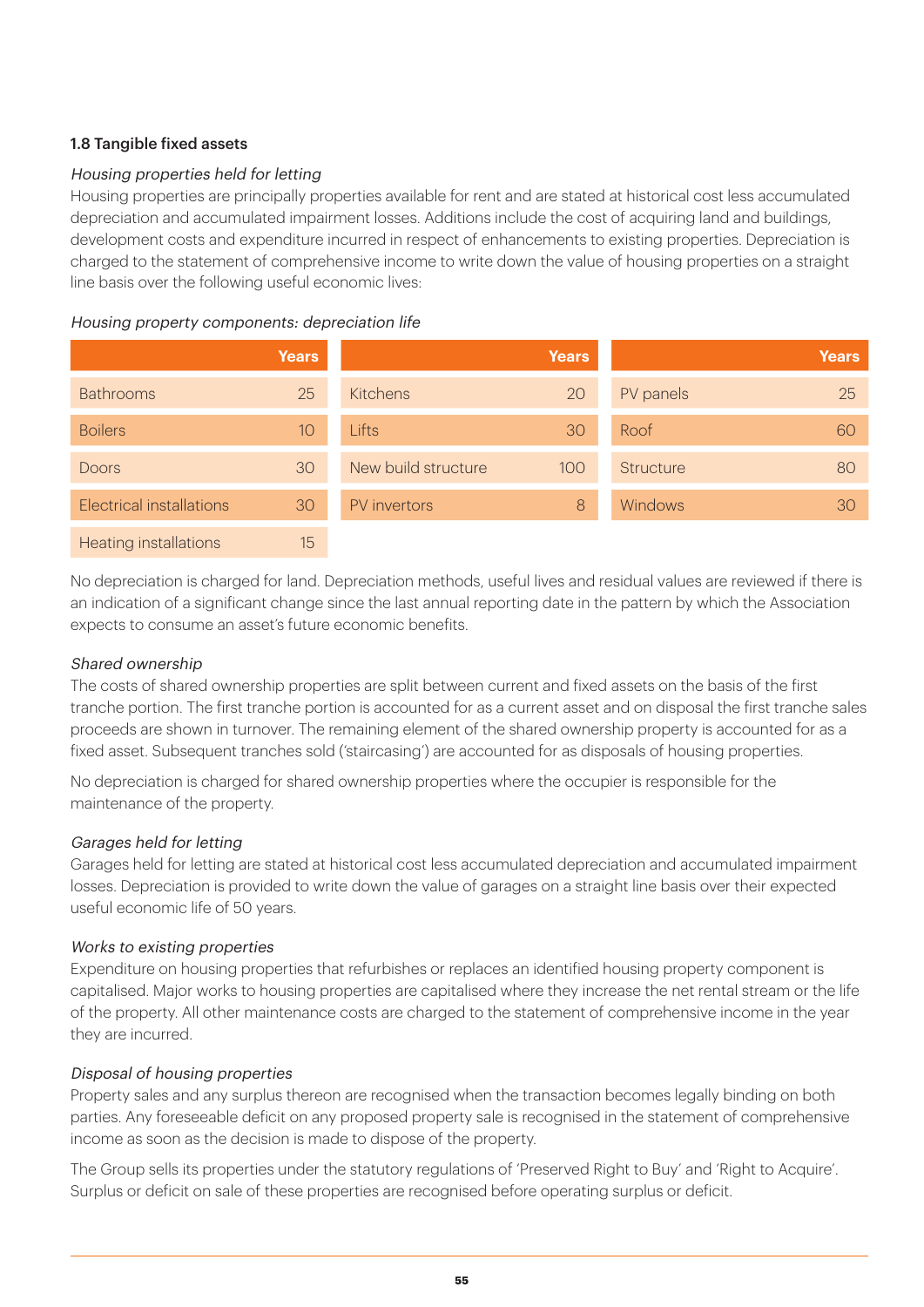#### 1.8 Tangible fixed assets

#### Housing properties held for letting

Housing properties are principally properties available for rent and are stated at historical cost less accumulated depreciation and accumulated impairment losses. Additions include the cost of acquiring land and buildings, development costs and expenditure incurred in respect of enhancements to existing properties. Depreciation is charged to the statement of comprehensive income to write down the value of housing properties on a straight line basis over the following useful economic lives:

#### Housing property components: depreciation life

|                              | <b>Years</b> |                     | <b>Years</b> |                  | <b>Years</b> |
|------------------------------|--------------|---------------------|--------------|------------------|--------------|
| <b>Bathrooms</b>             | 25           | <b>Kitchens</b>     | 20           | PV panels        | 25           |
| <b>Boilers</b>               | 10           | Lifts               | 30           | Roof             | 60           |
| <b>Doors</b>                 | 30           | New build structure | 100          | <b>Structure</b> | 80           |
| Electrical installations     | 30           | PV invertors        | 8            | <b>Windows</b>   | 30           |
| <b>Heating installations</b> | 15           |                     |              |                  |              |

No depreciation is charged for land. Depreciation methods, useful lives and residual values are reviewed if there is an indication of a significant change since the last annual reporting date in the pattern by which the Association expects to consume an asset's future economic benefits.

#### Shared ownership

The costs of shared ownership properties are split between current and fixed assets on the basis of the first tranche portion. The first tranche portion is accounted for as a current asset and on disposal the first tranche sales proceeds are shown in turnover. The remaining element of the shared ownership property is accounted for as a fixed asset. Subsequent tranches sold ('staircasing') are accounted for as disposals of housing properties.

No depreciation is charged for shared ownership properties where the occupier is responsible for the maintenance of the property.

#### Garages held for letting

Garages held for letting are stated at historical cost less accumulated depreciation and accumulated impairment losses. Depreciation is provided to write down the value of garages on a straight line basis over their expected useful economic life of 50 years.

#### Works to existing properties

Expenditure on housing properties that refurbishes or replaces an identified housing property component is capitalised. Major works to housing properties are capitalised where they increase the net rental stream or the life of the property. All other maintenance costs are charged to the statement of comprehensive income in the year they are incurred.

#### Disposal of housing properties

Property sales and any surplus thereon are recognised when the transaction becomes legally binding on both parties. Any foreseeable deficit on any proposed property sale is recognised in the statement of comprehensive income as soon as the decision is made to dispose of the property.

The Group sells its properties under the statutory regulations of 'Preserved Right to Buy' and 'Right to Acquire'. Surplus or deficit on sale of these properties are recognised before operating surplus or deficit.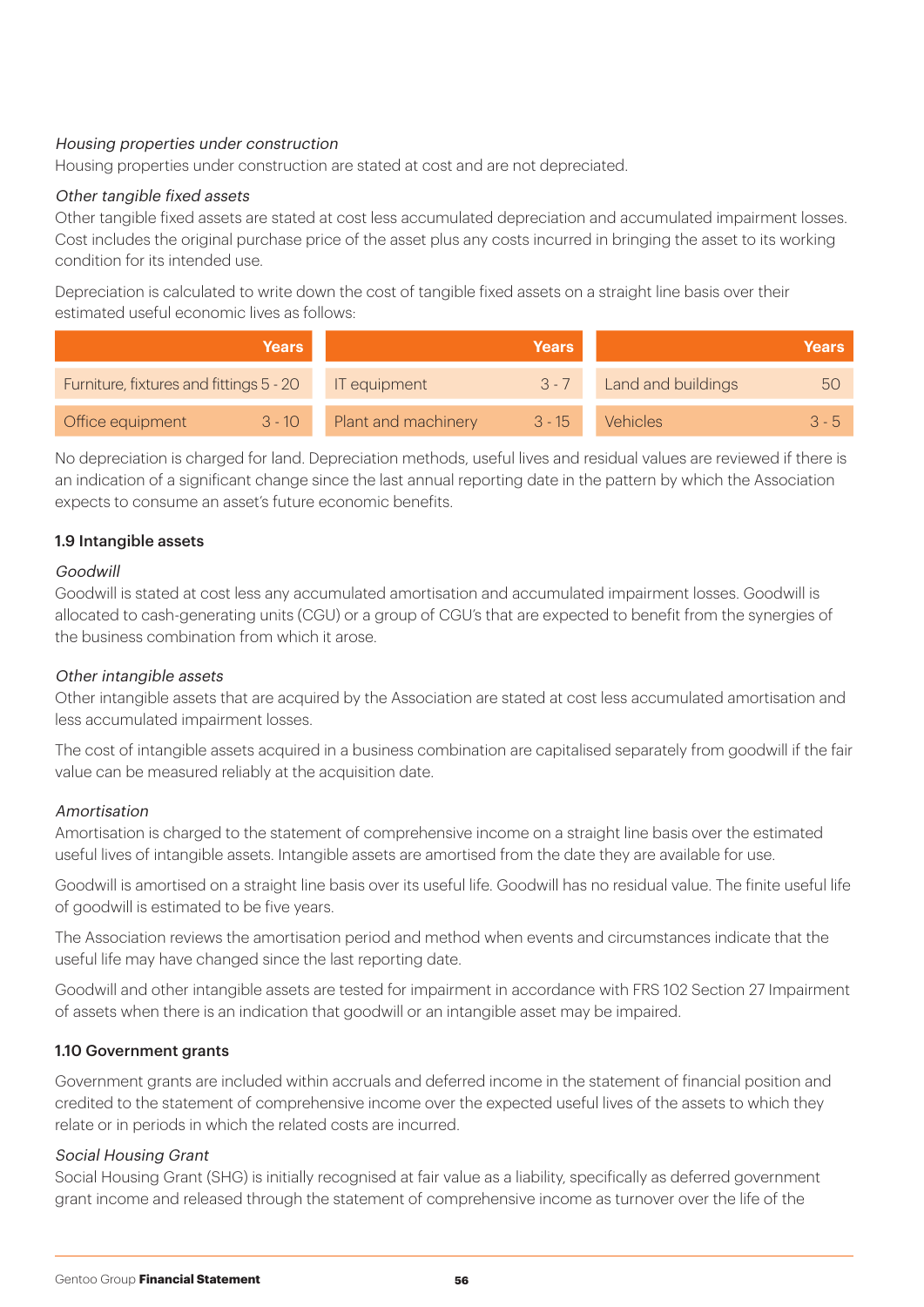#### Housing properties under construction

Housing properties under construction are stated at cost and are not depreciated.

#### Other tangible fixed assets

Other tangible fixed assets are stated at cost less accumulated depreciation and accumulated impairment losses. Cost includes the original purchase price of the asset plus any costs incurred in bringing the asset to its working condition for its intended use.

Depreciation is calculated to write down the cost of tangible fixed assets on a straight line basis over their estimated useful economic lives as follows:

|                                         | <b>Years</b> |                     | <b>Years</b> |                    | <b>Years</b> ' |
|-----------------------------------------|--------------|---------------------|--------------|--------------------|----------------|
| Furniture, fixtures and fittings 5 - 20 |              | IT equipment        | $3 - 7$      | Land and buildings | bC             |
| Office equipment                        | $3 - 10$     | Plant and machinery | $3 - 15$     | Vehicles           | $3 - 5$        |

No depreciation is charged for land. Depreciation methods, useful lives and residual values are reviewed if there is an indication of a significant change since the last annual reporting date in the pattern by which the Association expects to consume an asset's future economic benefits.

#### 1.9 Intangible assets

#### Goodwill

Goodwill is stated at cost less any accumulated amortisation and accumulated impairment losses. Goodwill is allocated to cash-generating units (CGU) or a group of CGU's that are expected to benefit from the synergies of the business combination from which it arose.

#### Other intangible assets

Other intangible assets that are acquired by the Association are stated at cost less accumulated amortisation and less accumulated impairment losses.

The cost of intangible assets acquired in a business combination are capitalised separately from goodwill if the fair value can be measured reliably at the acquisition date.

#### Amortisation

Amortisation is charged to the statement of comprehensive income on a straight line basis over the estimated useful lives of intangible assets. Intangible assets are amortised from the date they are available for use.

Goodwill is amortised on a straight line basis over its useful life. Goodwill has no residual value. The finite useful life of goodwill is estimated to be five years.

The Association reviews the amortisation period and method when events and circumstances indicate that the useful life may have changed since the last reporting date.

Goodwill and other intangible assets are tested for impairment in accordance with FRS 102 Section 27 Impairment of assets when there is an indication that goodwill or an intangible asset may be impaired.

#### 1.10 Government grants

Government grants are included within accruals and deferred income in the statement of financial position and credited to the statement of comprehensive income over the expected useful lives of the assets to which they relate or in periods in which the related costs are incurred.

#### Social Housing Grant

Social Housing Grant (SHG) is initially recognised at fair value as a liability, specifically as deferred government grant income and released through the statement of comprehensive income as turnover over the life of the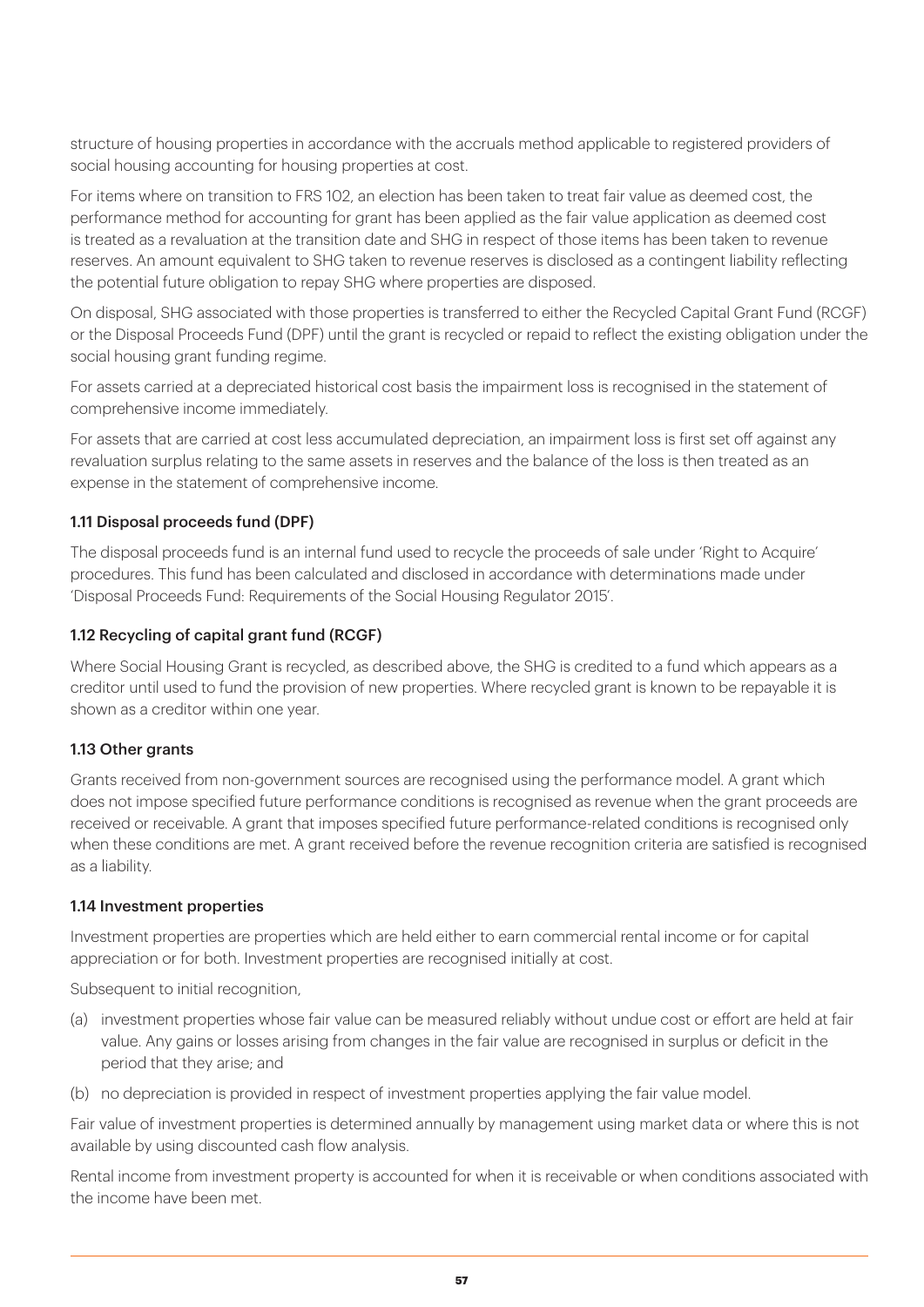structure of housing properties in accordance with the accruals method applicable to registered providers of social housing accounting for housing properties at cost.

For items where on transition to FRS 102, an election has been taken to treat fair value as deemed cost, the performance method for accounting for grant has been applied as the fair value application as deemed cost is treated as a revaluation at the transition date and SHG in respect of those items has been taken to revenue reserves. An amount equivalent to SHG taken to revenue reserves is disclosed as a contingent liability reflecting the potential future obligation to repay SHG where properties are disposed.

On disposal, SHG associated with those properties is transferred to either the Recycled Capital Grant Fund (RCGF) or the Disposal Proceeds Fund (DPF) until the grant is recycled or repaid to reflect the existing obligation under the social housing grant funding regime.

For assets carried at a depreciated historical cost basis the impairment loss is recognised in the statement of comprehensive income immediately.

For assets that are carried at cost less accumulated depreciation, an impairment loss is first set off against any revaluation surplus relating to the same assets in reserves and the balance of the loss is then treated as an expense in the statement of comprehensive income.

#### 1.11 Disposal proceeds fund (DPF)

The disposal proceeds fund is an internal fund used to recycle the proceeds of sale under 'Right to Acquire' procedures. This fund has been calculated and disclosed in accordance with determinations made under 'Disposal Proceeds Fund: Requirements of the Social Housing Regulator 2015'.

#### 1.12 Recycling of capital grant fund (RCGF)

Where Social Housing Grant is recycled, as described above, the SHG is credited to a fund which appears as a creditor until used to fund the provision of new properties. Where recycled grant is known to be repayable it is shown as a creditor within one year.

#### 1.13 Other grants

Grants received from non-government sources are recognised using the performance model. A grant which does not impose specified future performance conditions is recognised as revenue when the grant proceeds are received or receivable. A grant that imposes specified future performance-related conditions is recognised only when these conditions are met. A grant received before the revenue recognition criteria are satisfied is recognised as a liability.

#### 1.14 Investment properties

Investment properties are properties which are held either to earn commercial rental income or for capital appreciation or for both. Investment properties are recognised initially at cost.

Subsequent to initial recognition,

- (a) investment properties whose fair value can be measured reliably without undue cost or effort are held at fair value. Any gains or losses arising from changes in the fair value are recognised in surplus or deficit in the period that they arise; and
- (b) no depreciation is provided in respect of investment properties applying the fair value model.

Fair value of investment properties is determined annually by management using market data or where this is not available by using discounted cash flow analysis.

Rental income from investment property is accounted for when it is receivable or when conditions associated with the income have been met.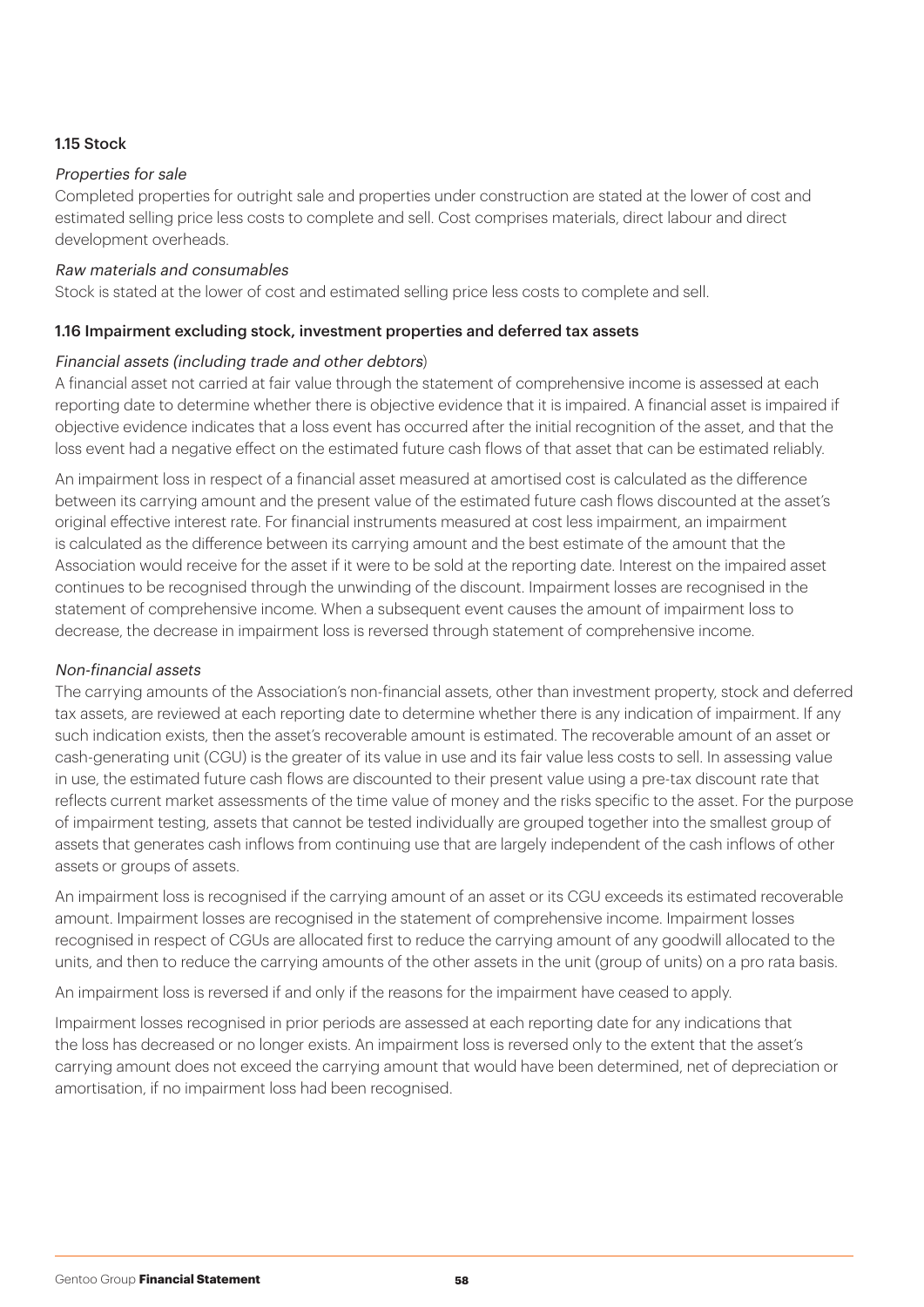#### 1.15 Stock

#### Properties for sale

Completed properties for outright sale and properties under construction are stated at the lower of cost and estimated selling price less costs to complete and sell. Cost comprises materials, direct labour and direct development overheads.

#### Raw materials and consumables

Stock is stated at the lower of cost and estimated selling price less costs to complete and sell.

#### 1.16 Impairment excluding stock, investment properties and deferred tax assets

#### Financial assets (including trade and other debtors)

A financial asset not carried at fair value through the statement of comprehensive income is assessed at each reporting date to determine whether there is objective evidence that it is impaired. A financial asset is impaired if objective evidence indicates that a loss event has occurred after the initial recognition of the asset, and that the loss event had a negative effect on the estimated future cash flows of that asset that can be estimated reliably.

An impairment loss in respect of a financial asset measured at amortised cost is calculated as the difference between its carrying amount and the present value of the estimated future cash flows discounted at the asset's original effective interest rate. For financial instruments measured at cost less impairment, an impairment is calculated as the difference between its carrying amount and the best estimate of the amount that the Association would receive for the asset if it were to be sold at the reporting date. Interest on the impaired asset continues to be recognised through the unwinding of the discount. Impairment losses are recognised in the statement of comprehensive income. When a subsequent event causes the amount of impairment loss to decrease, the decrease in impairment loss is reversed through statement of comprehensive income.

#### Non-financial assets

The carrying amounts of the Association's non-financial assets, other than investment property, stock and deferred tax assets, are reviewed at each reporting date to determine whether there is any indication of impairment. If any such indication exists, then the asset's recoverable amount is estimated. The recoverable amount of an asset or cash-generating unit (CGU) is the greater of its value in use and its fair value less costs to sell. In assessing value in use, the estimated future cash flows are discounted to their present value using a pre-tax discount rate that reflects current market assessments of the time value of money and the risks specific to the asset. For the purpose of impairment testing, assets that cannot be tested individually are grouped together into the smallest group of assets that generates cash inflows from continuing use that are largely independent of the cash inflows of other assets or groups of assets.

An impairment loss is recognised if the carrying amount of an asset or its CGU exceeds its estimated recoverable amount. Impairment losses are recognised in the statement of comprehensive income. Impairment losses recognised in respect of CGUs are allocated first to reduce the carrying amount of any goodwill allocated to the units, and then to reduce the carrying amounts of the other assets in the unit (group of units) on a pro rata basis.

An impairment loss is reversed if and only if the reasons for the impairment have ceased to apply.

Impairment losses recognised in prior periods are assessed at each reporting date for any indications that the loss has decreased or no longer exists. An impairment loss is reversed only to the extent that the asset's carrying amount does not exceed the carrying amount that would have been determined, net of depreciation or amortisation, if no impairment loss had been recognised.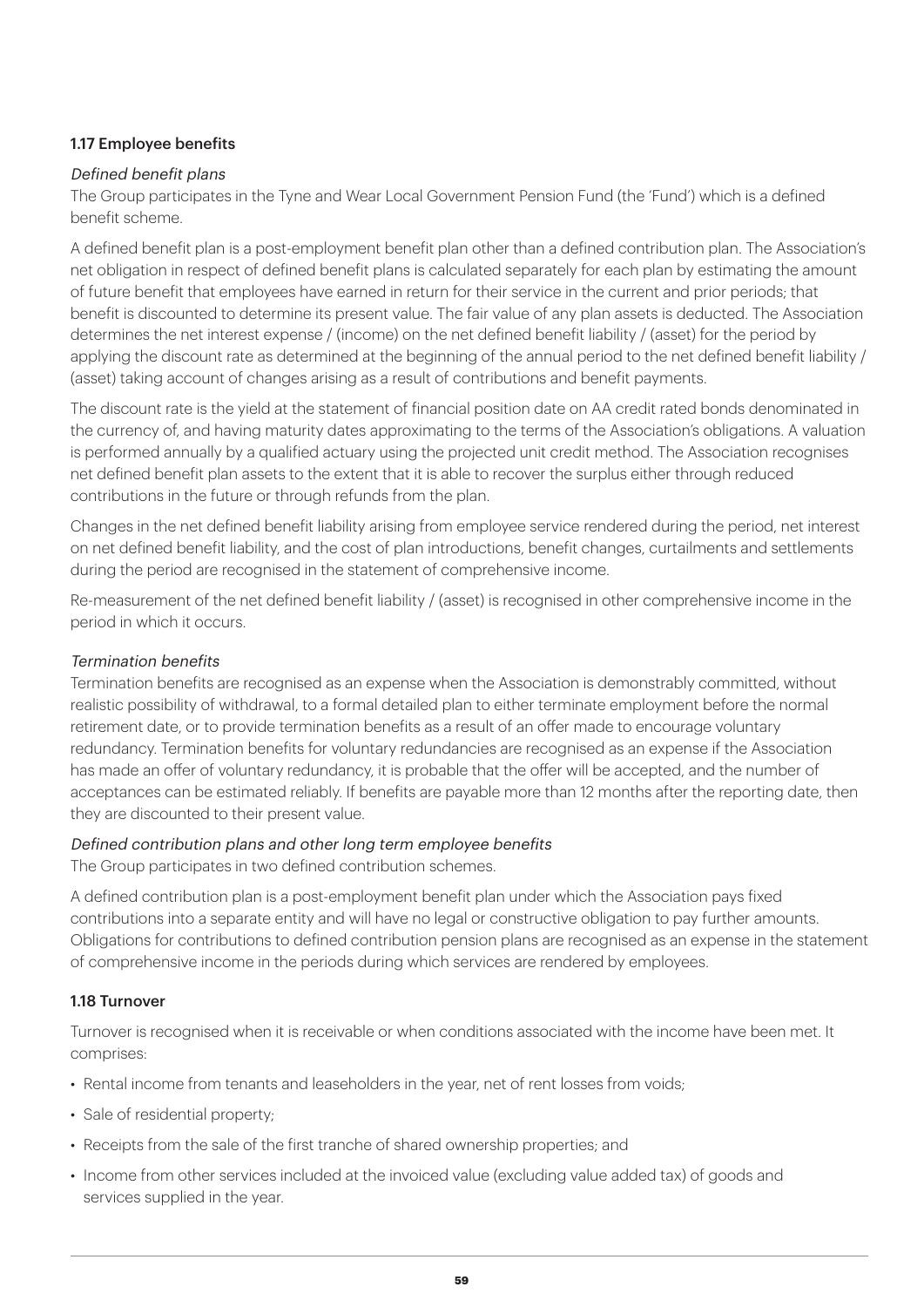#### 1.17 Employee benefits

#### Defined benefit plans

The Group participates in the Tyne and Wear Local Government Pension Fund (the 'Fund') which is a defined benefit scheme.

A defined benefit plan is a post-employment benefit plan other than a defined contribution plan. The Association's net obligation in respect of defined benefit plans is calculated separately for each plan by estimating the amount of future benefit that employees have earned in return for their service in the current and prior periods; that benefit is discounted to determine its present value. The fair value of any plan assets is deducted. The Association determines the net interest expense / (income) on the net defined benefit liability / (asset) for the period by applying the discount rate as determined at the beginning of the annual period to the net defined benefit liability / (asset) taking account of changes arising as a result of contributions and benefit payments.

The discount rate is the yield at the statement of financial position date on AA credit rated bonds denominated in the currency of, and having maturity dates approximating to the terms of the Association's obligations. A valuation is performed annually by a qualified actuary using the projected unit credit method. The Association recognises net defined benefit plan assets to the extent that it is able to recover the surplus either through reduced contributions in the future or through refunds from the plan.

Changes in the net defined benefit liability arising from employee service rendered during the period, net interest on net defined benefit liability, and the cost of plan introductions, benefit changes, curtailments and settlements during the period are recognised in the statement of comprehensive income.

Re-measurement of the net defined benefit liability / (asset) is recognised in other comprehensive income in the period in which it occurs.

#### Termination benefits

Termination benefits are recognised as an expense when the Association is demonstrably committed, without realistic possibility of withdrawal, to a formal detailed plan to either terminate employment before the normal retirement date, or to provide termination benefits as a result of an offer made to encourage voluntary redundancy. Termination benefits for voluntary redundancies are recognised as an expense if the Association has made an offer of voluntary redundancy, it is probable that the offer will be accepted, and the number of acceptances can be estimated reliably. If benefits are payable more than 12 months after the reporting date, then they are discounted to their present value.

#### Defined contribution plans and other long term employee benefits

The Group participates in two defined contribution schemes.

A defined contribution plan is a post-employment benefit plan under which the Association pays fixed contributions into a separate entity and will have no legal or constructive obligation to pay further amounts. Obligations for contributions to defined contribution pension plans are recognised as an expense in the statement of comprehensive income in the periods during which services are rendered by employees.

#### 1.18 Turnover

Turnover is recognised when it is receivable or when conditions associated with the income have been met. It comprises:

- Rental income from tenants and leaseholders in the year, net of rent losses from voids;
- Sale of residential property:
- Receipts from the sale of the first tranche of shared ownership properties; and
- Income from other services included at the invoiced value (excluding value added tax) of goods and services supplied in the year.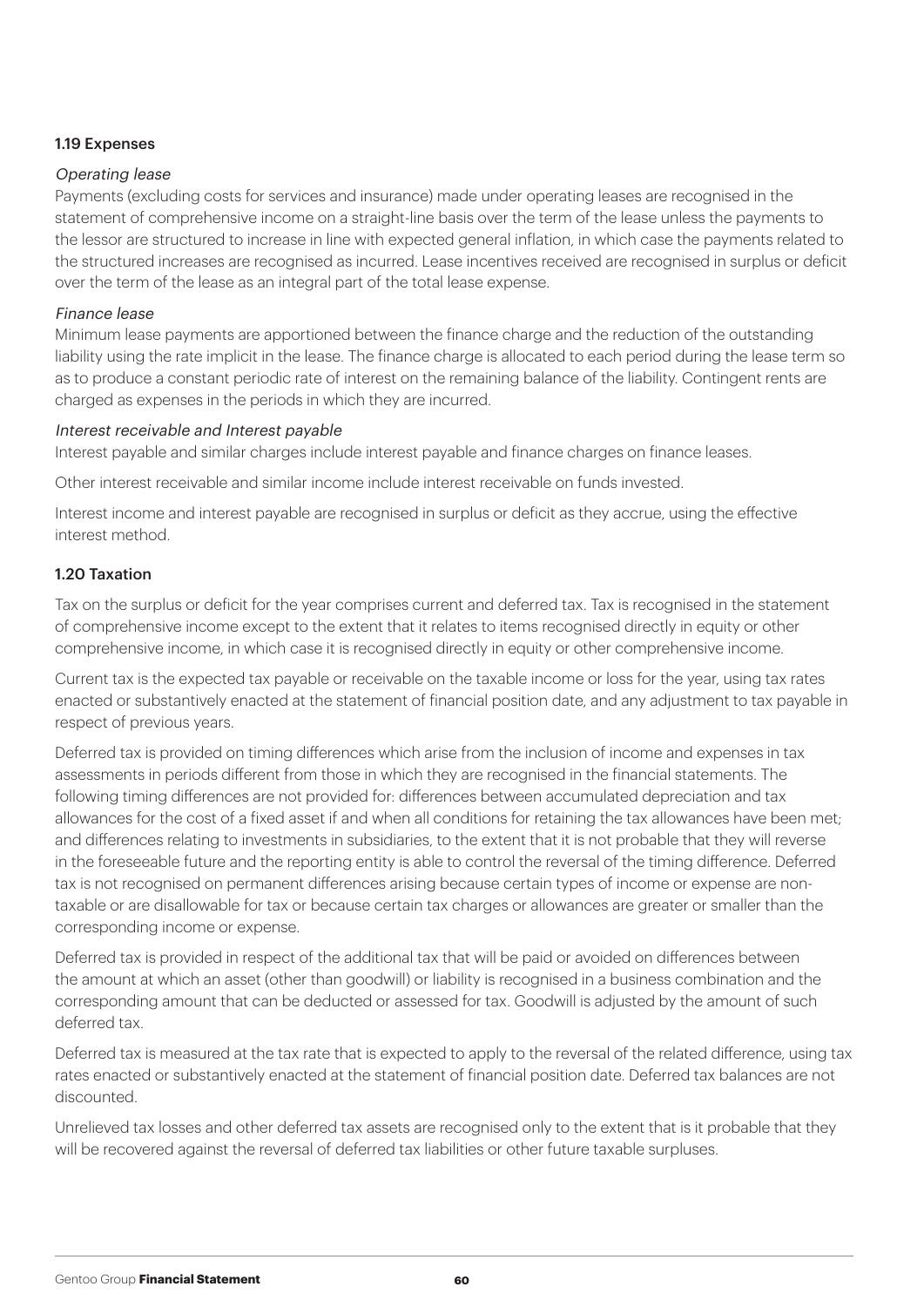#### 1.19 Expenses

#### Operating lease

Payments (excluding costs for services and insurance) made under operating leases are recognised in the statement of comprehensive income on a straight-line basis over the term of the lease unless the payments to the lessor are structured to increase in line with expected general inflation, in which case the payments related to the structured increases are recognised as incurred. Lease incentives received are recognised in surplus or deficit over the term of the lease as an integral part of the total lease expense.

#### Finance lease

Minimum lease payments are apportioned between the finance charge and the reduction of the outstanding liability using the rate implicit in the lease. The finance charge is allocated to each period during the lease term so as to produce a constant periodic rate of interest on the remaining balance of the liability. Contingent rents are charged as expenses in the periods in which they are incurred.

#### Interest receivable and Interest payable

Interest payable and similar charges include interest payable and finance charges on finance leases.

Other interest receivable and similar income include interest receivable on funds invested.

Interest income and interest payable are recognised in surplus or deficit as they accrue, using the effective interest method.

#### 1.20 Taxation

Tax on the surplus or deficit for the year comprises current and deferred tax. Tax is recognised in the statement of comprehensive income except to the extent that it relates to items recognised directly in equity or other comprehensive income, in which case it is recognised directly in equity or other comprehensive income.

Current tax is the expected tax payable or receivable on the taxable income or loss for the year, using tax rates enacted or substantively enacted at the statement of financial position date, and any adjustment to tax payable in respect of previous years.

Deferred tax is provided on timing differences which arise from the inclusion of income and expenses in tax assessments in periods different from those in which they are recognised in the financial statements. The following timing differences are not provided for: differences between accumulated depreciation and tax allowances for the cost of a fixed asset if and when all conditions for retaining the tax allowances have been met; and differences relating to investments in subsidiaries, to the extent that it is not probable that they will reverse in the foreseeable future and the reporting entity is able to control the reversal of the timing difference. Deferred tax is not recognised on permanent differences arising because certain types of income or expense are nontaxable or are disallowable for tax or because certain tax charges or allowances are greater or smaller than the corresponding income or expense.

Deferred tax is provided in respect of the additional tax that will be paid or avoided on differences between the amount at which an asset (other than goodwill) or liability is recognised in a business combination and the corresponding amount that can be deducted or assessed for tax. Goodwill is adjusted by the amount of such deferred tax.

Deferred tax is measured at the tax rate that is expected to apply to the reversal of the related difference, using tax rates enacted or substantively enacted at the statement of financial position date. Deferred tax balances are not discounted.

Unrelieved tax losses and other deferred tax assets are recognised only to the extent that is it probable that they will be recovered against the reversal of deferred tax liabilities or other future taxable surpluses.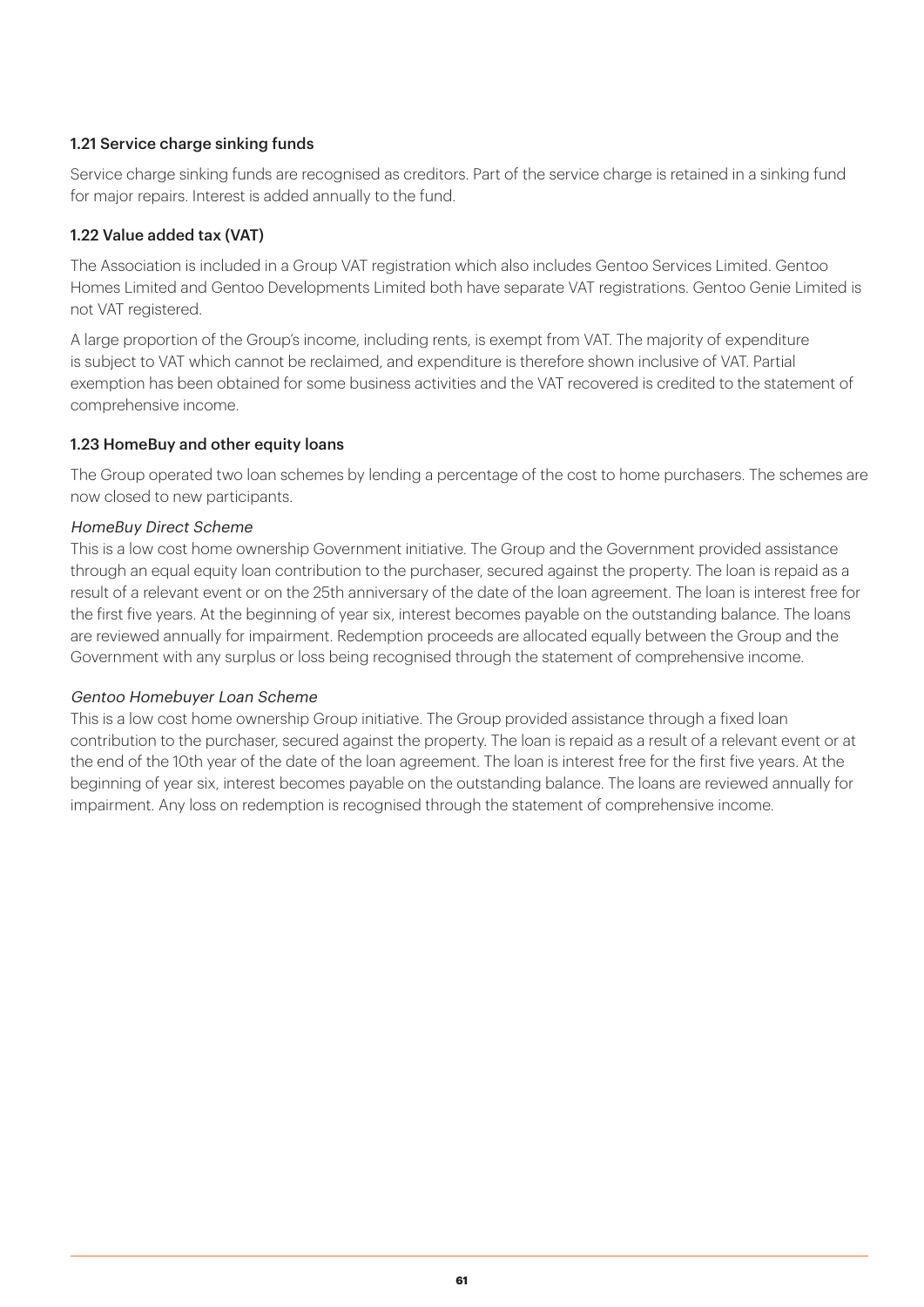#### 1.21 Service charge sinking funds

Service charge sinking funds are recognised as creditors. Part of the service charge is retained in a sinking fund for major repairs. Interest is added annually to the fund.

#### 1.22 Value added tax (VAT)

The Association is included in a Group VAT registration which also includes Gentoo Services Limited. Gentoo Homes Limited and Gentoo Developments Limited both have separate VAT registrations. Gentoo Genie Limited is not VAT registered.

A large proportion of the Group's income, including rents, is exempt from VAT. The majority of expenditure is subject to VAT which cannot be reclaimed, and expenditure is therefore shown inclusive of VAT. Partial exemption has been obtained for some business activities and the VAT recovered is credited to the statement of comprehensive income.

#### 1.23 HomeBuy and other equity loans

The Group operated two loan schemes by lending a percentage of the cost to home purchasers. The schemes are now closed to new participants.

#### HomeBuy Direct Scheme

This is a low cost home ownership Government initiative. The Group and the Government provided assistance through an equal equity loan contribution to the purchaser, secured against the property. The loan is repaid as a result of a relevant event or on the 25th anniversary of the date of the loan agreement. The loan is interest free for the first five years. At the beginning of year six, interest becomes payable on the outstanding balance. The loans are reviewed annually for impairment. Redemption proceeds are allocated equally between the Group and the Government with any surplus or loss being recognised through the statement of comprehensive income.

#### Gentoo Homebuyer Loan Scheme

This is a low cost home ownership Group initiative. The Group provided assistance through a fixed loan contribution to the purchaser, secured against the property. The loan is repaid as a result of a relevant event or at the end of the 10th year of the date of the loan agreement. The loan is interest free for the first five years. At the beginning of year six, interest becomes payable on the outstanding balance. The loans are reviewed annually for impairment. Any loss on redemption is recognised through the statement of comprehensive income.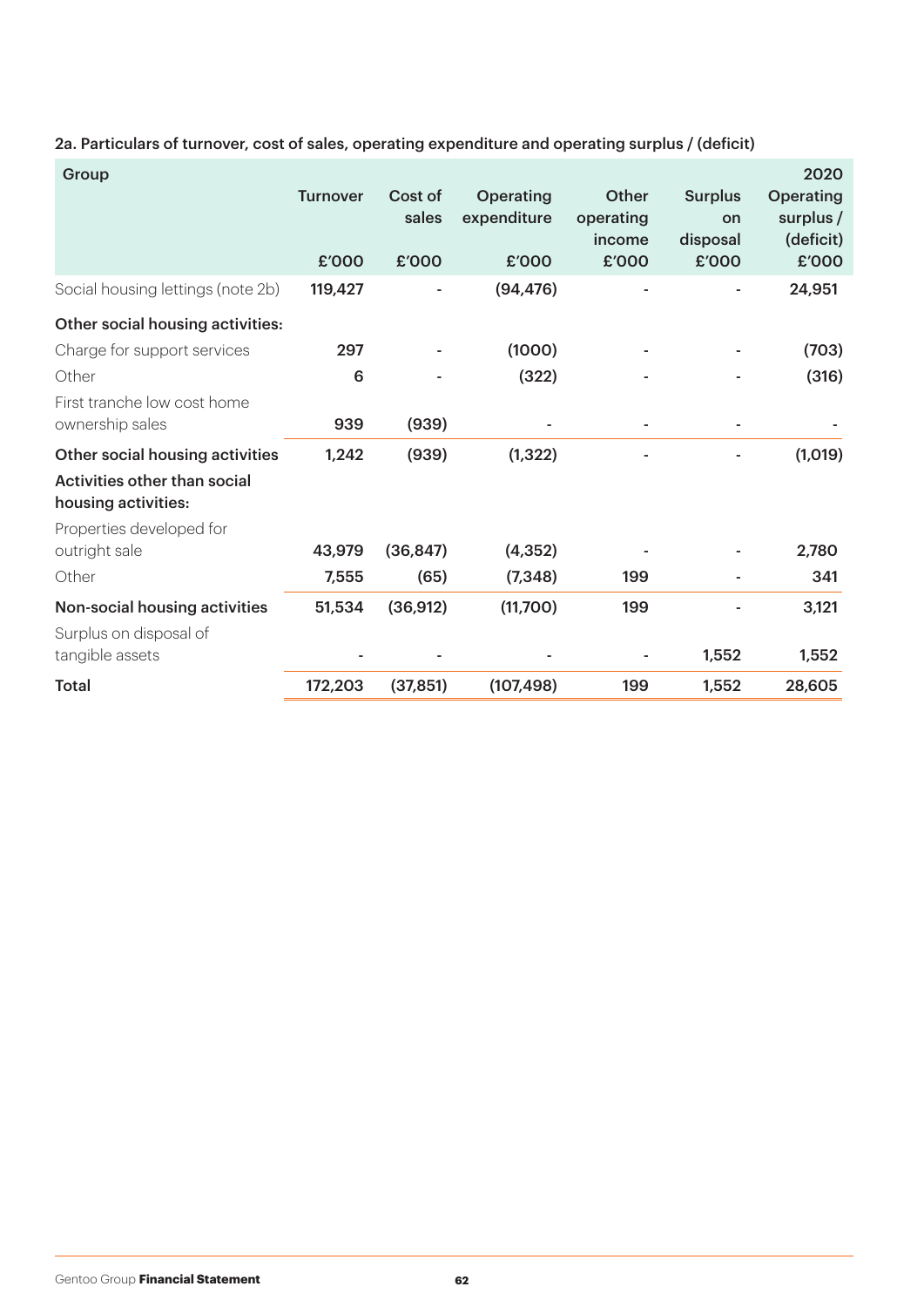| Group                                               | <b>Turnover</b><br>£'000 | Cost of<br>sales<br>£'000 | <b>Operating</b><br>expenditure<br>£'000 | Other<br>operating<br>income<br>£'000 | <b>Surplus</b><br>on<br>disposal<br>£'000 | 2020<br><b>Operating</b><br>surplus $/$<br>(deficit)<br>£'000 |
|-----------------------------------------------------|--------------------------|---------------------------|------------------------------------------|---------------------------------------|-------------------------------------------|---------------------------------------------------------------|
| Social housing lettings (note 2b)                   | 119,427                  |                           | (94, 476)                                |                                       |                                           | 24,951                                                        |
| Other social housing activities:                    |                          |                           |                                          |                                       |                                           |                                                               |
| Charge for support services                         | 297                      |                           | (1000)                                   |                                       |                                           | (703)                                                         |
| Other                                               | 6                        |                           | (322)                                    |                                       |                                           | (316)                                                         |
| First tranche low cost home<br>ownership sales      | 939                      | (939)                     |                                          |                                       |                                           |                                                               |
| Other social housing activities                     | 1,242                    | (939)                     | (1, 322)                                 |                                       |                                           | (1,019)                                                       |
| Activities other than social<br>housing activities: |                          |                           |                                          |                                       |                                           |                                                               |
| Properties developed for<br>outright sale           | 43,979                   | (36, 847)                 | (4, 352)                                 |                                       |                                           | 2,780                                                         |
| Other                                               | 7,555                    | (65)                      | (7, 348)                                 | 199                                   |                                           | 341                                                           |
| Non-social housing activities                       | 51,534                   | (36, 912)                 | (11,700)                                 | 199                                   |                                           | 3,121                                                         |
| Surplus on disposal of<br>tangible assets           |                          |                           |                                          |                                       | 1,552                                     | 1,552                                                         |
| <b>Total</b>                                        | 172,203                  | (37, 851)                 | (107, 498)                               | 199                                   | 1,552                                     | 28,605                                                        |

2a. Particulars of turnover, cost of sales, operating expenditure and operating surplus / (deficit)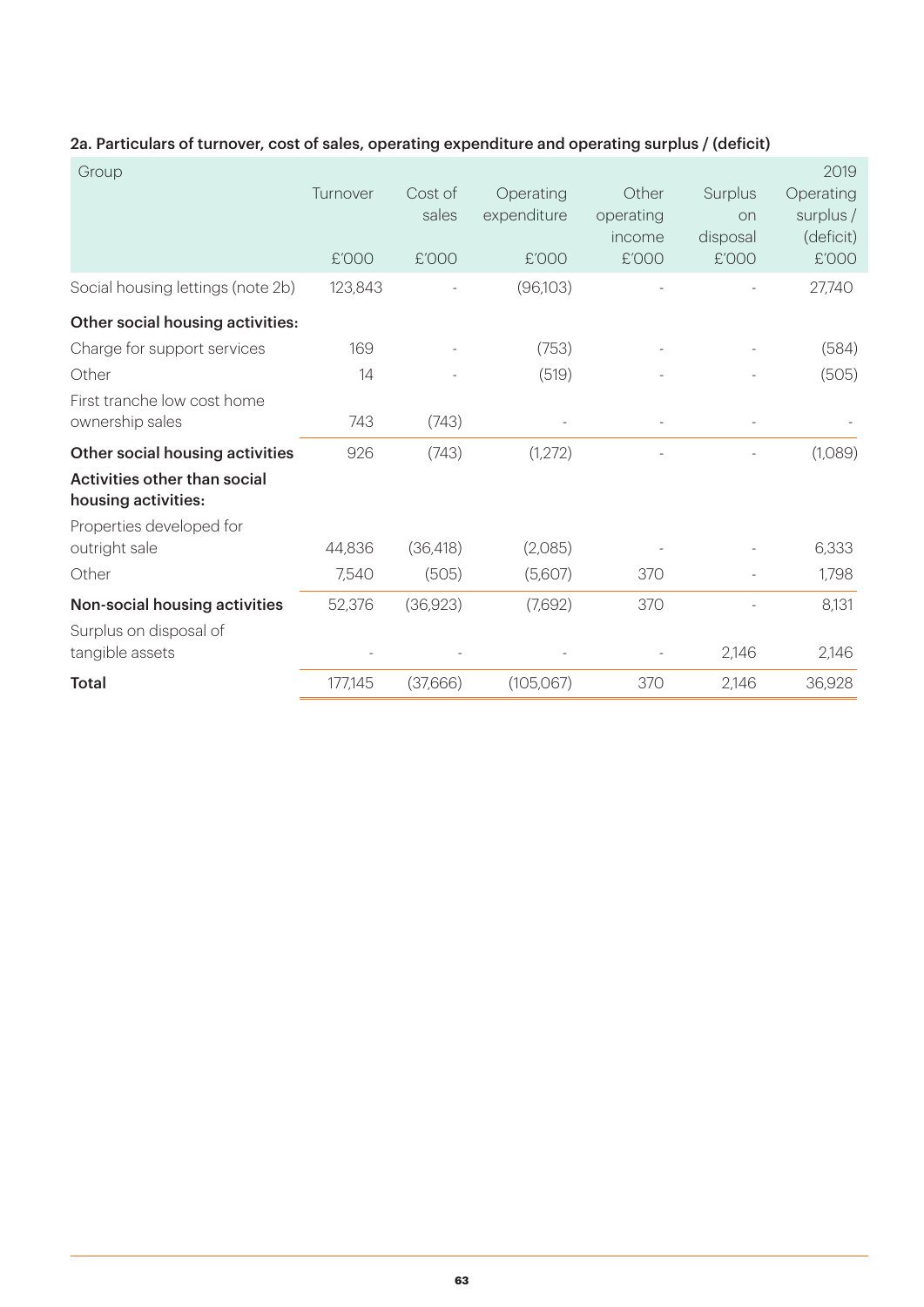| Group                                                   | Turnover<br>£'000 | Cost of<br>sales<br>£'000 | Operating<br>expenditure<br>£'000 | Other<br>operating<br>income<br>£'000 | Surplus<br>on<br>disposal<br>£'000 | 2019<br>Operating<br>surplus /<br>(deficit)<br>£'000 |
|---------------------------------------------------------|-------------------|---------------------------|-----------------------------------|---------------------------------------|------------------------------------|------------------------------------------------------|
| Social housing lettings (note 2b)                       | 123,843           |                           | (96,103)                          |                                       |                                    | 27,740                                               |
| Other social housing activities:                        |                   |                           |                                   |                                       |                                    |                                                      |
| Charge for support services                             | 169               |                           | (753)                             |                                       |                                    | (584)                                                |
| Other                                                   | 14                |                           | (519)                             |                                       |                                    | (505)                                                |
| First tranche low cost home<br>ownership sales          | 743               | (743)                     |                                   |                                       |                                    |                                                      |
| Other social housing activities                         | 926               | (743)                     | (1,272)                           |                                       |                                    | (1,089)                                              |
| Activities other than social<br>housing activities:     |                   |                           |                                   |                                       |                                    |                                                      |
| Properties developed for<br>outright sale               | 44,836            | (36, 418)                 | (2,085)                           |                                       |                                    | 6,333                                                |
| Other                                                   | 7,540             | (505)                     | (5,607)                           | 370                                   |                                    | 1,798                                                |
| Non-social housing activities<br>Surplus on disposal of | 52,376            | (36,923)                  | (7,692)                           | 370                                   |                                    | 8,131                                                |
| tangible assets                                         |                   |                           |                                   |                                       | 2,146                              | 2,146                                                |
| <b>Total</b>                                            | 177,145           | (37,666)                  | (105,067)                         | 370                                   | 2,146                              | 36,928                                               |

#### 2a. Particulars of turnover, cost of sales, operating expenditure and operating surplus / (deficit)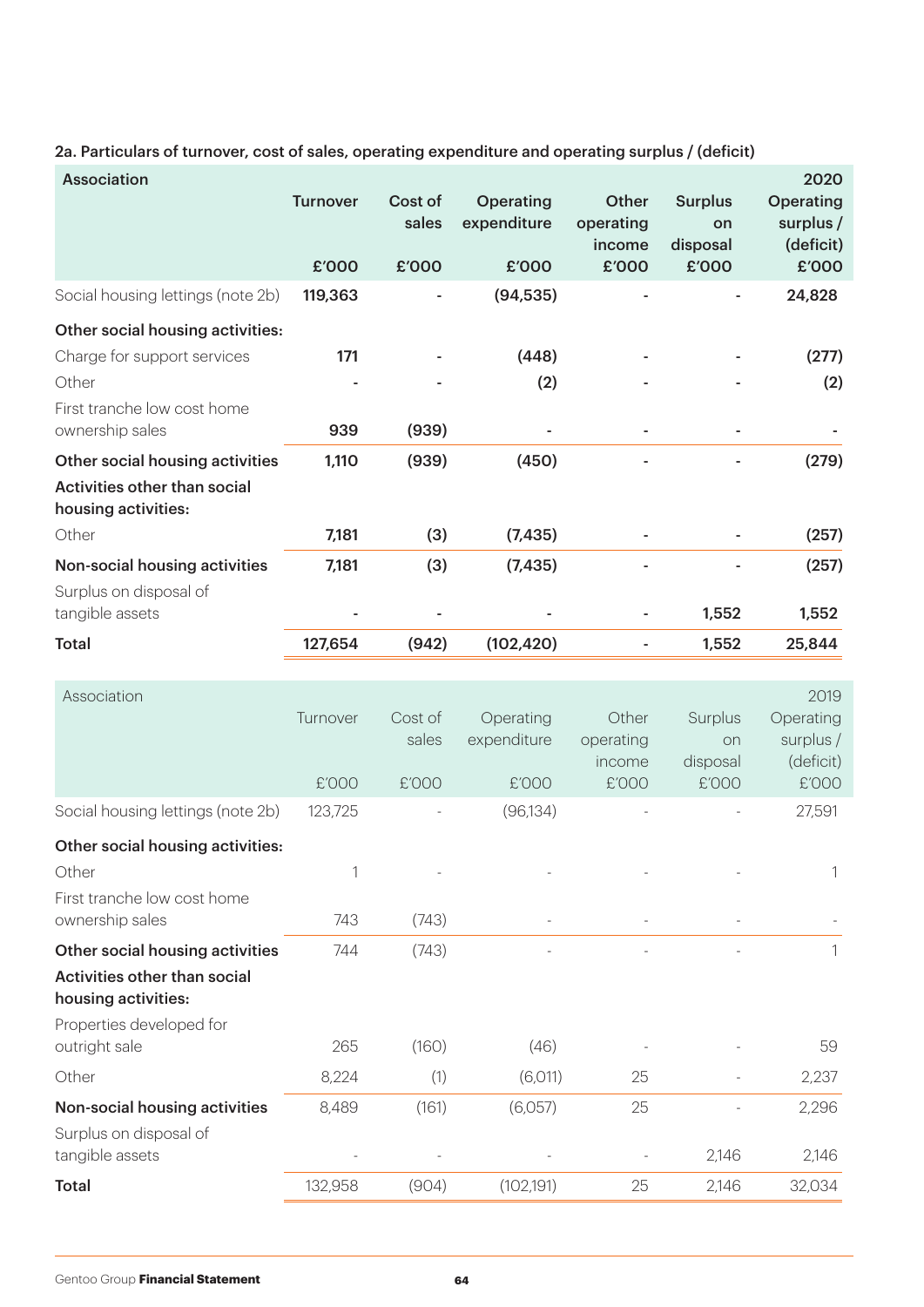2a. Particulars of turnover, cost of sales, operating expenditure and operating surplus / (deficit)

| <b>Association</b>                                                                                                         | <b>Turnover</b>   | Cost of<br>sales          | Operating<br>expenditure          | <b>Other</b><br>operating<br>income   | <b>Surplus</b><br>on<br>disposal   | 2020<br><b>Operating</b><br>surplus /<br>(deficit)   |
|----------------------------------------------------------------------------------------------------------------------------|-------------------|---------------------------|-----------------------------------|---------------------------------------|------------------------------------|------------------------------------------------------|
|                                                                                                                            | £'000             | £'000                     | £'000                             | £'000                                 | £'000                              | £'000                                                |
| Social housing lettings (note 2b)                                                                                          | 119,363           |                           | (94, 535)                         |                                       |                                    | 24,828                                               |
| Other social housing activities:<br>Charge for support services<br>Other<br>First tranche low cost home<br>ownership sales | 171<br>939        | (939)                     | (448)<br>(2)                      |                                       | ٠                                  | (277)<br>(2)                                         |
| Other social housing activities<br>Activities other than social<br>housing activities:                                     | 1,110             | (939)                     | (450)                             |                                       |                                    | (279)                                                |
| Other                                                                                                                      | 7,181             | (3)                       | (7, 435)                          |                                       |                                    | (257)                                                |
| Non-social housing activities<br>Surplus on disposal of                                                                    | 7,181             | (3)                       | (7, 435)                          |                                       |                                    | (257)                                                |
| tangible assets                                                                                                            |                   |                           |                                   |                                       | 1,552                              | 1,552                                                |
| <b>Total</b>                                                                                                               | 127,654           | (942)                     | (102, 420)                        | $\sim$                                | 1,552                              | 25,844                                               |
| Association                                                                                                                | Turnover<br>£'000 | Cost of<br>sales<br>£'000 | Operating<br>expenditure<br>£'000 | Other<br>operating<br>income<br>£'000 | Surplus<br>on<br>disposal<br>£'000 | 2019<br>Operating<br>surplus /<br>(deficit)<br>£'000 |
| Social housing lettings (note 2b)                                                                                          | 123,725           |                           | (96, 134)                         |                                       |                                    | 27,591                                               |
| Other social housing activities:<br>Other<br>First tranche low cost home<br>ownership sales                                | 1<br>743          | (743)                     |                                   |                                       |                                    | 1                                                    |
| Other social housing activities<br>Activities other than social<br>housing activities:<br>Properties developed for         | 744               | (743)                     |                                   |                                       |                                    | 1                                                    |
| outright sale                                                                                                              | 265               | (160)                     | (46)                              |                                       |                                    | 59                                                   |
| Other                                                                                                                      | 8,224             | (1)                       | (6,011)                           | 25                                    |                                    | 2,237                                                |
| Non-social housing activities<br>Surplus on disposal of<br>tangible assets                                                 | 8,489             | (161)                     | (6,057)                           | 25                                    | 2,146                              | 2,296<br>2,146                                       |
| Total                                                                                                                      | 132,958           | (904)                     | (102, 191)                        | 25                                    | 2,146                              | 32,034                                               |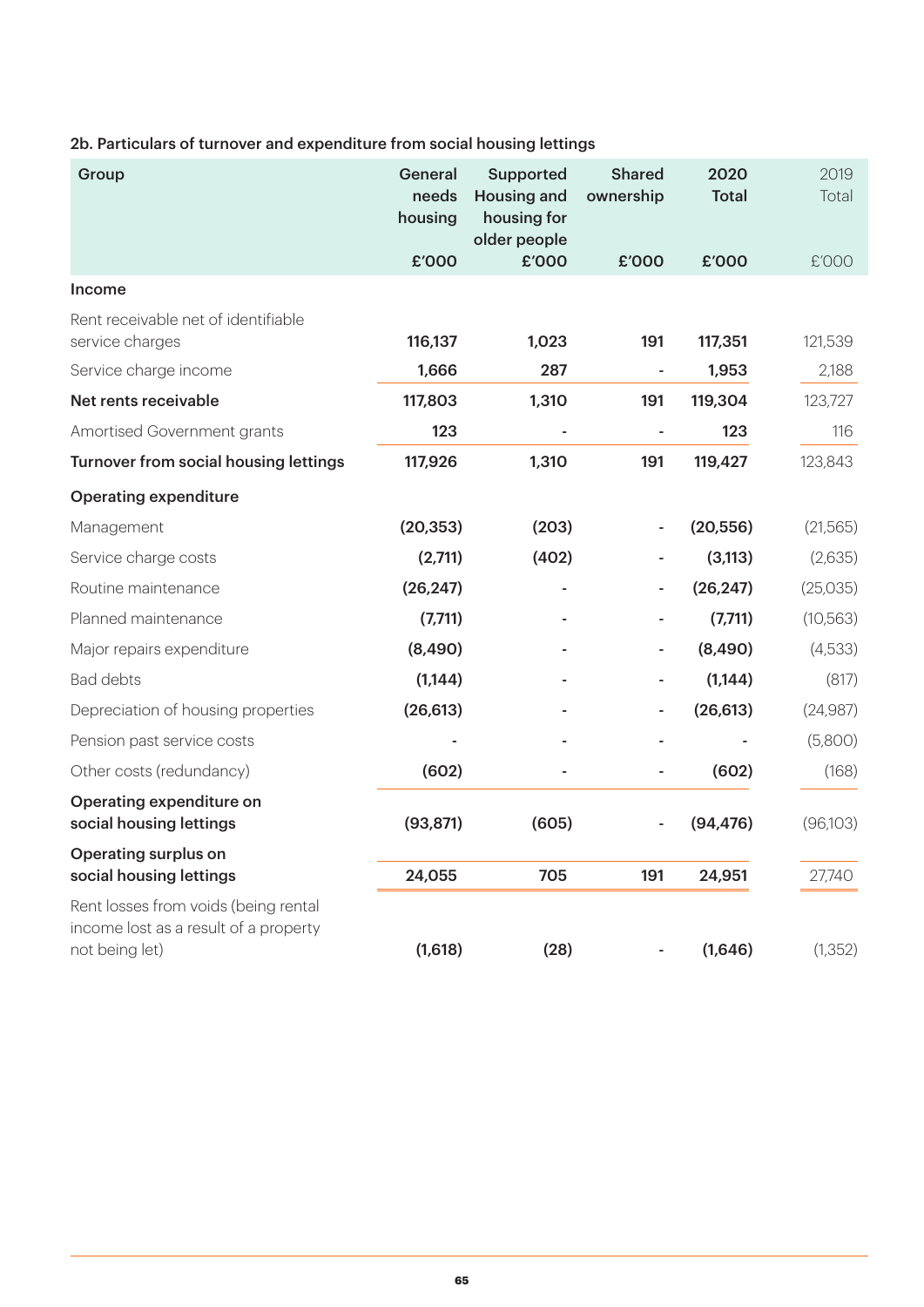#### 2b. Particulars of turnover and expenditure from social housing lettings

| Group                                                                                           | General<br>needs<br>housing | <b>Supported</b><br><b>Housing and</b><br>housing for<br>older people | <b>Shared</b><br>ownership | 2020<br><b>Total</b> | 2019<br>Total |
|-------------------------------------------------------------------------------------------------|-----------------------------|-----------------------------------------------------------------------|----------------------------|----------------------|---------------|
|                                                                                                 | £'000                       | £'000                                                                 | £'000                      | £'000                | £'000         |
| <b>Income</b>                                                                                   |                             |                                                                       |                            |                      |               |
| Rent receivable net of identifiable<br>service charges                                          | 116,137                     | 1,023                                                                 | 191                        | 117,351              | 121,539       |
| Service charge income                                                                           | 1,666                       | 287                                                                   |                            | 1,953                | 2,188         |
| Net rents receivable                                                                            | 117,803                     | 1,310                                                                 | 191                        | 119,304              | 123,727       |
| Amortised Government grants                                                                     | 123                         |                                                                       | ä,                         | 123                  | 116           |
| Turnover from social housing lettings                                                           | 117,926                     | 1,310                                                                 | 191                        | 119,427              | 123,843       |
| <b>Operating expenditure</b>                                                                    |                             |                                                                       |                            |                      |               |
| Management                                                                                      | (20, 353)                   | (203)                                                                 |                            | (20, 556)            | (21,565)      |
| Service charge costs                                                                            | (2,711)                     | (402)                                                                 |                            | (3, 113)             | (2,635)       |
| Routine maintenance                                                                             | (26, 247)                   |                                                                       |                            | (26, 247)            | (25,035)      |
| Planned maintenance                                                                             | (7,711)                     |                                                                       |                            | (7,711)              | (10, 563)     |
| Major repairs expenditure                                                                       | (8,490)                     |                                                                       |                            | (8,490)              | (4,533)       |
| <b>Bad debts</b>                                                                                | (1, 144)                    |                                                                       |                            | (1, 144)             | (817)         |
| Depreciation of housing properties                                                              | (26, 613)                   |                                                                       |                            | (26, 613)            | (24,987)      |
| Pension past service costs                                                                      |                             |                                                                       |                            |                      | (5,800)       |
| Other costs (redundancy)                                                                        | (602)                       |                                                                       |                            | (602)                | (168)         |
| Operating expenditure on<br>social housing lettings                                             | (93, 871)                   | (605)                                                                 |                            | (94, 476)            | (96,103)      |
| <b>Operating surplus on</b>                                                                     |                             |                                                                       |                            |                      |               |
| social housing lettings                                                                         | 24,055                      | 705                                                                   | 191                        | 24,951               | 27,740        |
| Rent losses from voids (being rental<br>income lost as a result of a property<br>not being let) | (1,618)                     | (28)                                                                  |                            | (1,646)              | (1, 352)      |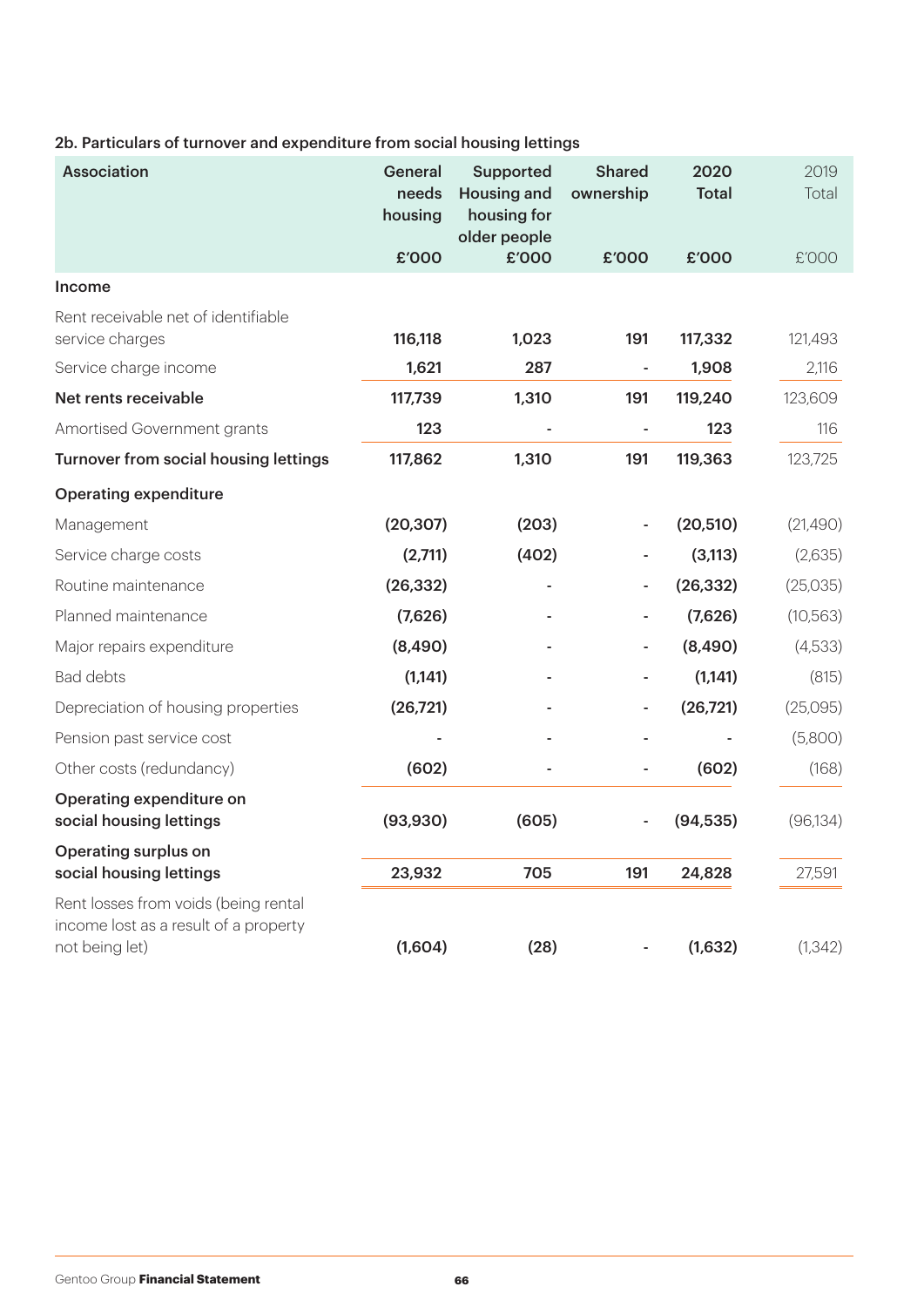#### 2b. Particulars of turnover and expenditure from social housing lettings

| <b>Association</b>                                                                              | General<br>needs<br>housing | Supported<br><b>Housing and</b><br>housing for<br>older people | <b>Shared</b><br>ownership | 2020<br><b>Total</b> | 2019<br>Total |
|-------------------------------------------------------------------------------------------------|-----------------------------|----------------------------------------------------------------|----------------------------|----------------------|---------------|
|                                                                                                 | £'000                       | £'000                                                          | £'000                      | £'000                | £'000         |
| Income                                                                                          |                             |                                                                |                            |                      |               |
| Rent receivable net of identifiable<br>service charges                                          | 116,118                     | 1,023                                                          | 191                        | 117,332              | 121,493       |
| Service charge income                                                                           | 1,621                       | 287                                                            |                            | 1,908                | 2,116         |
| Net rents receivable                                                                            | 117,739                     | 1,310                                                          | 191                        | 119,240              | 123,609       |
| Amortised Government grants                                                                     | 123                         |                                                                | ÷.                         | 123                  | 116           |
| Turnover from social housing lettings                                                           | 117,862                     | 1,310                                                          | 191                        | 119,363              | 123,725       |
| <b>Operating expenditure</b>                                                                    |                             |                                                                |                            |                      |               |
| Management                                                                                      | (20, 307)                   | (203)                                                          |                            | (20, 510)            | (21,490)      |
| Service charge costs                                                                            | (2,711)                     | (402)                                                          |                            | (3, 113)             | (2,635)       |
| Routine maintenance                                                                             | (26, 332)                   |                                                                |                            | (26, 332)            | (25,035)      |
| Planned maintenance                                                                             | (7,626)                     |                                                                |                            | (7,626)              | (10, 563)     |
| Major repairs expenditure                                                                       | (8,490)                     |                                                                |                            | (8,490)              | (4,533)       |
| <b>Bad debts</b>                                                                                | (1,141)                     |                                                                |                            | (1, 141)             | (815)         |
| Depreciation of housing properties                                                              | (26, 721)                   |                                                                |                            | (26, 721)            | (25,095)      |
| Pension past service cost                                                                       |                             |                                                                |                            |                      | (5,800)       |
| Other costs (redundancy)                                                                        | (602)                       |                                                                |                            | (602)                | (168)         |
| Operating expenditure on<br>social housing lettings                                             | (93, 930)                   | (605)                                                          |                            | (94, 535)            | (96, 134)     |
| <b>Operating surplus on</b>                                                                     |                             |                                                                |                            |                      |               |
| social housing lettings                                                                         | 23,932                      | 705                                                            | 191                        | 24,828               | 27,591        |
| Rent losses from voids (being rental<br>income lost as a result of a property<br>not being let) | (1,604)                     | (28)                                                           |                            | (1,632)              | (1, 342)      |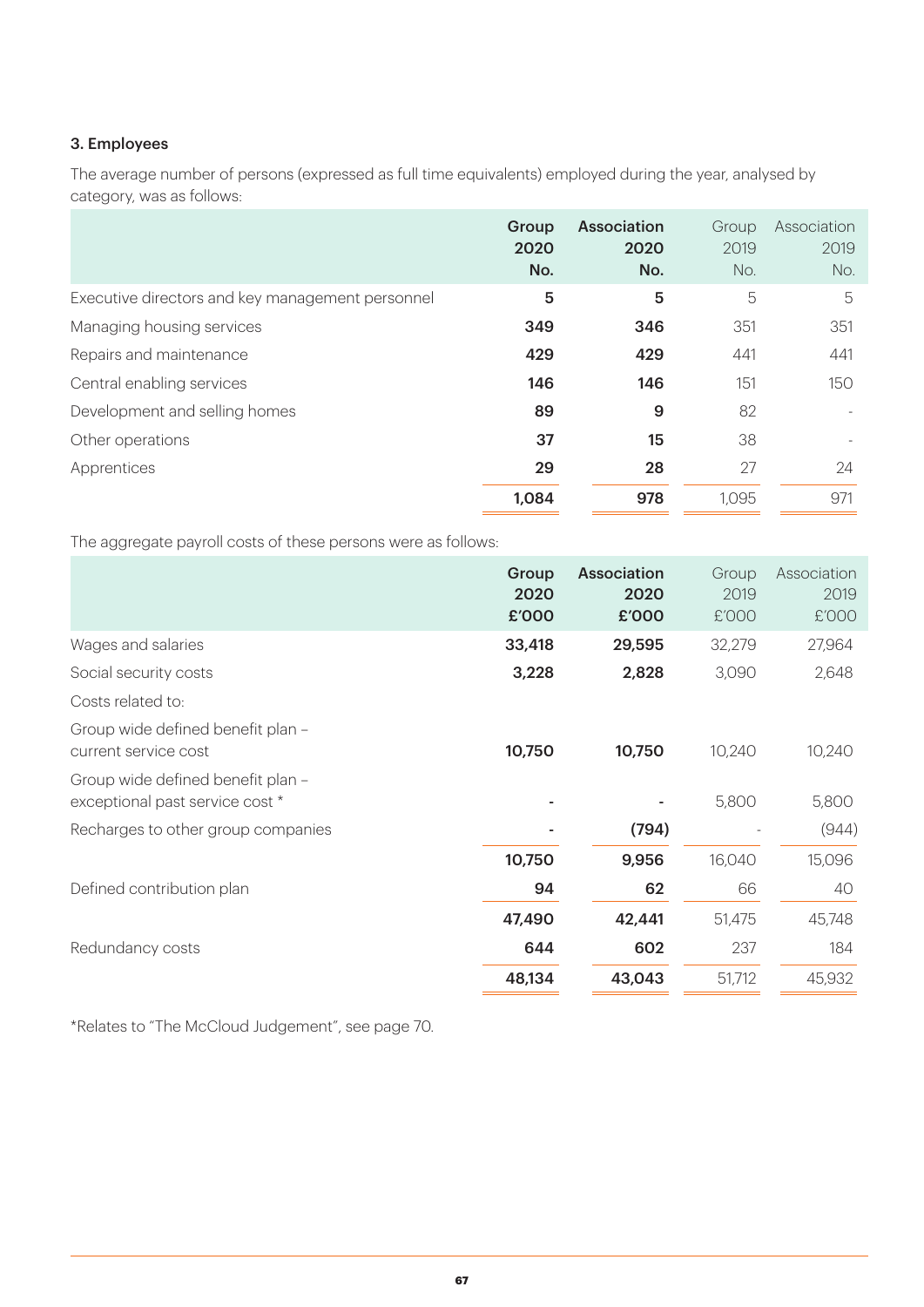#### 3. Employees

The average number of persons (expressed as full time equivalents) employed during the year, analysed by category, was as follows:

|                                                  | Group<br>2020<br>No. | Association<br>2020<br>No. | Group<br>2019<br>No. | Association<br>2019<br>No. |
|--------------------------------------------------|----------------------|----------------------------|----------------------|----------------------------|
| Executive directors and key management personnel | 5                    | 5                          | 5                    | 5                          |
| Managing housing services                        | 349                  | 346                        | 351                  | 351                        |
| Repairs and maintenance                          | 429                  | 429                        | 441                  | 441                        |
| Central enabling services                        | 146                  | 146                        | 151                  | 150                        |
| Development and selling homes                    | 89                   | 9                          | 82                   |                            |
| Other operations                                 | 37                   | 15                         | 38                   |                            |
| Apprentices                                      | 29                   | 28                         | 27                   | 24                         |
|                                                  | 1,084                | 978                        | 1,095                | 971                        |

The aggregate payroll costs of these persons were as follows:

|                                                                      | Group<br>2020<br>£'000 | <b>Association</b><br>2020<br>£'000 | Group<br>2019<br>£'000 | Association<br>2019<br>£'000 |
|----------------------------------------------------------------------|------------------------|-------------------------------------|------------------------|------------------------------|
| Wages and salaries                                                   | 33,418                 | 29,595                              | 32,279                 | 27,964                       |
| Social security costs                                                | 3,228                  | 2,828                               | 3,090                  | 2,648                        |
| Costs related to:                                                    |                        |                                     |                        |                              |
| Group wide defined benefit plan -<br>current service cost            | 10,750                 | 10,750                              | 10,240                 | 10,240                       |
| Group wide defined benefit plan -<br>exceptional past service cost * |                        |                                     | 5,800                  | 5,800                        |
| Recharges to other group companies                                   |                        | (794)                               |                        | (944)                        |
|                                                                      | 10,750                 | 9,956                               | 16,040                 | 15,096                       |
| Defined contribution plan                                            | 94                     | 62                                  | 66                     | 40                           |
|                                                                      | 47,490                 | 42,441                              | 51,475                 | 45,748                       |
| Redundancy costs                                                     | 644                    | 602                                 | 237                    | 184                          |
|                                                                      | 48,134                 | 43,043                              | 51,712                 | 45,932                       |

\*Relates to "The McCloud Judgement", see page 70.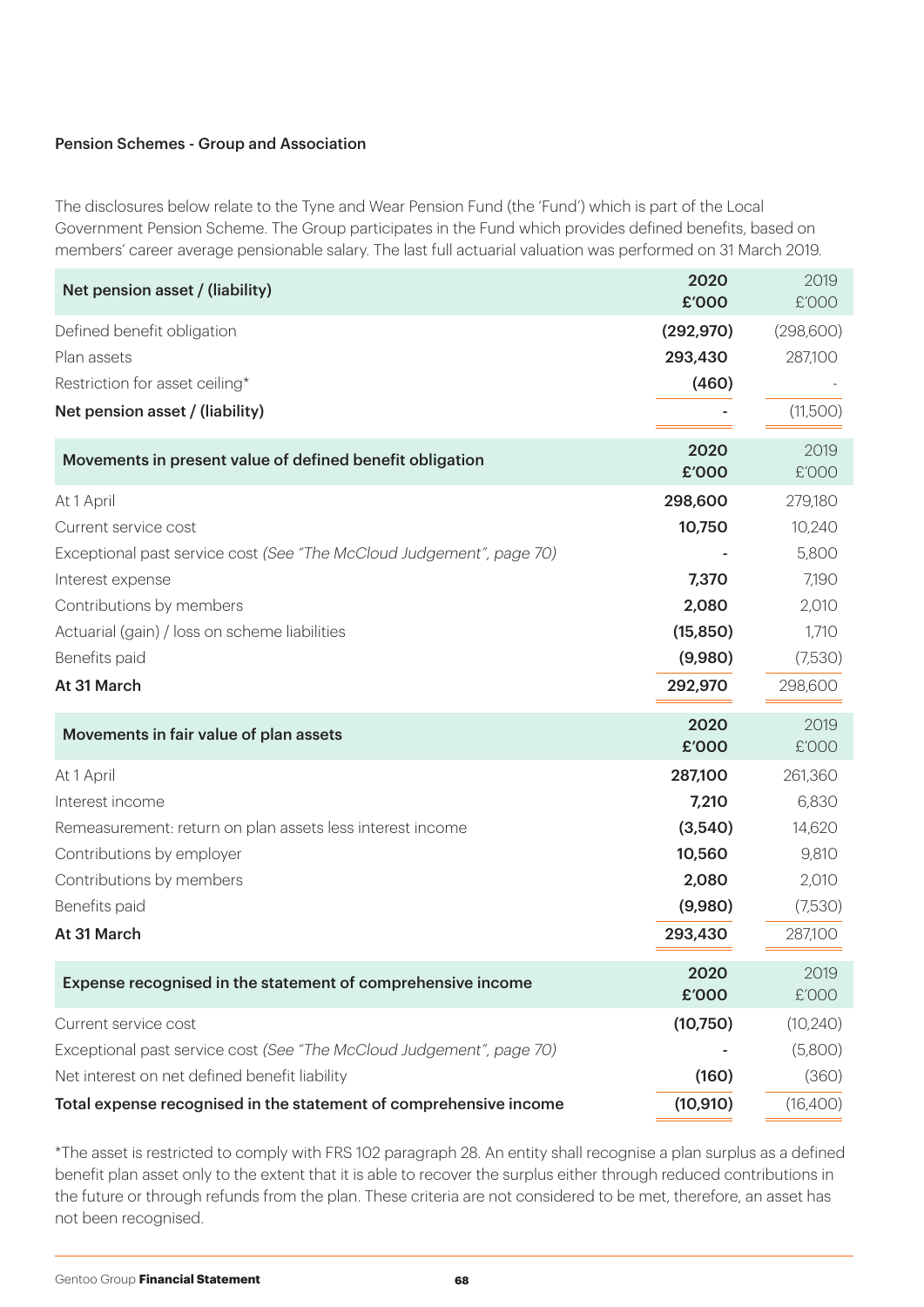#### Pension Schemes - Group and Association

The disclosures below relate to the Tyne and Wear Pension Fund (the 'Fund') which is part of the Local Government Pension Scheme. The Group participates in the Fund which provides defined benefits, based on members' career average pensionable salary. The last full actuarial valuation was performed on 31 March 2019.

| Net pension asset / (liability)                                      | 2020<br>£'000 | 2019<br>£'000 |
|----------------------------------------------------------------------|---------------|---------------|
| Defined benefit obligation                                           | (292, 970)    | (298,600)     |
| Plan assets                                                          | 293,430       | 287,100       |
| Restriction for asset ceiling*                                       | (460)         |               |
| Net pension asset / (liability)                                      |               | (11,500)      |
| Movements in present value of defined benefit obligation             | 2020<br>£'000 | 2019<br>£'000 |
| At 1 April                                                           | 298,600       | 279,180       |
| Current service cost                                                 | 10,750        | 10,240        |
| Exceptional past service cost (See "The McCloud Judgement", page 70) |               | 5,800         |
| Interest expense                                                     | 7,370         | 7,190         |
| Contributions by members                                             | 2,080         | 2,010         |
| Actuarial (gain) / loss on scheme liabilities                        | (15, 850)     | 1,710         |
| Benefits paid                                                        | (9,980)       | (7,530)       |
| At 31 March                                                          | 292,970       | 298,600       |
| Movements in fair value of plan assets                               | 2020<br>£'000 | 2019<br>£'000 |
| At 1 April                                                           | 287,100       | 261,360       |
| Interest income                                                      | 7,210         | 6,830         |
| Remeasurement: return on plan assets less interest income            | (3,540)       | 14,620        |
| Contributions by employer                                            | 10,560        | 9,810         |
| Contributions by members                                             | 2,080         | 2,010         |
| Benefits paid                                                        | (9,980)       | (7,530)       |
| At 31 March                                                          | 293,430       | 287,100       |
| Expense recognised in the statement of comprehensive income          | 2020<br>£'000 | 2019<br>£'000 |
| Current service cost                                                 | (10,750)      | (10, 240)     |
| Exceptional past service cost (See "The McCloud Judgement", page 70) |               | (5,800)       |
| Net interest on net defined benefit liability                        | (160)         | (360)         |
| Total expense recognised in the statement of comprehensive income    | (10, 910)     | (16,400)      |

\*The asset is restricted to comply with FRS 102 paragraph 28. An entity shall recognise a plan surplus as a defined benefit plan asset only to the extent that it is able to recover the surplus either through reduced contributions in the future or through refunds from the plan. These criteria are not considered to be met, therefore, an asset has not been recognised.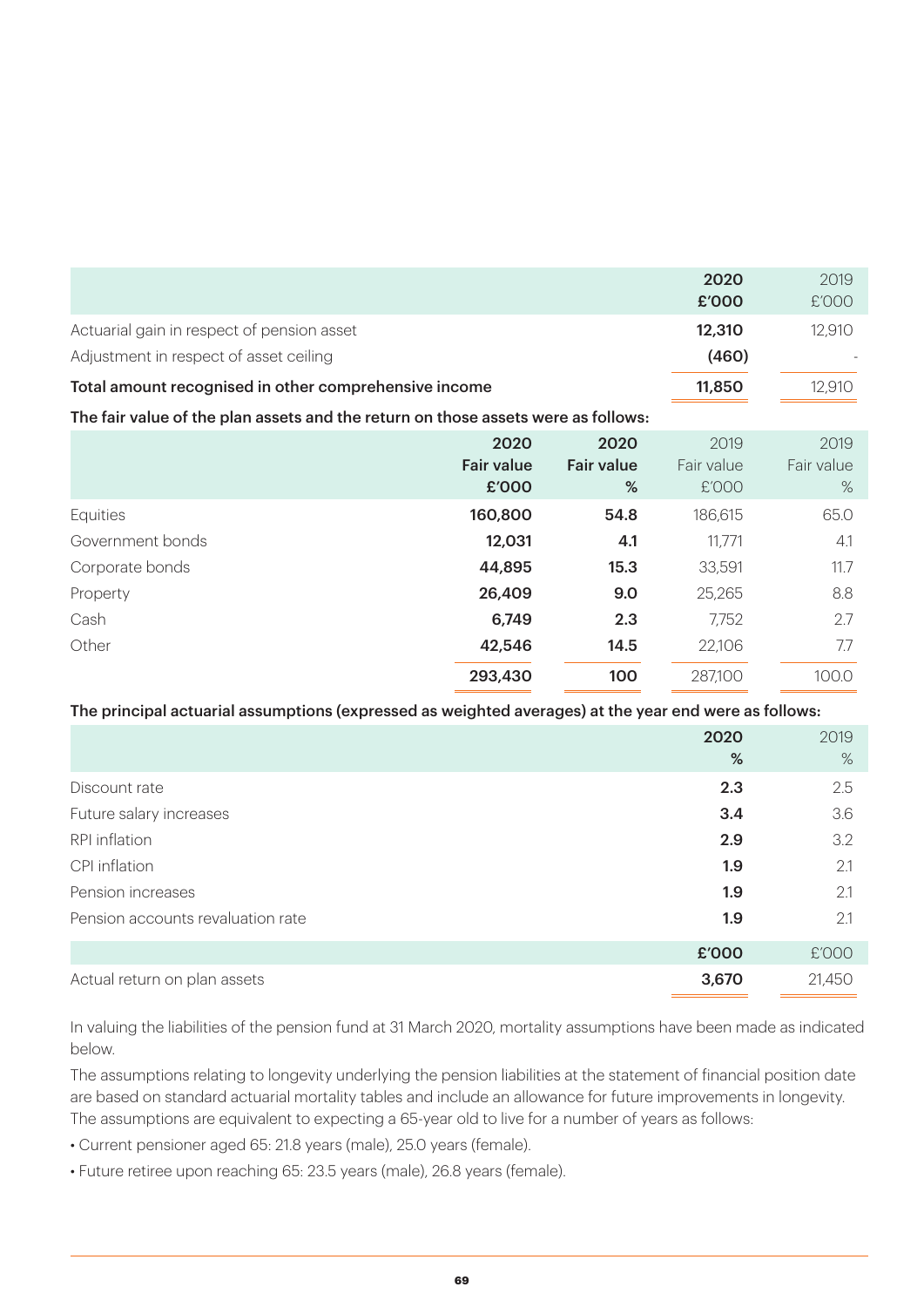|                                                                                   | 2020   | 2019   |
|-----------------------------------------------------------------------------------|--------|--------|
|                                                                                   | £'000  | £'000  |
| Actuarial gain in respect of pension asset                                        | 12,310 | 12,910 |
| Adjustment in respect of asset ceiling                                            | (460)  |        |
| Total amount recognised in other comprehensive income                             | 11,850 | 12,910 |
| The fair value of the plan assets and the return on those assets were as follows: |        |        |

|                  | 2020              | 2020              | 2019       | 2019       |
|------------------|-------------------|-------------------|------------|------------|
|                  | <b>Fair value</b> | <b>Fair value</b> | Fair value | Fair value |
|                  | £'000             | %                 | £'000      | $\%$       |
| Equities         | 160,800           | 54.8              | 186,615    | 65.0       |
| Government bonds | 12,031            | 4.1               | 11,771     | 4.1        |
| Corporate bonds  | 44,895            | 15.3              | 33,591     | 11.7       |
| Property         | 26,409            | 9.0               | 25,265     | 8.8        |
| Cash             | 6,749             | 2.3               | 7,752      | 2.7        |
| Other            | 42,546            | 14.5              | 22,106     | 7.7        |
|                  | 293,430           | 100               | 287,100    | 100.0      |

#### The principal actuarial assumptions (expressed as weighted averages) at the year end were as follows:

|                                   | 2020<br>% | 2019<br>$\%$ |
|-----------------------------------|-----------|--------------|
| Discount rate                     | 2.3       | 2.5          |
| Future salary increases           | 3.4       | 3.6          |
| RPI inflation                     | 2.9       | 3.2          |
| CPI inflation                     | 1.9       | 2.1          |
| Pension increases                 | 1.9       | 2.1          |
| Pension accounts revaluation rate | 1.9       | 2.1          |
|                                   | £'000     | £'000        |
| Actual return on plan assets      | 3,670     | 21,450       |

In valuing the liabilities of the pension fund at 31 March 2020, mortality assumptions have been made as indicated below.

The assumptions relating to longevity underlying the pension liabilities at the statement of financial position date are based on standard actuarial mortality tables and include an allowance for future improvements in longevity. The assumptions are equivalent to expecting a 65-year old to live for a number of years as follows:

- Current pensioner aged 65: 21.8 years (male), 25.0 years (female).
- Future retiree upon reaching 65: 23.5 years (male), 26.8 years (female).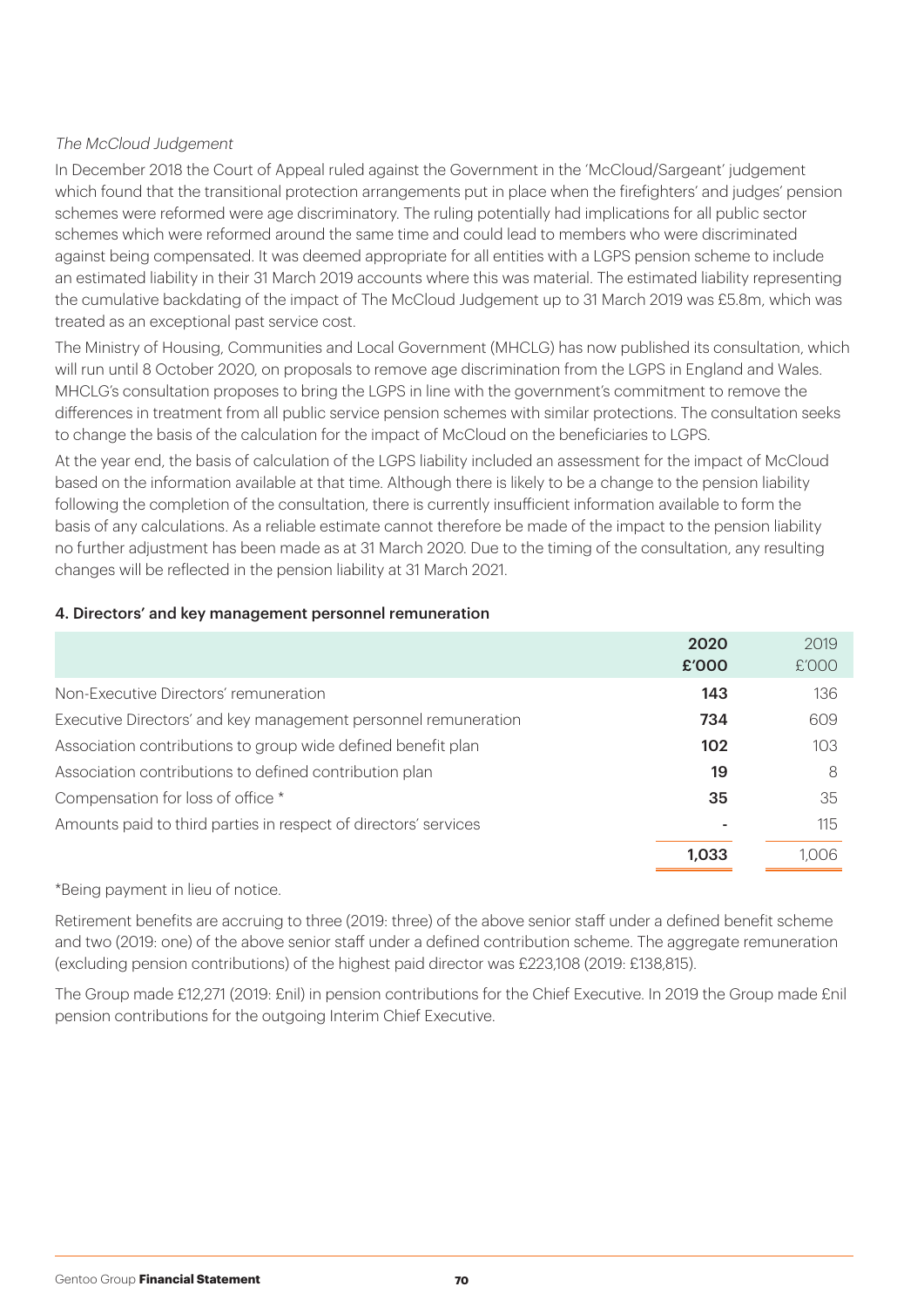#### The McCloud Judgement

In December 2018 the Court of Appeal ruled against the Government in the 'McCloud/Sargeant' judgement which found that the transitional protection arrangements put in place when the firefighters' and judges' pension schemes were reformed were age discriminatory. The ruling potentially had implications for all public sector schemes which were reformed around the same time and could lead to members who were discriminated against being compensated. It was deemed appropriate for all entities with a LGPS pension scheme to include an estimated liability in their 31 March 2019 accounts where this was material. The estimated liability representing the cumulative backdating of the impact of The McCloud Judgement up to 31 March 2019 was £5.8m, which was treated as an exceptional past service cost.

The Ministry of Housing, Communities and Local Government (MHCLG) has now published its consultation, which will run until 8 October 2020, on proposals to remove age discrimination from the LGPS in England and Wales. MHCLG's consultation proposes to bring the LGPS in line with the government's commitment to remove the differences in treatment from all public service pension schemes with similar protections. The consultation seeks to change the basis of the calculation for the impact of McCloud on the beneficiaries to LGPS.

At the year end, the basis of calculation of the LGPS liability included an assessment for the impact of McCloud based on the information available at that time. Although there is likely to be a change to the pension liability following the completion of the consultation, there is currently insufficient information available to form the basis of any calculations. As a reliable estimate cannot therefore be made of the impact to the pension liability no further adjustment has been made as at 31 March 2020. Due to the timing of the consultation, any resulting changes will be reflected in the pension liability at 31 March 2021.

#### 4. Directors' and key management personnel remuneration

|                                                                 | 2020  | 2019  |
|-----------------------------------------------------------------|-------|-------|
|                                                                 | £'000 | E'OOO |
| Non-Executive Directors' remuneration                           | 143   | 136   |
| Executive Directors' and key management personnel remuneration  | 734   | 609   |
| Association contributions to group wide defined benefit plan    | 102   | 103   |
| Association contributions to defined contribution plan          | 19    | 8     |
| Compensation for loss of office *                               | 35    | 35    |
| Amounts paid to third parties in respect of directors' services |       | 115   |
|                                                                 | 1.033 | 1.006 |

#### \*Being payment in lieu of notice.

Retirement benefits are accruing to three (2019: three) of the above senior staff under a defined benefit scheme and two (2019: one) of the above senior staff under a defined contribution scheme. The aggregate remuneration (excluding pension contributions) of the highest paid director was £223,108 (2019: £138,815).

The Group made £12,271 (2019: £nil) in pension contributions for the Chief Executive. In 2019 the Group made £nil pension contributions for the outgoing Interim Chief Executive.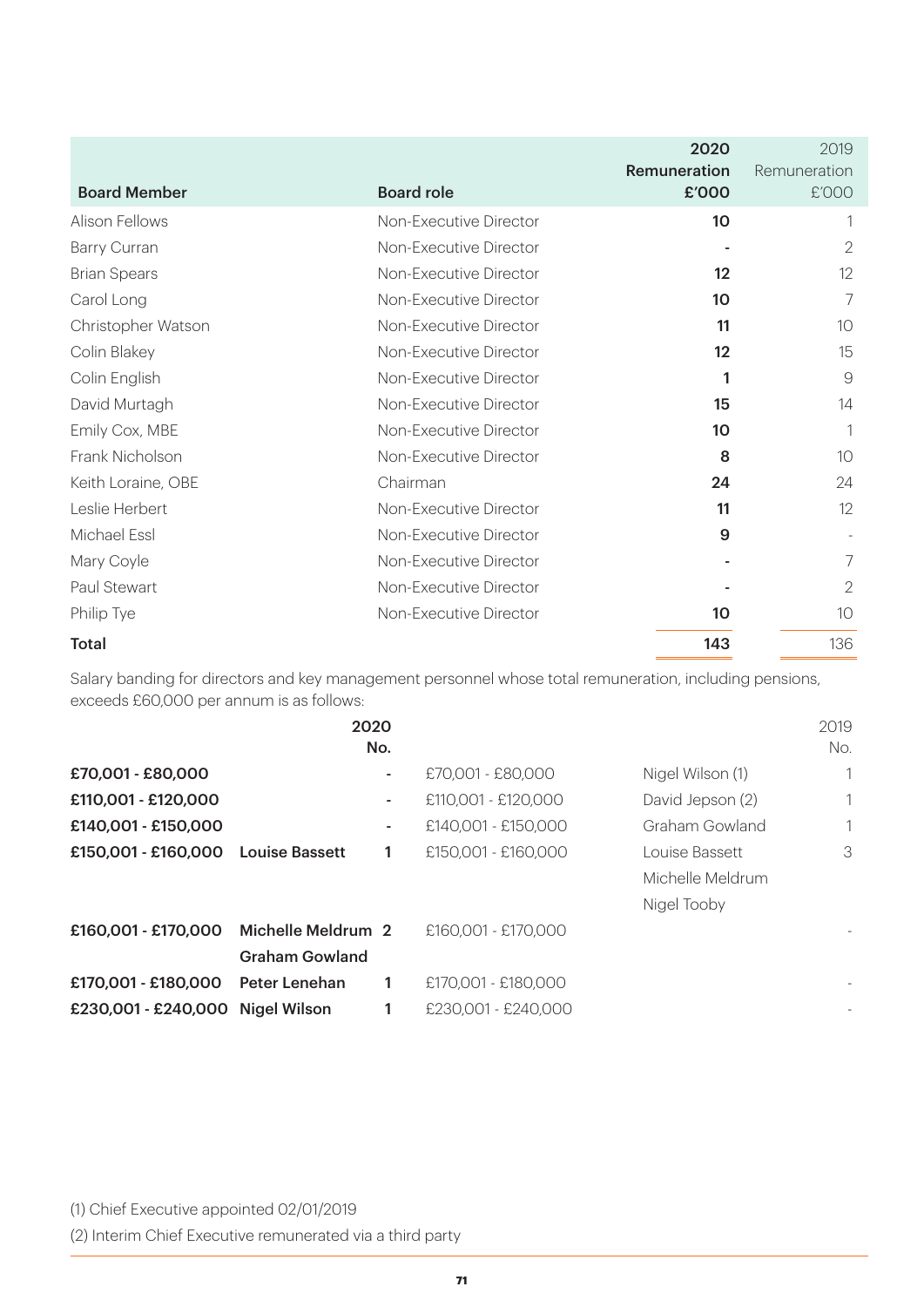|                     |                        | 2020<br>Remuneration | 2019<br>Remuneration |
|---------------------|------------------------|----------------------|----------------------|
| <b>Board Member</b> | <b>Board role</b>      | £'000                | £'000                |
| Alison Fellows      | Non-Executive Director | 10                   |                      |
| Barry Curran        | Non-Executive Director |                      | $\mathbf{2}$         |
| <b>Brian Spears</b> | Non-Executive Director | 12                   | 12                   |
| Carol Long          | Non-Executive Director | 10                   | 7                    |
| Christopher Watson  | Non-Executive Director | 11                   | 10                   |
| Colin Blakey        | Non-Executive Director | 12                   | 15                   |
| Colin English       | Non-Executive Director | 1                    | $\mathcal{G}$        |
| David Murtagh       | Non-Executive Director | 15                   | 14                   |
| Emily Cox, MBE      | Non-Executive Director | 10                   | 1                    |
| Frank Nicholson     | Non-Executive Director | 8                    | 10                   |
| Keith Loraine, OBE  | Chairman               | 24                   | 24                   |
| Leslie Herbert      | Non-Executive Director | 11                   | 12                   |
| Michael Essl        | Non-Executive Director | 9                    |                      |
| Mary Coyle          | Non-Executive Director |                      | $\overline{7}$       |
| Paul Stewart        | Non-Executive Director |                      | 2                    |
| Philip Tye          | Non-Executive Director | 10                   | 10                   |
| <b>Total</b>        |                        | 143                  | 136                  |

Salary banding for directors and key management personnel whose total remuneration, including pensions, exceeds £60,000 per annum is as follows:

|                                        | 2020                  | No. |                     |                  | 2019<br>No.              |
|----------------------------------------|-----------------------|-----|---------------------|------------------|--------------------------|
| £70,001 - £80,000                      |                       | ٠   | £70,001 - £80,000   | Nigel Wilson (1) | 1                        |
| £110,001 - £120,000                    |                       | ٠   | £110,001 - £120,000 | David Jepson (2) | 1                        |
| £140,001 - £150,000                    |                       | ٠   | £140,001 - £150,000 | Graham Gowland   | 1                        |
| £150,001 - £160,000                    | <b>Louise Bassett</b> | 1   | £150,001 - £160,000 | Louise Bassett   | 3                        |
|                                        |                       |     |                     | Michelle Meldrum |                          |
|                                        |                       |     |                     | Nigel Tooby      |                          |
| £160,001 - £170,000 Michelle Meldrum 2 |                       |     | £160,001 - £170,000 |                  |                          |
|                                        | <b>Graham Gowland</b> |     |                     |                  |                          |
| £170,001 - £180,000                    | Peter Lenehan         | 1   | £170,001 - £180,000 |                  | $\overline{\phantom{a}}$ |
| £230,001 - £240,000 Nigel Wilson       |                       | 1   | £230,001 - £240,000 |                  |                          |

(1) Chief Executive appointed 02/01/2019

(2) Interim Chief Executive remunerated via a third party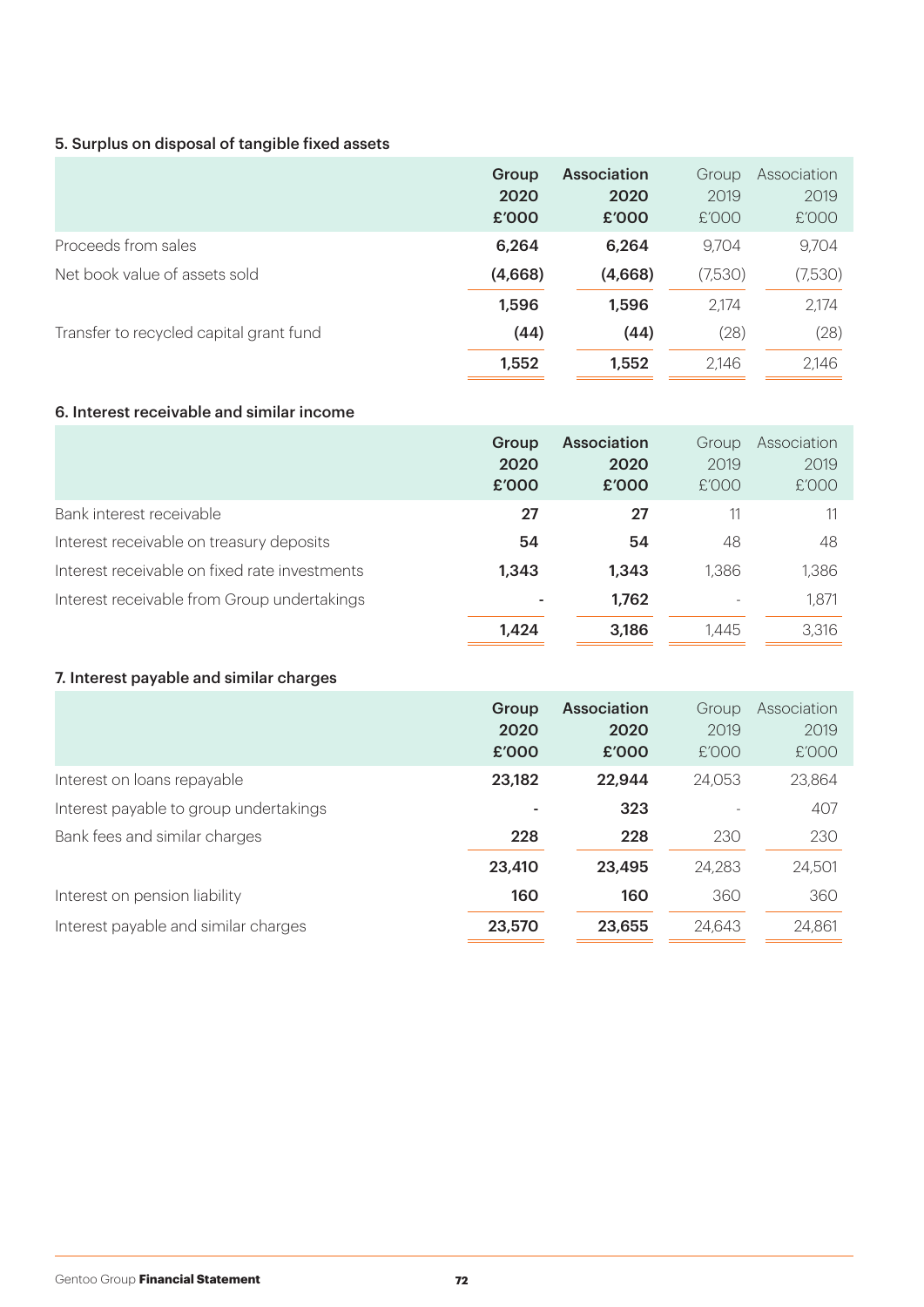#### 5. Surplus on disposal of tangible fixed assets

|                                         | Group<br>2020<br>£'000 | <b>Association</b><br>2020<br>£'000 | Group<br>2019<br>£'000 | Association<br>2019<br>£'000 |
|-----------------------------------------|------------------------|-------------------------------------|------------------------|------------------------------|
| Proceeds from sales                     | 6,264                  | 6,264                               | 9.704                  | 9,704                        |
| Net book value of assets sold           | (4,668)                | (4,668)                             | (7,530)                | (7,530)                      |
|                                         | 1,596                  | 1,596                               | 2,174                  | 2,174                        |
| Transfer to recycled capital grant fund | (44)                   | (44)                                | (28)                   | (28)                         |
|                                         | 1,552                  | 1,552                               | 2,146                  | 2,146                        |

#### 6. Interest receivable and similar income

|                                               | Group<br>2020<br>£'000 | <b>Association</b><br>2020<br>£'000 | Group<br>2019<br>E'OOO   | Association<br>2019<br>£'000 |
|-----------------------------------------------|------------------------|-------------------------------------|--------------------------|------------------------------|
| Bank interest receivable                      | 27                     | 27                                  |                          |                              |
| Interest receivable on treasury deposits      | 54                     | 54                                  | 48                       | 48                           |
| Interest receivable on fixed rate investments | 1,343                  | 1,343                               | 1,386                    | 1,386                        |
| Interest receivable from Group undertakings   |                        | 1,762                               | $\overline{\phantom{a}}$ | 1,871                        |
|                                               | 1.424                  | 3,186                               | 1.445                    | 3,316                        |

#### 7. Interest payable and similar charges

|                                        | Group<br>2020<br>£'000 | <b>Association</b><br>2020<br>£'000 | Group<br>2019<br>£'000 | Association<br>2019<br>£'000 |
|----------------------------------------|------------------------|-------------------------------------|------------------------|------------------------------|
| Interest on loans repayable            | 23,182                 | 22,944                              | 24,053                 | 23,864                       |
| Interest payable to group undertakings | ۰                      | 323                                 |                        | 407                          |
| Bank fees and similar charges          | 228                    | 228                                 | 230                    | 230                          |
|                                        | 23,410                 | 23,495                              | 24,283                 | 24,501                       |
| Interest on pension liability          | 160                    | 160                                 | 360                    | 360                          |
| Interest payable and similar charges   | 23,570                 | 23,655                              | 24,643                 | 24,861                       |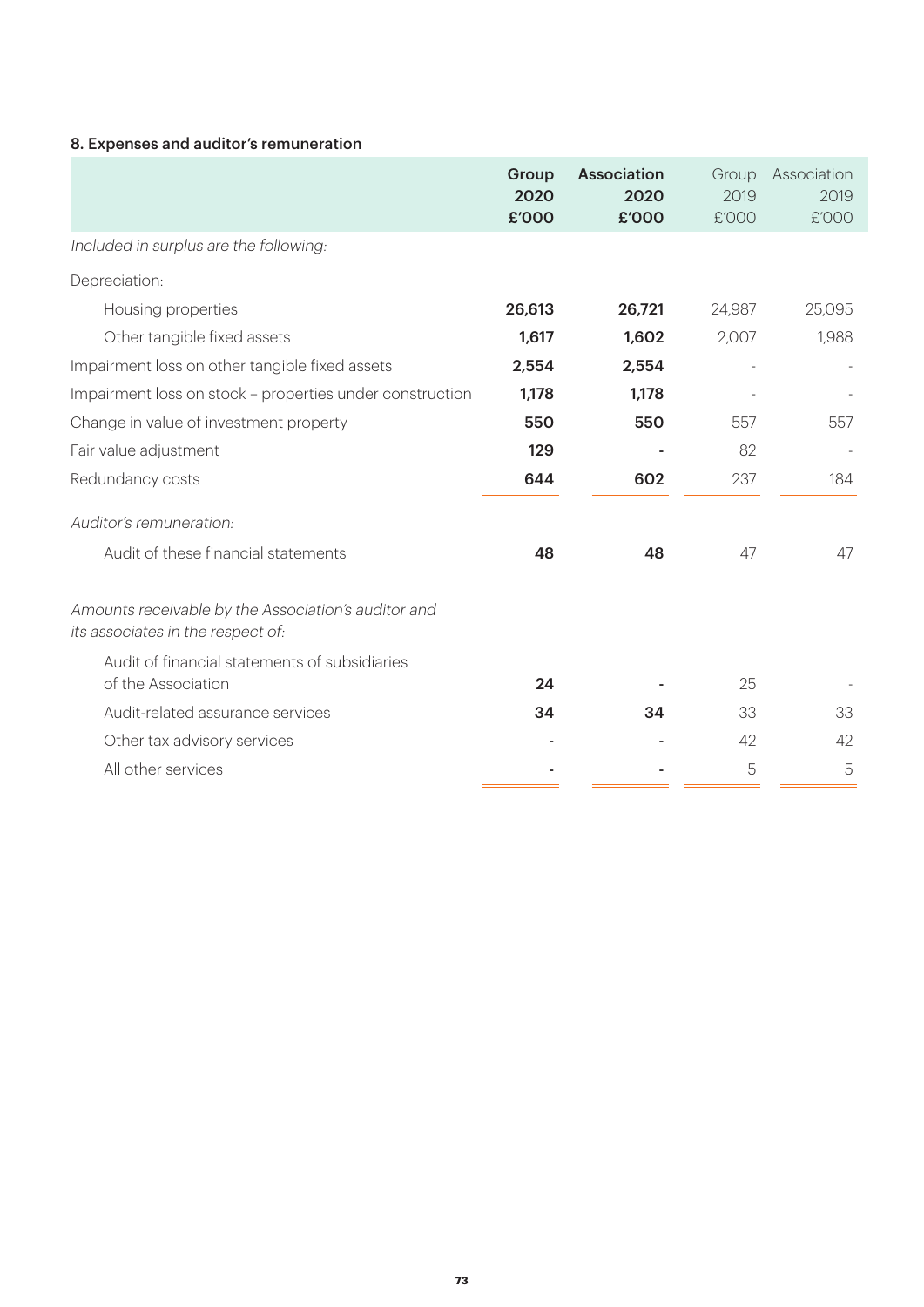## 8. Expenses and auditor's remuneration

|                                                                                          | Group<br>2020<br>£'000 | <b>Association</b><br>2020<br>£'000 | Group<br>2019<br>£'000 | Association<br>2019<br>£'000 |
|------------------------------------------------------------------------------------------|------------------------|-------------------------------------|------------------------|------------------------------|
| Included in surplus are the following:                                                   |                        |                                     |                        |                              |
| Depreciation:                                                                            |                        |                                     |                        |                              |
| Housing properties                                                                       | 26,613                 | 26,721                              | 24,987                 | 25,095                       |
| Other tangible fixed assets                                                              | 1,617                  | 1,602                               | 2,007                  | 1,988                        |
| Impairment loss on other tangible fixed assets                                           | 2,554                  | 2,554                               |                        |                              |
| Impairment loss on stock - properties under construction                                 | 1,178                  | 1,178                               |                        |                              |
| Change in value of investment property                                                   | 550                    | 550                                 | 557                    | 557                          |
| Fair value adjustment                                                                    | 129                    |                                     | 82                     |                              |
| Redundancy costs                                                                         | 644                    | 602                                 | 237                    | 184                          |
| Auditor's remuneration:                                                                  |                        |                                     |                        |                              |
| Audit of these financial statements                                                      | 48                     | 48                                  | 47                     | 47                           |
| Amounts receivable by the Association's auditor and<br>its associates in the respect of: |                        |                                     |                        |                              |
| Audit of financial statements of subsidiaries<br>of the Association                      | 24                     |                                     | 25                     |                              |
| Audit-related assurance services                                                         | 34                     | 34                                  | 33                     | 33                           |
| Other tax advisory services                                                              |                        |                                     | 42                     | 42                           |
| All other services                                                                       |                        |                                     | 5                      | 5                            |
|                                                                                          |                        |                                     |                        |                              |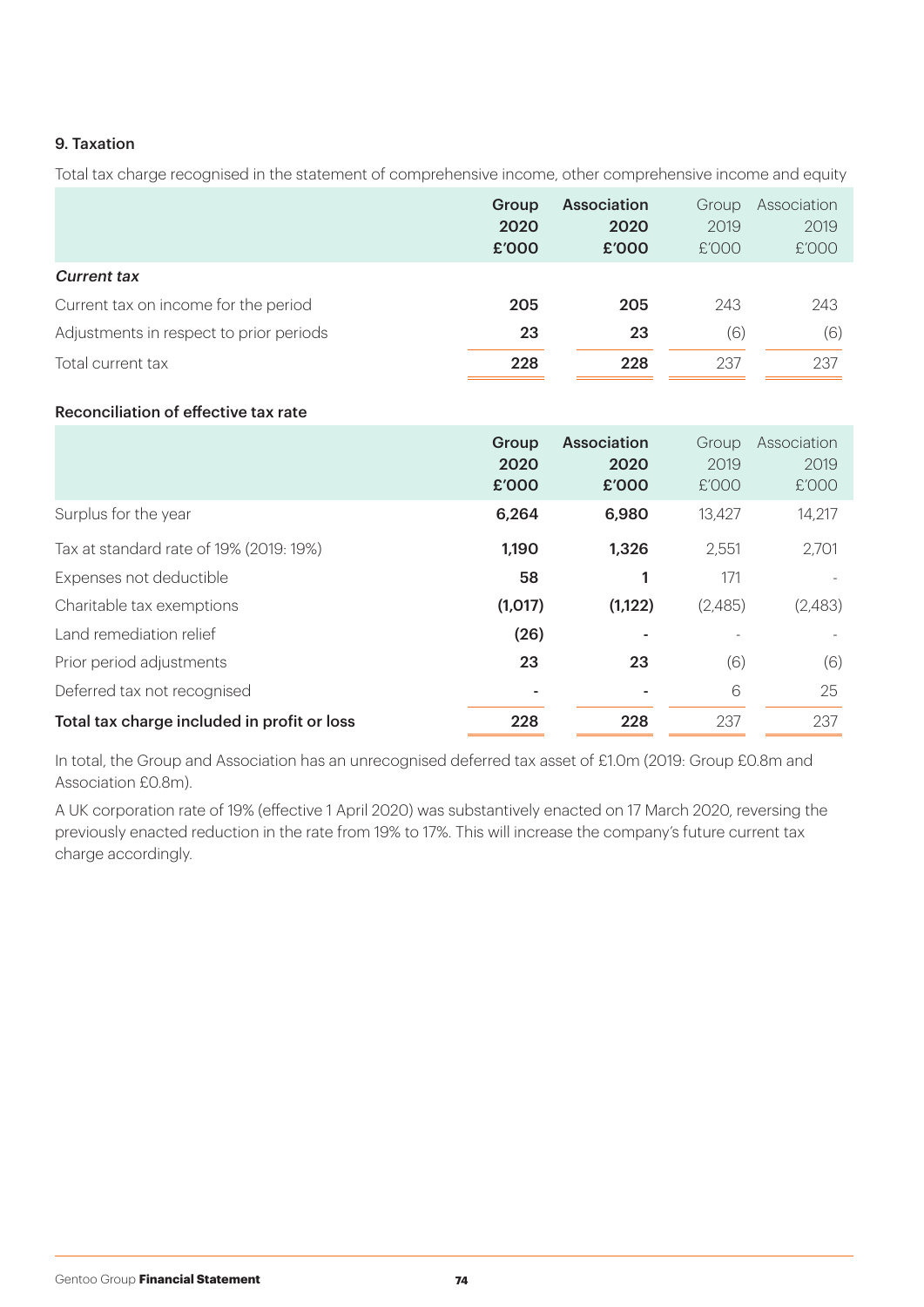## 9. Taxation

Total tax charge recognised in the statement of comprehensive income, other comprehensive income and equity

|                                         | Group | Association | Group | Association |
|-----------------------------------------|-------|-------------|-------|-------------|
|                                         | 2020  | 2020        | 2019  | 2019        |
|                                         | £'000 | £'000       | £'000 | £'000       |
| <b>Current tax</b>                      |       |             |       |             |
| Current tax on income for the period    | 205   | 205         | 243   | 243         |
| Adjustments in respect to prior periods | 23    | 23          | (6)   | (6)         |
| Total current tax                       | 228   | 228         | 237   | 237         |

## Reconciliation of effective tax rate

|                                             | Group<br>2020<br>£'000 | <b>Association</b><br>2020<br>£'000 | Group<br>2019<br>E'OOO | Association<br>2019<br>£'000 |
|---------------------------------------------|------------------------|-------------------------------------|------------------------|------------------------------|
| Surplus for the year                        | 6,264                  | 6,980                               | 13,427                 | 14,217                       |
| Tax at standard rate of 19% (2019: 19%)     | 1,190                  | 1,326                               | 2,551                  | 2,701                        |
| Expenses not deductible                     | 58                     |                                     | 171                    |                              |
| Charitable tax exemptions                   | (1,017)                | (1,122)                             | (2,485)                | (2,483)                      |
| Land remediation relief                     | (26)                   |                                     |                        |                              |
| Prior period adjustments                    | 23                     | 23                                  | (6)                    | (6)                          |
| Deferred tax not recognised                 |                        |                                     | 6                      | 25                           |
| Total tax charge included in profit or loss | 228                    | 228                                 | 237                    | 237                          |

In total, the Group and Association has an unrecognised deferred tax asset of £1.0m (2019: Group £0.8m and Association £0.8m).

A UK corporation rate of 19% (effective 1 April 2020) was substantively enacted on 17 March 2020, reversing the previously enacted reduction in the rate from 19% to 17%. This will increase the company's future current tax charge accordingly.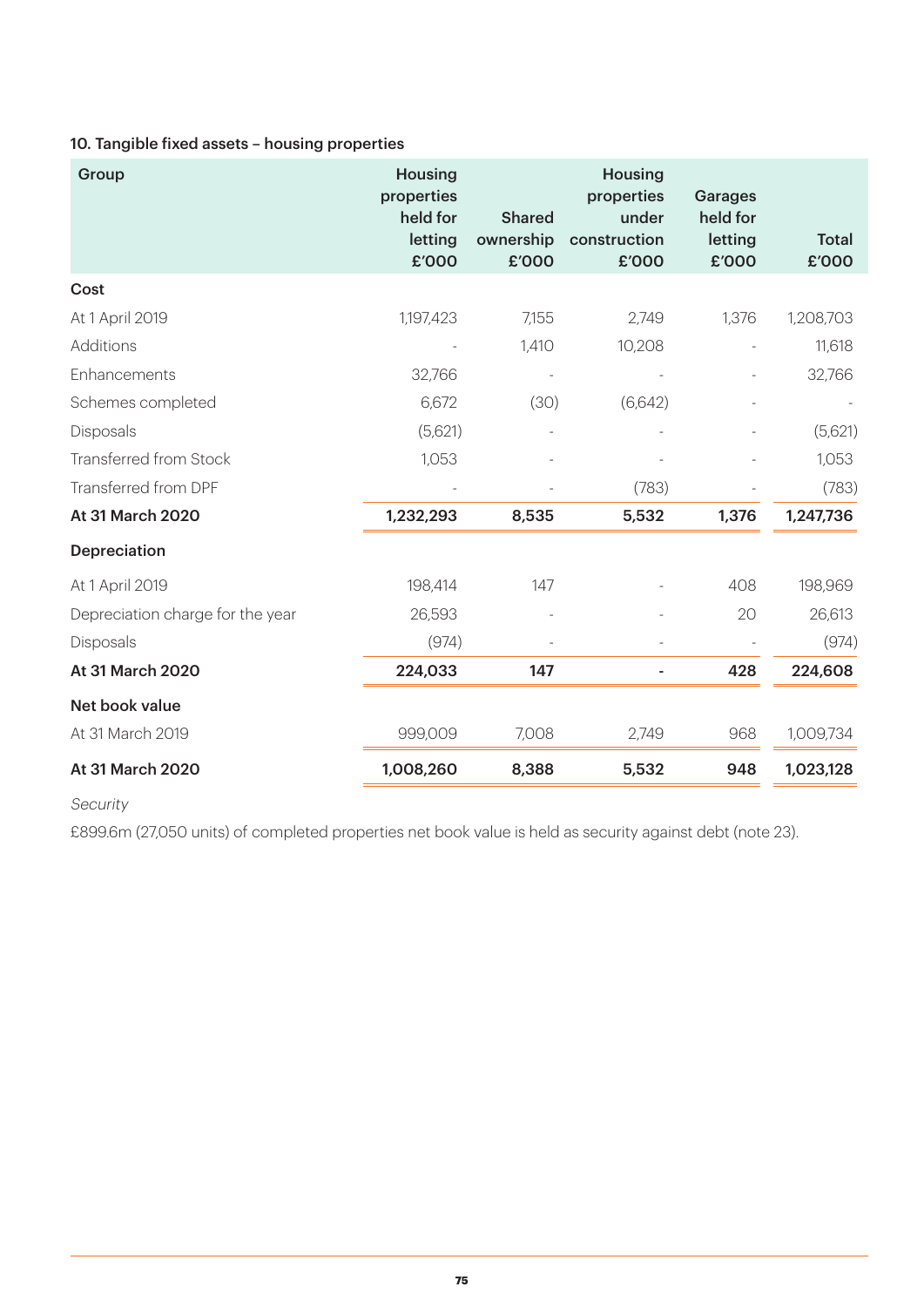# 10. Tangible fixed assets – housing properties

| Group                            | <b>Housing</b><br>properties<br>held for<br>letting<br>£'000 | <b>Shared</b><br>ownership<br>£'000 | <b>Housing</b><br>properties<br>under<br>construction<br>£'000 | <b>Garages</b><br>held for<br>letting<br>£'000 | <b>Total</b><br>£'000 |
|----------------------------------|--------------------------------------------------------------|-------------------------------------|----------------------------------------------------------------|------------------------------------------------|-----------------------|
| Cost                             |                                                              |                                     |                                                                |                                                |                       |
| At 1 April 2019                  | 1,197,423                                                    | 7,155                               | 2,749                                                          | 1,376                                          | 1,208,703             |
| Additions                        |                                                              | 1,410                               | 10,208                                                         |                                                | 11,618                |
| Enhancements                     | 32,766                                                       |                                     |                                                                |                                                | 32,766                |
| Schemes completed                | 6,672                                                        | (30)                                | (6,642)                                                        |                                                |                       |
| Disposals                        | (5,621)                                                      |                                     |                                                                |                                                | (5,621)               |
| Transferred from Stock           | 1,053                                                        |                                     |                                                                |                                                | 1,053                 |
| Transferred from DPF             |                                                              |                                     | (783)                                                          |                                                | (783)                 |
| At 31 March 2020                 | 1,232,293                                                    | 8,535                               | 5,532                                                          | 1,376                                          | 1,247,736             |
| Depreciation                     |                                                              |                                     |                                                                |                                                |                       |
| At 1 April 2019                  | 198,414                                                      | 147                                 |                                                                | 408                                            | 198,969               |
| Depreciation charge for the year | 26,593                                                       |                                     |                                                                | 20                                             | 26,613                |
| <b>Disposals</b>                 | (974)                                                        |                                     |                                                                |                                                | (974)                 |
| At 31 March 2020                 | 224,033                                                      | 147                                 |                                                                | 428                                            | 224,608               |
| Net book value                   |                                                              |                                     |                                                                |                                                |                       |
| At 31 March 2019                 | 999,009                                                      | 7,008                               | 2,749                                                          | 968                                            | 1,009,734             |
| At 31 March 2020                 | 1,008,260                                                    | 8,388                               | 5,532                                                          | 948                                            | 1,023,128             |

Security

£899.6m (27,050 units) of completed properties net book value is held as security against debt (note 23).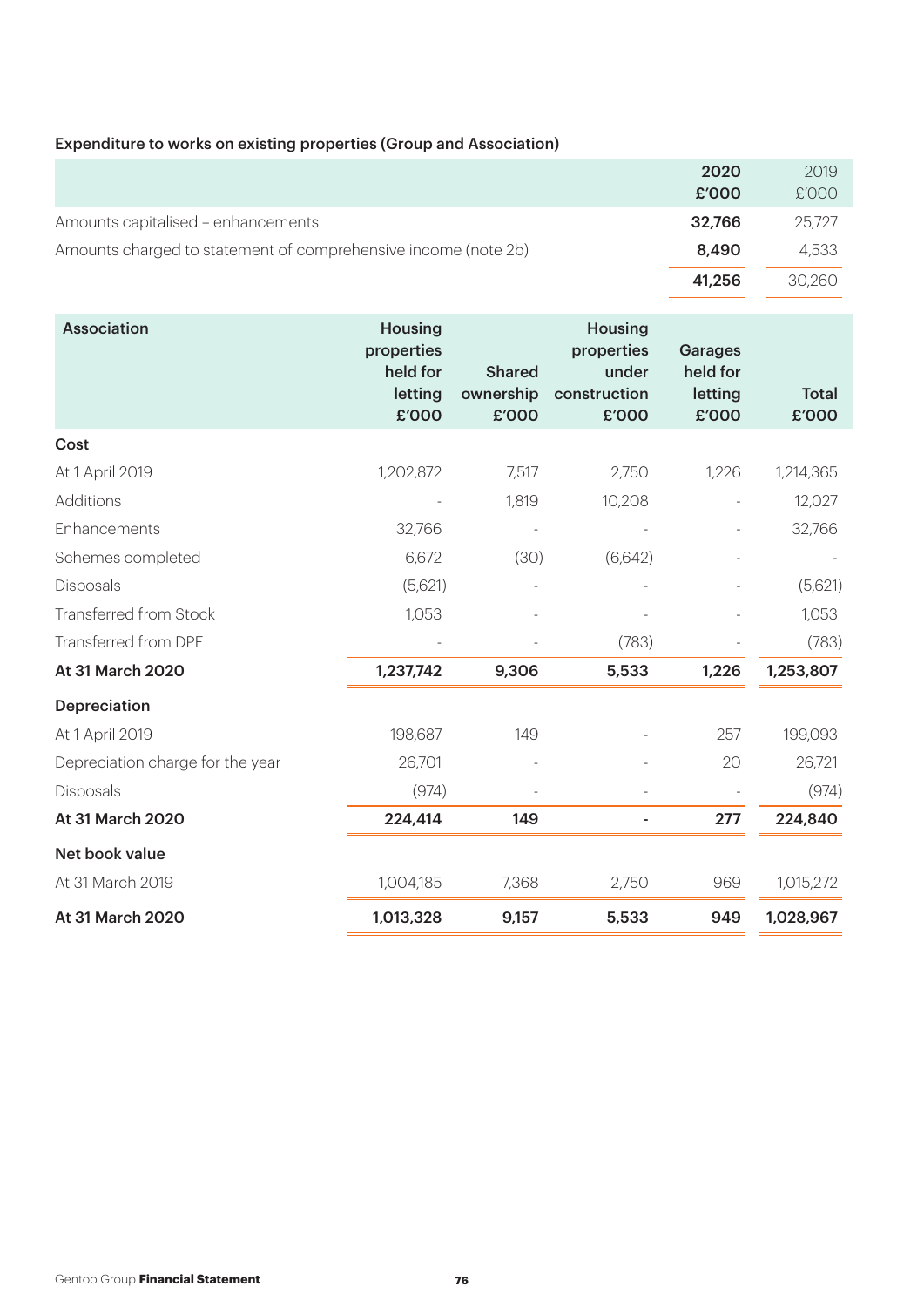# Expenditure to works on existing properties (Group and Association)

|                                                                | 2020   | 2019   |
|----------------------------------------------------------------|--------|--------|
|                                                                | £'000  | £'000  |
| Amounts capitalised - enhancements                             | 32.766 | 25,727 |
| Amounts charged to statement of comprehensive income (note 2b) | 8,490  | 4.533  |
|                                                                | 41,256 | 30,260 |

| <b>Association</b>               | <b>Housing</b><br>properties<br>held for<br>letting | <b>Shared</b><br>ownership | <b>Housing</b><br>properties<br>under<br>construction | <b>Garages</b><br>held for<br>letting | <b>Total</b> |
|----------------------------------|-----------------------------------------------------|----------------------------|-------------------------------------------------------|---------------------------------------|--------------|
|                                  | £'000                                               | £'000                      | £'000                                                 | £'000                                 | £'000        |
| Cost                             |                                                     |                            |                                                       |                                       |              |
| At 1 April 2019                  | 1,202,872                                           | 7,517                      | 2,750                                                 | 1,226                                 | 1,214,365    |
| Additions                        |                                                     | 1,819                      | 10,208                                                |                                       | 12,027       |
| Enhancements                     | 32,766                                              |                            |                                                       |                                       | 32,766       |
| Schemes completed                | 6,672                                               | (30)                       | (6,642)                                               |                                       |              |
| Disposals                        | (5,621)                                             |                            |                                                       |                                       | (5,621)      |
| Transferred from Stock           | 1,053                                               |                            |                                                       |                                       | 1,053        |
| Transferred from DPF             |                                                     |                            | (783)                                                 |                                       | (783)        |
| At 31 March 2020                 | 1,237,742                                           | 9,306                      | 5,533                                                 | 1,226                                 | 1,253,807    |
| <b>Depreciation</b>              |                                                     |                            |                                                       |                                       |              |
| At 1 April 2019                  | 198,687                                             | 149                        |                                                       | 257                                   | 199,093      |
| Depreciation charge for the year | 26,701                                              |                            |                                                       | 20                                    | 26,721       |
| Disposals                        | (974)                                               |                            |                                                       |                                       | (974)        |
| At 31 March 2020                 | 224,414                                             | 149                        |                                                       | 277                                   | 224,840      |
| Net book value                   |                                                     |                            |                                                       |                                       |              |
| At 31 March 2019                 | 1,004,185                                           | 7,368                      | 2,750                                                 | 969                                   | 1,015,272    |
| At 31 March 2020                 | 1,013,328                                           | 9,157                      | 5,533                                                 | 949                                   | 1,028,967    |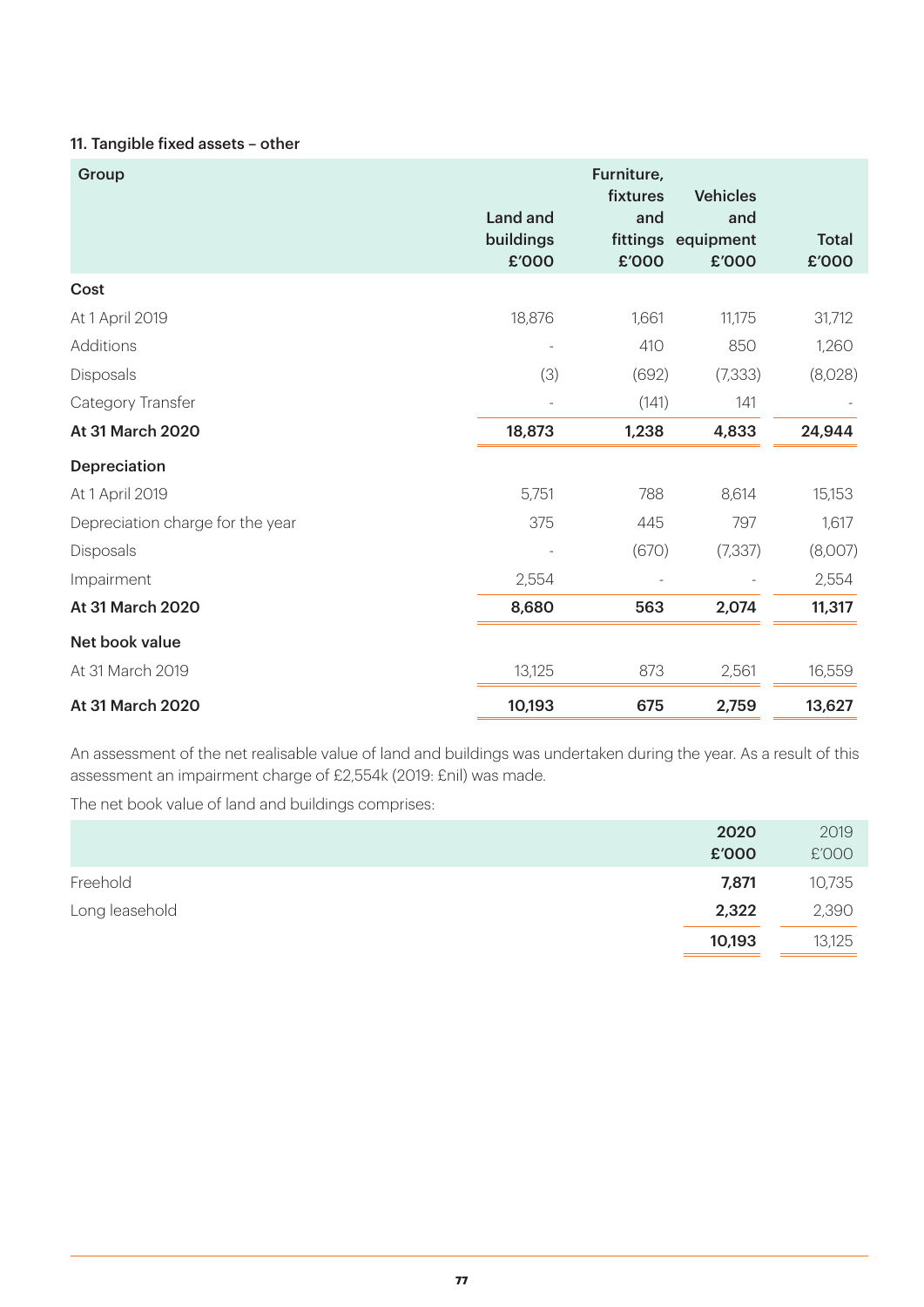## 11. Tangible fixed assets – other

| Group                            | Land and<br>buildings | Furniture,<br>fixtures<br>and | <b>Vehicles</b><br>and<br>fittings equipment | <b>Total</b> |
|----------------------------------|-----------------------|-------------------------------|----------------------------------------------|--------------|
|                                  | £'000                 | £'000                         | £'000                                        | £'000        |
| Cost                             |                       |                               |                                              |              |
| At 1 April 2019                  | 18,876                | 1,661                         | 11,175                                       | 31,712       |
| Additions                        |                       | 410                           | 850                                          | 1,260        |
| Disposals                        | (3)                   | (692)                         | (7, 333)                                     | (8,028)      |
| Category Transfer                |                       | (141)                         | 141                                          |              |
| At 31 March 2020                 | 18,873                | 1,238                         | 4,833                                        | 24,944       |
| Depreciation                     |                       |                               |                                              |              |
| At 1 April 2019                  | 5,751                 | 788                           | 8,614                                        | 15,153       |
| Depreciation charge for the year | 375                   | 445                           | 797                                          | 1,617        |
| Disposals                        |                       | (670)                         | (7, 337)                                     | (8,007)      |
| Impairment                       | 2,554                 |                               |                                              | 2,554        |
| At 31 March 2020                 | 8,680                 | 563                           | 2,074                                        | 11,317       |
| Net book value                   |                       |                               |                                              |              |
| At 31 March 2019                 | 13,125                | 873                           | 2,561                                        | 16,559       |
| At 31 March 2020                 | 10,193                | 675                           | 2,759                                        | 13,627       |

An assessment of the net realisable value of land and buildings was undertaken during the year. As a result of this assessment an impairment charge of £2,554k (2019: £nil) was made.

The net book value of land and buildings comprises:

|                | 2020   | 2019   |
|----------------|--------|--------|
|                | £'000  | £'000  |
| Freehold       | 7,871  | 10,735 |
| Long leasehold | 2,322  | 2,390  |
|                | 10,193 | 13,125 |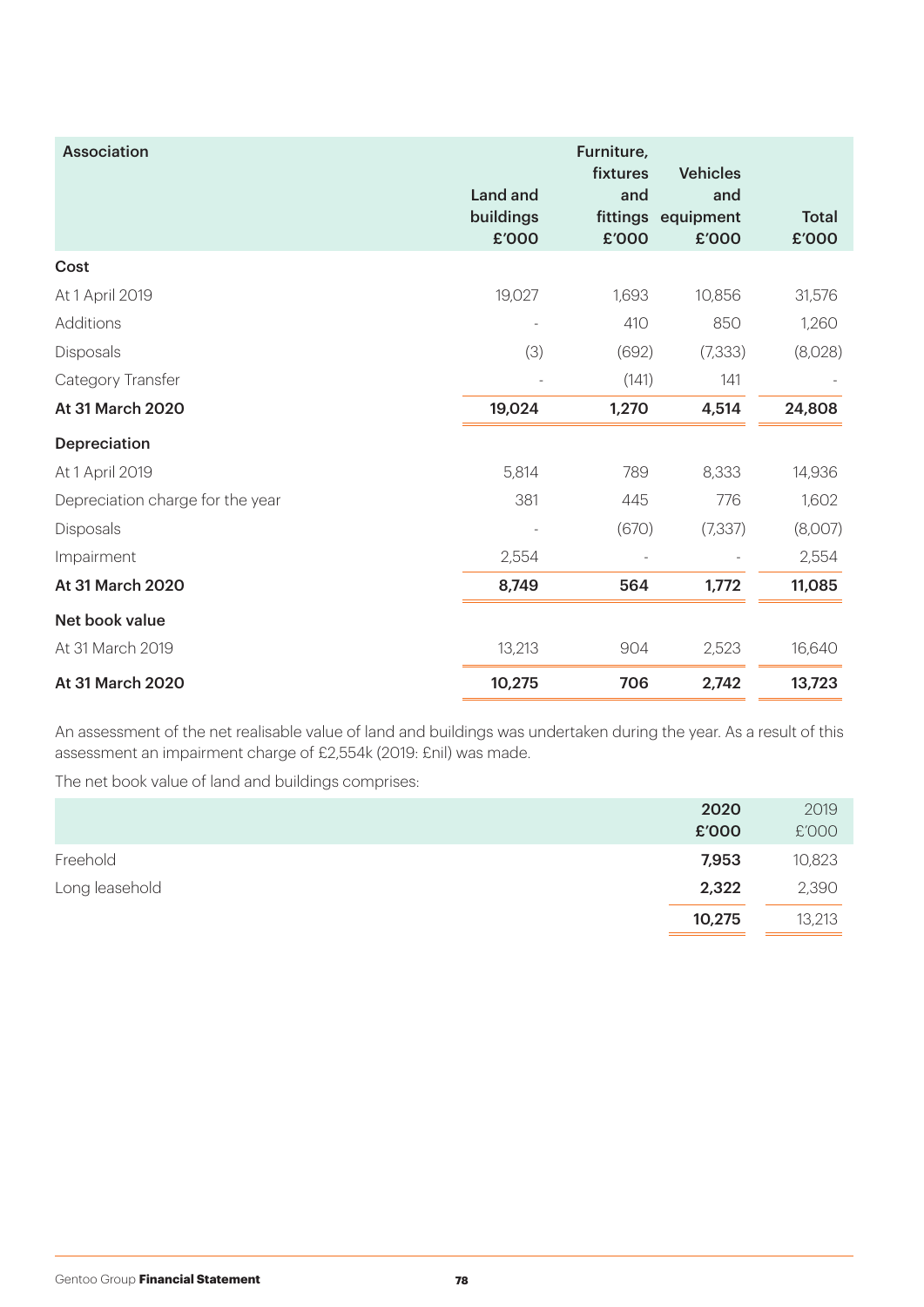| <b>Association</b>               | Land and<br>buildings<br>£'000 | Furniture,<br>fixtures<br>and<br>£'000 | <b>Vehicles</b><br>and<br>fittings equipment<br>£'000 | <b>Total</b><br>£'000 |
|----------------------------------|--------------------------------|----------------------------------------|-------------------------------------------------------|-----------------------|
| Cost                             |                                |                                        |                                                       |                       |
| At 1 April 2019                  | 19,027                         | 1,693                                  | 10,856                                                | 31,576                |
| Additions                        |                                | 410                                    | 850                                                   | 1,260                 |
| Disposals                        | (3)                            | (692)                                  | (7, 333)                                              | (8,028)               |
| Category Transfer                |                                | (141)                                  | 141                                                   |                       |
| At 31 March 2020                 | 19,024                         | 1,270                                  | 4,514                                                 | 24,808                |
| <b>Depreciation</b>              |                                |                                        |                                                       |                       |
| At 1 April 2019                  | 5,814                          | 789                                    | 8,333                                                 | 14,936                |
| Depreciation charge for the year | 381                            | 445                                    | 776                                                   | 1,602                 |
| Disposals                        |                                | (670)                                  | (7, 337)                                              | (8,007)               |
| Impairment                       | 2,554                          |                                        |                                                       | 2,554                 |
| At 31 March 2020                 | 8,749                          | 564                                    | 1,772                                                 | 11,085                |
| Net book value                   |                                |                                        |                                                       |                       |
| At 31 March 2019                 | 13,213                         | 904                                    | 2,523                                                 | 16,640                |
| At 31 March 2020                 | 10,275                         | 706                                    | 2,742                                                 | 13,723                |

An assessment of the net realisable value of land and buildings was undertaken during the year. As a result of this assessment an impairment charge of £2,554k (2019: £nil) was made.

The net book value of land and buildings comprises:

|                | 2020   | 2019   |
|----------------|--------|--------|
|                | £'000  | £'000  |
| Freehold       | 7,953  | 10,823 |
| Long leasehold | 2,322  | 2,390  |
|                | 10,275 | 13,213 |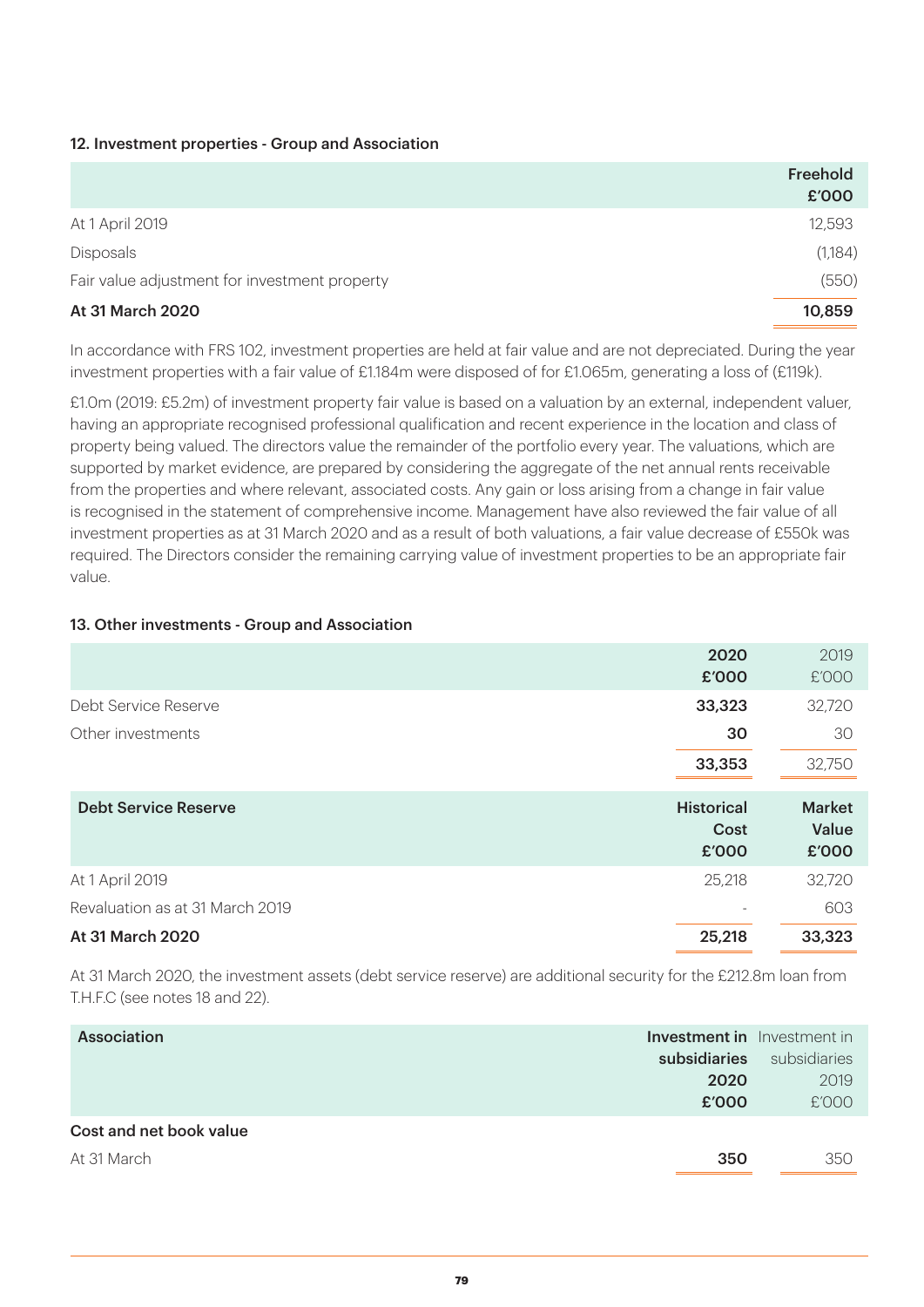### 12. Investment properties - Group and Association

|                                               | Freehold<br>£'000 |
|-----------------------------------------------|-------------------|
| At 1 April 2019                               | 12,593            |
| Disposals                                     | (1,184)           |
| Fair value adjustment for investment property | (550)             |
| At 31 March 2020                              | 10,859            |

In accordance with FRS 102, investment properties are held at fair value and are not depreciated. During the year investment properties with a fair value of £1.184m were disposed of for £1.065m, generating a loss of (£119k).

£1.0m (2019: £5.2m) of investment property fair value is based on a valuation by an external, independent valuer, having an appropriate recognised professional qualification and recent experience in the location and class of property being valued. The directors value the remainder of the portfolio every year. The valuations, which are supported by market evidence, are prepared by considering the aggregate of the net annual rents receivable from the properties and where relevant, associated costs. Any gain or loss arising from a change in fair value is recognised in the statement of comprehensive income. Management have also reviewed the fair value of all investment properties as at 31 March 2020 and as a result of both valuations, a fair value decrease of £550k was required. The Directors consider the remaining carrying value of investment properties to be an appropriate fair value.

### 13. Other investments - Group and Association

|                                 | 2020<br>£'000                      | 2019<br>£'000                   |
|---------------------------------|------------------------------------|---------------------------------|
| Debt Service Reserve            | 33,323                             | 32,720                          |
| Other investments               | 30                                 | 30                              |
|                                 | 33,353                             | 32,750                          |
|                                 |                                    |                                 |
| <b>Debt Service Reserve</b>     | <b>Historical</b><br>Cost<br>£'000 | <b>Market</b><br>Value<br>£'000 |
| At 1 April 2019                 | 25,218                             | 32,720                          |
| Revaluation as at 31 March 2019 |                                    | 603                             |

At 31 March 2020, the investment assets (debt service reserve) are additional security for the £212.8m loan from T.H.F.C (see notes 18 and 22).

| Association             |              | <b>Investment in</b> Investment in |
|-------------------------|--------------|------------------------------------|
|                         | subsidiaries | subsidiaries                       |
|                         | 2020         | 2019                               |
|                         | £'000        | £'000                              |
| Cost and net book value |              |                                    |
| At 31 March             | 350          | 350                                |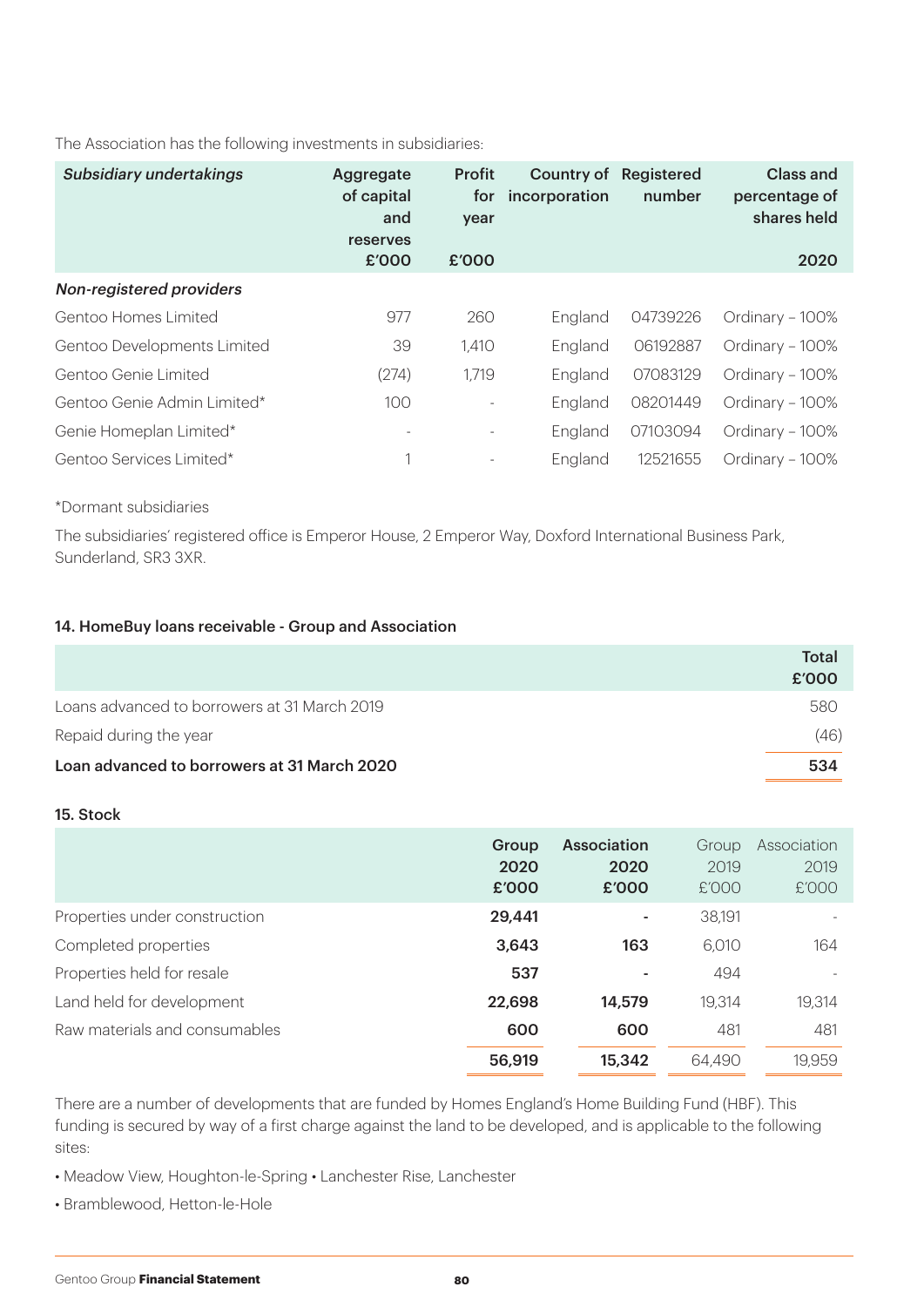The Association has the following investments in subsidiaries:

| <b>Subsidiary undertakings</b> | Aggregate<br>of capital<br>and<br>reserves<br>£'000 | <b>Profit</b><br>for<br>year<br>£'000 | Country of<br>incorporation | Registered<br>number | Class and<br>percentage of<br>shares held<br>2020 |
|--------------------------------|-----------------------------------------------------|---------------------------------------|-----------------------------|----------------------|---------------------------------------------------|
| Non-registered providers       |                                                     |                                       |                             |                      |                                                   |
| Gentoo Homes Limited           | 977                                                 | 260                                   | England                     | 04739226             | Ordinary - 100%                                   |
| Gentoo Developments Limited    | 39                                                  | 1,410                                 | England                     | 06192887             | Ordinary - 100%                                   |
| Gentoo Genie Limited           | (274)                                               | 1,719                                 | England                     | 07083129             | Ordinary - 100%                                   |
| Gentoo Genie Admin Limited*    | 100                                                 |                                       | England                     | 08201449             | Ordinary - 100%                                   |
| Genie Homeplan Limited*        |                                                     |                                       | England                     | 07103094             | Ordinary - 100%                                   |
| Gentoo Services Limited*       |                                                     |                                       | England                     | 12521655             | Ordinary – 100%                                   |

## \*Dormant subsidiaries

The subsidiaries' registered office is Emperor House, 2 Emperor Way, Doxford International Business Park, Sunderland, SR3 3XR.

### 14. HomeBuy loans receivable - Group and Association

|                                              | Total<br>£'000 |
|----------------------------------------------|----------------|
| Loans advanced to borrowers at 31 March 2019 | 580            |
| Repaid during the year                       | (46)           |
| Loan advanced to borrowers at 31 March 2020  | 534            |

#### 15. Stock

|                               | Group<br>2020<br>£'000 | <b>Association</b><br>2020<br>£'000 | Group<br>2019<br>£'000 | Association<br>2019<br>£'000 |
|-------------------------------|------------------------|-------------------------------------|------------------------|------------------------------|
| Properties under construction | 29.441                 |                                     | 38,191                 |                              |
| Completed properties          | 3,643                  | 163                                 | 6,010                  | 164                          |
| Properties held for resale    | 537                    |                                     | 494                    | $\overline{\phantom{a}}$     |
| Land held for development     | 22,698                 | 14,579                              | 19,314                 | 19,314                       |
| Raw materials and consumables | 600                    | 600                                 | 481                    | 481                          |
|                               | 56,919                 | 15,342                              | 64,490                 | 19,959                       |

There are a number of developments that are funded by Homes England's Home Building Fund (HBF). This funding is secured by way of a first charge against the land to be developed, and is applicable to the following sites:

- Meadow View, Houghton-le-Spring Lanchester Rise, Lanchester
- Bramblewood, Hetton-le-Hole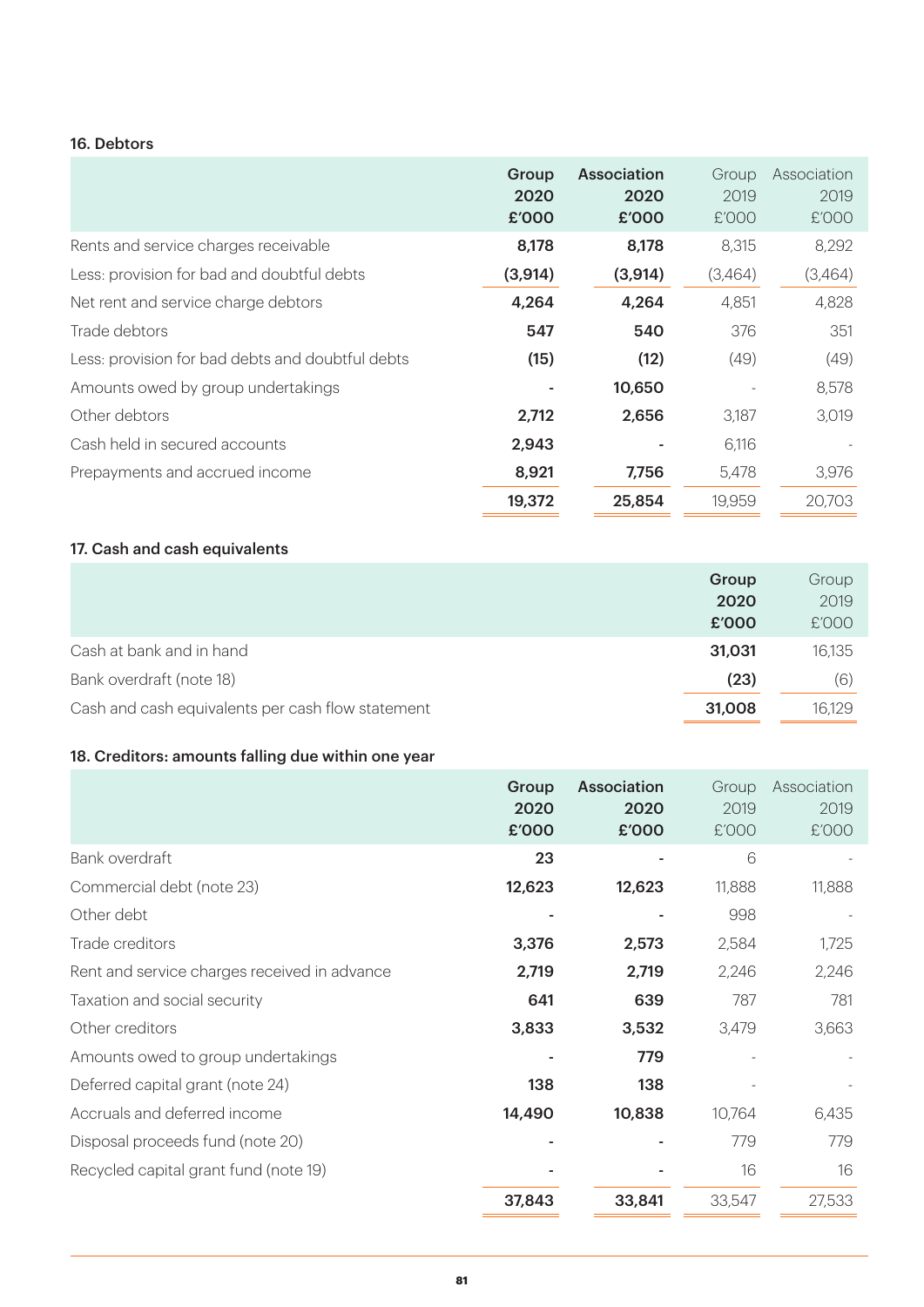### 16. Debtors

|                                                  | Group<br>2020<br>£'000 | <b>Association</b><br>2020<br>£'000 | Group<br>2019<br>£'000 | Association<br>2019<br>E'OOO |
|--------------------------------------------------|------------------------|-------------------------------------|------------------------|------------------------------|
| Rents and service charges receivable             | 8,178                  | 8,178                               | 8,315                  | 8,292                        |
| Less: provision for bad and doubtful debts       | (3, 914)               | (3,914)                             | (3,464)                | (3,464)                      |
| Net rent and service charge debtors              | 4,264                  | 4,264                               | 4,851                  | 4,828                        |
| Trade debtors                                    | 547                    | 540                                 | 376                    | 351                          |
| Less: provision for bad debts and doubtful debts | (15)                   | (12)                                | (49)                   | (49)                         |
| Amounts owed by group undertakings               |                        | 10,650                              |                        | 8,578                        |
| Other debtors                                    | 2,712                  | 2,656                               | 3.187                  | 3,019                        |
| Cash held in secured accounts                    | 2,943                  |                                     | 6,116                  |                              |
| Prepayments and accrued income                   | 8,921                  | 7,756                               | 5,478                  | 3,976                        |
|                                                  | 19,372                 | 25,854                              | 19,959                 | 20,703                       |

# 17. Cash and cash equivalents

|                                                   | Group  | Group  |
|---------------------------------------------------|--------|--------|
|                                                   | 2020   | 2019   |
|                                                   | £'000  | £'000  |
| Cash at bank and in hand                          | 31.031 | 16,135 |
| Bank overdraft (note 18)                          | (23)   | (6)    |
| Cash and cash equivalents per cash flow statement | 31,008 | 16,129 |

# 18. Creditors: amounts falling due within one year

|                                              | Group<br>2020<br>£'000 | <b>Association</b><br>2020<br>£'000 | Group<br>2019<br>£'000 | Association<br>2019<br>£'000 |
|----------------------------------------------|------------------------|-------------------------------------|------------------------|------------------------------|
| Bank overdraft                               | 23                     |                                     | 6                      |                              |
| Commercial debt (note 23)                    | 12,623                 | 12,623                              | 11,888                 | 11,888                       |
| Other debt                                   |                        |                                     | 998                    |                              |
| Trade creditors                              | 3,376                  | 2,573                               | 2,584                  | 1,725                        |
| Rent and service charges received in advance | 2,719                  | 2,719                               | 2,246                  | 2,246                        |
| Taxation and social security                 | 641                    | 639                                 | 787                    | 781                          |
| Other creditors                              | 3,833                  | 3,532                               | 3,479                  | 3,663                        |
| Amounts owed to group undertakings           |                        | 779                                 |                        |                              |
| Deferred capital grant (note 24)             | 138                    | 138                                 |                        |                              |
| Accruals and deferred income                 | 14,490                 | 10,838                              | 10,764                 | 6,435                        |
| Disposal proceeds fund (note 20)             |                        |                                     | 779                    | 779                          |
| Recycled capital grant fund (note 19)        |                        |                                     | 16                     | 16                           |
|                                              | 37,843                 | 33,841                              | 33,547                 | 27,533                       |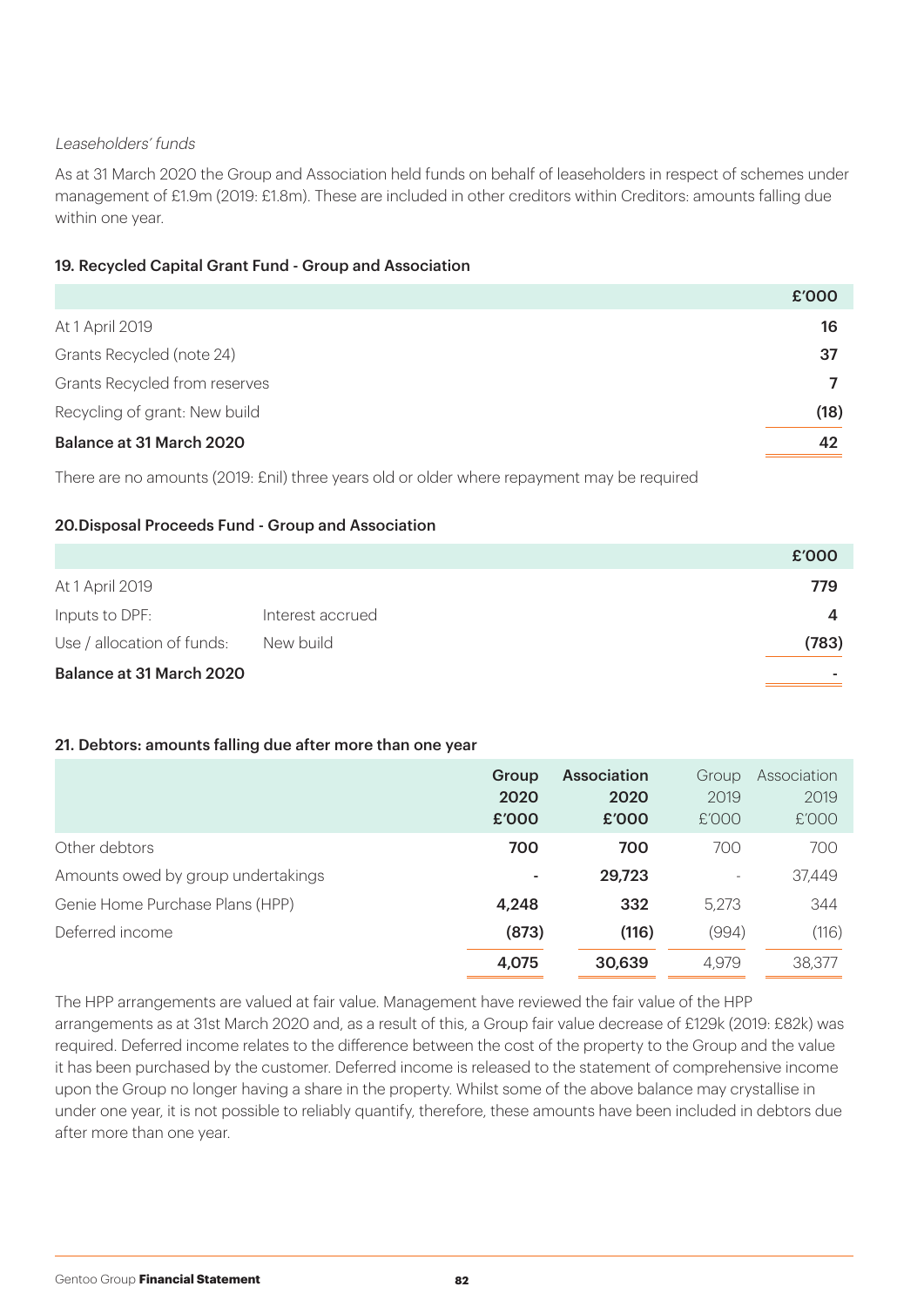### Leaseholders' funds

As at 31 March 2020 the Group and Association held funds on behalf of leaseholders in respect of schemes under management of £1.9m (2019: £1.8m). These are included in other creditors within Creditors: amounts falling due within one year.

### 19. Recycled Capital Grant Fund - Group and Association

|                               | £'000 |
|-------------------------------|-------|
| At 1 April 2019               | 16    |
| Grants Recycled (note 24)     | 37    |
| Grants Recycled from reserves |       |
| Recycling of grant: New build | (18)  |
| Balance at 31 March 2020      | 42    |

There are no amounts (2019: £nil) three years old or older where repayment may be required

## 20.Disposal Proceeds Fund - Group and Association

|                            |                  | £'000 |
|----------------------------|------------------|-------|
| At 1 April 2019            |                  | 779   |
| Inputs to DPF:             | Interest accrued |       |
| Use / allocation of funds: | New build        | (783) |
| Balance at 31 March 2020   |                  |       |

#### 21. Debtors: amounts falling due after more than one year

|                                    | Group<br>2020<br>£'000 | <b>Association</b><br>2020<br>£'000 | Group<br>2019<br>£'000   | Association<br>2019<br>£'000 |
|------------------------------------|------------------------|-------------------------------------|--------------------------|------------------------------|
| Other debtors                      | 700                    | 700                                 | 700                      | 700                          |
| Amounts owed by group undertakings | ٠                      | 29,723                              | $\overline{\phantom{a}}$ | 37,449                       |
| Genie Home Purchase Plans (HPP)    | 4,248                  | 332                                 | 5,273                    | 344                          |
| Deferred income                    | (873)                  | (116)                               | (994)                    | (116)                        |
|                                    | 4,075                  | 30,639                              | 4,979                    | 38,377                       |

The HPP arrangements are valued at fair value. Management have reviewed the fair value of the HPP arrangements as at 31st March 2020 and, as a result of this, a Group fair value decrease of £129k (2019: £82k) was required. Deferred income relates to the difference between the cost of the property to the Group and the value it has been purchased by the customer. Deferred income is released to the statement of comprehensive income upon the Group no longer having a share in the property. Whilst some of the above balance may crystallise in under one year, it is not possible to reliably quantify, therefore, these amounts have been included in debtors due after more than one year.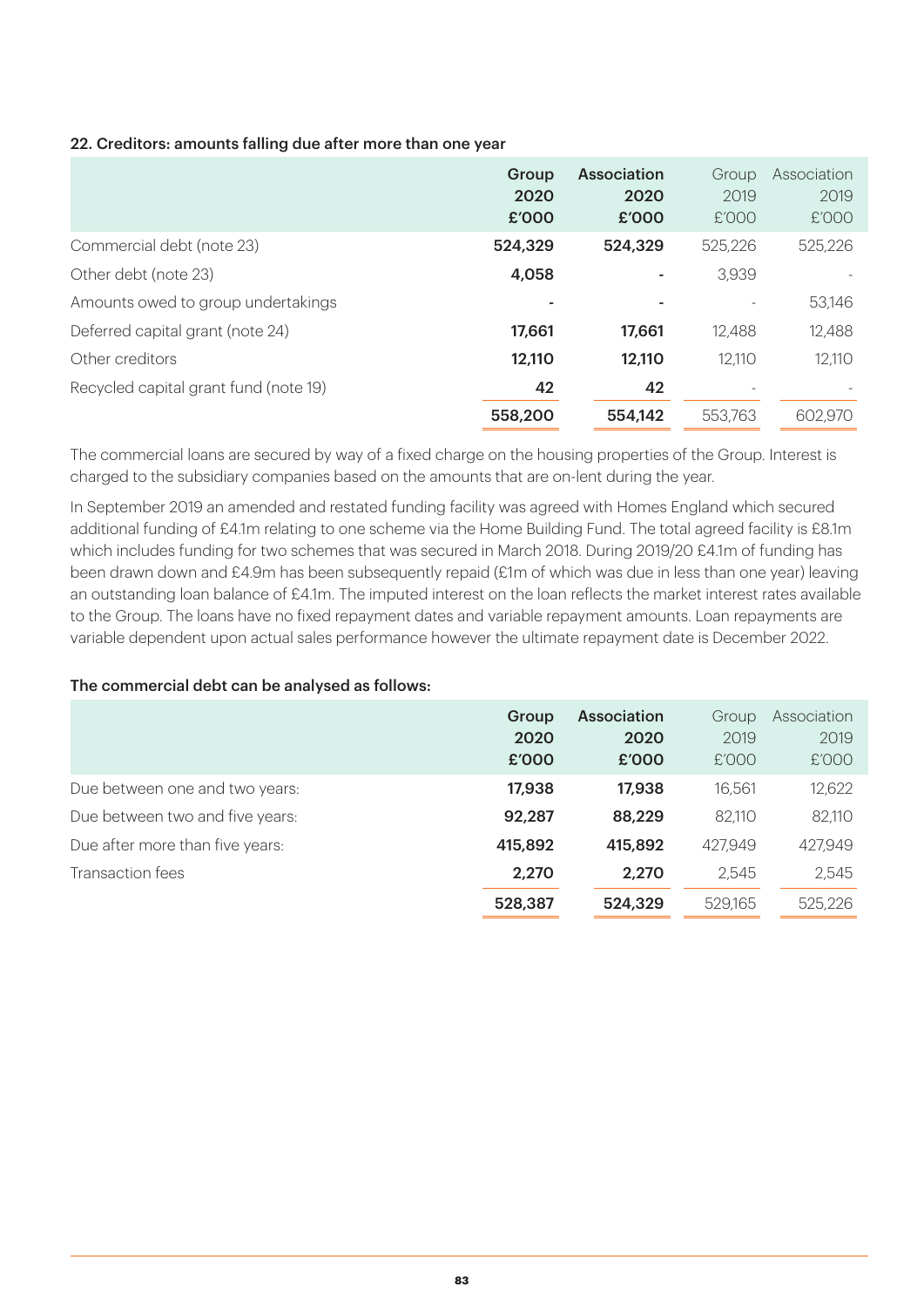## 22. Creditors: amounts falling due after more than one year

|                                       | Group<br>2020<br>£'000 | Association<br>2020<br>£'000 | Group<br>2019<br>£'000 | Association<br>2019<br>£'000 |
|---------------------------------------|------------------------|------------------------------|------------------------|------------------------------|
| Commercial debt (note 23)             | 524,329                | 524,329                      | 525,226                | 525,226                      |
| Other debt (note 23)                  | 4,058                  |                              | 3,939                  |                              |
| Amounts owed to group undertakings    |                        |                              |                        | 53,146                       |
| Deferred capital grant (note 24)      | 17,661                 | 17,661                       | 12,488                 | 12,488                       |
| Other creditors                       | 12,110                 | 12,110                       | 12,110                 | 12,110                       |
| Recycled capital grant fund (note 19) | 42                     | 42                           |                        |                              |
|                                       | 558,200                | 554.142                      | 553,763                | 602,970                      |

The commercial loans are secured by way of a fixed charge on the housing properties of the Group. Interest is charged to the subsidiary companies based on the amounts that are on-lent during the year.

In September 2019 an amended and restated funding facility was agreed with Homes England which secured additional funding of £4.1m relating to one scheme via the Home Building Fund. The total agreed facility is £8.1m which includes funding for two schemes that was secured in March 2018. During 2019/20 £4.1m of funding has been drawn down and £4.9m has been subsequently repaid (£1m of which was due in less than one year) leaving an outstanding loan balance of £4.1m. The imputed interest on the loan reflects the market interest rates available to the Group. The loans have no fixed repayment dates and variable repayment amounts. Loan repayments are variable dependent upon actual sales performance however the ultimate repayment date is December 2022.

#### The commercial debt can be analysed as follows:

|                                 | Group<br>2020<br>£'000 | <b>Association</b><br>2020<br>£'000 | Group<br>2019<br>E'OOO | Association<br>2019<br>£'000 |
|---------------------------------|------------------------|-------------------------------------|------------------------|------------------------------|
| Due between one and two years:  | 17,938                 | 17,938                              | 16,561                 | 12,622                       |
| Due between two and five years: | 92,287                 | 88,229                              | 82,110                 | 82,110                       |
| Due after more than five years: | 415,892                | 415,892                             | 427,949                | 427,949                      |
| Transaction fees                | 2,270                  | 2,270                               | 2,545                  | 2,545                        |
|                                 | 528,387                | 524,329                             | 529.165                | 525,226                      |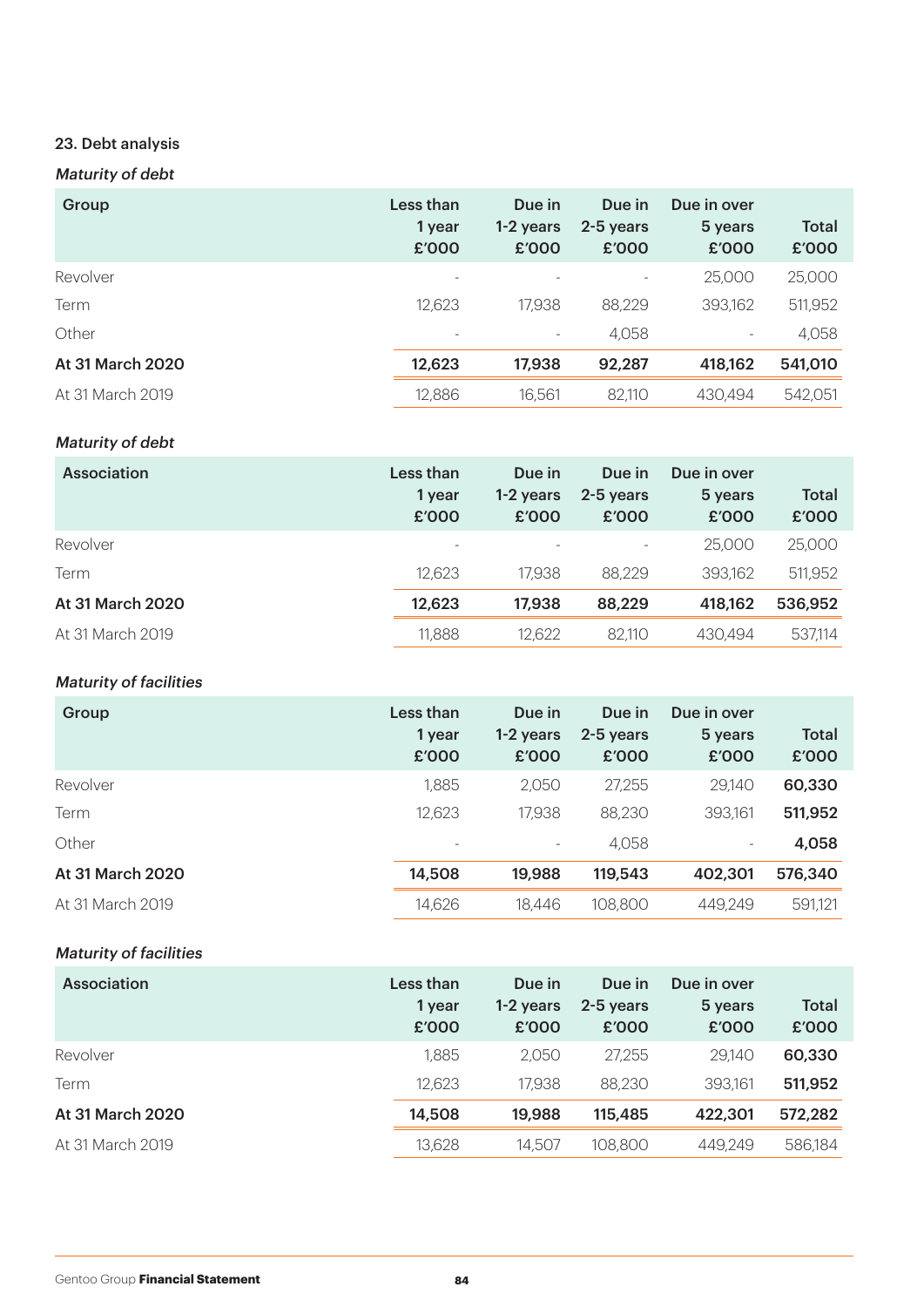# 23. Debt analysis

# Maturity of debt

| Group            | Less than<br>1 year<br>£'000 | Due in<br>1-2 years<br>£'000 | Due in<br>2-5 years<br>£'000 | Due in over<br>5 years<br>£'000 | <b>Total</b><br>£'000 |
|------------------|------------------------------|------------------------------|------------------------------|---------------------------------|-----------------------|
| Revolver         |                              |                              |                              | 25,000                          | 25,000                |
| Term             | 12,623                       | 17,938                       | 88,229                       | 393,162                         | 511,952               |
| Other            |                              | $\overline{\phantom{a}}$     | 4,058                        | $\overline{\phantom{a}}$        | 4,058                 |
| At 31 March 2020 | 12,623                       | 17,938                       | 92,287                       | 418,162                         | 541,010               |
| At 31 March 2019 | 12,886                       | 16,561                       | 82,110                       | 430,494                         | 542,051               |

# Maturity of debt

| <b>Association</b> | Less than<br>1 year<br>£'000 | Due in<br>1-2 years<br>£'000 | Due in<br>2-5 years<br>£'000 | Due in over<br>5 years<br>£'000 | <b>Total</b><br>£'000 |
|--------------------|------------------------------|------------------------------|------------------------------|---------------------------------|-----------------------|
| Revolver           |                              |                              |                              | 25,000                          | 25,000                |
| Term               | 12,623                       | 17,938                       | 88,229                       | 393,162                         | 511,952               |
| At 31 March 2020   | 12,623                       | 17,938                       | 88,229                       | 418,162                         | 536,952               |
| At 31 March 2019   | 11,888                       | 12,622                       | 82,110                       | 430.494                         | 537,114               |

# Maturity of facilities

| Group            | Less than<br>1 year<br>£'000 | Due in<br>1-2 years<br>£'000 | Due in<br>2-5 years<br>£'000 | Due in over<br>5 years<br>£'000 | <b>Total</b><br>£'000 |
|------------------|------------------------------|------------------------------|------------------------------|---------------------------------|-----------------------|
| Revolver         | 1,885                        | 2,050                        | 27,255                       | 29,140                          | 60,330                |
| Term             | 12,623                       | 17,938                       | 88,230                       | 393,161                         | 511,952               |
| Other            |                              | $\overline{\phantom{a}}$     | 4,058                        | ۰.                              | 4,058                 |
| At 31 March 2020 | 14,508                       | 19,988                       | 119,543                      | 402,301                         | 576,340               |
| At 31 March 2019 | 14,626                       | 18,446                       | 108,800                      | 449,249                         | 591,121               |

# Maturity of facilities

| Association      | Less than<br>1 year<br>£'000 | Due in<br>1-2 years<br>£'000 | Due in<br>2-5 years<br>£'000 | Due in over<br>5 years<br>£'000 | <b>Total</b><br>£'000 |
|------------------|------------------------------|------------------------------|------------------------------|---------------------------------|-----------------------|
| Revolver         | 1.885                        | 2,050                        | 27,255                       | 29,140                          | 60,330                |
| Term             | 12,623                       | 17,938                       | 88,230                       | 393,161                         | 511,952               |
| At 31 March 2020 | 14,508                       | 19,988                       | 115,485                      | 422,301                         | 572,282               |
| At 31 March 2019 | 13,628                       | 14,507                       | 108,800                      | 449,249                         | 586,184               |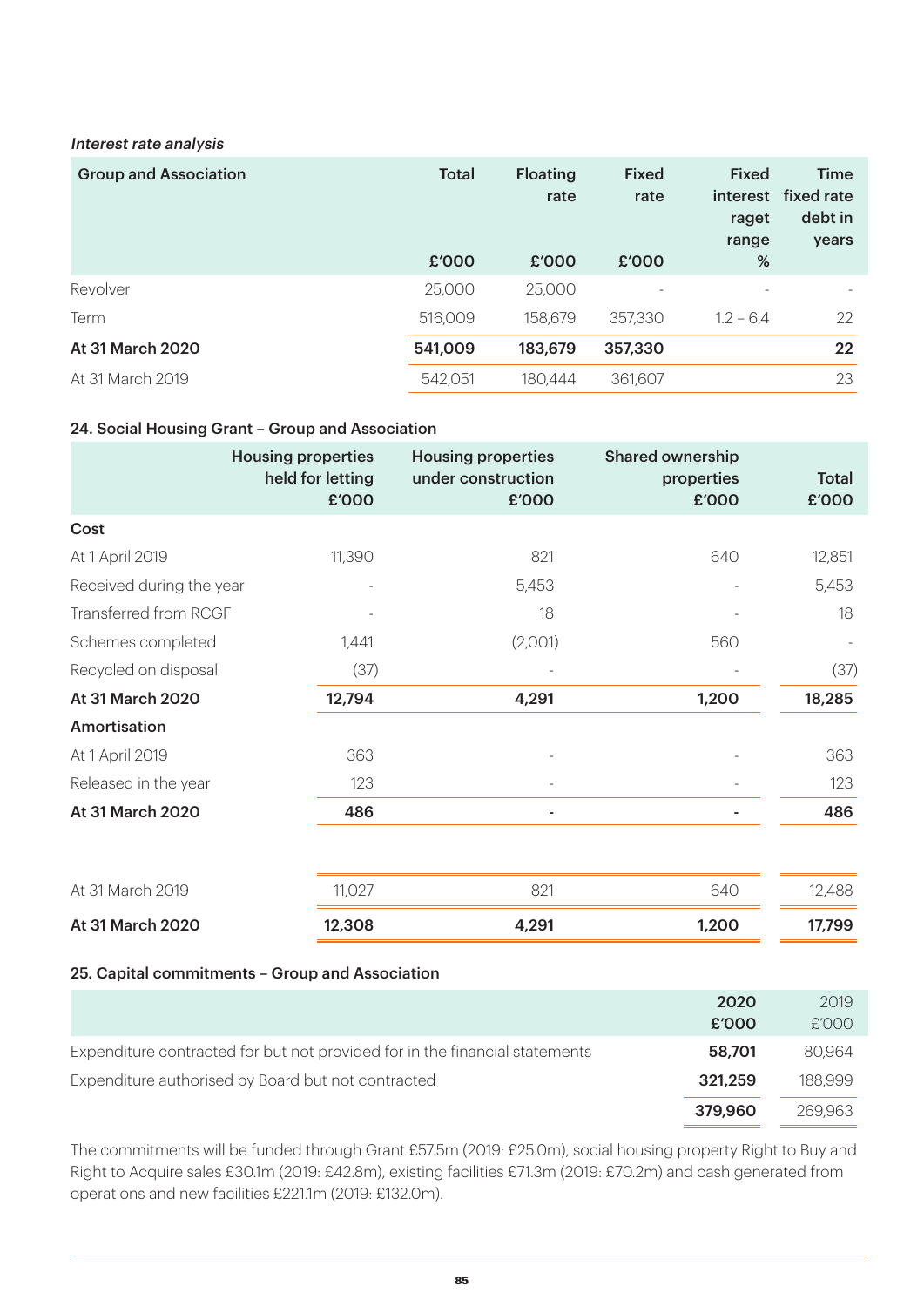#### Interest rate analysis

| <b>Group and Association</b> | <b>Total</b><br>£'000 | <b>Floating</b><br>rate<br>£'000 | <b>Fixed</b><br>rate<br>£'000 | <b>Fixed</b><br>interest<br>raget<br>range<br>% | <b>Time</b><br>fixed rate<br>debt in<br>years |
|------------------------------|-----------------------|----------------------------------|-------------------------------|-------------------------------------------------|-----------------------------------------------|
| Revolver                     | 25,000                | 25,000                           |                               |                                                 |                                               |
|                              |                       |                                  |                               |                                                 |                                               |
| Term                         | 516,009               | 158,679                          | 357,330                       | $1.2 - 6.4$                                     | 22                                            |
| At 31 March 2020             | 541,009               | 183,679                          | 357,330                       |                                                 | 22                                            |
| At 31 March 2019             | 542,051               | 180.444                          | 361,607                       |                                                 | 23                                            |

### 24. Social Housing Grant – Group and Association

|                          | <b>Housing properties</b><br>held for letting<br>£'000 | <b>Housing properties</b><br>under construction<br>£'000 | <b>Shared ownership</b><br>properties<br>£'000 | <b>Total</b><br>£'000 |
|--------------------------|--------------------------------------------------------|----------------------------------------------------------|------------------------------------------------|-----------------------|
| Cost                     |                                                        |                                                          |                                                |                       |
| At 1 April 2019          | 11,390                                                 | 821                                                      | 640                                            | 12,851                |
| Received during the year |                                                        | 5,453                                                    |                                                | 5,453                 |
| Transferred from RCGF    |                                                        | 18                                                       |                                                | 18                    |
| Schemes completed        | 1,441                                                  | (2,001)                                                  | 560                                            |                       |
| Recycled on disposal     | (37)                                                   |                                                          |                                                | (37)                  |
| At 31 March 2020         | 12,794                                                 | 4,291                                                    | 1,200                                          | 18,285                |
| Amortisation             |                                                        |                                                          |                                                |                       |
| At 1 April 2019          | 363                                                    |                                                          |                                                | 363                   |
| Released in the year     | 123                                                    |                                                          |                                                | 123                   |
| At 31 March 2020         | 486                                                    | $\blacksquare$                                           |                                                | 486                   |
| At 31 March 2019         | 11,027                                                 | 821                                                      | 640                                            | 12,488                |

|                  |      | _________ |
|------------------|------|-----------|
| At 31 March 2020 | . റവ | 99        |

#### 25. Capital commitments – Group and Association

|                                                                             | 2020    | 2019    |
|-----------------------------------------------------------------------------|---------|---------|
|                                                                             | £'000   | £'000   |
| Expenditure contracted for but not provided for in the financial statements | 58.701  | 80.964  |
| Expenditure authorised by Board but not contracted                          | 321,259 | 188.999 |
|                                                                             | 379,960 | 269.963 |

The commitments will be funded through Grant £57.5m (2019: £25.0m), social housing property Right to Buy and Right to Acquire sales £30.1m (2019: £42.8m), existing facilities £71.3m (2019: £70.2m) and cash generated from operations and new facilities £221.1m (2019: £132.0m).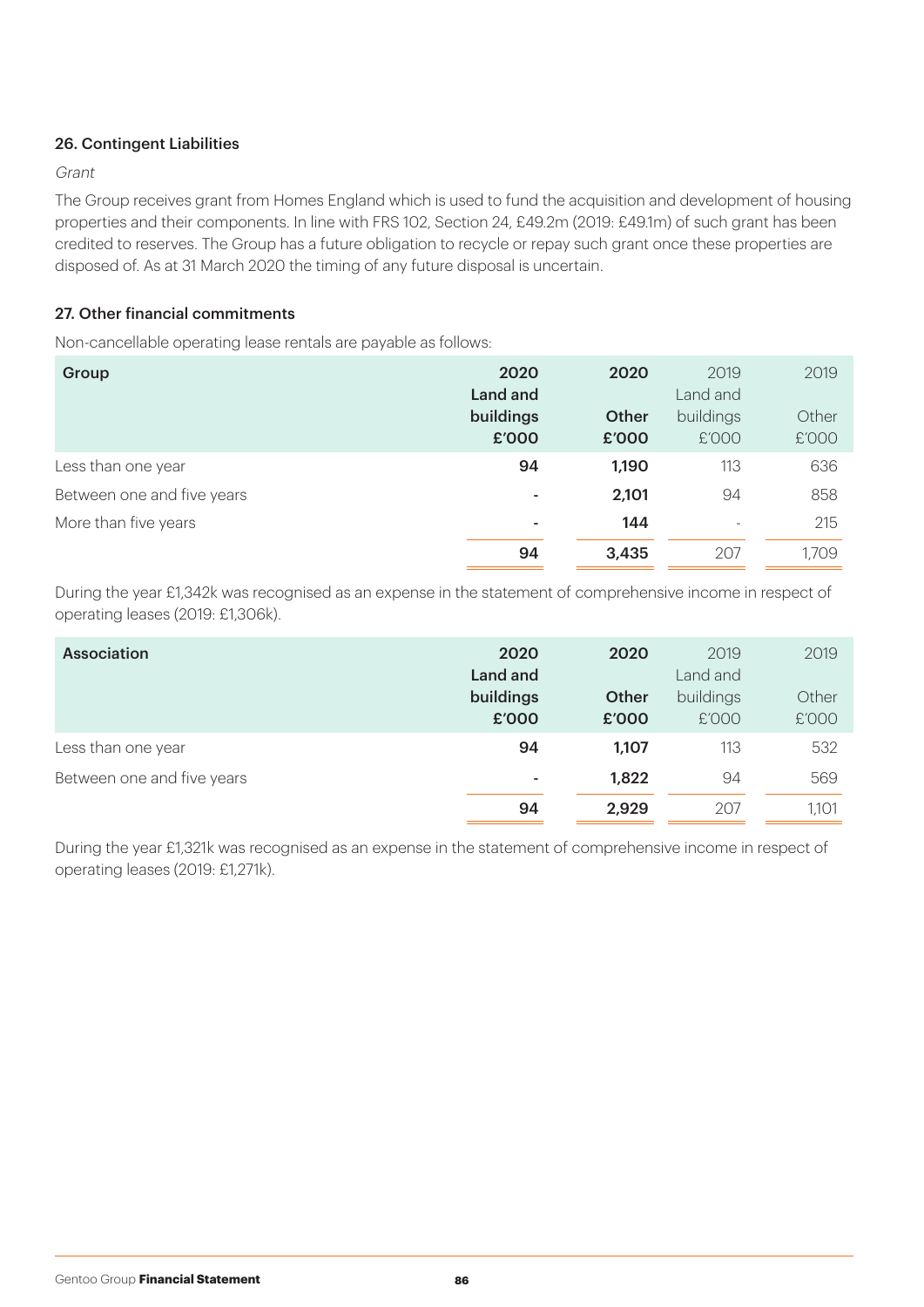## 26. Contingent Liabilities

### Grant

The Group receives grant from Homes England which is used to fund the acquisition and development of housing properties and their components. In line with FRS 102, Section 24, £49.2m (2019: £49.1m) of such grant has been credited to reserves. The Group has a future obligation to recycle or repay such grant once these properties are disposed of. As at 31 March 2020 the timing of any future disposal is uncertain.

## 27. Other financial commitments

Non-cancellable operating lease rentals are payable as follows:

| Group                      | 2020<br>Land and<br>buildings<br>£'000 | 2020<br>Other<br>£'000 | 2019<br>Land and<br>buildings<br>£'000 | 2019<br>Other<br>£'000 |
|----------------------------|----------------------------------------|------------------------|----------------------------------------|------------------------|
| Less than one year         | 94                                     | 1,190                  | 113                                    | 636                    |
| Between one and five years | ٠                                      | 2,101                  | 94                                     | 858                    |
| More than five years       | ۰                                      | 144                    | $\overline{\phantom{a}}$               | 215                    |
|                            | 94                                     | 3,435                  | 207                                    | 1,709                  |

During the year £1,342k was recognised as an expense in the statement of comprehensive income in respect of operating leases (2019: £1,306k).

| <b>Association</b>         | 2020<br>Land and   | 2020           | 2019<br>Land and   | 2019           |
|----------------------------|--------------------|----------------|--------------------|----------------|
|                            | buildings<br>£'000 | Other<br>£'000 | buildings<br>£'000 | Other<br>£'000 |
| Less than one year         | 94                 | 1,107          | 113                | 532            |
| Between one and five years | ٠                  | 1,822          | 94                 | 569            |
|                            | 94                 | 2,929          | 207                | 1,101          |

During the year £1,321k was recognised as an expense in the statement of comprehensive income in respect of operating leases (2019: £1,271k).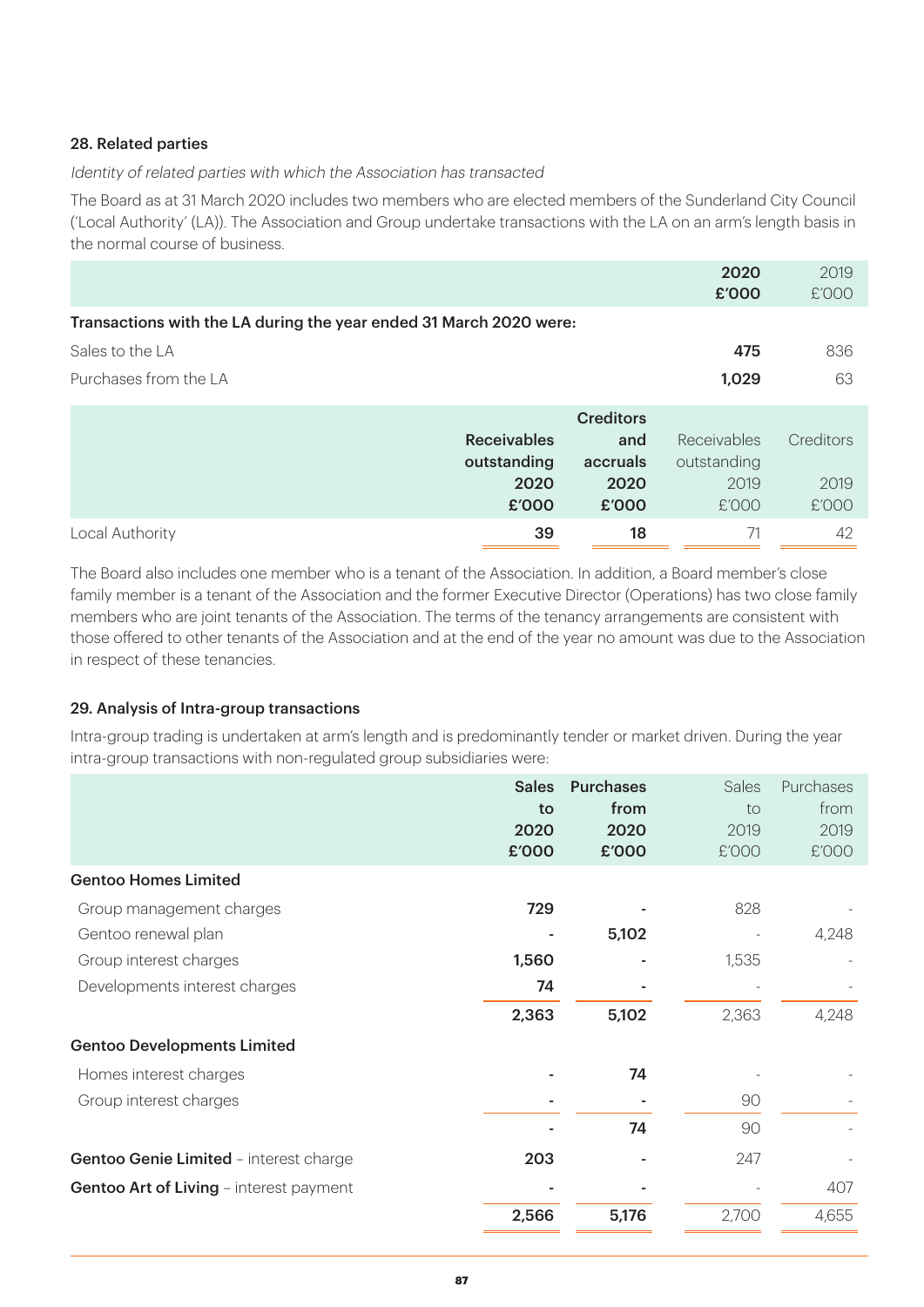## 28. Related parties

Identity of related parties with which the Association has transacted

The Board as at 31 March 2020 includes two members who are elected members of the Sunderland City Council ('Local Authority' (LA)). The Association and Group undertake transactions with the LA on an arm's length basis in the normal course of business.

|                                                                    |                    |                  | 2020<br>£'000 | 2019<br>£'000 |
|--------------------------------------------------------------------|--------------------|------------------|---------------|---------------|
| Transactions with the LA during the year ended 31 March 2020 were: |                    |                  |               |               |
| Sales to the LA                                                    |                    |                  | 475           | 836           |
| Purchases from the LA                                              |                    |                  | 1,029         | 63            |
|                                                                    |                    | <b>Creditors</b> |               |               |
|                                                                    | <b>Receivables</b> | and              | Receivables   | Creditors     |
|                                                                    | outstanding        | accruals         | outstanding   |               |
|                                                                    | 2020               | 2020             | 2019          | 2019          |
|                                                                    | £'000              | £'000            | £'000         | £'000         |
| Local Authority                                                    | 39                 | 18               | 71            | 42            |

The Board also includes one member who is a tenant of the Association. In addition, a Board member's close family member is a tenant of the Association and the former Executive Director (Operations) has two close family members who are joint tenants of the Association. The terms of the tenancy arrangements are consistent with those offered to other tenants of the Association and at the end of the year no amount was due to the Association in respect of these tenancies.

## 29. Analysis of Intra-group transactions

Intra-group trading is undertaken at arm's length and is predominantly tender or market driven. During the year intra-group transactions with non-regulated group subsidiaries were:

|                                                | <b>Sales</b><br>to<br>2020<br>£'000 | <b>Purchases</b><br>from<br>2020<br>£'000 | Sales<br>to<br>2019<br>£'000 | Purchases<br>from<br>2019<br>£'000 |
|------------------------------------------------|-------------------------------------|-------------------------------------------|------------------------------|------------------------------------|
| <b>Gentoo Homes Limited</b>                    |                                     |                                           |                              |                                    |
| Group management charges                       | 729                                 |                                           | 828                          |                                    |
| Gentoo renewal plan                            |                                     | 5,102                                     |                              | 4,248                              |
| Group interest charges                         | 1,560                               |                                           | 1,535                        |                                    |
| Developments interest charges                  | 74                                  |                                           |                              |                                    |
|                                                | 2,363                               | 5,102                                     | 2,363                        | 4,248                              |
| <b>Gentoo Developments Limited</b>             |                                     |                                           |                              |                                    |
| Homes interest charges                         |                                     | 74                                        |                              |                                    |
| Group interest charges                         |                                     |                                           | 90                           |                                    |
|                                                |                                     | 74                                        | 90                           |                                    |
| Gentoo Genie Limited - interest charge         | 203                                 |                                           | 247                          |                                    |
| <b>Gentoo Art of Living - interest payment</b> |                                     |                                           |                              | 407                                |
|                                                | 2,566                               | 5,176                                     | 2,700                        | 4,655                              |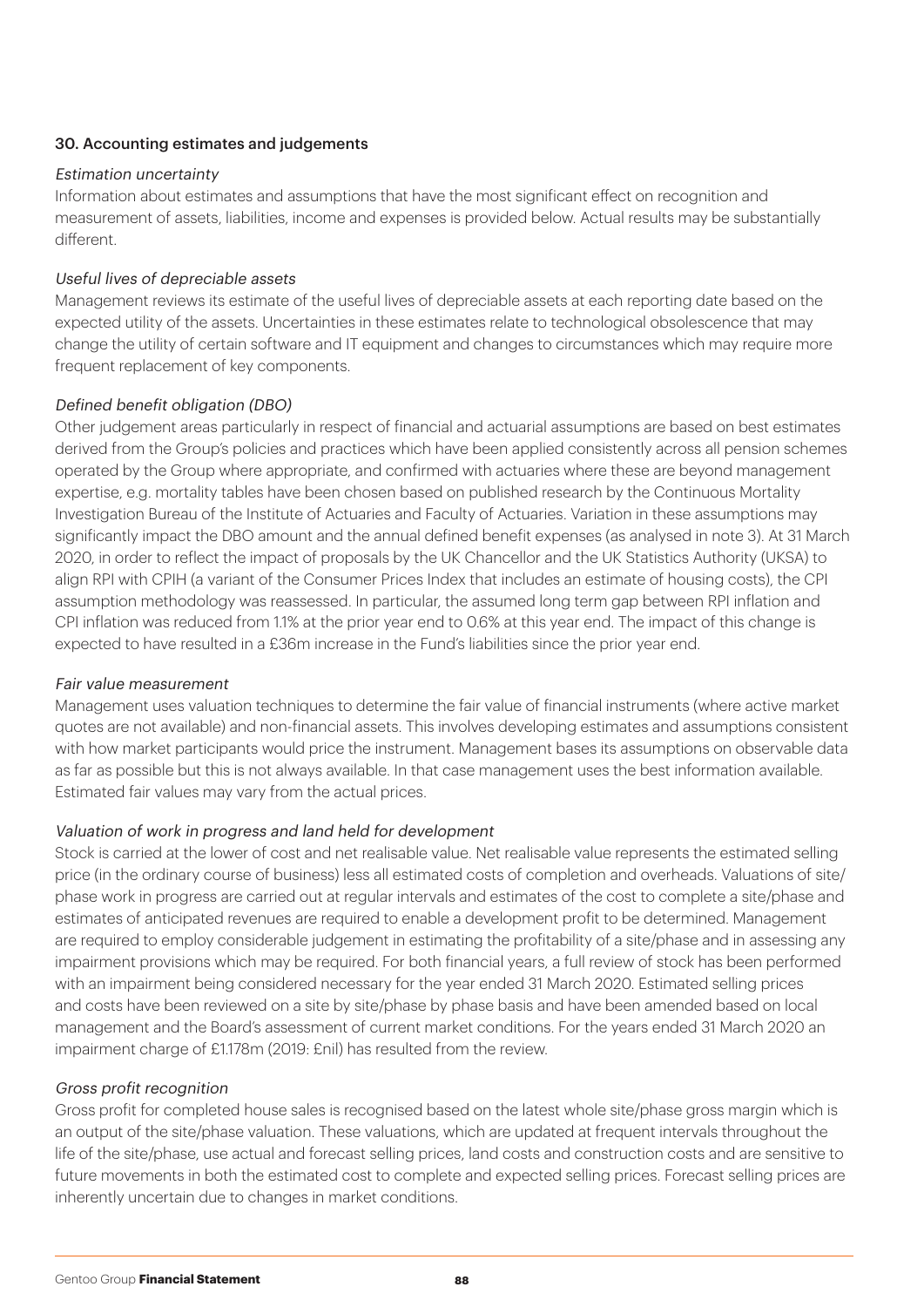## 30. Accounting estimates and judgements

#### Estimation uncertainty

Information about estimates and assumptions that have the most significant effect on recognition and measurement of assets, liabilities, income and expenses is provided below. Actual results may be substantially different.

### Useful lives of depreciable assets

Management reviews its estimate of the useful lives of depreciable assets at each reporting date based on the expected utility of the assets. Uncertainties in these estimates relate to technological obsolescence that may change the utility of certain software and IT equipment and changes to circumstances which may require more frequent replacement of key components.

## Defined benefit obligation (DBO)

Other judgement areas particularly in respect of financial and actuarial assumptions are based on best estimates derived from the Group's policies and practices which have been applied consistently across all pension schemes operated by the Group where appropriate, and confirmed with actuaries where these are beyond management expertise, e.g. mortality tables have been chosen based on published research by the Continuous Mortality Investigation Bureau of the Institute of Actuaries and Faculty of Actuaries. Variation in these assumptions may significantly impact the DBO amount and the annual defined benefit expenses (as analysed in note 3). At 31 March 2020, in order to reflect the impact of proposals by the UK Chancellor and the UK Statistics Authority (UKSA) to align RPI with CPIH (a variant of the Consumer Prices Index that includes an estimate of housing costs), the CPI assumption methodology was reassessed. In particular, the assumed long term gap between RPI inflation and CPI inflation was reduced from 1.1% at the prior year end to 0.6% at this year end. The impact of this change is expected to have resulted in a £36m increase in the Fund's liabilities since the prior year end.

## Fair value measurement

Management uses valuation techniques to determine the fair value of financial instruments (where active market quotes are not available) and non-financial assets. This involves developing estimates and assumptions consistent with how market participants would price the instrument. Management bases its assumptions on observable data as far as possible but this is not always available. In that case management uses the best information available. Estimated fair values may vary from the actual prices.

## Valuation of work in progress and land held for development

Stock is carried at the lower of cost and net realisable value. Net realisable value represents the estimated selling price (in the ordinary course of business) less all estimated costs of completion and overheads. Valuations of site/ phase work in progress are carried out at regular intervals and estimates of the cost to complete a site/phase and estimates of anticipated revenues are required to enable a development profit to be determined. Management are required to employ considerable judgement in estimating the profitability of a site/phase and in assessing any impairment provisions which may be required. For both financial years, a full review of stock has been performed with an impairment being considered necessary for the year ended 31 March 2020. Estimated selling prices and costs have been reviewed on a site by site/phase by phase basis and have been amended based on local management and the Board's assessment of current market conditions. For the years ended 31 March 2020 an impairment charge of £1.178m (2019: £nil) has resulted from the review.

#### Gross profit recognition

Gross profit for completed house sales is recognised based on the latest whole site/phase gross margin which is an output of the site/phase valuation. These valuations, which are updated at frequent intervals throughout the life of the site/phase, use actual and forecast selling prices, land costs and construction costs and are sensitive to future movements in both the estimated cost to complete and expected selling prices. Forecast selling prices are inherently uncertain due to changes in market conditions.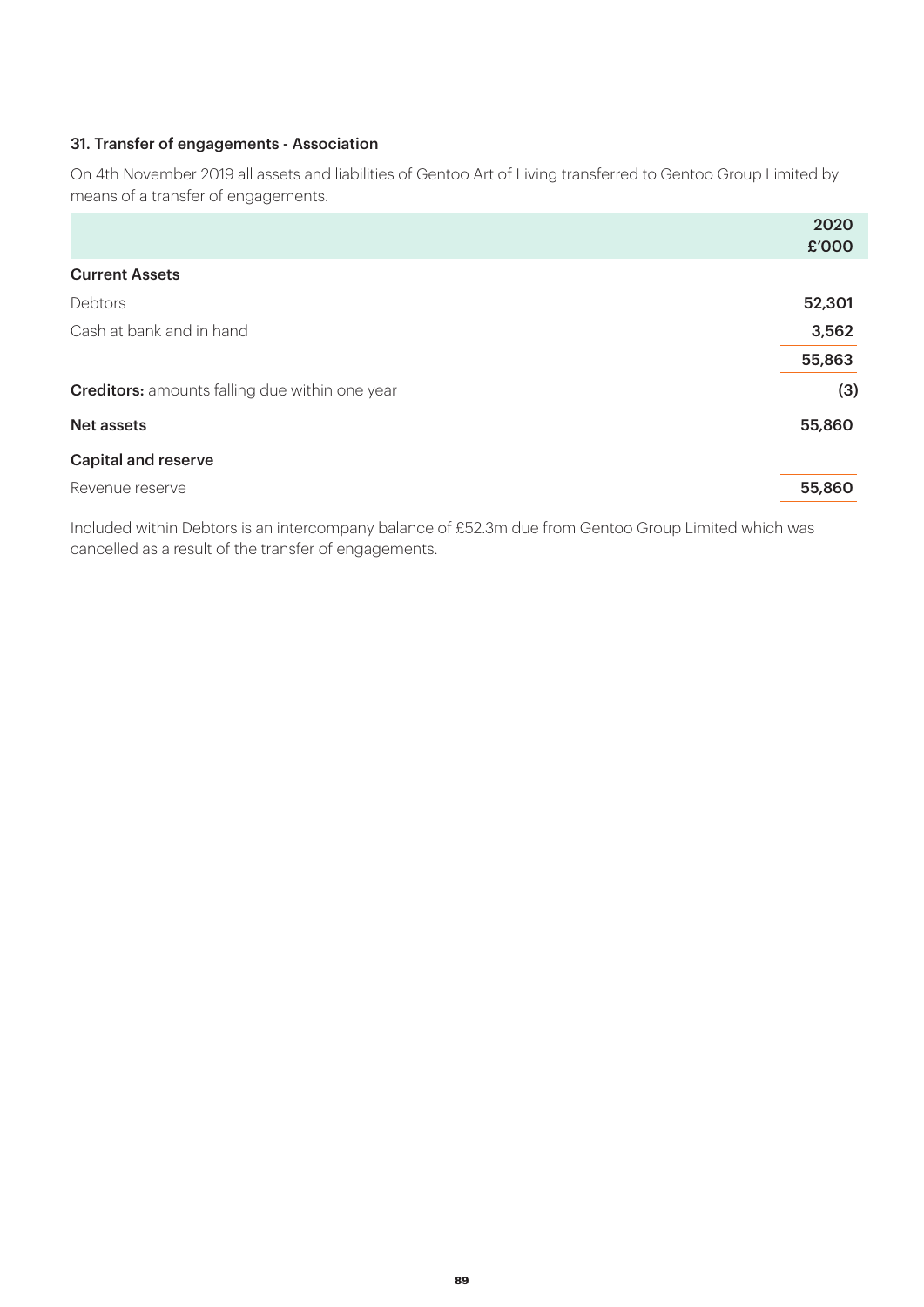### 31. Transfer of engagements - Association

On 4th November 2019 all assets and liabilities of Gentoo Art of Living transferred to Gentoo Group Limited by means of a transfer of engagements.

|                                                       | 2020   |
|-------------------------------------------------------|--------|
|                                                       | £'000  |
| <b>Current Assets</b>                                 |        |
| Debtors                                               | 52,301 |
| Cash at bank and in hand                              | 3,562  |
|                                                       | 55,863 |
| <b>Creditors:</b> amounts falling due within one year | (3)    |
| <b>Net assets</b>                                     | 55,860 |
| <b>Capital and reserve</b>                            |        |
| Revenue reserve                                       | 55,860 |

Included within Debtors is an intercompany balance of £52.3m due from Gentoo Group Limited which was cancelled as a result of the transfer of engagements.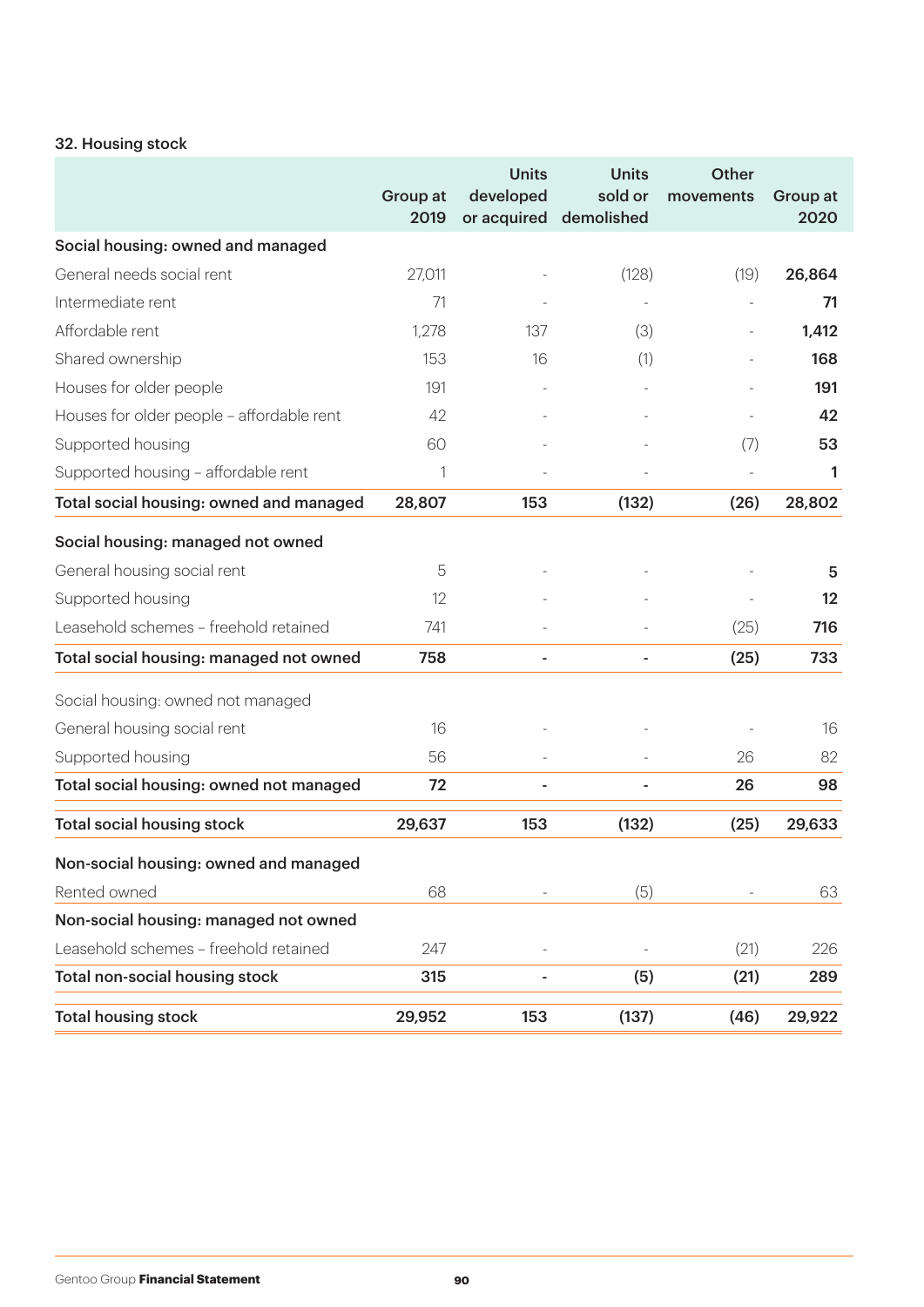## 32. Housing stock

|                                           | Group at<br>2019 | <b>Units</b><br>developed<br>or acquired | <b>Units</b><br>sold or<br>demolished | <b>Other</b><br>movements | Group at<br>2020  |
|-------------------------------------------|------------------|------------------------------------------|---------------------------------------|---------------------------|-------------------|
| Social housing: owned and managed         |                  |                                          |                                       |                           |                   |
| General needs social rent                 | 27,011           |                                          | (128)                                 | (19)                      | 26,864            |
| Intermediate rent                         | 71               |                                          |                                       |                           | 71                |
| Affordable rent                           | 1,278            | 137                                      | (3)                                   |                           | 1,412             |
| Shared ownership                          | 153              | 16                                       | (1)                                   |                           | 168               |
| Houses for older people                   | 191              |                                          |                                       |                           | 191               |
| Houses for older people - affordable rent | 42               |                                          |                                       |                           | 42                |
| Supported housing                         | 60               |                                          |                                       | (7)                       | 53                |
| Supported housing - affordable rent       | 1                |                                          |                                       |                           | 1                 |
| Total social housing: owned and managed   | 28,807           | 153                                      | (132)                                 | (26)                      | 28,802            |
| Social housing: managed not owned         |                  |                                          |                                       |                           |                   |
| General housing social rent               | 5                |                                          |                                       |                           | 5                 |
| Supported housing                         | 12               |                                          |                                       |                           | $12 \overline{ }$ |
| Leasehold schemes - freehold retained     | 741              |                                          |                                       | (25)                      | 716               |
| Total social housing: managed not owned   | 758              | $\overline{\phantom{a}}$                 |                                       | (25)                      | 733               |
| Social housing: owned not managed         |                  |                                          |                                       |                           |                   |
| General housing social rent               | 16               |                                          |                                       |                           | 16                |
| Supported housing                         | 56               |                                          |                                       | 26                        | 82                |
| Total social housing: owned not managed   | 72               |                                          |                                       | 26                        | 98                |
| <b>Total social housing stock</b>         | 29,637           | 153                                      | (132)                                 | (25)                      | 29,633            |
| Non-social housing: owned and managed     |                  |                                          |                                       |                           |                   |
| Rented owned                              | 68               |                                          | (5)                                   |                           | 63                |
| Non-social housing: managed not owned     |                  |                                          |                                       |                           |                   |
| Leasehold schemes - freehold retained     | 247              |                                          |                                       | (21)                      | 226               |
| Total non-social housing stock            | 315              |                                          | (5)                                   | (21)                      | 289               |
| <b>Total housing stock</b>                | 29,952           | 153                                      | (137)                                 | (46)                      | 29,922            |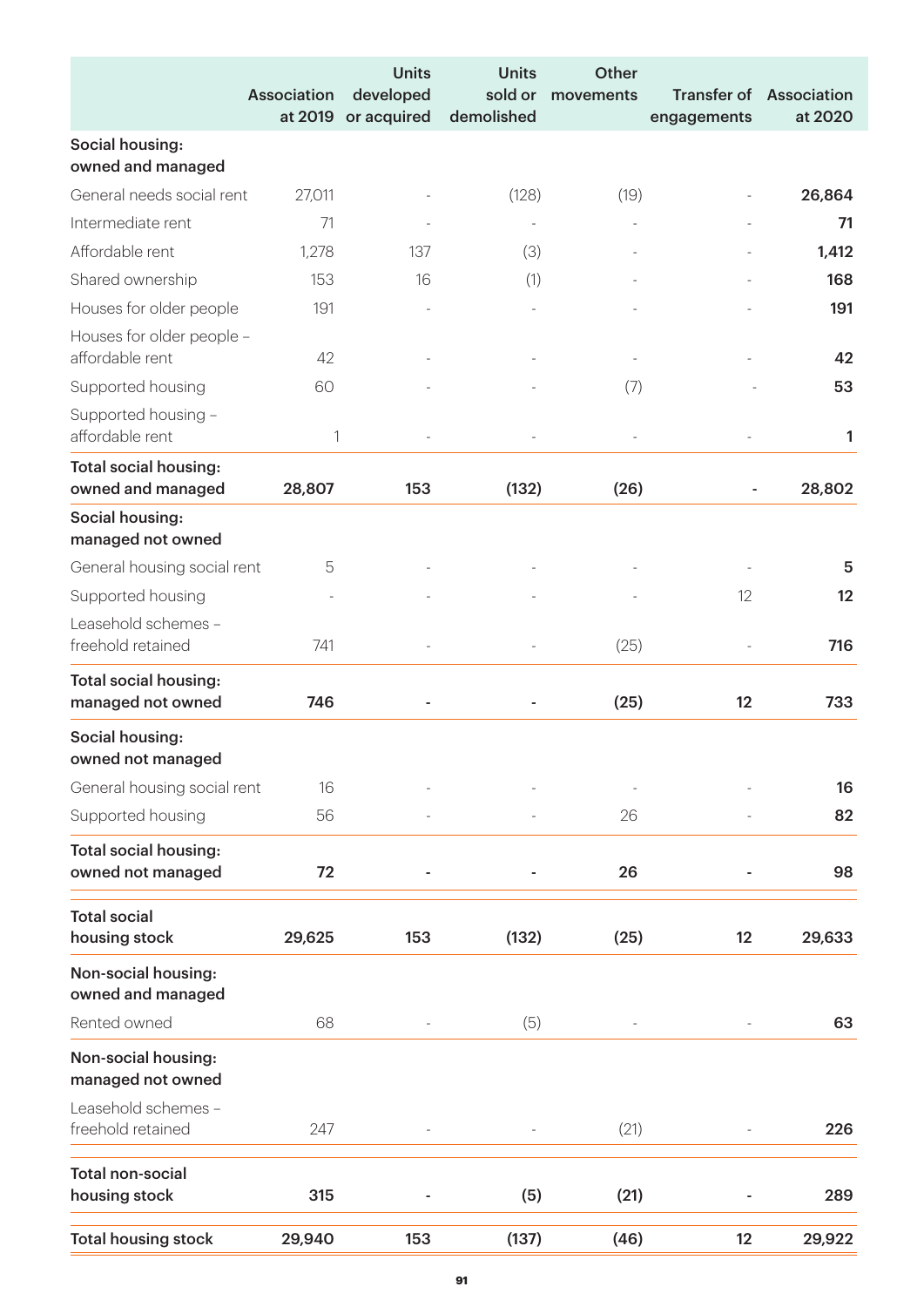|                                                   | <b>Association</b><br>at 2019 | <b>Units</b><br>developed<br>or acquired | <b>Units</b><br>sold or<br>demolished | <b>Other</b><br>movements | <b>Transfer of</b><br>engagements | Association<br>at 2020 |
|---------------------------------------------------|-------------------------------|------------------------------------------|---------------------------------------|---------------------------|-----------------------------------|------------------------|
| Social housing:<br>owned and managed              |                               |                                          |                                       |                           |                                   |                        |
| General needs social rent                         | 27,011                        |                                          | (128)                                 | (19)                      |                                   | 26,864                 |
| Intermediate rent                                 | 71                            |                                          |                                       |                           |                                   | 71                     |
| Affordable rent                                   | 1,278                         | 137                                      | (3)                                   |                           |                                   | 1,412                  |
| Shared ownership                                  | 153                           | 16                                       | (1)                                   |                           |                                   | 168                    |
| Houses for older people                           | 191                           |                                          |                                       |                           |                                   | 191                    |
| Houses for older people -<br>affordable rent      | 42                            |                                          |                                       |                           |                                   | 42                     |
| Supported housing                                 | 60                            |                                          |                                       | (7)                       |                                   | 53                     |
| Supported housing -<br>affordable rent            | $\mathbf{1}$                  |                                          |                                       |                           |                                   | 1                      |
| <b>Total social housing:</b><br>owned and managed | 28,807                        | 153                                      | (132)                                 | (26)                      | ÷                                 | 28,802                 |
| Social housing:<br>managed not owned              |                               |                                          |                                       |                           |                                   |                        |
| General housing social rent                       | 5                             |                                          |                                       |                           |                                   | 5                      |
| Supported housing                                 |                               |                                          |                                       |                           | 12                                | 12                     |
| Leasehold schemes -<br>freehold retained          | 741                           |                                          |                                       | (25)                      |                                   | 716                    |
| <b>Total social housing:</b><br>managed not owned | 746                           |                                          |                                       | (25)                      | 12                                | 733                    |
| Social housing:<br>owned not managed              |                               |                                          |                                       |                           |                                   |                        |
| General housing social rent                       | 16                            |                                          |                                       |                           |                                   | 16                     |
| Supported housing                                 | 56                            |                                          |                                       | 26                        |                                   | 82                     |
| <b>Total social housing:</b><br>owned not managed | 72                            |                                          |                                       | 26                        |                                   | 98                     |
| <b>Total social</b><br>housing stock              | 29,625                        | 153                                      | (132)                                 | (25)                      | 12                                | 29,633                 |
| Non-social housing:<br>owned and managed          |                               |                                          |                                       |                           |                                   |                        |
| Rented owned                                      | 68                            |                                          | (5)                                   |                           |                                   | 63                     |
| Non-social housing:<br>managed not owned          |                               |                                          |                                       |                           |                                   |                        |
| Leasehold schemes -<br>freehold retained          | 247                           |                                          |                                       | (21)                      |                                   | 226                    |
| <b>Total non-social</b><br>housing stock          | 315                           |                                          | (5)                                   | (21)                      |                                   | 289                    |
| <b>Total housing stock</b>                        | 29,940                        | 153                                      | (137)                                 | (46)                      | 12                                | 29,922                 |